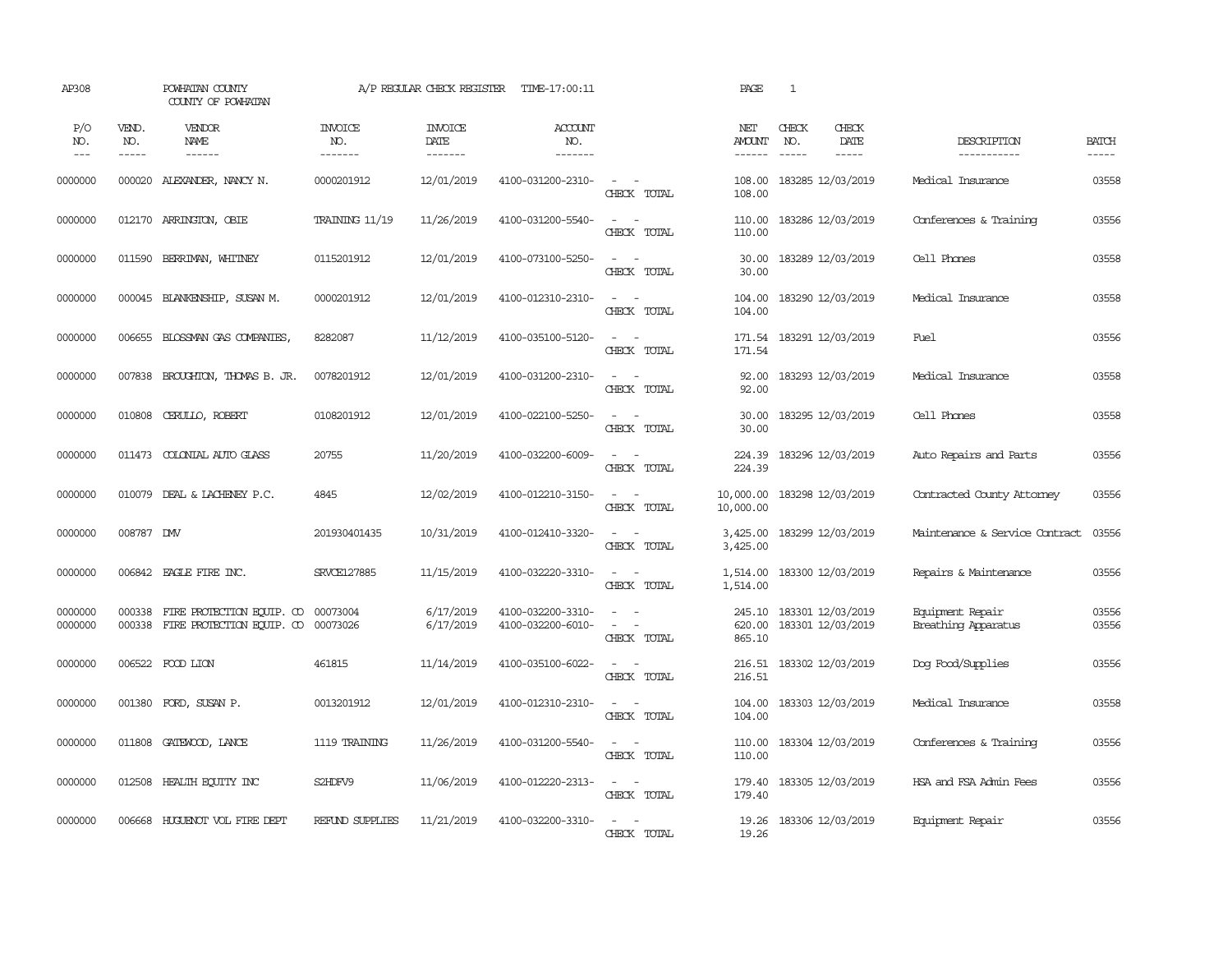| AP308              |                       | POWHATAN COUNTY<br>COUNTY OF POWHATAN                  |                                  | A/P REGULAR CHECK REGISTER        | TIME-17:00:11                          |                                                            | PAGE                           | 1                                                                                                                                                                                                                                                                                                                                                                                                            |                        |                                         |                       |
|--------------------|-----------------------|--------------------------------------------------------|----------------------------------|-----------------------------------|----------------------------------------|------------------------------------------------------------|--------------------------------|--------------------------------------------------------------------------------------------------------------------------------------------------------------------------------------------------------------------------------------------------------------------------------------------------------------------------------------------------------------------------------------------------------------|------------------------|-----------------------------------------|-----------------------|
| P/O<br>NO.<br>---  | VEND.<br>NO.<br>----- | VENDOR<br>NAME<br>$- - - - - -$                        | <b>INVOICE</b><br>NO.<br>------- | <b>INVOICE</b><br>DATE<br>------- | <b>ACCOUNT</b><br>NO.<br>-------       |                                                            | NET<br>AMOUNT<br>$- - - - - -$ | CHECK<br>NO.<br>$\frac{1}{2} \frac{1}{2} \frac{1}{2} \frac{1}{2} \frac{1}{2} \frac{1}{2} \frac{1}{2} \frac{1}{2} \frac{1}{2} \frac{1}{2} \frac{1}{2} \frac{1}{2} \frac{1}{2} \frac{1}{2} \frac{1}{2} \frac{1}{2} \frac{1}{2} \frac{1}{2} \frac{1}{2} \frac{1}{2} \frac{1}{2} \frac{1}{2} \frac{1}{2} \frac{1}{2} \frac{1}{2} \frac{1}{2} \frac{1}{2} \frac{1}{2} \frac{1}{2} \frac{1}{2} \frac{1}{2} \frac{$ | CHECK<br>DATE<br>----- | DESCRIPTION<br>-----------              | <b>BATCH</b><br>----- |
| 0000000            | 000020                | ALEXANDER, NANCY N.                                    | 0000201912                       | 12/01/2019                        | 4100-031200-2310-                      | $\omega_{\rm{max}}$ and $\omega_{\rm{max}}$<br>CHECK TOTAL | 108.00<br>108.00               | 183285 12/03/2019                                                                                                                                                                                                                                                                                                                                                                                            |                        | Medical Insurance                       | 03558                 |
| 0000000            |                       | 012170 ARRINGTON, OBIE                                 | TRAINING 11/19                   | 11/26/2019                        | 4100-031200-5540-                      | $\sim$<br>$\sim$<br>CHECK TOTAL                            | 110.00<br>110.00               | 183286 12/03/2019                                                                                                                                                                                                                                                                                                                                                                                            |                        | Conferences & Training                  | 03556                 |
| 0000000            |                       | 011590 BERRIMAN, WHITNEY                               | 0115201912                       | 12/01/2019                        | 4100-073100-5250-                      | $\sim$ $ \sim$<br>CHECK TOTAL                              | 30.00<br>30.00                 | 183289 12/03/2019                                                                                                                                                                                                                                                                                                                                                                                            |                        | Cell Phones                             | 03558                 |
| 0000000            | 000045                | BLANKENSHIP, SUSAN M.                                  | 0000201912                       | 12/01/2019                        | 4100-012310-2310-                      | $\sim$ $ -$<br>CHECK TOTAL                                 | 104.00<br>104.00               | 183290 12/03/2019                                                                                                                                                                                                                                                                                                                                                                                            |                        | Medical Insurance                       | 03558                 |
| 0000000            |                       | 006655 BLOSSMAN GAS COMPANIES,                         | 8282087                          | 11/12/2019                        | 4100-035100-5120-                      | $\sim$ $\sim$<br>CHECK TOTAL                               | 171.54<br>171.54               | 183291 12/03/2019                                                                                                                                                                                                                                                                                                                                                                                            |                        | Fuel                                    | 03556                 |
| 0000000            | 007838                | BROUGHTON, THOMAS B. JR.                               | 0078201912                       | 12/01/2019                        | 4100-031200-2310-                      | $\sim$<br>$\sim$<br>CHECK TOTAL                            | 92.00<br>92.00                 | 183293 12/03/2019                                                                                                                                                                                                                                                                                                                                                                                            |                        | Medical Insurance                       | 03558                 |
| 0000000            | 010808                | CERULLO, ROBERT                                        | 0108201912                       | 12/01/2019                        | 4100-022100-5250-                      | $\sim$ $ \sim$<br>CHECK TOTAL                              | 30.00<br>30.00                 | 183295 12/03/2019                                                                                                                                                                                                                                                                                                                                                                                            |                        | Cell Phones                             | 03558                 |
| 0000000            | 011473                | COLONIAL AUTO GLASS                                    | 20755                            | 11/20/2019                        | 4100-032200-6009-                      | $\sim$<br>$\sim$<br>CHECK TOTAL                            | 224.39<br>224.39               | 183296 12/03/2019                                                                                                                                                                                                                                                                                                                                                                                            |                        | Auto Repairs and Parts                  | 03556                 |
| 0000000            |                       | 010079 DEAL & LACHENEY P.C.                            | 4845                             | 12/02/2019                        | 4100-012210-3150-                      | $\sim$ $\sim$<br>CHECK TOTAL                               | 10,000.00<br>10,000.00         | 183298 12/03/2019                                                                                                                                                                                                                                                                                                                                                                                            |                        | Contracted County Attorney              | 03556                 |
| 0000000            | 008787 DMV            |                                                        | 201930401435                     | 10/31/2019                        | 4100-012410-3320-                      | $\overline{\phantom{a}}$<br>$\sim$<br>CHECK TOTAL          | 3,425.00<br>3,425.00           | 183299 12/03/2019                                                                                                                                                                                                                                                                                                                                                                                            |                        | Maintenance & Service Contract          | 03556                 |
| 0000000            |                       | 006842 EAGLE FIRE INC.                                 | SRVCE127885                      | 11/15/2019                        | 4100-032220-3310-                      | $\sim$ $ -$<br>CHECK TOTAL                                 | 1,514.00<br>1,514.00           | 183300 12/03/2019                                                                                                                                                                                                                                                                                                                                                                                            |                        | Repairs & Maintenance                   | 03556                 |
| 0000000<br>0000000 | 000338<br>000338      | FIRE PROTECTION EQUIP. CO<br>FIRE PROTECTION EQUIP. CO | 00073004<br>00073026             | 6/17/2019<br>6/17/2019            | 4100-032200-3310-<br>4100-032200-6010- | $\sim$<br>$\sim$ $ \sim$<br>CHECK TOTAL                    | 245.10<br>620.00<br>865.10     | 183301 12/03/2019<br>183301 12/03/2019                                                                                                                                                                                                                                                                                                                                                                       |                        | Equipment Repair<br>Breathing Apparatus | 03556<br>03556        |
| 0000000            |                       | 006522 FOOD LION                                       | 461815                           | 11/14/2019                        | 4100-035100-6022-                      | $\sim$<br>$\sim$<br>CHECK TOTAL                            | 216.51<br>216.51               | 183302 12/03/2019                                                                                                                                                                                                                                                                                                                                                                                            |                        | Dog Food/Supplies                       | 03556                 |
| 0000000            |                       | 001380 FORD, SUSAN P.                                  | 0013201912                       | 12/01/2019                        | 4100-012310-2310-                      | $\sim$ $ \sim$<br>CHECK TOTAL                              | 104.00<br>104.00               | 183303 12/03/2019                                                                                                                                                                                                                                                                                                                                                                                            |                        | Medical Insurance                       | 03558                 |
| 0000000            | 011808                | GATEWOOD, LANCE                                        | 1119 TRAINING                    | 11/26/2019                        | 4100-031200-5540-                      | $\sim$ $ -$<br>CHECK TOTAL                                 | 110.00<br>110.00               | 183304 12/03/2019                                                                                                                                                                                                                                                                                                                                                                                            |                        | Conferences & Training                  | 03556                 |
| 0000000            | 012508                | HEALTH EQUITY INC                                      | S2HDFV9                          | 11/06/2019                        | 4100-012220-2313-                      | $\sim 100$ km s $^{-1}$<br>CHECK TOTAL                     | 179.40<br>179.40               | 183305 12/03/2019                                                                                                                                                                                                                                                                                                                                                                                            |                        | HSA and FSA Admin Fees                  | 03556                 |
| 0000000            | 006668                | HUGUENOT VOL FIRE DEPT                                 | REFUND SUPPLIES                  | 11/21/2019                        | 4100-032200-3310-                      | $\overline{a}$<br>$\sim$<br>CHECK TOTAL                    | 19.26<br>19.26                 | 183306 12/03/2019                                                                                                                                                                                                                                                                                                                                                                                            |                        | Equipment Repair                        | 03556                 |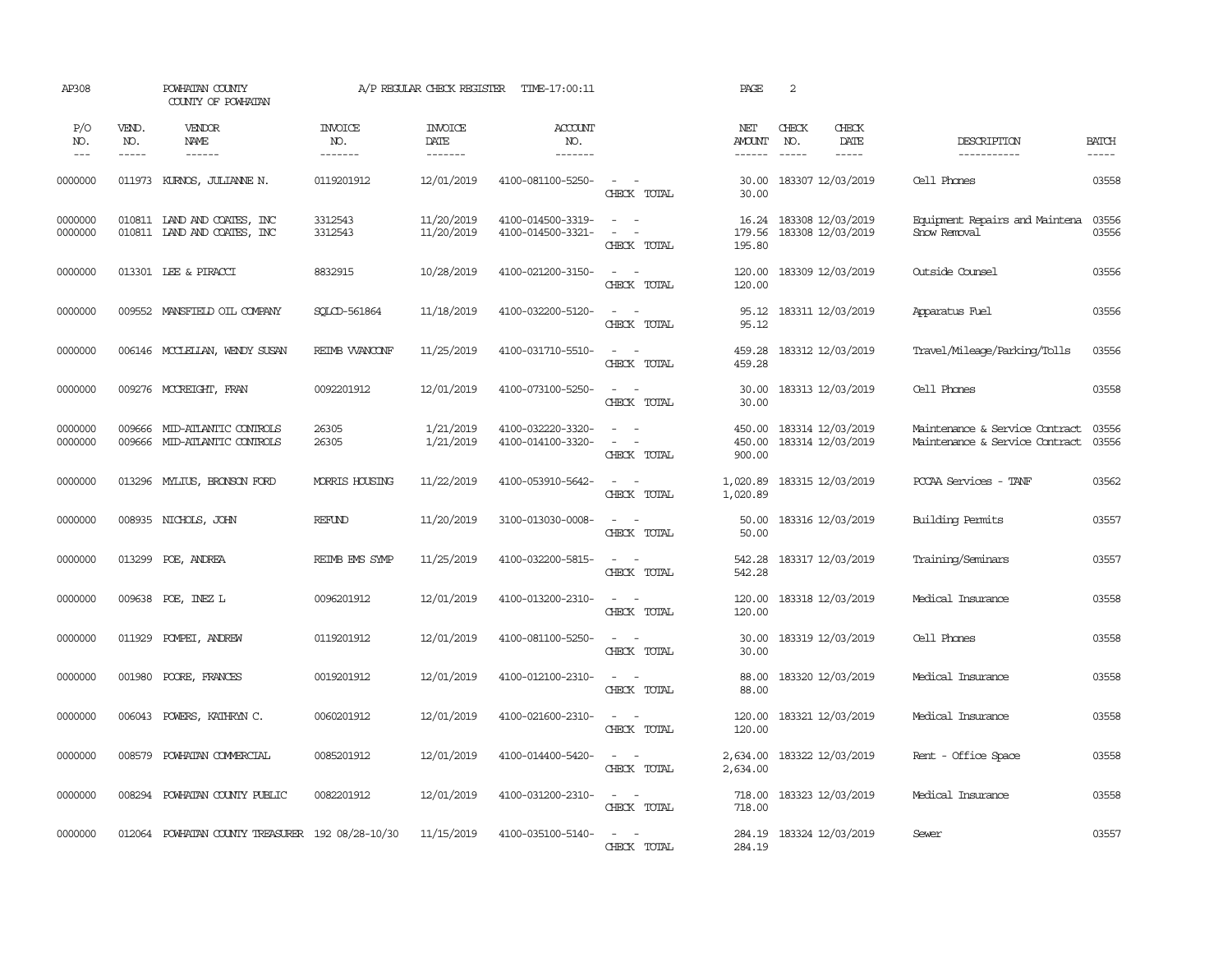| AP308               |                             | POWHATAN COUNTY<br>COUNTY OF POWHATAN                      |                                  | A/P REGULAR CHECK REGISTER        | TIME-17:00:11                          |                                                                                                                                          | PAGE                           | 2                             |                                        |                                                                  |                       |
|---------------------|-----------------------------|------------------------------------------------------------|----------------------------------|-----------------------------------|----------------------------------------|------------------------------------------------------------------------------------------------------------------------------------------|--------------------------------|-------------------------------|----------------------------------------|------------------------------------------------------------------|-----------------------|
| P/O<br>NO.<br>$---$ | VEND.<br>NO.<br>$- - - - -$ | <b>VENDOR</b><br>NAME<br>$- - - - - -$                     | <b>INVOICE</b><br>NO.<br>------- | <b>INVOICE</b><br>DATE<br>------- | ACCOUNT<br>NO.<br>-------              |                                                                                                                                          | NET<br><b>AMOUNT</b><br>------ | CHECK<br>NO.<br>$\frac{1}{2}$ | CHECK<br>DATE<br>$- - - - -$           | DESCRIPTION<br>-----------                                       | <b>BATCH</b><br>----- |
| 0000000             |                             | 011973 KURNOS, JULIANNE N.                                 | 0119201912                       | 12/01/2019                        | 4100-081100-5250-                      | $\sim$ $ \sim$<br>CHECK TOTAL                                                                                                            | 30.00<br>30.00                 |                               | 183307 12/03/2019                      | Cell Phones                                                      | 03558                 |
| 0000000<br>0000000  |                             | 010811 IAND AND COATES, INC<br>010811 IAND AND COATES, INC | 3312543<br>3312543               | 11/20/2019<br>11/20/2019          | 4100-014500-3319-<br>4100-014500-3321- | $\sim$ $\sim$<br>$\overline{\phantom{a}}$<br>$\sim$<br>CHECK TOTAL                                                                       | 16.24<br>179.56<br>195.80      |                               | 183308 12/03/2019<br>183308 12/03/2019 | Equipment Repairs and Maintena<br>Snow Removal                   | 03556<br>03556        |
| 0000000             |                             | 013301 LEE & PIRACCI                                       | 8832915                          | 10/28/2019                        | 4100-021200-3150-                      | $\sim$ $ \sim$<br>CHECK TOTAL                                                                                                            | 120.00<br>120.00               |                               | 183309 12/03/2019                      | Outside Counsel                                                  | 03556                 |
| 0000000             |                             | 009552 MANSFIELD OIL COMPANY                               | SOLCD-561864                     | 11/18/2019                        | 4100-032200-5120-                      | $\sim$ $ \sim$<br>CHECK TOTAL                                                                                                            | 95.12<br>95.12                 |                               | 183311 12/03/2019                      | Apparatus Fuel                                                   | 03556                 |
| 0000000             |                             | 006146 MCCLELLAN, WENDY SUSAN                              | REIMB WANCONF                    | 11/25/2019                        | 4100-031710-5510-                      | $\frac{1}{2} \left( \frac{1}{2} \right) \left( \frac{1}{2} \right) \left( \frac{1}{2} \right) \left( \frac{1}{2} \right)$<br>CHECK TOTAL | 459.28<br>459.28               |                               | 183312 12/03/2019                      | Travel/Mileage/Parking/Tolls                                     | 03556                 |
| 0000000             |                             | 009276 MCCREIGHT, FRAN                                     | 0092201912                       | 12/01/2019                        | 4100-073100-5250-                      | $\sim$<br>$\sim$<br>CHECK TOTAL                                                                                                          | 30.00<br>30.00                 |                               | 183313 12/03/2019                      | Cell Phones                                                      | 03558                 |
| 0000000<br>0000000  | 009666                      | MID-ATLANTIC CONIROLS<br>009666 MID-ATLANTIC CONTROLS      | 26305<br>26305                   | 1/21/2019<br>1/21/2019            | 4100-032220-3320-<br>4100-014100-3320- | $\sim$ $ \sim$<br>$\omega_{\rm{max}}$ and $\omega_{\rm{max}}$<br>CHECK TOTAL                                                             | 450.00<br>450.00<br>900.00     |                               | 183314 12/03/2019<br>183314 12/03/2019 | Maintenance & Service Contract<br>Maintenance & Service Contract | 03556<br>03556        |
| 0000000             |                             | 013296 MYLIUS, BRONSON FORD                                | <b>MORRIS HOUSING</b>            | 11/22/2019                        | 4100-053910-5642-                      | $\sim$ $\sim$<br>CHECK TOTAL                                                                                                             | 1,020.89<br>1,020.89           |                               | 183315 12/03/2019                      | PCCAA Services - TANF                                            | 03562                 |
| 0000000             |                             | 008935 NICHOLS, JOHN                                       | <b>REFUND</b>                    | 11/20/2019                        | 3100-013030-0008-                      | $\sim$ 100 $\sim$<br>CHECK TOTAL                                                                                                         | 50.00<br>50.00                 |                               | 183316 12/03/2019                      | Building Permits                                                 | 03557                 |
| 0000000             |                             | 013299 POE, ANDREA                                         | REIMB EMS SYMP                   | 11/25/2019                        | 4100-032200-5815-                      | $\sim$<br>$\sim$ $-$<br>CHECK TOTAL                                                                                                      | 542.28<br>542.28               |                               | 183317 12/03/2019                      | Training/Seminars                                                | 03557                 |
| 0000000             |                             | 009638 POE, INEZ L                                         | 0096201912                       | 12/01/2019                        | 4100-013200-2310-                      | $\sim$ $  -$<br>CHECK TOTAL                                                                                                              | 120.00<br>120.00               |                               | 183318 12/03/2019                      | Medical Insurance                                                | 03558                 |
| 0000000             | 011929                      | POMPEI, ANDREW                                             | 0119201912                       | 12/01/2019                        | 4100-081100-5250-                      | $\frac{1}{2} \left( \frac{1}{2} \right) \left( \frac{1}{2} \right) = \frac{1}{2} \left( \frac{1}{2} \right)$<br>CHECK TOTAL              | 30.00<br>30.00                 |                               | 183319 12/03/2019                      | Cell Phones                                                      | 03558                 |
| 0000000             | 001980                      | POORE, FRANCES                                             | 0019201912                       | 12/01/2019                        | 4100-012100-2310-                      | $\sim$<br>$\sim$<br>CHECK TOTAL                                                                                                          | 88.00<br>88.00                 |                               | 183320 12/03/2019                      | Medical Insurance                                                | 03558                 |
| 0000000             | 006043                      | POWERS, KATHRYN C.                                         | 0060201912                       | 12/01/2019                        | 4100-021600-2310-                      | $\sim$ $ \sim$<br>CHECK TOTAL                                                                                                            | 120.00<br>120.00               |                               | 183321 12/03/2019                      | Medical Insurance                                                | 03558                 |
| 0000000             |                             | 008579 POWHATAN COMMERCIAL                                 | 0085201912                       | 12/01/2019                        | 4100-014400-5420-                      | $\omega_{\rm{max}}$ and $\omega_{\rm{max}}$<br>CHECK TOTAL                                                                               | 2,634.00<br>2,634.00           |                               | 183322 12/03/2019                      | Rent - Office Space                                              | 03558                 |
| 0000000             |                             | 008294 POWHATAN COUNTY PUBLIC                              | 0082201912                       | 12/01/2019                        | 4100-031200-2310-                      | $\sim$ 100 $\sim$<br>CHECK TOTAL                                                                                                         | 718.00<br>718.00               |                               | 183323 12/03/2019                      | Medical Insurance                                                | 03558                 |
| 0000000             |                             | 012064 POWHATAN COUNTY TREASURER 192 08/28-10/30           |                                  | 11/15/2019                        | 4100-035100-5140-                      | $\sim$<br>$\sim$<br>CHECK TOTAL                                                                                                          | 284.19<br>284.19               |                               | 183324 12/03/2019                      | Sewer                                                            | 03557                 |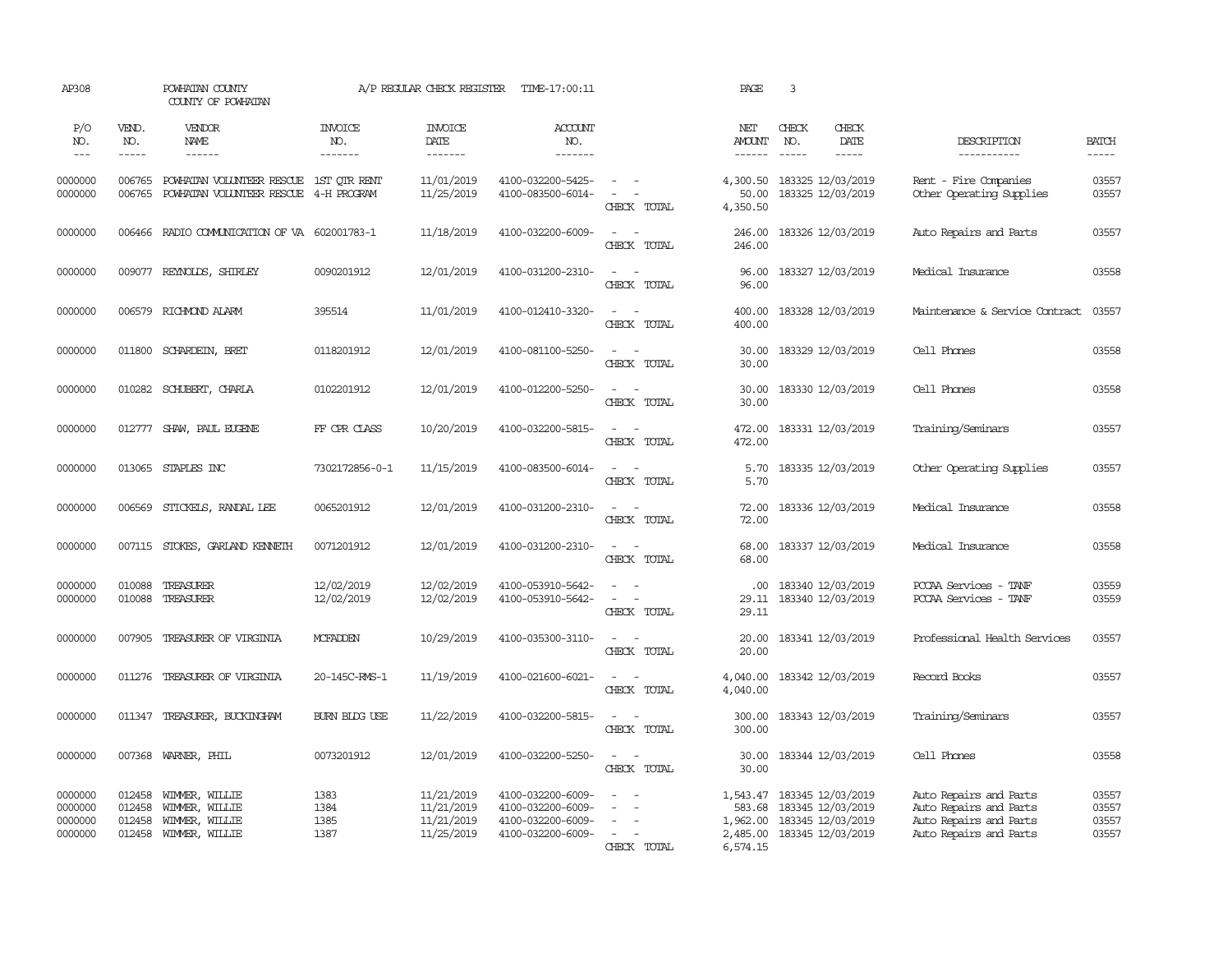| AP308                                    |                                      | POWHATAN COUNTY<br>COUNTY OF POWHATAN                                |                                  | A/P REGULAR CHECK REGISTER                           | TIME-17:00:11                                                                    |                                                                                                                                          | PAGE                                       | 3                                                                                         |                              |                                                                                                      |                                  |
|------------------------------------------|--------------------------------------|----------------------------------------------------------------------|----------------------------------|------------------------------------------------------|----------------------------------------------------------------------------------|------------------------------------------------------------------------------------------------------------------------------------------|--------------------------------------------|-------------------------------------------------------------------------------------------|------------------------------|------------------------------------------------------------------------------------------------------|----------------------------------|
| P/O<br>NO.<br>$\frac{1}{2}$              | VEND.<br>NO.<br>-----                | VENDOR<br>NAME<br>------                                             | <b>INVOICE</b><br>NO.<br>------- | <b>INVOICE</b><br>DATE<br>-------                    | <b>ACCOUNT</b><br>NO.<br>-------                                                 |                                                                                                                                          | NET<br><b>AMOUNT</b><br>------             | CHECK<br>NO.<br>$- - - - -$                                                               | CHECK<br>DATE<br>$- - - - -$ | DESCRIPTION<br>-----------                                                                           | <b>BATCH</b><br>-----            |
| 0000000<br>0000000                       | 006765<br>006765                     | POWHATAN VOLUNTEER RESCUE 1ST OTR RENT<br>POWHATAN VOLUNTEER RESCUE  | 4-H PROGRAM                      | 11/01/2019<br>11/25/2019                             | 4100-032200-5425-<br>4100-083500-6014-                                           | $\omega_{\rm{max}}$ and $\omega_{\rm{max}}$<br>$\sim$<br>$\sim$<br>CHECK TOTAL                                                           | 4,300.50<br>50.00<br>4,350.50              | 183325 12/03/2019<br>183325 12/03/2019                                                    |                              | Rent - Fire Companies<br>Other Operating Supplies                                                    | 03557<br>03557                   |
| 0000000                                  | 006466                               | RADIO COMMUNICATION OF VA 602001783-1                                |                                  | 11/18/2019                                           | 4100-032200-6009-                                                                | $\frac{1}{2} \left( \frac{1}{2} \right) \left( \frac{1}{2} \right) \left( \frac{1}{2} \right) \left( \frac{1}{2} \right)$<br>CHECK TOTAL | 246.00<br>246.00                           | 183326 12/03/2019                                                                         |                              | Auto Repairs and Parts                                                                               | 03557                            |
| 0000000                                  |                                      | 009077 REYNOLDS, SHIRLEY                                             | 0090201912                       | 12/01/2019                                           | 4100-031200-2310-                                                                | $\sim$<br>$\sim$<br>CHECK TOTAL                                                                                                          | 96.00<br>96.00                             | 183327 12/03/2019                                                                         |                              | Medical Insurance                                                                                    | 03558                            |
| 0000000                                  | 006579                               | RICHMOND ALARM                                                       | 395514                           | 11/01/2019                                           | 4100-012410-3320-                                                                | $\omega_{\rm{max}}$ and $\omega_{\rm{max}}$<br>CHECK TOTAL                                                                               | 400.00<br>400.00                           | 183328 12/03/2019                                                                         |                              | Maintenance & Service Contract                                                                       | 03557                            |
| 0000000                                  |                                      | 011800 SCHARDEIN, BRET                                               | 0118201912                       | 12/01/2019                                           | 4100-081100-5250-                                                                | $\sim$<br>$\sim$<br>CHECK TOTAL                                                                                                          | 30.00<br>30.00                             | 183329 12/03/2019                                                                         |                              | Cell Phones                                                                                          | 03558                            |
| 0000000                                  | 010282                               | SCHUBERT, CHARLA                                                     | 0102201912                       | 12/01/2019                                           | 4100-012200-5250-                                                                | $\overline{\phantom{a}}$<br>$\sim$<br>CHECK TOTAL                                                                                        | 30.00<br>30.00                             | 183330 12/03/2019                                                                         |                              | Cell Phones                                                                                          | 03558                            |
| 0000000                                  |                                      | 012777 SHAW, PAUL EUGENE                                             | FF CPR CLASS                     | 10/20/2019                                           | 4100-032200-5815-                                                                | $\sim$<br>$\sim$<br>CHECK TOTAL                                                                                                          | 472.00<br>472.00                           | 183331 12/03/2019                                                                         |                              | Training/Seminars                                                                                    | 03557                            |
| 0000000                                  |                                      | 013065 STAPLES INC                                                   | 7302172856-0-1                   | 11/15/2019                                           | 4100-083500-6014-                                                                | $\sim$ $ \sim$<br>CHECK TOTAL                                                                                                            | 5.70<br>5.70                               | 183335 12/03/2019                                                                         |                              | Other Operating Supplies                                                                             | 03557                            |
| 0000000                                  | 006569                               | STICKELS, RANDAL LEE                                                 | 0065201912                       | 12/01/2019                                           | 4100-031200-2310-                                                                | $\sim$ $ \sim$<br>CHECK TOTAL                                                                                                            | 72.00<br>72.00                             | 183336 12/03/2019                                                                         |                              | Medical Insurance                                                                                    | 03558                            |
| 0000000                                  |                                      | 007115 STOKES, GARLAND KENNETH                                       | 0071201912                       | 12/01/2019                                           | 4100-031200-2310-                                                                | $\sim$<br>$\sim$<br>CHECK TOTAL                                                                                                          | 68.00<br>68.00                             | 183337 12/03/2019                                                                         |                              | Medical Insurance                                                                                    | 03558                            |
| 0000000<br>0000000                       | 010088<br>010088                     | TREASURER<br>TREASURER                                               | 12/02/2019<br>12/02/2019         | 12/02/2019<br>12/02/2019                             | 4100-053910-5642-<br>4100-053910-5642-                                           | $\sim$<br>$\sim$<br>CHECK TOTAL                                                                                                          | .00<br>29.11<br>29.11                      | 183340 12/03/2019<br>183340 12/03/2019                                                    |                              | PCCAA Services - TANF<br>PCCAA Services - TANF                                                       | 03559<br>03559                   |
| 0000000                                  | 007905                               | TREASURER OF VIRGINIA                                                | <b>MCFADDEN</b>                  | 10/29/2019                                           | 4100-035300-3110-                                                                | $\sim$<br>$\sim$<br>CHECK TOTAL                                                                                                          | 20.00<br>20.00                             | 183341 12/03/2019                                                                         |                              | Professional Health Services                                                                         | 03557                            |
| 0000000                                  | 011276                               | TREASURER OF VIRGINIA                                                | 20-145C-RMS-1                    | 11/19/2019                                           | 4100-021600-6021-                                                                | $\overline{\phantom{a}}$<br>$\overline{\phantom{a}}$<br>CHECK TOTAL                                                                      | 4,040.00<br>4,040.00                       | 183342 12/03/2019                                                                         |                              | Record Books                                                                                         | 03557                            |
| 0000000                                  |                                      | 011347 TREASURER, BUCKINGHAM                                         | BURN BIDG USE                    | 11/22/2019                                           | 4100-032200-5815-                                                                | $\overline{\phantom{a}}$<br>$\sim$<br>CHECK TOTAL                                                                                        | 300.00<br>300.00                           | 183343 12/03/2019                                                                         |                              | Training/Seminars                                                                                    | 03557                            |
| 0000000                                  |                                      | 007368 WARNER, PHIL                                                  | 0073201912                       | 12/01/2019                                           | 4100-032200-5250-                                                                | $\sim$<br>$\sim$<br>CHECK TOTAL                                                                                                          | 30.00<br>30.00                             | 183344 12/03/2019                                                                         |                              | Cell Phones                                                                                          | 03558                            |
| 0000000<br>0000000<br>0000000<br>0000000 | 012458<br>012458<br>012458<br>012458 | WIMMER, WILLIE<br>WIMMER, WILLIE<br>WIMMER, WILLIE<br>WIMMER, WILLIE | 1383<br>1384<br>1385<br>1387     | 11/21/2019<br>11/21/2019<br>11/21/2019<br>11/25/2019 | 4100-032200-6009-<br>4100-032200-6009-<br>4100-032200-6009-<br>4100-032200-6009- | $\sim$<br>$\sim$<br>$\sim$<br>$\sim$<br>$\sim$<br>$\sim$<br>$\sim$<br>CHECK TOTAL                                                        | 583.68<br>1,962.00<br>2,485.00<br>6,574.15 | 1,543.47 183345 12/03/2019<br>183345 12/03/2019<br>183345 12/03/2019<br>183345 12/03/2019 |                              | Auto Repairs and Parts<br>Auto Repairs and Parts<br>Auto Repairs and Parts<br>Auto Repairs and Parts | 03557<br>03557<br>03557<br>03557 |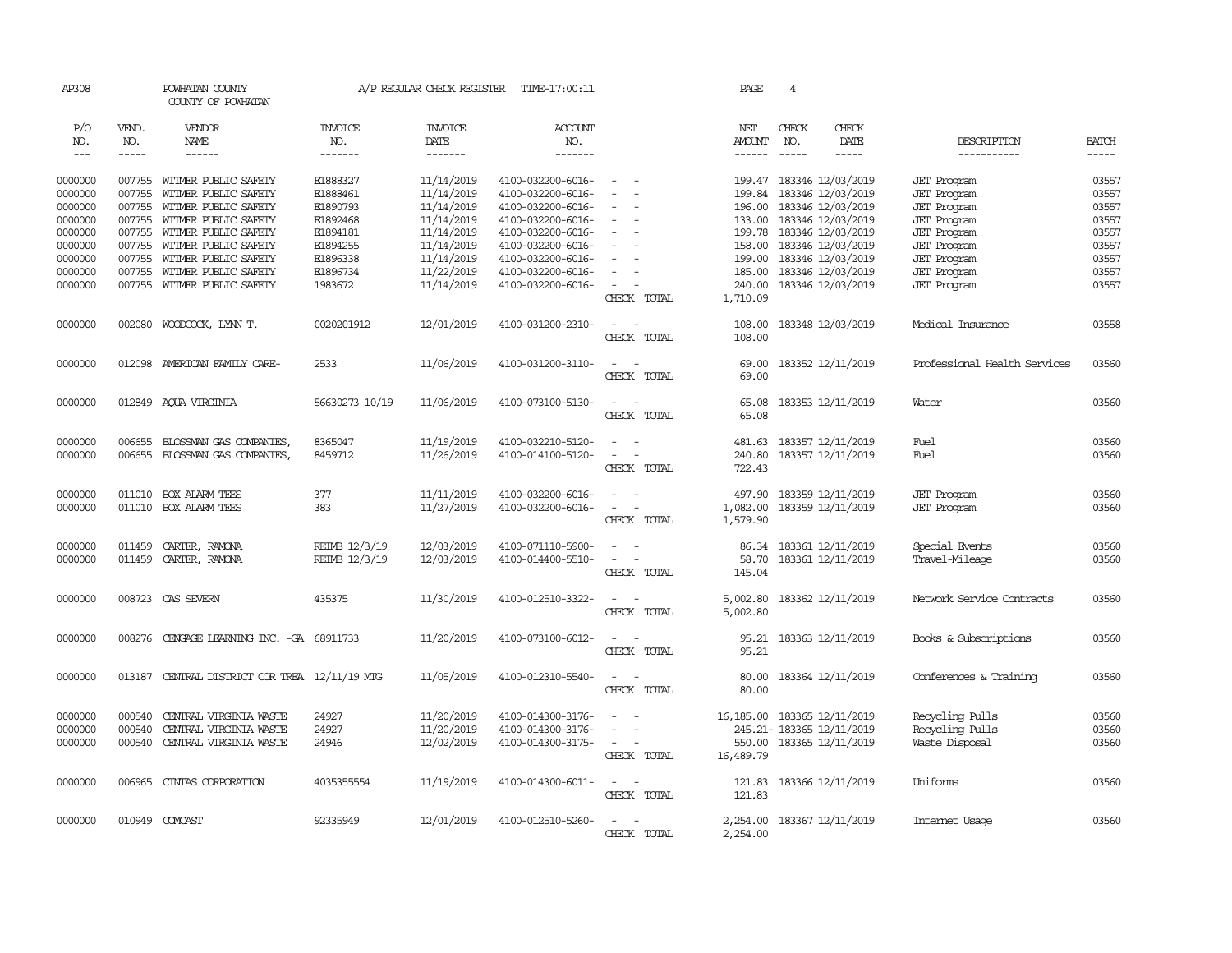| AP308               |                             | POWHATAN COUNTY<br>COUNTY OF POWHATAN     |                                  | A/P REGULAR CHECK REGISTER                | TIME-17:00:11                    |                                                                                                              | PAGE                           | 4                             |                                |                              |                             |
|---------------------|-----------------------------|-------------------------------------------|----------------------------------|-------------------------------------------|----------------------------------|--------------------------------------------------------------------------------------------------------------|--------------------------------|-------------------------------|--------------------------------|------------------------------|-----------------------------|
| P/O<br>NO.<br>$---$ | VEND.<br>NO.<br>$- - - - -$ | VENDOR<br>NAME<br>------                  | <b>INVOICE</b><br>NO.<br>------- | <b>INVOICE</b><br>DATE<br>$- - - - - - -$ | <b>ACCOUNT</b><br>NO.<br>------- |                                                                                                              | NET<br>AMOUNT<br>$- - - - - -$ | CHECK<br>NO.<br>$\frac{1}{2}$ | CHECK<br>DATE<br>$\frac{1}{2}$ | DESCRIPTION<br>-----------   | <b>BATCH</b><br>$- - - - -$ |
|                     |                             |                                           |                                  |                                           |                                  |                                                                                                              |                                |                               |                                |                              |                             |
| 0000000             |                             | 007755 WITMER PUBLIC SAFETY               | E1888327                         | 11/14/2019                                | 4100-032200-6016-                | $\frac{1}{2} \left( \frac{1}{2} \right) \left( \frac{1}{2} \right) = \frac{1}{2} \left( \frac{1}{2} \right)$ |                                |                               | 199.47 183346 12/03/2019       | <b>JET</b> Program           | 03557                       |
| 0000000             | 007755                      | WITMER PUBLIC SAFETY                      | E1888461                         | 11/14/2019                                | 4100-032200-6016-                | $\sim$                                                                                                       | 199.84                         |                               | 183346 12/03/2019              | <b>JET</b> Program           | 03557                       |
| 0000000             | 007755                      | WITMER PUBLIC SAFETY                      | E1890793                         | 11/14/2019                                | 4100-032200-6016-                |                                                                                                              | 196.00                         |                               | 183346 12/03/2019              | <b>JET</b> Program           | 03557                       |
| 0000000             | 007755                      | WITMER PUBLIC SAFETY                      | E1892468                         | 11/14/2019                                | 4100-032200-6016-                |                                                                                                              |                                |                               | 133.00 183346 12/03/2019       | <b>JET</b> Program           | 03557                       |
| 0000000             | 007755                      | WITMER PUBLIC SAFETY                      | E1894181                         | 11/14/2019                                | 4100-032200-6016-                |                                                                                                              |                                |                               | 199.78 183346 12/03/2019       | <b>JET</b> Program           | 03557                       |
| 0000000             | 007755                      | WITMER PUBLIC SAFETY                      | E1894255                         | 11/14/2019                                | 4100-032200-6016-                |                                                                                                              | 158.00                         |                               | 183346 12/03/2019              | <b>JET</b> Program           | 03557                       |
| 0000000             | 007755                      | WITMER PUBLIC SAFETY                      | E1896338                         | 11/14/2019                                | 4100-032200-6016-                |                                                                                                              | 199.00                         |                               | 183346 12/03/2019              | <b>JET</b> Program           | 03557                       |
| 0000000             | 007755                      | WITMER PUBLIC SAFETY                      | E1896734                         | 11/22/2019                                | 4100-032200-6016-                | $\equiv$                                                                                                     | 185.00                         |                               | 183346 12/03/2019              | <b>JET</b> Program           | 03557                       |
| 0000000             | 007755                      | WITMER PUBLIC SAFETY                      | 1983672                          | 11/14/2019                                | 4100-032200-6016-                | $\overline{\phantom{a}}$                                                                                     | 240.00                         |                               | 183346 12/03/2019              | <b>JET</b> Program           | 03557                       |
|                     |                             |                                           |                                  |                                           |                                  | CHECK TOTAL                                                                                                  | 1,710.09                       |                               |                                |                              |                             |
| 0000000             | 002080                      | WOODCOCK, LYNN T.                         | 0020201912                       | 12/01/2019                                | 4100-031200-2310-                | $\sim$ $ -$                                                                                                  | 108.00                         |                               | 183348 12/03/2019              | Medical Insurance            | 03558                       |
|                     |                             |                                           |                                  |                                           |                                  | CHECK TOTAL                                                                                                  | 108.00                         |                               |                                |                              |                             |
| 0000000             |                             | 012098 AMERICAN FAMILY CARE-              | 2533                             | 11/06/2019                                | 4100-031200-3110-                | $\sim$ $ \sim$                                                                                               |                                |                               | 69.00 183352 12/11/2019        | Professional Health Services | 03560                       |
|                     |                             |                                           |                                  |                                           |                                  | CHECK TOTAL                                                                                                  | 69.00                          |                               |                                |                              |                             |
|                     |                             |                                           |                                  |                                           |                                  |                                                                                                              |                                |                               |                                |                              |                             |
| 0000000             |                             | 012849 AQUA VIRGINIA                      | 56630273 10/19                   | 11/06/2019                                | 4100-073100-5130-                | $\sim$<br>$\sim$ $-$                                                                                         | 65.08                          |                               | 183353 12/11/2019              | Water                        | 03560                       |
|                     |                             |                                           |                                  |                                           |                                  | CHECK TOTAL                                                                                                  | 65.08                          |                               |                                |                              |                             |
| 0000000             | 006655                      | BLOSSMAN GAS COMPANIES,                   | 8365047                          | 11/19/2019                                | 4100-032210-5120-                | $ -$                                                                                                         | 481.63                         |                               | 183357 12/11/2019              | Fuel                         | 03560                       |
| 0000000             |                             | 006655 BLOSSMAN GAS COMPANIES,            | 8459712                          | 11/26/2019                                | 4100-014100-5120-                | $\sim$<br>$\overline{\phantom{a}}$                                                                           | 240.80                         |                               | 183357 12/11/2019              | Fuel                         | 03560                       |
|                     |                             |                                           |                                  |                                           |                                  | CHECK TOTAL                                                                                                  | 722.43                         |                               |                                |                              |                             |
| 0000000             | 011010                      | BOX ALARM TEES                            | 377                              | 11/11/2019                                | 4100-032200-6016-                | $\equiv$                                                                                                     | 497.90                         |                               | 183359 12/11/2019              | <b>JET</b> Program           | 03560                       |
| 0000000             | 011010                      | BOX ALARM TEES                            | 383                              | 11/27/2019                                | 4100-032200-6016-                | $\sim$<br>$\sim$ $-$                                                                                         | 1,082.00                       |                               | 183359 12/11/2019              | <b>JET</b> Program           | 03560                       |
|                     |                             |                                           |                                  |                                           |                                  | CHECK TOTAL                                                                                                  | 1,579.90                       |                               |                                |                              |                             |
|                     |                             |                                           |                                  |                                           |                                  |                                                                                                              |                                |                               |                                |                              |                             |
| 0000000             | 011459                      | CARTER, RAMONA                            | REIMB 12/3/19<br>REIMB 12/3/19   | 12/03/2019                                | 4100-071110-5900-                | $\sim$ $\sim$<br>$\sim$<br>$\sim$                                                                            |                                |                               | 86.34 183361 12/11/2019        | Special Events               | 03560                       |
| 0000000             | 011459                      | CARTER, RAMONA                            |                                  | 12/03/2019                                | 4100-014400-5510-                | CHECK TOTAL                                                                                                  | 58.70<br>145.04                |                               | 183361 12/11/2019              | Travel-Mileage               | 03560                       |
|                     |                             |                                           |                                  |                                           |                                  |                                                                                                              |                                |                               |                                |                              |                             |
| 0000000             | 008723                      | CAS SEVERN                                | 435375                           | 11/30/2019                                | 4100-012510-3322-                | $\sim$                                                                                                       | 5,002.80                       |                               | 183362 12/11/2019              | Network Service Contracts    | 03560                       |
|                     |                             |                                           |                                  |                                           |                                  | CHECK TOTAL                                                                                                  | 5,002.80                       |                               |                                |                              |                             |
| 0000000             |                             | 008276 CENGAGE LEARNING INC. -GA 68911733 |                                  | 11/20/2019                                | 4100-073100-6012-                | $\sim$ $\sim$                                                                                                |                                |                               | 95.21 183363 12/11/2019        | Books & Subscriptions        | 03560                       |
|                     |                             |                                           |                                  |                                           |                                  | CHECK TOTAL                                                                                                  | 95.21                          |                               |                                |                              |                             |
|                     |                             |                                           |                                  |                                           |                                  |                                                                                                              |                                |                               |                                |                              |                             |
| 0000000             | 013187                      | CENTRAL DISTRICT COR TREA 12/11/19 MTG    |                                  | 11/05/2019                                | 4100-012310-5540-                | $\sim$ $  -$                                                                                                 | 80.00                          |                               | 183364 12/11/2019              | Conferences & Training       | 03560                       |
|                     |                             |                                           |                                  |                                           |                                  | CHECK TOTAL                                                                                                  | 80.00                          |                               |                                |                              |                             |
| 0000000             | 000540                      | CENTRAL VIRGINIA WASTE                    | 24927                            | 11/20/2019                                | 4100-014300-3176-                |                                                                                                              | 16, 185.00 183365 12/11/2019   |                               |                                | Recycling Pulls              | 03560                       |
| 0000000             | 000540                      | CENTRAL VIRGINIA WASTE                    | 24927                            | 11/20/2019                                | 4100-014300-3176-                | $\omega_{\rm{max}}$ and                                                                                      |                                |                               | 245.21- 183365 12/11/2019      | Recycling Pulls              | 03560                       |
| 0000000             | 000540                      | CENTRAL VIRGINIA WASTE                    | 24946                            | 12/02/2019                                | 4100-014300-3175-                | $\sim$ $ \sim$                                                                                               |                                |                               | 550.00 183365 12/11/2019       | Waste Disposal               | 03560                       |
|                     |                             |                                           |                                  |                                           |                                  | CHECK TOTAL                                                                                                  | 16,489.79                      |                               |                                |                              |                             |
| 0000000             | 006965                      | CINTAS CORPORATION                        | 4035355554                       | 11/19/2019                                | 4100-014300-6011-                | $\sim$ $ -$                                                                                                  |                                |                               | 121.83 183366 12/11/2019       | Uniforms                     | 03560                       |
|                     |                             |                                           |                                  |                                           |                                  | CHECK TOTAL                                                                                                  | 121.83                         |                               |                                |                              |                             |
|                     |                             |                                           |                                  |                                           |                                  |                                                                                                              |                                |                               |                                |                              |                             |
| 0000000             |                             | 010949 COMCAST                            | 92335949                         | 12/01/2019                                | 4100-012510-5260-                |                                                                                                              |                                |                               | 2, 254.00 183367 12/11/2019    | Internet Usage               | 03560                       |
|                     |                             |                                           |                                  |                                           |                                  | CHECK TOTAL                                                                                                  | 2,254.00                       |                               |                                |                              |                             |
|                     |                             |                                           |                                  |                                           |                                  |                                                                                                              |                                |                               |                                |                              |                             |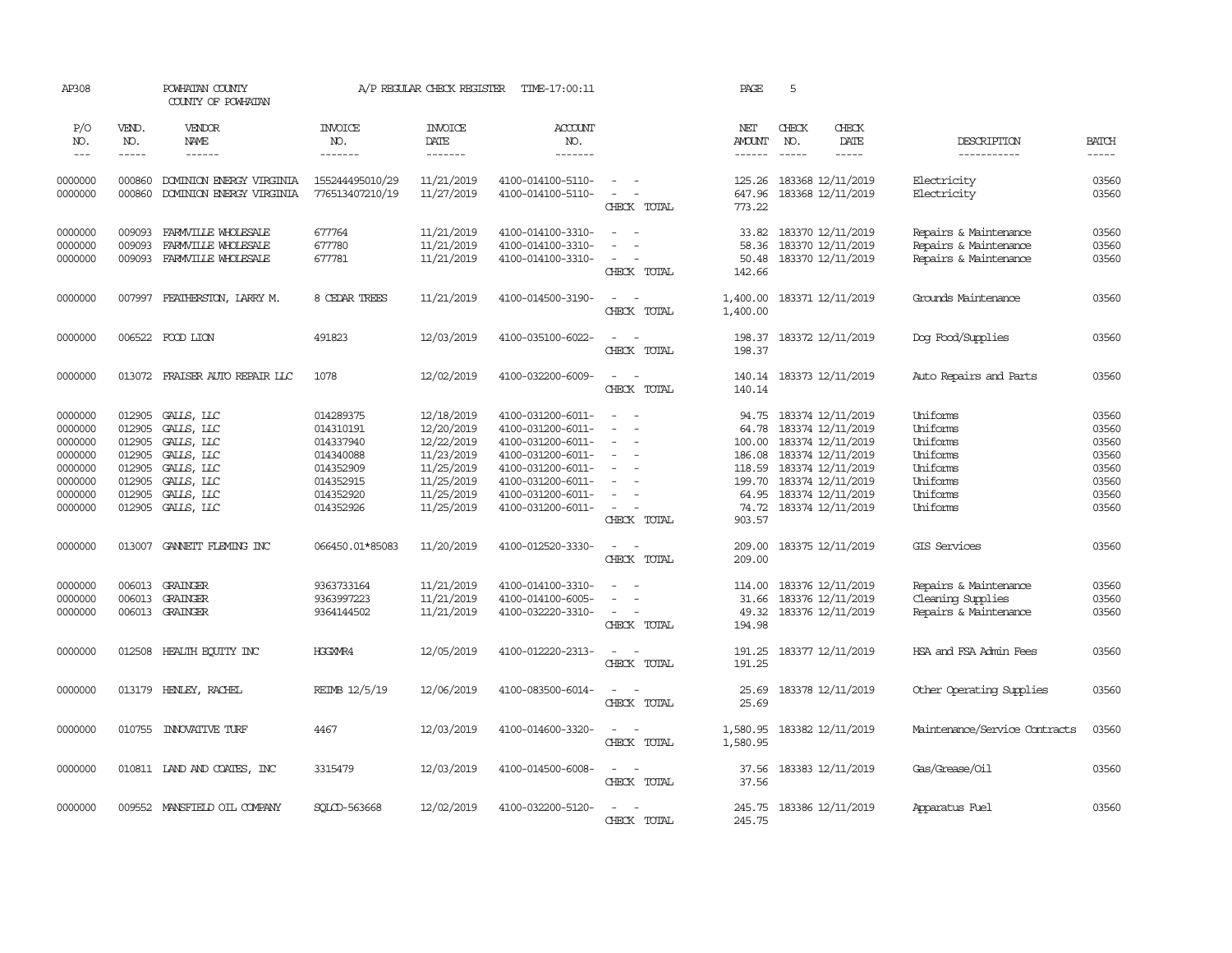| AP308                                                                                |                                                                              | POWHATAN COUNTY<br>COUNTY OF POWHATAN                                                                        |                                                                                                      | A/P REGULAR CHECK REGISTER                                                                                   | TIME-17:00:11                                                                                                                                                        |                                                                                                                                                                   | PAGE                                                                               | 5                                                                                                                                                                    |                        |                                                                                                     |                                                                      |
|--------------------------------------------------------------------------------------|------------------------------------------------------------------------------|--------------------------------------------------------------------------------------------------------------|------------------------------------------------------------------------------------------------------|--------------------------------------------------------------------------------------------------------------|----------------------------------------------------------------------------------------------------------------------------------------------------------------------|-------------------------------------------------------------------------------------------------------------------------------------------------------------------|------------------------------------------------------------------------------------|----------------------------------------------------------------------------------------------------------------------------------------------------------------------|------------------------|-----------------------------------------------------------------------------------------------------|----------------------------------------------------------------------|
| P/O<br>NO.<br>$\frac{1}{2}$                                                          | VEND.<br>NO.<br>-----                                                        | VENDOR<br>NAME<br>$- - - - - -$                                                                              | <b>INVOICE</b><br>NO.<br>-------                                                                     | <b>INVOICE</b><br>DATE<br>-------                                                                            | <b>ACCOUNT</b><br>NO.<br>--------                                                                                                                                    |                                                                                                                                                                   | NET<br><b>AMOUNT</b><br>$- - - - - -$                                              | CHECK<br>NO.<br>$\frac{1}{2}$                                                                                                                                        | CHECK<br>DATE<br>----- | DESCRIPTION<br>-----------                                                                          | <b>BATCH</b><br>$- - - - -$                                          |
| 0000000<br>0000000                                                                   | 000860<br>000860                                                             | DOMINION ENERGY VIRGINIA<br>DOMINION ENERGY VIRGINIA                                                         | 155244495010/29<br>776513407210/19                                                                   | 11/21/2019<br>11/27/2019                                                                                     | 4100-014100-5110-<br>4100-014100-5110-                                                                                                                               | $\frac{1}{2} \left( \frac{1}{2} \right) \left( \frac{1}{2} \right) = \frac{1}{2} \left( \frac{1}{2} \right)$<br>$\sim$<br>$\overline{\phantom{a}}$<br>CHECK TOTAL | 125.26<br>647.96<br>773.22                                                         | 183368 12/11/2019<br>183368 12/11/2019                                                                                                                               |                        | Electricity<br>Electricity                                                                          | 03560<br>03560                                                       |
| 0000000<br>0000000<br>0000000                                                        | 009093<br>009093<br>009093                                                   | FARMVILLE WHOLESALE<br>FARMVILLE WHOLESALE<br>FARMVILLE WHOLESALE                                            | 677764<br>677780<br>677781                                                                           | 11/21/2019<br>11/21/2019<br>11/21/2019                                                                       | 4100-014100-3310-<br>4100-014100-3310-<br>4100-014100-3310-                                                                                                          | $\overline{\phantom{a}}$<br>$\equiv$<br>$\sim$<br>CHECK TOTAL                                                                                                     | 33.82<br>58.36<br>50.48<br>142.66                                                  | 183370 12/11/2019<br>183370 12/11/2019<br>183370 12/11/2019                                                                                                          |                        | Repairs & Maintenance<br>Repairs & Maintenance<br>Repairs & Maintenance                             | 03560<br>03560<br>03560                                              |
| 0000000                                                                              |                                                                              | 007997 FEATHERSTON, LARRY M.                                                                                 | 8 CEDAR TREES                                                                                        | 11/21/2019                                                                                                   | 4100-014500-3190-                                                                                                                                                    | $\sim$<br>$\sim$<br>CHECK TOTAL                                                                                                                                   | 1,400.00<br>1,400.00                                                               | 183371 12/11/2019                                                                                                                                                    |                        | Grounds Maintenance                                                                                 | 03560                                                                |
| 0000000                                                                              |                                                                              | 006522 FOOD LION                                                                                             | 491823                                                                                               | 12/03/2019                                                                                                   | 4100-035100-6022-                                                                                                                                                    | $\sim$<br>$\sim$<br>CHECK TOTAL                                                                                                                                   | 198.37<br>198.37                                                                   | 183372 12/11/2019                                                                                                                                                    |                        | Dog Food/Supplies                                                                                   | 03560                                                                |
| 0000000                                                                              |                                                                              | 013072 FRAISER AUTO REPAIR LLC                                                                               | 1078                                                                                                 | 12/02/2019                                                                                                   | 4100-032200-6009-                                                                                                                                                    | $\sim$ $\sim$<br>CHECK TOTAL                                                                                                                                      | 140.14<br>140.14                                                                   | 183373 12/11/2019                                                                                                                                                    |                        | Auto Repairs and Parts                                                                              | 03560                                                                |
| 0000000<br>0000000<br>0000000<br>0000000<br>0000000<br>0000000<br>0000000<br>0000000 | 012905<br>012905<br>012905<br>012905<br>012905<br>012905<br>012905<br>012905 | GALLS, LLC<br>GALLS, LLC<br>GALLS, LLC<br>GALLS, LLC<br>GALLS, LLC<br>GALLS, LLC<br>GALLS, LLC<br>GALLS, LLC | 014289375<br>014310191<br>014337940<br>014340088<br>014352909<br>014352915<br>014352920<br>014352926 | 12/18/2019<br>12/20/2019<br>12/22/2019<br>11/23/2019<br>11/25/2019<br>11/25/2019<br>11/25/2019<br>11/25/2019 | 4100-031200-6011-<br>4100-031200-6011-<br>4100-031200-6011-<br>4100-031200-6011-<br>4100-031200-6011-<br>4100-031200-6011-<br>4100-031200-6011-<br>4100-031200-6011- | $\overline{\phantom{a}}$<br>$\overline{\phantom{a}}$<br>$\equiv$<br>$\equiv$<br>$\overline{\phantom{a}}$<br>CHECK TOTAL                                           | 94.75<br>64.78<br>100.00<br>186.08<br>118.59<br>199.70<br>64.95<br>74.72<br>903.57 | 183374 12/11/2019<br>183374 12/11/2019<br>183374 12/11/2019<br>183374 12/11/2019<br>183374 12/11/2019<br>183374 12/11/2019<br>183374 12/11/2019<br>183374 12/11/2019 |                        | <b>Uniforms</b><br>Uniforms<br>Uniforms<br>Uniforms<br>Uniforms<br>Uniforms<br>Uniforms<br>Uniforms | 03560<br>03560<br>03560<br>03560<br>03560<br>03560<br>03560<br>03560 |
| 0000000                                                                              | 013007                                                                       | GANNETT FLEMING INC                                                                                          | 066450.01*85083                                                                                      | 11/20/2019                                                                                                   | 4100-012520-3330-                                                                                                                                                    | $\sim$<br>$\sim$ $-$<br>CHECK TOTAL                                                                                                                               | 209.00<br>209.00                                                                   | 183375 12/11/2019                                                                                                                                                    |                        | GIS Services                                                                                        | 03560                                                                |
| 0000000<br>0000000<br>0000000                                                        | 006013                                                                       | 006013 GRAINGER<br>GRAINGER<br>006013 GRAINGER                                                               | 9363733164<br>9363997223<br>9364144502                                                               | 11/21/2019<br>11/21/2019<br>11/21/2019                                                                       | 4100-014100-3310-<br>4100-014100-6005-<br>4100-032220-3310-                                                                                                          | $\equiv$<br>$\sim$<br>CHECK TOTAL                                                                                                                                 | 114.00<br>31.66<br>49.32<br>194.98                                                 | 183376 12/11/2019<br>183376 12/11/2019<br>183376 12/11/2019                                                                                                          |                        | Repairs & Maintenance<br>Cleaning Supplies<br>Repairs & Maintenance                                 | 03560<br>03560<br>03560                                              |
| 0000000                                                                              | 012508                                                                       | HEALTH ECUTTY INC                                                                                            | HGGXMR4                                                                                              | 12/05/2019                                                                                                   | 4100-012220-2313-                                                                                                                                                    | $\sim$<br>$\sim$<br>CHECK TOTAL                                                                                                                                   | 191.25<br>191.25                                                                   | 183377 12/11/2019                                                                                                                                                    |                        | HSA and FSA Admin Fees                                                                              | 03560                                                                |
| 0000000                                                                              |                                                                              | 013179 HENLEY, RACHEL                                                                                        | REIMB 12/5/19                                                                                        | 12/06/2019                                                                                                   | 4100-083500-6014-                                                                                                                                                    | $\sim$<br>$\sim$<br>CHECK TOTAL                                                                                                                                   | 25.69<br>25.69                                                                     | 183378 12/11/2019                                                                                                                                                    |                        | Other Operating Supplies                                                                            | 03560                                                                |
| 0000000                                                                              |                                                                              | 010755 INNOVATIVE TURF                                                                                       | 4467                                                                                                 | 12/03/2019                                                                                                   | 4100-014600-3320-                                                                                                                                                    | $\frac{1}{2} \left( \frac{1}{2} \right) \left( \frac{1}{2} \right) = \frac{1}{2} \left( \frac{1}{2} \right)$<br>CHECK TOTAL                                       | 1,580.95<br>1,580.95                                                               | 183382 12/11/2019                                                                                                                                                    |                        | Maintenance/Service Contracts                                                                       | 03560                                                                |
| 0000000                                                                              |                                                                              | 010811 LAND AND COATES, INC                                                                                  | 3315479                                                                                              | 12/03/2019                                                                                                   | 4100-014500-6008-                                                                                                                                                    | $\overline{\phantom{a}}$<br>$\sim$<br>CHECK TOTAL                                                                                                                 | 37.56<br>37.56                                                                     | 183383 12/11/2019                                                                                                                                                    |                        | Gas/Grease/0il                                                                                      | 03560                                                                |
| 0000000                                                                              |                                                                              | 009552 MANSFIELD OIL COMPANY                                                                                 | SOLCD-563668                                                                                         | 12/02/2019                                                                                                   | 4100-032200-5120-                                                                                                                                                    | $\sim$<br>$\sim$<br>CHECK TOTAL                                                                                                                                   | 245.75<br>245.75                                                                   | 183386 12/11/2019                                                                                                                                                    |                        | Apparatus Fuel                                                                                      | 03560                                                                |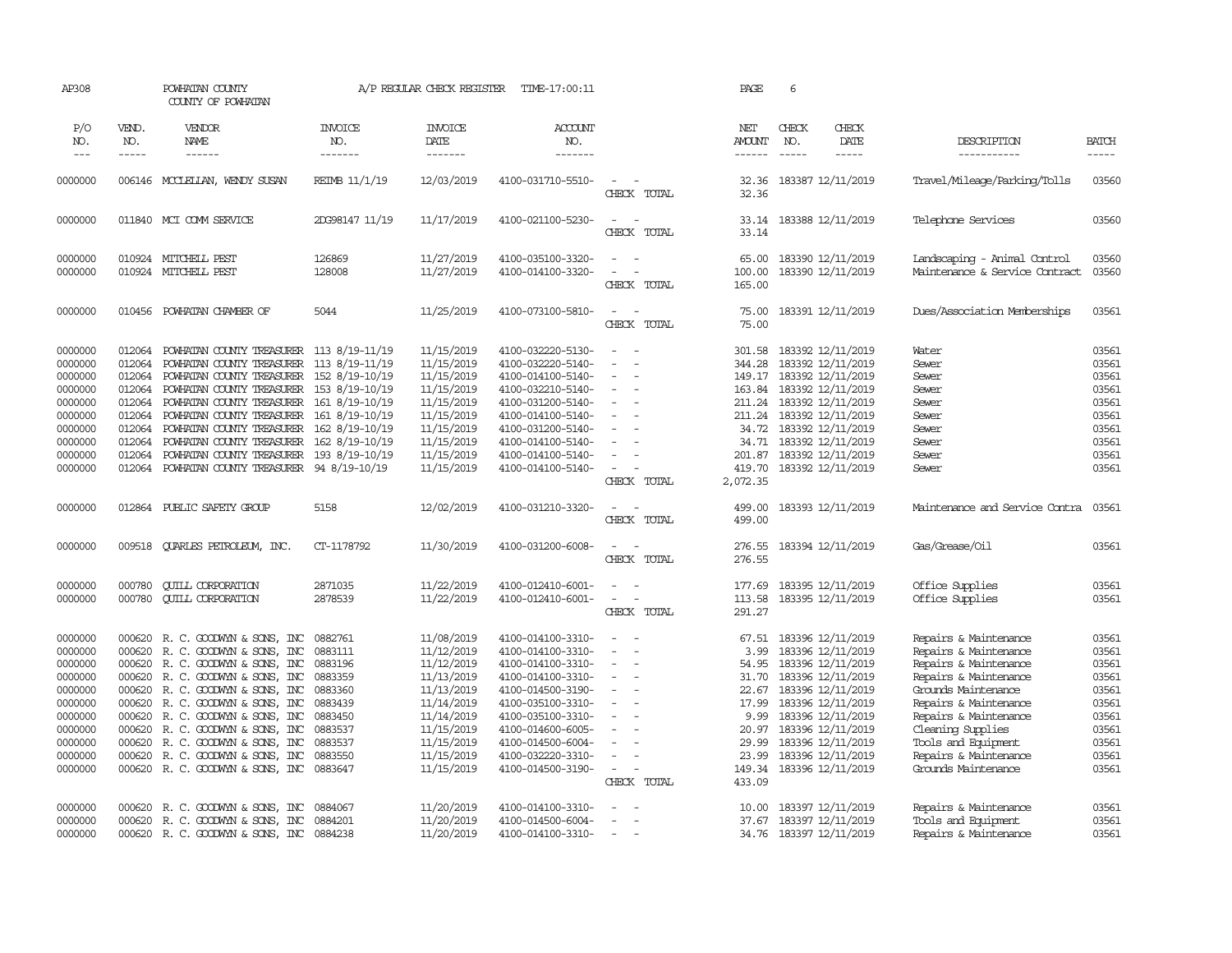| AP308                                                                                                                 |                                                                                                  | POWHATAN COUNTY<br>COUNTY OF POWHATAN                                                                                                                                                                                                                                                                                                                                     |                                                                                                                       | A/P REGULAR CHECK REGISTER                                                                                                                             | TIME-17:00:11                                                                                                                                                                                                                       |                                                                                                                                                   | PAGE                                                                                                     | 6                             |                                                                                                                                                                                                                                     |                                                                                                                                                                                                                                                                       |                                                                                                 |
|-----------------------------------------------------------------------------------------------------------------------|--------------------------------------------------------------------------------------------------|---------------------------------------------------------------------------------------------------------------------------------------------------------------------------------------------------------------------------------------------------------------------------------------------------------------------------------------------------------------------------|-----------------------------------------------------------------------------------------------------------------------|--------------------------------------------------------------------------------------------------------------------------------------------------------|-------------------------------------------------------------------------------------------------------------------------------------------------------------------------------------------------------------------------------------|---------------------------------------------------------------------------------------------------------------------------------------------------|----------------------------------------------------------------------------------------------------------|-------------------------------|-------------------------------------------------------------------------------------------------------------------------------------------------------------------------------------------------------------------------------------|-----------------------------------------------------------------------------------------------------------------------------------------------------------------------------------------------------------------------------------------------------------------------|-------------------------------------------------------------------------------------------------|
| P/O<br>NO.<br>$---$                                                                                                   | VEND.<br>NO.<br>-----                                                                            | VENDOR<br>NAME<br>------                                                                                                                                                                                                                                                                                                                                                  | <b>INVOICE</b><br>NO.<br>-------                                                                                      | <b>INVOICE</b><br>DATE<br>-------                                                                                                                      | <b>ACCOUNT</b><br>NO.<br>-------                                                                                                                                                                                                    |                                                                                                                                                   | NET<br><b>AMOUNT</b><br>$- - - - - -$                                                                    | CHECK<br>NO.<br>$\frac{1}{2}$ | CHECK<br>DATE<br>-----                                                                                                                                                                                                              | DESCRIPTION<br>-----------                                                                                                                                                                                                                                            | <b>BATCH</b><br>$- - - - -$                                                                     |
| 0000000                                                                                                               |                                                                                                  | 006146 MCCLELLAN, WENDY SUSAN                                                                                                                                                                                                                                                                                                                                             | REIMB 11/1/19                                                                                                         | 12/03/2019                                                                                                                                             | 4100-031710-5510-                                                                                                                                                                                                                   | $\overline{\phantom{a}}$<br>CHECK TOTAL                                                                                                           | 32.36<br>32.36                                                                                           |                               | 183387 12/11/2019                                                                                                                                                                                                                   | Travel/Mileage/Parking/Tolls                                                                                                                                                                                                                                          | 03560                                                                                           |
| 0000000                                                                                                               |                                                                                                  | 011840 MCI COMM SERVICE                                                                                                                                                                                                                                                                                                                                                   | 2DG98147 11/19                                                                                                        | 11/17/2019                                                                                                                                             | 4100-021100-5230-                                                                                                                                                                                                                   | $\overline{\phantom{a}}$<br>$\overline{\phantom{a}}$<br>CHECK TOTAL                                                                               | 33.14<br>33.14                                                                                           |                               | 183388 12/11/2019                                                                                                                                                                                                                   | Telephone Services                                                                                                                                                                                                                                                    | 03560                                                                                           |
| 0000000<br>0000000                                                                                                    |                                                                                                  | 010924 MITCHELL PEST<br>010924 MITCHELL PEST                                                                                                                                                                                                                                                                                                                              | 126869<br>128008                                                                                                      | 11/27/2019<br>11/27/2019                                                                                                                               | 4100-035100-3320-<br>4100-014100-3320-                                                                                                                                                                                              | $\sim$<br>$\sim$<br>$\overline{\phantom{a}}$<br>CHECK TOTAL                                                                                       | 65.00<br>100.00<br>165.00                                                                                |                               | 183390 12/11/2019<br>183390 12/11/2019                                                                                                                                                                                              | Landscaping - Animal Control<br>Maintenance & Service Contract                                                                                                                                                                                                        | 03560<br>03560                                                                                  |
| 0000000                                                                                                               |                                                                                                  | 010456 POWHATAN CHAMBER OF                                                                                                                                                                                                                                                                                                                                                | 5044                                                                                                                  | 11/25/2019                                                                                                                                             | 4100-073100-5810-                                                                                                                                                                                                                   | $\sim$<br>$\sim$<br>CHECK TOTAL                                                                                                                   | 75.00<br>75.00                                                                                           |                               | 183391 12/11/2019                                                                                                                                                                                                                   | Dues/Association Memberships                                                                                                                                                                                                                                          | 03561                                                                                           |
| 0000000<br>0000000<br>0000000<br>0000000<br>0000000<br>0000000<br>0000000<br>0000000<br>0000000<br>0000000            | 012064<br>012064<br>012064<br>012064<br>012064<br>012064<br>012064<br>012064<br>012064<br>012064 | POWHATAN COUNTY TREASURER 113 8/19-11/19<br>POWHATAN COUNTY TREASURER 113 8/19-11/19<br>POWHATAN COUNTY TREASURER<br>POWHATAN COUNTY TREASURER 153 8/19-10/19<br>POWHATAN COUNTY TREASURER<br>POWHATAN COUNTY TREASURER 161 8/19-10/19<br>POWHATAN COUNTY TREASURER<br>POWHATAN COUNTY TREASURER<br>POWHATAN COUNTY TREASURER 193 8/19-10/19<br>POWHATAN COUNTY TREASURER | 152 8/19-10/19<br>161 8/19-10/19<br>162 8/19-10/19<br>162 8/19-10/19<br>94 8/19-10/19                                 | 11/15/2019<br>11/15/2019<br>11/15/2019<br>11/15/2019<br>11/15/2019<br>11/15/2019<br>11/15/2019<br>11/15/2019<br>11/15/2019<br>11/15/2019               | 4100-032220-5130-<br>4100-032220-5140-<br>4100-014100-5140-<br>4100-032210-5140-<br>4100-031200-5140-<br>4100-014100-5140-<br>4100-031200-5140-<br>4100-014100-5140-<br>4100-014100-5140-<br>4100-014100-5140-                      | ÷<br>$\equiv$<br>$\sim$<br>$\overline{\phantom{a}}$<br>$\blacksquare$<br>$\bar{\phantom{a}}$<br>$\overline{\phantom{a}}$<br>$\sim$<br>CHECK TOTAL | 301.58<br>344.28<br>149.17<br>163.84<br>211.24<br>211.24<br>34.72<br>34.71<br>419.70<br>2,072.35         |                               | 183392 12/11/2019<br>183392 12/11/2019<br>183392 12/11/2019<br>183392 12/11/2019<br>183392 12/11/2019<br>183392 12/11/2019<br>183392 12/11/2019<br>183392 12/11/2019<br>201.87 183392 12/11/2019<br>183392 12/11/2019               | Water<br>Sewer<br>Sewer<br>Sewer<br>Sewer<br>Sewer<br>Sewer<br>Sewer<br>Sewer<br>Sewer                                                                                                                                                                                | 03561<br>03561<br>03561<br>03561<br>03561<br>03561<br>03561<br>03561<br>03561<br>03561          |
| 0000000                                                                                                               | 012864                                                                                           | PUBLIC SAFETY GROUP                                                                                                                                                                                                                                                                                                                                                       | 5158                                                                                                                  | 12/02/2019                                                                                                                                             | 4100-031210-3320-                                                                                                                                                                                                                   | $\overline{\phantom{a}}$<br>$\sim$ $-$<br>CHECK TOTAL                                                                                             | 499.00<br>499.00                                                                                         |                               | 183393 12/11/2019                                                                                                                                                                                                                   | Maintenance and Service Contra                                                                                                                                                                                                                                        | 03561                                                                                           |
| 0000000                                                                                                               | 009518                                                                                           | <b>OUARLES PETROLEUM, INC.</b>                                                                                                                                                                                                                                                                                                                                            | CT-1178792                                                                                                            | 11/30/2019                                                                                                                                             | 4100-031200-6008-                                                                                                                                                                                                                   | $\overline{\phantom{a}}$<br>$\sim$<br>CHECK TOTAL                                                                                                 | 276.55<br>276.55                                                                                         |                               | 183394 12/11/2019                                                                                                                                                                                                                   | Gas/Grease/0il                                                                                                                                                                                                                                                        | 03561                                                                                           |
| 0000000<br>0000000                                                                                                    | 000780<br>000780                                                                                 | <b>CUILL CORPORATION</b><br><b>QUILL CORPORATION</b>                                                                                                                                                                                                                                                                                                                      | 2871035<br>2878539                                                                                                    | 11/22/2019<br>11/22/2019                                                                                                                               | 4100-012410-6001-<br>4100-012410-6001-                                                                                                                                                                                              | $\blacksquare$<br>$\sim$<br>$\overline{\phantom{a}}$<br>CHECK TOTAL                                                                               | 177.69<br>113.58<br>291.27                                                                               |                               | 183395 12/11/2019<br>183395 12/11/2019                                                                                                                                                                                              | Office Supplies<br>Office Supplies                                                                                                                                                                                                                                    | 03561<br>03561                                                                                  |
| 0000000<br>0000000<br>0000000<br>0000000<br>0000000<br>0000000<br>0000000<br>0000000<br>0000000<br>0000000<br>0000000 | 000620<br>000620<br>000620<br>000620<br>000620<br>000620<br>000620                               | R. C. GOODWIN & SONS, INC<br>R. C. GOODWIN & SONS, INC<br>R. C. GOODWIN & SONS, INC<br>R. C. GOODWIN & SONS, INC<br>000620 R. C. GOODWIN & SONS, INC<br>000620 R. C. GOODWIN & SONS, INC<br>R. C. GOODWIN & SONS, INC<br>000620 R. C. GOODWIN & SONS, INC<br>R. C. GOODWIN & SONS, INC<br>R. C. GOODWIN & SONS, INC<br>000620 R. C. GOODWIN & SONS, INC                   | 0882761<br>0883111<br>0883196<br>0883359<br>0883360<br>0883439<br>0883450<br>0883537<br>0883537<br>0883550<br>0883647 | 11/08/2019<br>11/12/2019<br>11/12/2019<br>11/13/2019<br>11/13/2019<br>11/14/2019<br>11/14/2019<br>11/15/2019<br>11/15/2019<br>11/15/2019<br>11/15/2019 | 4100-014100-3310-<br>4100-014100-3310-<br>4100-014100-3310-<br>4100-014100-3310-<br>4100-014500-3190-<br>4100-035100-3310-<br>4100-035100-3310-<br>4100-014600-6005-<br>4100-014500-6004-<br>4100-032220-3310-<br>4100-014500-3190- | ÷<br>$\sim$<br>$\sim$<br>$\sim$<br>$\blacksquare$<br>$\equiv$<br>$\equiv$<br>$\equiv$<br>$\equiv$<br>$\sim$<br>$\sim$<br>$\sim$<br>CHECK TOTAL    | 67.51<br>3.99<br>54.95<br>31.70<br>22.67<br>17.99<br>9.99<br>20.97<br>29.99<br>23.99<br>149.34<br>433.09 |                               | 183396 12/11/2019<br>183396 12/11/2019<br>183396 12/11/2019<br>183396 12/11/2019<br>183396 12/11/2019<br>183396 12/11/2019<br>183396 12/11/2019<br>183396 12/11/2019<br>183396 12/11/2019<br>183396 12/11/2019<br>183396 12/11/2019 | Repairs & Maintenance<br>Repairs & Maintenance<br>Repairs & Maintenance<br>Repairs & Maintenance<br>Grounds Maintenance<br>Repairs & Maintenance<br>Repairs & Maintenance<br>Cleaning Supplies<br>Tools and Equipment<br>Repairs & Maintenance<br>Grounds Maintenance | 03561<br>03561<br>03561<br>03561<br>03561<br>03561<br>03561<br>03561<br>03561<br>03561<br>03561 |
| 0000000<br>0000000<br>0000000                                                                                         | 000620<br>000620                                                                                 | R. C. GOODWYN & SONS, INC<br>R. C. GOODWYN & SONS, INC<br>000620 R. C. GOODWYN & SONS, INC                                                                                                                                                                                                                                                                                | 0884067<br>0884201<br>0884238                                                                                         | 11/20/2019<br>11/20/2019<br>11/20/2019                                                                                                                 | 4100-014100-3310-<br>4100-014500-6004-<br>4100-014100-3310-                                                                                                                                                                         | $\sim$<br>$\overline{\phantom{a}}$                                                                                                                | 10.00<br>37.67                                                                                           |                               | 183397 12/11/2019<br>183397 12/11/2019<br>34.76 183397 12/11/2019                                                                                                                                                                   | Repairs & Maintenance<br>Tools and Equipment<br>Repairs & Maintenance                                                                                                                                                                                                 | 03561<br>03561<br>03561                                                                         |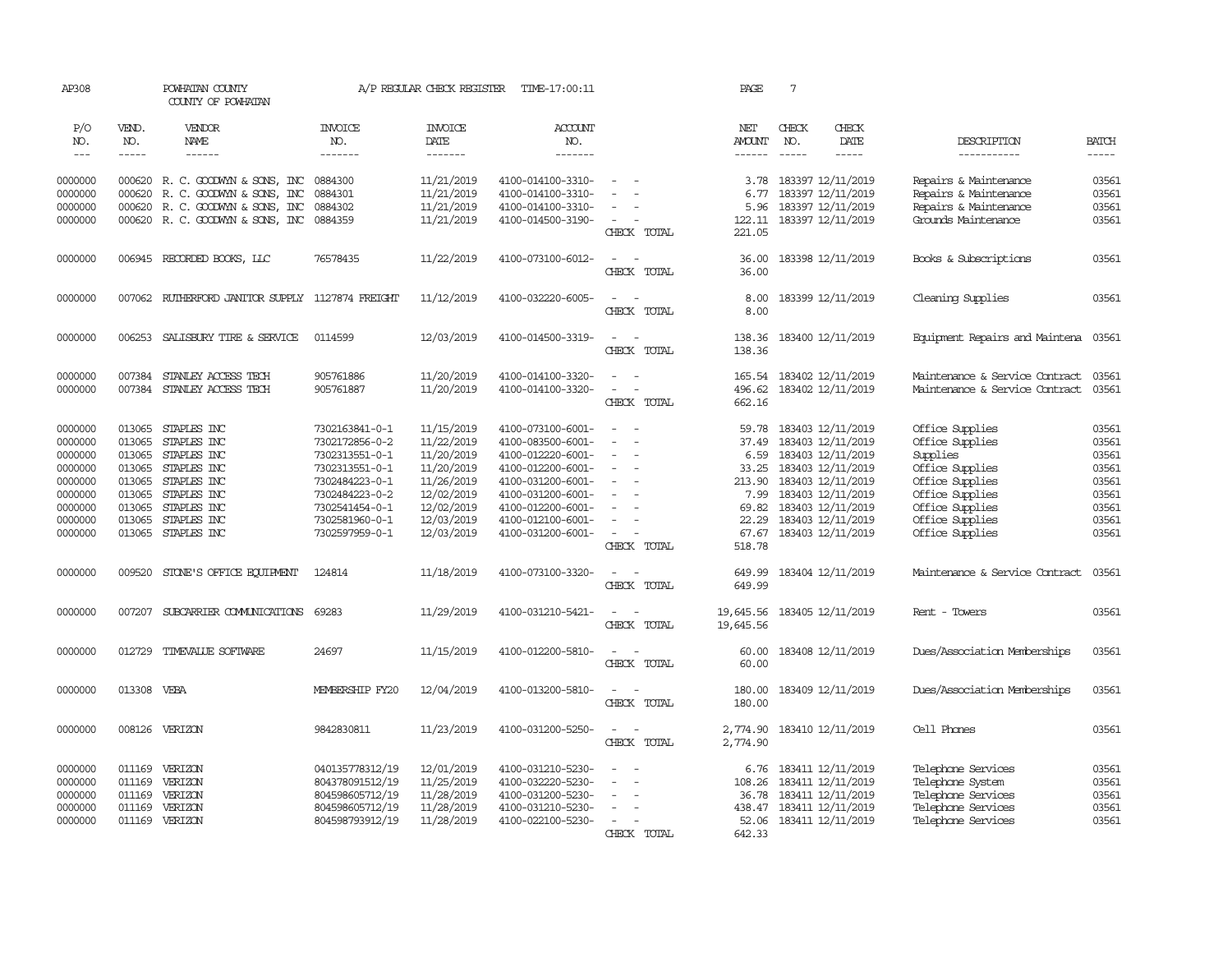| AP308              |                  | POWHATAN COUNTY<br>COUNTY OF POWHATAN                                        |                                    | A/P REGULAR CHECK REGISTER             | TIME-17:00:11                          |                                                                                                                             | PAGE                   | $7\phantom{.0}$                                             |                                                |                         |
|--------------------|------------------|------------------------------------------------------------------------------|------------------------------------|----------------------------------------|----------------------------------------|-----------------------------------------------------------------------------------------------------------------------------|------------------------|-------------------------------------------------------------|------------------------------------------------|-------------------------|
| P/O<br>NO.         | VEND.<br>NO.     | VENDOR<br>NAME                                                               | <b>INVOICE</b><br>NO.              | <b>INVOICE</b><br>DATE                 | ACCOUNT<br>NO.                         |                                                                                                                             | NET<br><b>AMOUNT</b>   | CHECK<br>CHECK<br>NO.<br>DATE                               | DESCRIPTION                                    | <b>BATCH</b>            |
| $---$              | -----            | $- - - - - -$                                                                | -------                            | --------                               | -------                                |                                                                                                                             | $- - - - - -$          | $\frac{1}{2}$<br>-----                                      | -----------                                    | $\frac{1}{2}$           |
| 0000000<br>0000000 | 000620           | 000620 R. C. GOODWYN & SONS, INC<br>R. C. GOODWIN & SONS, INC                | 0884300<br>0884301                 | 11/21/2019<br>11/21/2019<br>11/21/2019 | 4100-014100-3310-<br>4100-014100-3310- | $\overline{\phantom{a}}$<br>$\equiv$                                                                                        | 3.78<br>6.77           | 183397 12/11/2019<br>183397 12/11/2019<br>183397 12/11/2019 | Repairs & Maintenance<br>Repairs & Maintenance | 03561<br>03561<br>03561 |
| 0000000<br>0000000 |                  | 000620 R. C. GOODWIN & SONS, INC<br>000620 R. C. GOODWIN & SONS, INC 0884359 | 0884302                            | 11/21/2019                             | 4100-014100-3310-<br>4100-014500-3190- | $\sim$                                                                                                                      | 5.96<br>122.11         | 183397 12/11/2019                                           | Repairs & Maintenance<br>Grounds Maintenance   | 03561                   |
|                    |                  |                                                                              |                                    |                                        |                                        | CHECK TOTAL                                                                                                                 | 221.05                 |                                                             |                                                |                         |
| 0000000            |                  | 006945 RECORDED BOOKS, LLC                                                   | 76578435                           | 11/22/2019                             | 4100-073100-6012-                      | $\sim$<br>$\sim$<br>CHECK TOTAL                                                                                             | 36.00<br>36.00         | 183398 12/11/2019                                           | Books & Subscriptions                          | 03561                   |
| 0000000            |                  | 007062 RUIHERFORD JANITOR SUPPLY 1127874 FREIGHT                             |                                    | 11/12/2019                             | 4100-032220-6005-                      | $\sim$<br>$\sim$<br>CHECK TOTAL                                                                                             | 8.00<br>8.00           | 183399 12/11/2019                                           | Cleaning Supplies                              | 03561                   |
| 0000000            |                  | 006253 SALISBURY TIRE & SERVICE                                              | 0114599                            | 12/03/2019                             | 4100-014500-3319-                      | $\sim$<br>$\sim$<br>CHECK TOTAL                                                                                             | 138.36<br>138.36       | 183400 12/11/2019                                           | Equipment Repairs and Maintena 03561           |                         |
| 0000000            | 007384           | STANLEY ACCESS TECH                                                          | 905761886                          | 11/20/2019                             | 4100-014100-3320-                      | $\sim$<br>$\sim$                                                                                                            | 165.54                 | 183402 12/11/2019                                           | Maintenance & Service Contract                 | 03561                   |
| 0000000            | 007384           | STANLEY ACCESS TECH                                                          | 905761887                          | 11/20/2019                             | 4100-014100-3320-                      | $\overline{\phantom{a}}$<br>$\overline{\phantom{a}}$<br>CHECK TOTAL                                                         | 496.62<br>662.16       | 183402 12/11/2019                                           | Maintenance & Service Contract                 | 03561                   |
| 0000000            | 013065           | STAPLES INC                                                                  | 7302163841-0-1                     | 11/15/2019                             | 4100-073100-6001-                      | $\sim$                                                                                                                      | 59.78                  | 183403 12/11/2019                                           | Office Supplies                                | 03561                   |
| 0000000            | 013065           | STAPLES INC                                                                  | 7302172856-0-2                     | 11/22/2019                             | 4100-083500-6001-                      | $\sim$<br>$\sim$<br>$\sim$                                                                                                  | 37.49                  | 183403 12/11/2019                                           | Office Supplies                                | 03561                   |
| 0000000<br>0000000 | 013065<br>013065 | STAPLES INC<br>STAPLES INC                                                   | 7302313551-0-1<br>7302313551-0-1   | 11/20/2019<br>11/20/2019               | 4100-012220-6001-<br>4100-012200-6001- | $\sim$                                                                                                                      | 6.59<br>33.25          | 183403 12/11/2019<br>183403 12/11/2019                      | Supplies<br>Office Supplies                    | 03561<br>03561          |
| 0000000            | 013065           | STAPLES INC                                                                  | 7302484223-0-1                     | 11/26/2019                             | 4100-031200-6001-                      | $\sim$                                                                                                                      | 213.90                 | 183403 12/11/2019                                           | Office Supplies                                | 03561                   |
| 0000000            | 013065           | STAPLES INC                                                                  | 7302484223-0-2                     | 12/02/2019                             | 4100-031200-6001-                      | $\equiv$                                                                                                                    | 7.99                   | 183403 12/11/2019                                           | Office Supplies                                | 03561                   |
| 0000000            | 013065           | STAPLES INC                                                                  | 7302541454-0-1                     | 12/02/2019                             | 4100-012200-6001-                      |                                                                                                                             | 69.82                  | 183403 12/11/2019                                           | Office Supplies                                | 03561                   |
| 0000000            | 013065           | STAPLES INC                                                                  | 7302581960-0-1                     | 12/03/2019                             | 4100-012100-6001-                      | $\equiv$                                                                                                                    | 22.29                  | 183403 12/11/2019                                           | Office Supplies                                | 03561                   |
| 0000000            | 013065           | STAPLES INC                                                                  | 7302597959-0-1                     | 12/03/2019                             | 4100-031200-6001-                      | $\sim$<br>CHECK TOTAL                                                                                                       | 67.67<br>518.78        | 183403 12/11/2019                                           | Office Supplies                                | 03561                   |
| 0000000            | 009520           | STONE'S OFFICE EQUIPMENT                                                     | 124814                             | 11/18/2019                             | 4100-073100-3320-                      | $\sim$<br>$\sim$<br>CHECK TOTAL                                                                                             | 649.99<br>649.99       | 183404 12/11/2019                                           | Maintenance & Service Contract                 | 03561                   |
| 0000000            | 007207           | SUBCARRIER COMUNICATIONS                                                     | 69283                              | 11/29/2019                             | 4100-031210-5421-                      | $\overline{\phantom{a}}$<br>$\sim$ $-$<br>CHECK TOTAL                                                                       | 19,645.56<br>19,645.56 | 183405 12/11/2019                                           | Rent - Towers                                  | 03561                   |
| 0000000            | 012729           | TIMEVALUE SOFTWARE                                                           | 24697                              | 11/15/2019                             | 4100-012200-5810-                      | $\frac{1}{2} \left( \frac{1}{2} \right) \left( \frac{1}{2} \right) = \frac{1}{2} \left( \frac{1}{2} \right)$<br>CHECK TOTAL | 60.00<br>60.00         | 183408 12/11/2019                                           | Dues/Association Memberships                   | 03561                   |
| 0000000            | 013308           | VEBA                                                                         | MEMBERSHIP FY20                    | 12/04/2019                             | 4100-013200-5810-                      | $\overline{\phantom{a}}$<br>$\overline{\phantom{a}}$<br>CHECK TOTAL                                                         | 180.00<br>180.00       | 183409 12/11/2019                                           | Dues/Association Memberships                   | 03561                   |
| 0000000            | 008126           | VERIZON                                                                      | 9842830811                         | 11/23/2019                             | 4100-031200-5250-                      | $\equiv$<br>$\sim$<br>CHECK TOTAL                                                                                           | 2,774.90<br>2,774.90   | 183410 12/11/2019                                           | Cell Phones                                    | 03561                   |
| 0000000            | 011169           | VERIZON                                                                      | 040135778312/19                    | 12/01/2019                             | 4100-031210-5230-                      |                                                                                                                             | 6.76                   | 183411 12/11/2019                                           | Telephone Services                             | 03561                   |
| 0000000            | 011169           | VERIZON                                                                      | 804378091512/19                    | 11/25/2019                             | 4100-032220-5230-                      |                                                                                                                             | 108.26                 | 183411 12/11/2019                                           | Telephone System                               | 03561                   |
| 0000000            | 011169           | VERIZON                                                                      | 804598605712/19                    | 11/28/2019                             | 4100-031200-5230-                      | $\sim$                                                                                                                      | 36.78                  | 183411 12/11/2019                                           | Telephone Services                             | 03561                   |
| 0000000<br>0000000 | 011169           | VERIZON<br>011169 VERIZON                                                    | 804598605712/19<br>804598793912/19 | 11/28/2019<br>11/28/2019               | 4100-031210-5230-<br>4100-022100-5230- | $\sim$<br>$\overline{a}$                                                                                                    | 438.47<br>52.06        | 183411 12/11/2019<br>183411 12/11/2019                      | Telephone Services<br>Telephone Services       | 03561<br>03561          |
|                    |                  |                                                                              |                                    |                                        |                                        | CHECK TOTAL                                                                                                                 | 642.33                 |                                                             |                                                |                         |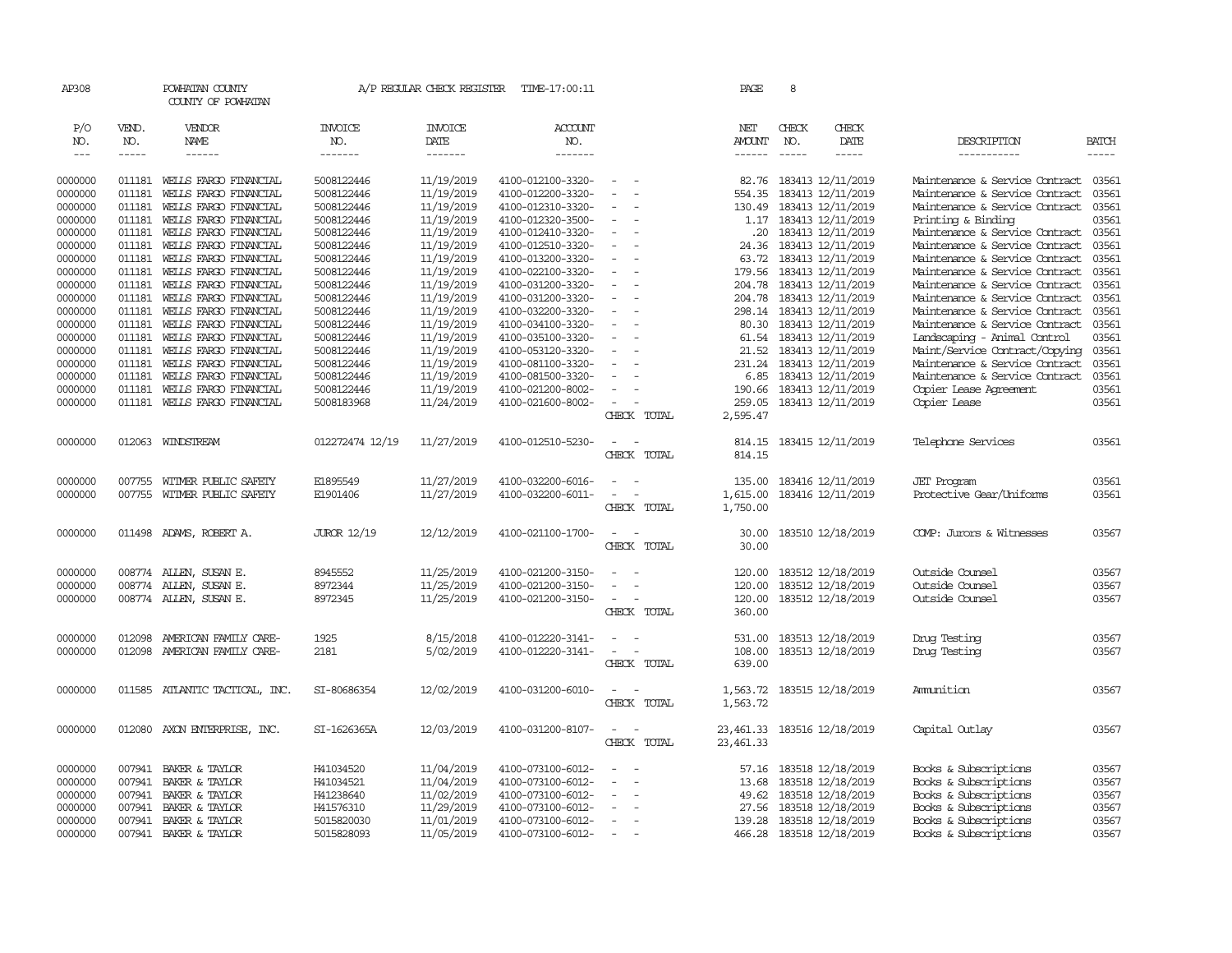| AP308         |              | POWHATAN COUNTY<br>COUNTY OF POWHATAN |                       | A/P REGULAR CHECK REGISTER | TIME-17:00:11         |                                    | PAGE                 | 8            |                          |                                |              |
|---------------|--------------|---------------------------------------|-----------------------|----------------------------|-----------------------|------------------------------------|----------------------|--------------|--------------------------|--------------------------------|--------------|
| P/O<br>NO.    | VEND.<br>NO. | VENDOR<br>NAME                        | <b>INVOICE</b><br>NO. | <b>INVOICE</b><br>DATE     | <b>ACCOUNT</b><br>NO. |                                    | NET<br><b>AMOUNT</b> | CHECK<br>NO. | CHECK<br>DATE            | DESCRIPTION                    | <b>BATCH</b> |
| $\frac{1}{2}$ | $- - - - -$  | ------                                | -------               | -------                    | -------               |                                    | $- - - - - -$        | $- - - - -$  | -----                    | -----------                    | $- - - - -$  |
| 0000000       |              | 011181 WELLS FARGO FINANCIAL          | 5008122446            | 11/19/2019                 | 4100-012100-3320-     | $\sim$                             |                      |              | 82.76 183413 12/11/2019  | Maintenance & Service Contract | 03561        |
| 0000000       | 011181       | WELLS FARGO FINANCIAL                 | 5008122446            | 11/19/2019                 | 4100-012200-3320-     | $\sim$                             | 554.35               |              | 183413 12/11/2019        | Maintenance & Service Contract | 03561        |
| 0000000       | 011181       | WELLS FARGO FINANCIAL                 | 5008122446            | 11/19/2019                 | 4100-012310-3320-     |                                    | 130.49               |              | 183413 12/11/2019        | Maintenance & Service Contract | 03561        |
| 0000000       | 011181       | WELLS FARGO FINANCIAL                 | 5008122446            | 11/19/2019                 | 4100-012320-3500-     | $\equiv$                           |                      |              | 1.17 183413 12/11/2019   | Printing & Binding             | 03561        |
| 0000000       | 011181       | WELLS FARGO FINANCIAL                 | 5008122446            | 11/19/2019                 | 4100-012410-3320-     | $\equiv$                           | .20                  |              | 183413 12/11/2019        | Maintenance & Service Contract | 03561        |
| 0000000       | 011181       | WELLS FARGO FINANCIAL                 | 5008122446            | 11/19/2019                 | 4100-012510-3320-     | $\sim$                             | 24.36                |              | 183413 12/11/2019        | Maintenance & Service Contract | 03561        |
| 0000000       | 011181       | WELLS FARGO FINANCIAL                 | 5008122446            | 11/19/2019                 | 4100-013200-3320-     | $\equiv$                           | 63.72                |              | 183413 12/11/2019        | Maintenance & Service Contract | 03561        |
| 0000000       | 011181       | WELLS FARGO FINANCIAL                 | 5008122446            | 11/19/2019                 | 4100-022100-3320-     | $\equiv$                           | 179.56               |              | 183413 12/11/2019        | Maintenance & Service Contract | 03561        |
| 0000000       | 011181       | WELLS FARGO FINANCIAL                 | 5008122446            | 11/19/2019                 | 4100-031200-3320-     | $\equiv$                           | 204.78               |              | 183413 12/11/2019        | Maintenance & Service Contract | 03561        |
| 0000000       | 011181       | WELLS FARGO FINANCIAL                 | 5008122446            | 11/19/2019                 | 4100-031200-3320-     |                                    | 204.78               |              | 183413 12/11/2019        | Maintenance & Service Contract | 03561        |
| 0000000       | 011181       | WEILS FARGO FINANCIAL                 | 5008122446            | 11/19/2019                 | 4100-032200-3320-     | $\equiv$                           | 298.14               |              | 183413 12/11/2019        | Maintenance & Service Contract | 03561        |
| 0000000       | 011181       | WELLS FARGO FINANCIAL                 | 5008122446            | 11/19/2019                 | 4100-034100-3320-     | $\overline{\phantom{a}}$           | 80.30                |              | 183413 12/11/2019        | Maintenance & Service Contract | 03561        |
| 0000000       | 011181       | WELLS FARGO FINANCIAL                 | 5008122446            | 11/19/2019                 | 4100-035100-3320-     | $\sim$                             | 61.54                |              | 183413 12/11/2019        | Landscaping - Animal Control   | 03561        |
| 0000000       | 011181       | WELLS FARGO FINANCIAL                 | 5008122446            | 11/19/2019                 | 4100-053120-3320-     |                                    | 21.52                |              | 183413 12/11/2019        | Maint/Service Contract/Copying | 03561        |
| 0000000       | 011181       | WELLS FARGO FINANCIAL                 | 5008122446            | 11/19/2019                 | 4100-081100-3320-     | $\sim$                             | 231.24               |              | 183413 12/11/2019        | Maintenance & Service Contract | 03561        |
| 0000000       | 011181       | WELLS FARGO FINANCIAL                 | 5008122446            | 11/19/2019                 | 4100-081500-3320-     |                                    | 6.85                 |              | 183413 12/11/2019        | Maintenance & Service Contract | 03561        |
| 0000000       | 011181       | WELLS FARGO FINANCIAL                 | 5008122446            | 11/19/2019                 | 4100-021200-8002-     |                                    | 190.66               |              | 183413 12/11/2019        | Copier Lease Agreement         | 03561        |
| 0000000       |              | 011181 WELLS FARGO FINANCIAL          | 5008183968            | 11/24/2019                 | 4100-021600-8002-     | $\sim$                             | 259.05               |              | 183413 12/11/2019        | Copier Lease                   | 03561        |
|               |              |                                       |                       |                            |                       | CHECK TOTAL                        | 2,595.47             |              |                          |                                |              |
| 0000000       |              | 012063 WINDSTREAM                     | 012272474 12/19       | 11/27/2019                 | 4100-012510-5230-     | $\overline{\phantom{a}}$<br>$\sim$ | 814.15               |              | 183415 12/11/2019        | Telephone Services             | 03561        |
|               |              |                                       |                       |                            |                       | CHECK TOTAL                        | 814.15               |              |                          |                                |              |
|               |              |                                       |                       |                            |                       |                                    |                      |              |                          |                                |              |
| 0000000       | 007755       | WITMER PUBLIC SAFETY                  | E1895549              | 11/27/2019                 | 4100-032200-6016-     |                                    | 135.00               |              | 183416 12/11/2019        | <b>JET</b> Program             | 03561        |
| 0000000       |              | 007755 WITMER PUBLIC SAFETY           | E1901406              | 11/27/2019                 | 4100-032200-6011-     | $\overline{\phantom{a}}$<br>$\sim$ | 1,615.00             |              | 183416 12/11/2019        | Protective Gear/Uniforms       | 03561        |
|               |              |                                       |                       |                            |                       | CHECK TOTAL                        | 1,750.00             |              |                          |                                |              |
| 0000000       |              | 011498 ADAMS, ROBERT A.               | JUROR 12/19           | 12/12/2019                 | 4100-021100-1700-     | $\overline{\phantom{a}}$           | 30.00                |              | 183510 12/18/2019        | COMP: Jurors & Witnesses       | 03567        |
|               |              |                                       |                       |                            |                       | CHECK TOTAL                        | 30.00                |              |                          |                                |              |
|               |              |                                       |                       |                            |                       |                                    |                      |              |                          |                                |              |
| 0000000       |              | 008774 ALLEN, SUSAN E.                | 8945552               | 11/25/2019                 | 4100-021200-3150-     |                                    | 120.00               |              | 183512 12/18/2019        | Outside Counsel                | 03567        |
| 0000000       |              | 008774 ALLEN, SUSAN E.                | 8972344               | 11/25/2019                 | 4100-021200-3150-     | $\sim$<br>$\sim$                   | 120.00               |              | 183512 12/18/2019        | Outside Counsel                | 03567        |
| 0000000       |              | 008774 ALLEN, SUSAN E.                | 8972345               | 11/25/2019                 | 4100-021200-3150-     | $\overline{\phantom{a}}$           | 120.00               |              | 183512 12/18/2019        | Outside Counsel                | 03567        |
|               |              |                                       |                       |                            |                       | CHECK TOTAL                        | 360.00               |              |                          |                                |              |
| 0000000       | 012098       | AMERICAN FAMILY CARE-                 | 1925                  | 8/15/2018                  | 4100-012220-3141-     | $\overline{\phantom{a}}$           | 531.00               |              | 183513 12/18/2019        | Drug Testing                   | 03567        |
| 0000000       | 012098       | AMERICAN FAMILY CARE-                 | 2181                  | 5/02/2019                  | 4100-012220-3141-     | $\sim$                             | 108.00               |              | 183513 12/18/2019        | Drug Testing                   | 03567        |
|               |              |                                       |                       |                            |                       | CHECK TOTAL                        | 639.00               |              |                          |                                |              |
|               |              |                                       |                       |                            |                       |                                    |                      |              |                          |                                |              |
| 0000000       | 011585       | ATLANTIC TACTICAL, INC.               | SI-80686354           | 12/02/2019                 | 4100-031200-6010-     | $\overline{\phantom{a}}$           | 1,563.72             |              | 183515 12/18/2019        | Amunition                      | 03567        |
|               |              |                                       |                       |                            |                       | CHECK TOTAL                        | 1,563.72             |              |                          |                                |              |
|               |              |                                       |                       |                            |                       |                                    |                      |              |                          |                                |              |
| 0000000       | 012080       | AXON ENTERPRISE, INC.                 | SI-1626365A           | 12/03/2019                 | 4100-031200-8107-     | $\sim$                             | 23, 461.33           |              | 183516 12/18/2019        | Capital Outlay                 | 03567        |
|               |              |                                       |                       |                            |                       | CHECK TOTAL                        | 23,461.33            |              |                          |                                |              |
| 0000000       | 007941       | BAKER & TAYLOR                        | H41034520             | 11/04/2019                 | 4100-073100-6012-     | $\overline{\phantom{a}}$           | 57.16                |              | 183518 12/18/2019        | Books & Subscriptions          | 03567        |
| 0000000       | 007941       | BAKER & TAYLOR                        | H41034521             | 11/04/2019                 | 4100-073100-6012-     |                                    | 13.68                |              | 183518 12/18/2019        | Books & Subscriptions          | 03567        |
| 0000000       | 007941       | BAKER & TAYLOR                        | H41238640             | 11/02/2019                 | 4100-073100-6012-     |                                    | 49.62                |              | 183518 12/18/2019        | Books & Subscriptions          | 03567        |
| 0000000       | 007941       | BAKER & TAYLOR                        | H41576310             | 11/29/2019                 | 4100-073100-6012-     | $\overline{\phantom{a}}$           | 27.56                |              | 183518 12/18/2019        | Books & Subscriptions          | 03567        |
| 0000000       |              | 007941 BAKER & TAYLOR                 | 5015820030            | 11/01/2019                 | 4100-073100-6012-     | $\overline{\phantom{a}}$           |                      |              | 139.28 183518 12/18/2019 | Books & Subscriptions          | 03567        |
| 0000000       |              | 007941 BAKER & TAYLOR                 | 5015828093            | 11/05/2019                 | 4100-073100-6012-     | $\sim$                             |                      |              | 466.28 183518 12/18/2019 | Books & Subscriptions          | 03567        |
|               |              |                                       |                       |                            |                       |                                    |                      |              |                          |                                |              |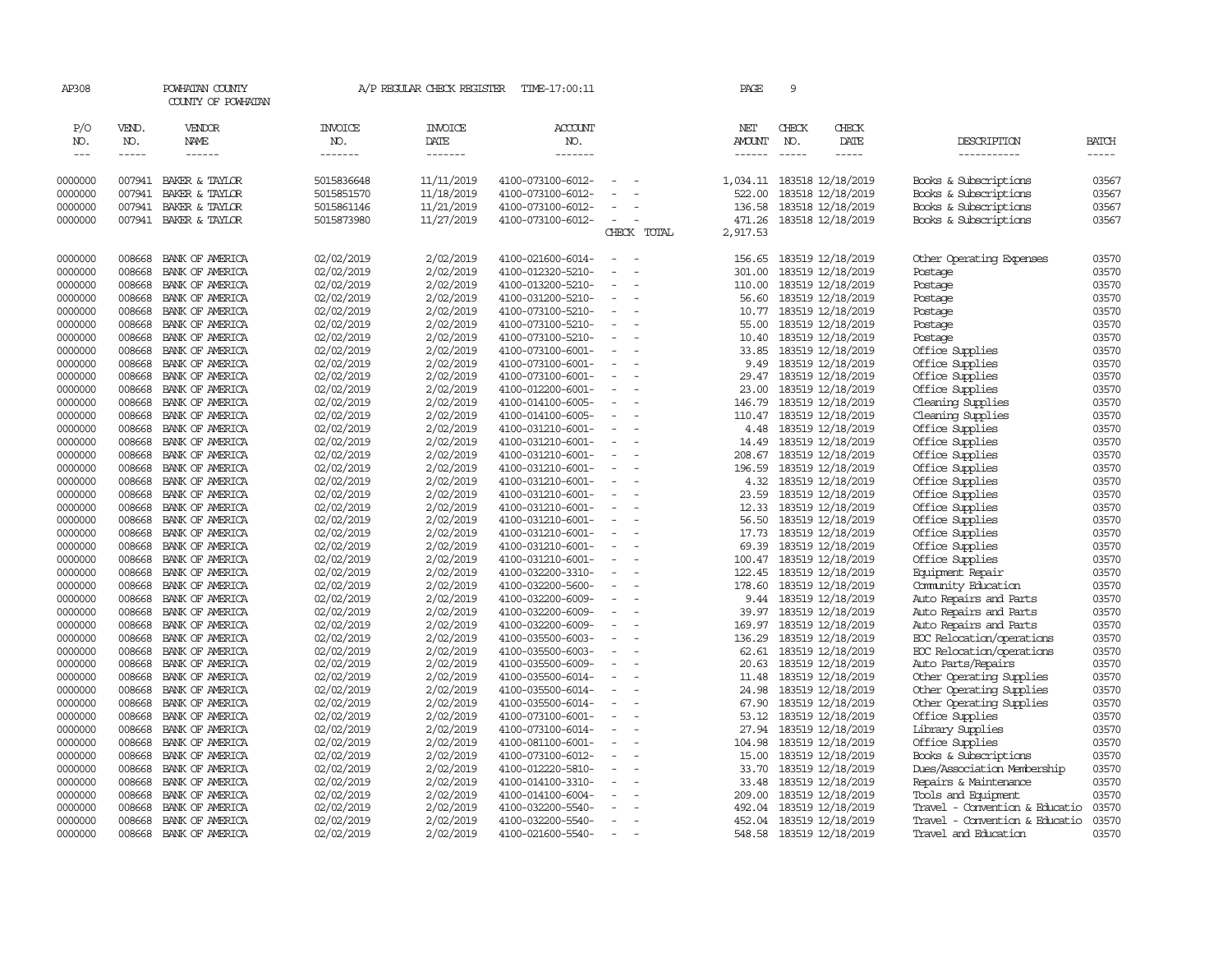| AP308               |                  | POWHATAN COUNTY<br>COUNTY OF POWHATAN                                                                                                                                                                                                                                                                                                                                                                                                                                                  |                          | A/P REGULAR CHECK REGISTER | TIME-17:00:11                          |                                                      | PAGE                                                                                                                                                                                                                                                                                                                                                                                                                                                                                | 9             |                                                 |                                                        |                |
|---------------------|------------------|----------------------------------------------------------------------------------------------------------------------------------------------------------------------------------------------------------------------------------------------------------------------------------------------------------------------------------------------------------------------------------------------------------------------------------------------------------------------------------------|--------------------------|----------------------------|----------------------------------------|------------------------------------------------------|-------------------------------------------------------------------------------------------------------------------------------------------------------------------------------------------------------------------------------------------------------------------------------------------------------------------------------------------------------------------------------------------------------------------------------------------------------------------------------------|---------------|-------------------------------------------------|--------------------------------------------------------|----------------|
| P/O<br>NO.          | VEND.<br>NO.     | VENDOR<br>NAME                                                                                                                                                                                                                                                                                                                                                                                                                                                                         | INVOICE<br>NO.           | INVOICE<br>DATE            | <b>ACCOUNT</b><br>NO.                  |                                                      | NET<br>AMOUNT                                                                                                                                                                                                                                                                                                                                                                                                                                                                       | CHECK<br>NO.  | CHECK<br>DATE                                   | DESCRIPTION                                            | BATCH          |
| $\qquad \qquad - -$ | -----            | $\begin{array}{cccccccccc} \multicolumn{2}{c}{} & \multicolumn{2}{c}{} & \multicolumn{2}{c}{} & \multicolumn{2}{c}{} & \multicolumn{2}{c}{} & \multicolumn{2}{c}{} & \multicolumn{2}{c}{} & \multicolumn{2}{c}{} & \multicolumn{2}{c}{} & \multicolumn{2}{c}{} & \multicolumn{2}{c}{} & \multicolumn{2}{c}{} & \multicolumn{2}{c}{} & \multicolumn{2}{c}{} & \multicolumn{2}{c}{} & \multicolumn{2}{c}{} & \multicolumn{2}{c}{} & \multicolumn{2}{c}{} & \multicolumn{2}{c}{} & \mult$ | -------                  | -------                    | -------                                |                                                      | $\begin{tabular}{ccccc} \multicolumn{2}{c}{} & \multicolumn{2}{c}{} & \multicolumn{2}{c}{} & \multicolumn{2}{c}{} & \multicolumn{2}{c}{} & \multicolumn{2}{c}{} & \multicolumn{2}{c}{} & \multicolumn{2}{c}{} & \multicolumn{2}{c}{} & \multicolumn{2}{c}{} & \multicolumn{2}{c}{} & \multicolumn{2}{c}{} & \multicolumn{2}{c}{} & \multicolumn{2}{c}{} & \multicolumn{2}{c}{} & \multicolumn{2}{c}{} & \multicolumn{2}{c}{} & \multicolumn{2}{c}{} & \multicolumn{2}{c}{} & \mult$ | $\frac{1}{2}$ | -----                                           | -----------                                            | $- - - - -$    |
|                     |                  |                                                                                                                                                                                                                                                                                                                                                                                                                                                                                        |                          |                            |                                        | $\sim$                                               |                                                                                                                                                                                                                                                                                                                                                                                                                                                                                     |               |                                                 |                                                        |                |
| 0000000<br>0000000  | 007941<br>007941 | BAKER & TAYLOR<br>BAKER & TAYLOR                                                                                                                                                                                                                                                                                                                                                                                                                                                       | 5015836648<br>5015851570 | 11/11/2019<br>11/18/2019   | 4100-073100-6012-<br>4100-073100-6012- | $\sim$<br>$\equiv$                                   | 522.00                                                                                                                                                                                                                                                                                                                                                                                                                                                                              |               | 1,034.11 183518 12/18/2019<br>183518 12/18/2019 | Books & Subscriptions<br>Books & Subscriptions         | 03567<br>03567 |
| 0000000             | 007941           | BAKER & TAYLOR                                                                                                                                                                                                                                                                                                                                                                                                                                                                         | 5015861146               | 11/21/2019                 | 4100-073100-6012-                      | $\overline{\phantom{a}}$                             | 136.58                                                                                                                                                                                                                                                                                                                                                                                                                                                                              |               | 183518 12/18/2019                               | Books & Subscriptions                                  | 03567          |
| 0000000             |                  | 007941 BAKER & TAYLOR                                                                                                                                                                                                                                                                                                                                                                                                                                                                  | 5015873980               | 11/27/2019                 | 4100-073100-6012-                      | $\sim$<br>$\overline{\phantom{a}}$                   | 471.26                                                                                                                                                                                                                                                                                                                                                                                                                                                                              |               | 183518 12/18/2019                               | Books & Subscriptions                                  | 03567          |
|                     |                  |                                                                                                                                                                                                                                                                                                                                                                                                                                                                                        |                          |                            |                                        | CHECK TOTAL                                          | 2,917.53                                                                                                                                                                                                                                                                                                                                                                                                                                                                            |               |                                                 |                                                        |                |
|                     |                  |                                                                                                                                                                                                                                                                                                                                                                                                                                                                                        |                          |                            |                                        |                                                      |                                                                                                                                                                                                                                                                                                                                                                                                                                                                                     |               |                                                 |                                                        |                |
| 0000000             | 008668           | BANK OF AMERICA                                                                                                                                                                                                                                                                                                                                                                                                                                                                        | 02/02/2019               | 2/02/2019                  | 4100-021600-6014-                      | $\equiv$                                             | 156.65                                                                                                                                                                                                                                                                                                                                                                                                                                                                              |               | 183519 12/18/2019                               | Other Operating Expenses                               | 03570          |
| 0000000             | 008668           | BANK OF AMERICA                                                                                                                                                                                                                                                                                                                                                                                                                                                                        | 02/02/2019               | 2/02/2019                  | 4100-012320-5210-                      | $\equiv$<br>$\sim$                                   | 301.00                                                                                                                                                                                                                                                                                                                                                                                                                                                                              |               | 183519 12/18/2019                               | Postage                                                | 03570          |
| 0000000             | 008668           | BANK OF AMERICA                                                                                                                                                                                                                                                                                                                                                                                                                                                                        | 02/02/2019               | 2/02/2019                  | 4100-013200-5210-                      | $\overline{\phantom{a}}$                             | 110.00                                                                                                                                                                                                                                                                                                                                                                                                                                                                              |               | 183519 12/18/2019                               | Postage                                                | 03570          |
| 0000000             | 008668           | BANK OF AMERICA                                                                                                                                                                                                                                                                                                                                                                                                                                                                        | 02/02/2019               | 2/02/2019                  | 4100-031200-5210-                      | $\equiv$                                             | 56.60                                                                                                                                                                                                                                                                                                                                                                                                                                                                               |               | 183519 12/18/2019                               | Postage                                                | 03570          |
| 0000000             | 008668           | BANK OF AMERICA                                                                                                                                                                                                                                                                                                                                                                                                                                                                        | 02/02/2019               | 2/02/2019                  | 4100-073100-5210-                      | $\overline{\phantom{a}}$<br>$\overline{\phantom{a}}$ |                                                                                                                                                                                                                                                                                                                                                                                                                                                                                     |               | 10.77 183519 12/18/2019                         | Postage                                                | 03570          |
| 0000000             | 008668           | BANK OF AMERICA                                                                                                                                                                                                                                                                                                                                                                                                                                                                        | 02/02/2019               | 2/02/2019                  | 4100-073100-5210-                      | $\equiv$                                             | 55.00                                                                                                                                                                                                                                                                                                                                                                                                                                                                               |               | 183519 12/18/2019                               | Postage                                                | 03570          |
| 0000000             | 008668           | BANK OF AMERICA                                                                                                                                                                                                                                                                                                                                                                                                                                                                        | 02/02/2019               | 2/02/2019                  | 4100-073100-5210-                      | $\sim$<br>$\overline{\phantom{a}}$                   | 10.40                                                                                                                                                                                                                                                                                                                                                                                                                                                                               |               | 183519 12/18/2019                               | Postage                                                | 03570          |
| 0000000             | 008668           | BANK OF AMERICA                                                                                                                                                                                                                                                                                                                                                                                                                                                                        | 02/02/2019               | 2/02/2019                  | 4100-073100-6001-                      | $\overline{\phantom{a}}$                             | 33.85                                                                                                                                                                                                                                                                                                                                                                                                                                                                               |               | 183519 12/18/2019                               | Office Supplies                                        | 03570          |
| 0000000             | 008668           | BANK OF AMERICA                                                                                                                                                                                                                                                                                                                                                                                                                                                                        | 02/02/2019               | 2/02/2019                  | 4100-073100-6001-                      | $\equiv$<br>$\overline{\phantom{a}}$                 | 9.49                                                                                                                                                                                                                                                                                                                                                                                                                                                                                |               | 183519 12/18/2019                               | Office Supplies                                        | 03570          |
| 0000000             | 008668           | BANK OF AMERICA                                                                                                                                                                                                                                                                                                                                                                                                                                                                        | 02/02/2019               | 2/02/2019                  | 4100-073100-6001-                      | $\overline{\phantom{a}}$                             | 29.47                                                                                                                                                                                                                                                                                                                                                                                                                                                                               |               | 183519 12/18/2019                               | Office Supplies                                        | 03570          |
| 0000000             | 008668           | BANK OF AMERICA                                                                                                                                                                                                                                                                                                                                                                                                                                                                        | 02/02/2019               | 2/02/2019                  | 4100-012200-6001-                      |                                                      | 23.00                                                                                                                                                                                                                                                                                                                                                                                                                                                                               |               | 183519 12/18/2019                               | Office Supplies                                        | 03570          |
| 0000000             | 008668           | BANK OF AMERICA                                                                                                                                                                                                                                                                                                                                                                                                                                                                        | 02/02/2019               | 2/02/2019                  | 4100-014100-6005-                      | $\sim$<br>$\overline{\phantom{a}}$                   | 146.79                                                                                                                                                                                                                                                                                                                                                                                                                                                                              |               | 183519 12/18/2019                               | Cleaning Supplies                                      | 03570          |
| 0000000             | 008668           | BANK OF AMERICA                                                                                                                                                                                                                                                                                                                                                                                                                                                                        | 02/02/2019               | 2/02/2019                  | 4100-014100-6005-                      | $\overline{\phantom{a}}$                             | 110.47                                                                                                                                                                                                                                                                                                                                                                                                                                                                              |               | 183519 12/18/2019                               | Cleaning Supplies                                      | 03570          |
| 0000000             | 008668           | BANK OF AMERICA                                                                                                                                                                                                                                                                                                                                                                                                                                                                        | 02/02/2019               | 2/02/2019                  | 4100-031210-6001-                      | $\overline{\phantom{a}}$                             | 4.48                                                                                                                                                                                                                                                                                                                                                                                                                                                                                |               | 183519 12/18/2019                               | Office Supplies                                        | 03570          |
| 0000000             | 008668           | BANK OF AMERICA                                                                                                                                                                                                                                                                                                                                                                                                                                                                        | 02/02/2019               | 2/02/2019                  | 4100-031210-6001-                      | $\equiv$<br>$\overline{a}$                           | 14.49                                                                                                                                                                                                                                                                                                                                                                                                                                                                               |               | 183519 12/18/2019                               | Office Supplies                                        | 03570          |
| 0000000             | 008668           | BANK OF AMERICA                                                                                                                                                                                                                                                                                                                                                                                                                                                                        | 02/02/2019               | 2/02/2019                  | 4100-031210-6001-                      | $\sim$                                               | 208.67                                                                                                                                                                                                                                                                                                                                                                                                                                                                              |               | 183519 12/18/2019                               | Office Supplies                                        | 03570          |
| 0000000             | 008668           | BANK OF AMERICA                                                                                                                                                                                                                                                                                                                                                                                                                                                                        | 02/02/2019               | 2/02/2019                  | 4100-031210-6001-                      | $\overline{\phantom{a}}$                             | 196.59                                                                                                                                                                                                                                                                                                                                                                                                                                                                              |               | 183519 12/18/2019                               | Office Supplies                                        | 03570          |
| 0000000             | 008668           | BANK OF AMERICA                                                                                                                                                                                                                                                                                                                                                                                                                                                                        | 02/02/2019               | 2/02/2019                  | 4100-031210-6001-                      | $\equiv$                                             | 4.32                                                                                                                                                                                                                                                                                                                                                                                                                                                                                |               | 183519 12/18/2019                               | Office Supplies                                        | 03570          |
| 0000000             | 008668           | BANK OF AMERICA                                                                                                                                                                                                                                                                                                                                                                                                                                                                        | 02/02/2019               | 2/02/2019                  | 4100-031210-6001-                      | $\sim$<br>$\overline{\phantom{a}}$                   | 23.59                                                                                                                                                                                                                                                                                                                                                                                                                                                                               |               | 183519 12/18/2019                               | Office Supplies                                        | 03570          |
| 0000000             | 008668           | BANK OF AMERICA                                                                                                                                                                                                                                                                                                                                                                                                                                                                        | 02/02/2019               | 2/02/2019                  | 4100-031210-6001-                      | $\overline{\phantom{a}}$                             | 12.33                                                                                                                                                                                                                                                                                                                                                                                                                                                                               |               | 183519 12/18/2019                               | Office Supplies                                        | 03570          |
| 0000000             | 008668           | BANK OF AMERICA                                                                                                                                                                                                                                                                                                                                                                                                                                                                        | 02/02/2019               | 2/02/2019                  | 4100-031210-6001-                      | $\blacksquare$                                       | 56.50                                                                                                                                                                                                                                                                                                                                                                                                                                                                               |               | 183519 12/18/2019                               | Office Supplies                                        | 03570          |
| 0000000             | 008668           | BANK OF AMERICA                                                                                                                                                                                                                                                                                                                                                                                                                                                                        | 02/02/2019               | 2/02/2019                  | 4100-031210-6001-                      | $\sim$<br>$\sim$                                     | 17.73                                                                                                                                                                                                                                                                                                                                                                                                                                                                               |               | 183519 12/18/2019                               | Office Supplies                                        | 03570          |
| 0000000             | 008668           | BANK OF AMERICA                                                                                                                                                                                                                                                                                                                                                                                                                                                                        | 02/02/2019               | 2/02/2019                  | 4100-031210-6001-                      | $\overline{\phantom{a}}$                             | 69.39                                                                                                                                                                                                                                                                                                                                                                                                                                                                               |               | 183519 12/18/2019                               | Office Supplies                                        | 03570          |
| 0000000             | 008668           | BANK OF AMERICA                                                                                                                                                                                                                                                                                                                                                                                                                                                                        | 02/02/2019               | 2/02/2019                  | 4100-031210-6001-                      | $\sim$<br>$\overline{\phantom{a}}$                   | 100.47                                                                                                                                                                                                                                                                                                                                                                                                                                                                              |               | 183519 12/18/2019                               | Office Supplies                                        | 03570          |
| 0000000             | 008668           | BANK OF AMERICA                                                                                                                                                                                                                                                                                                                                                                                                                                                                        | 02/02/2019               | 2/02/2019                  | 4100-032200-3310-                      | $\sim$                                               | 122.45                                                                                                                                                                                                                                                                                                                                                                                                                                                                              |               | 183519 12/18/2019                               | Equipment Repair                                       | 03570          |
| 0000000             | 008668           | BANK OF AMERICA                                                                                                                                                                                                                                                                                                                                                                                                                                                                        | 02/02/2019               | 2/02/2019                  | 4100-032200-5600-                      | $\equiv$                                             | 178.60                                                                                                                                                                                                                                                                                                                                                                                                                                                                              |               | 183519 12/18/2019                               | Community Education                                    | 03570          |
| 0000000             | 008668           | BANK OF AMERICA                                                                                                                                                                                                                                                                                                                                                                                                                                                                        | 02/02/2019               | 2/02/2019                  | 4100-032200-6009-                      | $\equiv$<br>$\equiv$                                 | 9.44                                                                                                                                                                                                                                                                                                                                                                                                                                                                                |               | 183519 12/18/2019                               | Auto Repairs and Parts                                 | 03570          |
| 0000000             | 008668           | BANK OF AMERICA                                                                                                                                                                                                                                                                                                                                                                                                                                                                        | 02/02/2019               | 2/02/2019                  | 4100-032200-6009-                      | $\sim$<br>$\overline{\phantom{a}}$                   | 39.97                                                                                                                                                                                                                                                                                                                                                                                                                                                                               |               | 183519 12/18/2019                               | Auto Repairs and Parts                                 | 03570          |
| 0000000             | 008668           | BANK OF AMERICA                                                                                                                                                                                                                                                                                                                                                                                                                                                                        | 02/02/2019               | 2/02/2019                  | 4100-032200-6009-                      | $\sim$                                               | 169.97                                                                                                                                                                                                                                                                                                                                                                                                                                                                              |               | 183519 12/18/2019                               | Auto Repairs and Parts                                 | 03570          |
| 0000000<br>0000000  | 008668<br>008668 | BANK OF AMERICA                                                                                                                                                                                                                                                                                                                                                                                                                                                                        | 02/02/2019<br>02/02/2019 | 2/02/2019<br>2/02/2019     | 4100-035500-6003-                      | $\overline{\phantom{a}}$                             | 136.29<br>62.61                                                                                                                                                                                                                                                                                                                                                                                                                                                                     |               | 183519 12/18/2019<br>183519 12/18/2019          | ECC Relocation/operations<br>ECC Relocation/operations | 03570<br>03570 |
|                     | 008668           | BANK OF AMERICA                                                                                                                                                                                                                                                                                                                                                                                                                                                                        |                          |                            | 4100-035500-6003-                      | $\equiv$                                             |                                                                                                                                                                                                                                                                                                                                                                                                                                                                                     |               |                                                 |                                                        | 03570          |
| 0000000             | 008668           | BANK OF AMERICA                                                                                                                                                                                                                                                                                                                                                                                                                                                                        | 02/02/2019               | 2/02/2019<br>2/02/2019     | 4100-035500-6009-                      | $\overline{\phantom{a}}$                             | 20.63<br>11.48                                                                                                                                                                                                                                                                                                                                                                                                                                                                      |               | 183519 12/18/2019                               | Auto Parts/Repairs                                     | 03570          |
| 0000000<br>0000000  | 008668           | BANK OF AMERICA<br>BANK OF AMERICA                                                                                                                                                                                                                                                                                                                                                                                                                                                     | 02/02/2019<br>02/02/2019 | 2/02/2019                  | 4100-035500-6014-<br>4100-035500-6014- | $\overline{\phantom{a}}$                             | 24.98                                                                                                                                                                                                                                                                                                                                                                                                                                                                               |               | 183519 12/18/2019<br>183519 12/18/2019          | Other Operating Supplies<br>Other Operating Supplies   | 03570          |
| 0000000             | 008668           | BANK OF AMERICA                                                                                                                                                                                                                                                                                                                                                                                                                                                                        | 02/02/2019               | 2/02/2019                  | 4100-035500-6014-                      | $\sim$                                               | 67.90                                                                                                                                                                                                                                                                                                                                                                                                                                                                               |               | 183519 12/18/2019                               | Other Operating Supplies                               | 03570          |
| 0000000             | 008668           | BANK OF AMERICA                                                                                                                                                                                                                                                                                                                                                                                                                                                                        | 02/02/2019               | 2/02/2019                  | 4100-073100-6001-                      | $\overline{\phantom{a}}$<br>$\overline{\phantom{a}}$ | 53.12                                                                                                                                                                                                                                                                                                                                                                                                                                                                               |               | 183519 12/18/2019                               | Office Supplies                                        | 03570          |
| 0000000             | 008668           | BANK OF AMERICA                                                                                                                                                                                                                                                                                                                                                                                                                                                                        | 02/02/2019               | 2/02/2019                  | 4100-073100-6014-                      | $\overline{\phantom{a}}$                             | 27.94                                                                                                                                                                                                                                                                                                                                                                                                                                                                               |               | 183519 12/18/2019                               | Library Supplies                                       | 03570          |
| 0000000             | 008668           | BANK OF AMERICA                                                                                                                                                                                                                                                                                                                                                                                                                                                                        | 02/02/2019               | 2/02/2019                  | 4100-081100-6001-                      | $\overline{\phantom{a}}$                             | 104.98                                                                                                                                                                                                                                                                                                                                                                                                                                                                              |               | 183519 12/18/2019                               | Office Supplies                                        | 03570          |
| 0000000             | 008668           | BANK OF AMERICA                                                                                                                                                                                                                                                                                                                                                                                                                                                                        | 02/02/2019               | 2/02/2019                  | 4100-073100-6012-                      | $\overline{\phantom{a}}$                             | 15.00                                                                                                                                                                                                                                                                                                                                                                                                                                                                               |               | 183519 12/18/2019                               | Books & Subscriptions                                  | 03570          |
| 0000000             | 008668           | BANK OF AMERICA                                                                                                                                                                                                                                                                                                                                                                                                                                                                        | 02/02/2019               | 2/02/2019                  | 4100-012220-5810-                      | $\sim$                                               | 33.70                                                                                                                                                                                                                                                                                                                                                                                                                                                                               |               | 183519 12/18/2019                               | Dues/Association Membership                            | 03570          |
| 0000000             | 008668           | BANK OF AMERICA                                                                                                                                                                                                                                                                                                                                                                                                                                                                        | 02/02/2019               | 2/02/2019                  | 4100-014100-3310-                      | $\equiv$                                             | 33.48                                                                                                                                                                                                                                                                                                                                                                                                                                                                               |               | 183519 12/18/2019                               | Repairs & Maintenance                                  | 03570          |
| 0000000             | 008668           | BANK OF AMERICA                                                                                                                                                                                                                                                                                                                                                                                                                                                                        | 02/02/2019               | 2/02/2019                  | 4100-014100-6004-                      |                                                      | 209.00                                                                                                                                                                                                                                                                                                                                                                                                                                                                              |               | 183519 12/18/2019                               | Tools and Equipment                                    | 03570          |
| 0000000             | 008668           | BANK OF AMERICA                                                                                                                                                                                                                                                                                                                                                                                                                                                                        | 02/02/2019               | 2/02/2019                  | 4100-032200-5540-                      | $\overline{\phantom{a}}$                             | 492.04                                                                                                                                                                                                                                                                                                                                                                                                                                                                              |               | 183519 12/18/2019                               | Travel - Convention & Educatio                         | 03570          |
| 0000000             | 008668           | BANK OF AMERICA                                                                                                                                                                                                                                                                                                                                                                                                                                                                        | 02/02/2019               | 2/02/2019                  | 4100-032200-5540-                      | $\sim$                                               | 452.04                                                                                                                                                                                                                                                                                                                                                                                                                                                                              |               | 183519 12/18/2019                               | Travel - Convention & Educatio                         | 03570          |
| 0000000             | 008668           | BANK OF AMERICA                                                                                                                                                                                                                                                                                                                                                                                                                                                                        | 02/02/2019               | 2/02/2019                  | 4100-021600-5540-                      | $\sim$                                               | 548.58                                                                                                                                                                                                                                                                                                                                                                                                                                                                              |               | 183519 12/18/2019                               | Travel and Education                                   | 03570          |
|                     |                  |                                                                                                                                                                                                                                                                                                                                                                                                                                                                                        |                          |                            |                                        |                                                      |                                                                                                                                                                                                                                                                                                                                                                                                                                                                                     |               |                                                 |                                                        |                |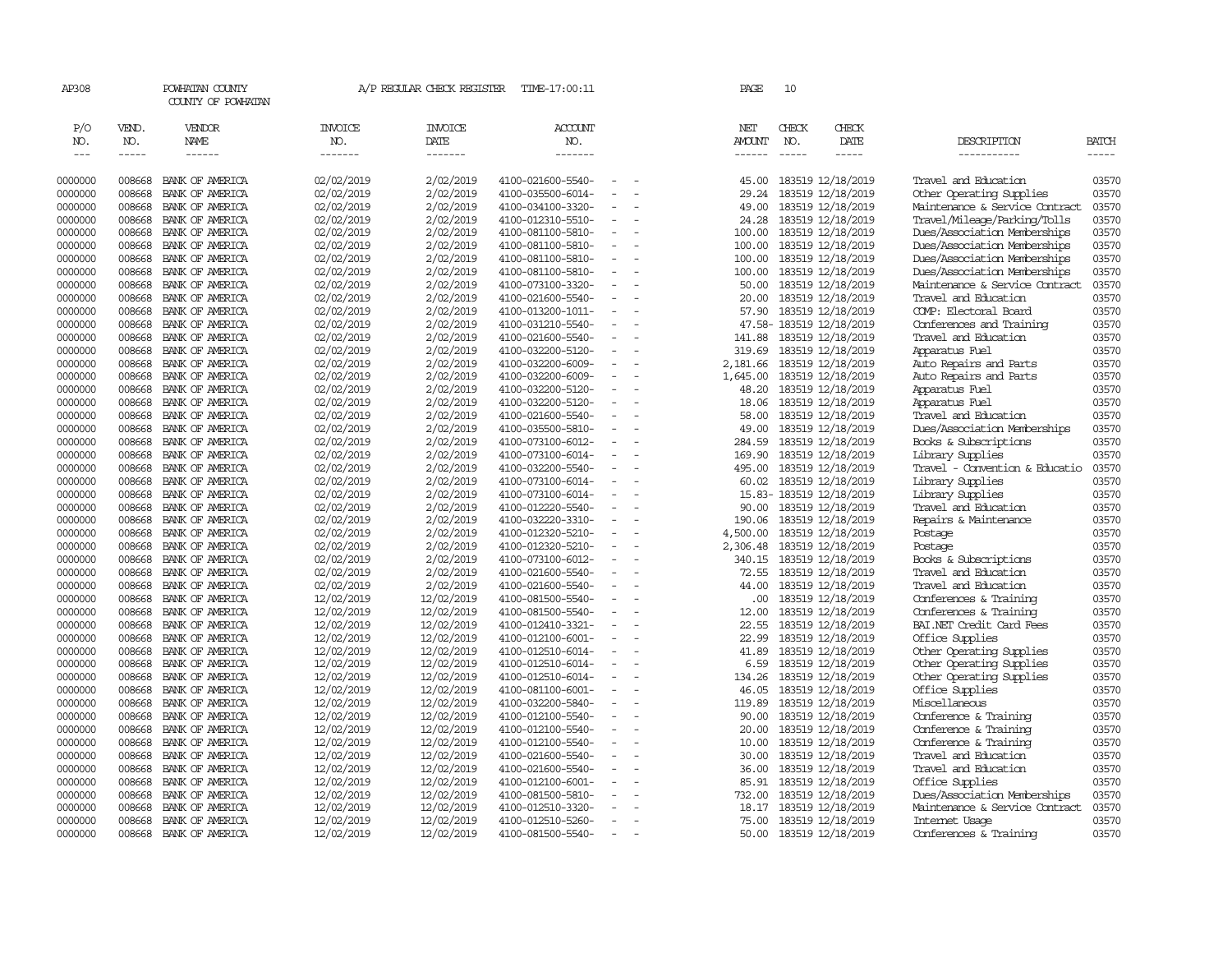| AP308              |                  | POWHATAN COUNTY<br>COUNTY OF POWHATAN |                          |                          | A/P REGULAR CHECK REGISTER TIME-17:00:11 |                          |                          | PAGE           | 10                                                                                                                                                                                                                                                                                                                                                                                           |                                        |                                              |                |
|--------------------|------------------|---------------------------------------|--------------------------|--------------------------|------------------------------------------|--------------------------|--------------------------|----------------|----------------------------------------------------------------------------------------------------------------------------------------------------------------------------------------------------------------------------------------------------------------------------------------------------------------------------------------------------------------------------------------------|----------------------------------------|----------------------------------------------|----------------|
| P/O                | VEND.            | VENDOR                                | <b>INVOICE</b>           | <b>INVOICE</b>           | <b>ACCOUNT</b>                           |                          |                          | NET            | CHECK                                                                                                                                                                                                                                                                                                                                                                                        | CHECK                                  |                                              |                |
| NO.                | NO.              | NAME                                  | NO.                      | DATE                     | NO.                                      |                          |                          | AMOUNT         | NO.                                                                                                                                                                                                                                                                                                                                                                                          | DATE                                   | DESCRIPTION                                  | <b>BATCH</b>   |
| $---$              | $- - - - -$      | $- - - - - -$                         | -------                  | -------                  | -------                                  |                          |                          | ------         | $\frac{1}{2} \frac{1}{2} \frac{1}{2} \frac{1}{2} \frac{1}{2} \frac{1}{2} \frac{1}{2} \frac{1}{2} \frac{1}{2} \frac{1}{2} \frac{1}{2} \frac{1}{2} \frac{1}{2} \frac{1}{2} \frac{1}{2} \frac{1}{2} \frac{1}{2} \frac{1}{2} \frac{1}{2} \frac{1}{2} \frac{1}{2} \frac{1}{2} \frac{1}{2} \frac{1}{2} \frac{1}{2} \frac{1}{2} \frac{1}{2} \frac{1}{2} \frac{1}{2} \frac{1}{2} \frac{1}{2} \frac{$ | $- - - - -$                            | ___________                                  | -----          |
| 0000000            | 008668           | BANK OF AMERICA                       | 02/02/2019               | 2/02/2019                | 4100-021600-5540-                        | $\overline{\phantom{a}}$ | $\overline{\phantom{a}}$ | 45.00          |                                                                                                                                                                                                                                                                                                                                                                                              | 183519 12/18/2019                      | Travel and Education                         | 03570          |
| 0000000            | 008668           | BANK OF AMERICA                       | 02/02/2019               | 2/02/2019                | 4100-035500-6014-                        | $\sim$                   |                          | 29.24          |                                                                                                                                                                                                                                                                                                                                                                                              | 183519 12/18/2019                      | Other Operating Supplies                     | 03570          |
| 0000000            | 008668           | BANK OF AMERICA                       | 02/02/2019               | 2/02/2019                | 4100-034100-3320-                        |                          |                          | 49.00          |                                                                                                                                                                                                                                                                                                                                                                                              | 183519 12/18/2019                      | Maintenance & Service Contract               | 03570          |
| 0000000            | 008668           | BANK OF AMERICA                       | 02/02/2019               | 2/02/2019                | 4100-012310-5510-                        | $\equiv$                 |                          | 24.28          |                                                                                                                                                                                                                                                                                                                                                                                              | 183519 12/18/2019                      | Travel/Mileage/Parking/Tolls                 | 03570          |
| 0000000            | 008668           | BANK OF AMERICA                       | 02/02/2019               | 2/02/2019                | 4100-081100-5810-                        | $\sim$                   |                          | 100.00         |                                                                                                                                                                                                                                                                                                                                                                                              | 183519 12/18/2019                      | Dues/Association Memberships                 | 03570          |
| 0000000            | 008668           | BANK OF AMERICA                       | 02/02/2019               | 2/02/2019                | 4100-081100-5810-                        | $\equiv$                 |                          | 100.00         |                                                                                                                                                                                                                                                                                                                                                                                              | 183519 12/18/2019                      | Dues/Association Memberships                 | 03570          |
| 0000000            | 008668           | BANK OF AMERICA                       | 02/02/2019               | 2/02/2019                | 4100-081100-5810-                        |                          |                          | 100.00         |                                                                                                                                                                                                                                                                                                                                                                                              | 183519 12/18/2019                      | Dues/Association Memberships                 | 03570          |
| 0000000            | 008668           | BANK OF AMERICA                       | 02/02/2019               | 2/02/2019                | 4100-081100-5810-                        | $\equiv$                 |                          | 100.00         |                                                                                                                                                                                                                                                                                                                                                                                              | 183519 12/18/2019                      | Dues/Association Memberships                 | 03570          |
| 0000000            | 008668           | BANK OF AMERICA                       | 02/02/2019               | 2/02/2019                | 4100-073100-3320-                        | $\overline{\phantom{a}}$ |                          | 50.00          |                                                                                                                                                                                                                                                                                                                                                                                              | 183519 12/18/2019                      | Maintenance & Service Contract               | 03570          |
| 0000000            | 008668           | BANK OF AMERICA                       | 02/02/2019               | 2/02/2019                | 4100-021600-5540-                        | $\overline{\phantom{a}}$ |                          | 20.00          |                                                                                                                                                                                                                                                                                                                                                                                              | 183519 12/18/2019                      | Travel and Education                         | 03570          |
| 0000000            | 008668           | BANK OF AMERICA                       | 02/02/2019               | 2/02/2019                | 4100-013200-1011-                        | ÷                        |                          | 57.90          |                                                                                                                                                                                                                                                                                                                                                                                              | 183519 12/18/2019                      | COMP: Electoral Board                        | 03570          |
| 0000000            | 008668           | BANK OF AMERICA                       | 02/02/2019               | 2/02/2019                | 4100-031210-5540-                        | $\sim$                   | $\sim$                   |                |                                                                                                                                                                                                                                                                                                                                                                                              | 47.58-183519 12/18/2019                | Conferences and Training                     | 03570          |
| 0000000            | 008668           | BANK OF AMERICA                       | 02/02/2019               | 2/02/2019                | 4100-021600-5540-                        | $\sim$                   |                          | 141.88         |                                                                                                                                                                                                                                                                                                                                                                                              | 183519 12/18/2019                      | Travel and Education                         | 03570          |
| 0000000            | 008668           | BANK OF AMERICA                       | 02/02/2019               | 2/02/2019                | 4100-032200-5120-                        | ÷                        |                          | 319.69         |                                                                                                                                                                                                                                                                                                                                                                                              | 183519 12/18/2019                      | Apparatus Fuel                               | 03570          |
| 0000000            | 008668           | BANK OF AMERICA                       | 02/02/2019               | 2/02/2019                | 4100-032200-6009-                        | $\equiv$                 |                          | 2,181.66       |                                                                                                                                                                                                                                                                                                                                                                                              | 183519 12/18/2019                      | Auto Repairs and Parts                       | 03570          |
| 0000000            | 008668           | BANK OF AMERICA                       | 02/02/2019               | 2/02/2019                | 4100-032200-6009-                        | $\overline{\phantom{a}}$ |                          | 1,645.00       |                                                                                                                                                                                                                                                                                                                                                                                              | 183519 12/18/2019                      | Auto Repairs and Parts                       | 03570          |
| 0000000            | 008668           | BANK OF AMERICA                       | 02/02/2019               | 2/02/2019                | 4100-032200-5120-                        | $\overline{\phantom{a}}$ |                          | 48.20          |                                                                                                                                                                                                                                                                                                                                                                                              | 183519 12/18/2019                      | Apparatus Fuel                               | 03570          |
| 0000000            | 008668           | BANK OF AMERICA                       | 02/02/2019               | 2/02/2019                | 4100-032200-5120-                        |                          |                          | 18.06          |                                                                                                                                                                                                                                                                                                                                                                                              | 183519 12/18/2019                      | Apparatus Fuel                               | 03570          |
| 0000000            | 008668           | BANK OF AMERICA                       | 02/02/2019               | 2/02/2019                | 4100-021600-5540-                        | $\overline{\phantom{a}}$ |                          | 58.00          |                                                                                                                                                                                                                                                                                                                                                                                              | 183519 12/18/2019                      | Travel and Education                         | 03570          |
| 0000000            | 008668           | BANK OF AMERICA                       | 02/02/2019               | 2/02/2019                | 4100-035500-5810-                        |                          |                          | 49.00          |                                                                                                                                                                                                                                                                                                                                                                                              | 183519 12/18/2019                      | Dues/Association Memberships                 | 03570          |
| 0000000            | 008668           | BANK OF AMERICA                       | 02/02/2019               | 2/02/2019                | 4100-073100-6012-                        | $\sim$                   | $\sim$                   | 284.59         |                                                                                                                                                                                                                                                                                                                                                                                              | 183519 12/18/2019                      | Books & Subscriptions                        | 03570          |
| 0000000            | 008668           | BANK OF AMERICA                       | 02/02/2019               | 2/02/2019                | 4100-073100-6014-                        |                          |                          | 169.90         |                                                                                                                                                                                                                                                                                                                                                                                              | 183519 12/18/2019                      | Library Supplies                             | 03570          |
| 0000000            | 008668           | BANK OF AMERICA                       | 02/02/2019               | 2/02/2019                | 4100-032200-5540-                        | $\sim$                   | $\overline{\phantom{a}}$ | 495.00         |                                                                                                                                                                                                                                                                                                                                                                                              | 183519 12/18/2019                      | Travel - Convention & Educatio               | 03570          |
| 0000000            | 008668           | BANK OF AMERICA                       | 02/02/2019               | 2/02/2019                | 4100-073100-6014-                        | $\overline{\phantom{a}}$ |                          | 60.02          |                                                                                                                                                                                                                                                                                                                                                                                              | 183519 12/18/2019                      | Library Supplies                             | 03570          |
| 0000000            | 008668           | BANK OF AMERICA                       | 02/02/2019               | 2/02/2019                | 4100-073100-6014-                        | $\equiv$                 |                          |                |                                                                                                                                                                                                                                                                                                                                                                                              | 15.83-183519 12/18/2019                | Library Supplies                             | 03570          |
| 0000000            | 008668           | BANK OF AMERICA                       | 02/02/2019               | 2/02/2019                | 4100-012220-5540-                        | $\equiv$                 |                          | 90.00          |                                                                                                                                                                                                                                                                                                                                                                                              | 183519 12/18/2019                      | Travel and Education                         | 03570          |
| 0000000            | 008668           | BANK OF AMERICA                       | 02/02/2019               | 2/02/2019                | 4100-032220-3310-                        | $\overline{\phantom{a}}$ |                          | 190.06         |                                                                                                                                                                                                                                                                                                                                                                                              | 183519 12/18/2019                      | Repairs & Maintenance                        | 03570          |
| 0000000            | 008668           | BANK OF AMERICA                       | 02/02/2019               | 2/02/2019                | 4100-012320-5210-                        | $\overline{\phantom{a}}$ |                          | 4,500.00       |                                                                                                                                                                                                                                                                                                                                                                                              | 183519 12/18/2019                      | Postage                                      | 03570          |
| 0000000            | 008668           | BANK OF AMERICA                       | 02/02/2019               | 2/02/2019                | 4100-012320-5210-                        |                          |                          | 2,306.48       |                                                                                                                                                                                                                                                                                                                                                                                              | 183519 12/18/2019                      | Postage                                      | 03570          |
| 0000000            | 008668           | BANK OF AMERICA                       | 02/02/2019               | 2/02/2019                | 4100-073100-6012-                        | $\overline{\phantom{a}}$ |                          | 340.15         |                                                                                                                                                                                                                                                                                                                                                                                              | 183519 12/18/2019                      | Books & Subscriptions                        | 03570          |
| 0000000            | 008668           | BANK OF AMERICA                       | 02/02/2019               | 2/02/2019                | 4100-021600-5540-                        | $\overline{\phantom{a}}$ |                          | 72.55          |                                                                                                                                                                                                                                                                                                                                                                                              | 183519 12/18/2019                      | Travel and Education                         | 03570          |
| 0000000            | 008668           | BANK OF AMERICA                       | 02/02/2019               | 2/02/2019                | 4100-021600-5540-                        | $\overline{\phantom{a}}$ |                          | 44.00          |                                                                                                                                                                                                                                                                                                                                                                                              | 183519 12/18/2019                      | Travel and Education                         | 03570          |
| 0000000            | 008668           | BANK OF AMERICA                       | 12/02/2019               | 12/02/2019               | 4100-081500-5540-                        | $\blacksquare$           |                          | .00.           |                                                                                                                                                                                                                                                                                                                                                                                              | 183519 12/18/2019                      | Conferences & Training                       | 03570          |
| 0000000            | 008668           | BANK OF AMERICA                       | 12/02/2019               | 12/02/2019               | 4100-081500-5540-                        | $\equiv$                 |                          | 12.00          |                                                                                                                                                                                                                                                                                                                                                                                              | 183519 12/18/2019                      | Conferences & Training                       | 03570          |
| 0000000            | 008668           | BANK OF AMERICA                       | 12/02/2019               | 12/02/2019               | 4100-012410-3321-                        | $\overline{\phantom{a}}$ |                          | 22.55          |                                                                                                                                                                                                                                                                                                                                                                                              | 183519 12/18/2019                      | BAI.NET Credit Card Fees                     | 03570          |
| 0000000            | 008668           | BANK OF AMERICA                       | 12/02/2019               | 12/02/2019               | 4100-012100-6001-                        | $\overline{\phantom{a}}$ |                          | 22.99          |                                                                                                                                                                                                                                                                                                                                                                                              | 183519 12/18/2019                      | Office Supplies                              | 03570          |
| 0000000            | 008668           | BANK OF AMERICA                       | 12/02/2019               | 12/02/2019               | 4100-012510-6014-                        | $\overline{\phantom{a}}$ |                          | 41.89          |                                                                                                                                                                                                                                                                                                                                                                                              | 183519 12/18/2019                      | Other Operating Supplies                     | 03570          |
| 0000000            | 008668           | BANK OF AMERICA                       | 12/02/2019               | 12/02/2019               | 4100-012510-6014-                        |                          |                          | 6.59           |                                                                                                                                                                                                                                                                                                                                                                                              | 183519 12/18/2019                      | Other Operating Supplies                     | 03570          |
| 0000000            | 008668           | BANK OF AMERICA                       | 12/02/2019               | 12/02/2019               | 4100-012510-6014-                        | $\equiv$                 |                          | 134.26         |                                                                                                                                                                                                                                                                                                                                                                                              | 183519 12/18/2019                      | Other Operating Supplies                     | 03570          |
| 0000000            | 008668           | BANK OF AMERICA                       | 12/02/2019               | 12/02/2019               | 4100-081100-6001-                        |                          |                          | 46.05          |                                                                                                                                                                                                                                                                                                                                                                                              | 183519 12/18/2019                      | Office Supplies                              | 03570          |
| 0000000            | 008668           | BANK OF AMERICA                       | 12/02/2019               | 12/02/2019               | 4100-032200-5840-                        | $\overline{\phantom{a}}$ | $\overline{\phantom{a}}$ | 119.89         |                                                                                                                                                                                                                                                                                                                                                                                              | 183519 12/18/2019                      | Miscellaneous                                | 03570          |
| 0000000            | 008668           | BANK OF AMERICA                       | 12/02/2019               | 12/02/2019               | 4100-012100-5540-                        | $\overline{\phantom{a}}$ |                          | 90.00          |                                                                                                                                                                                                                                                                                                                                                                                              | 183519 12/18/2019                      | Conference & Training                        | 03570          |
| 0000000            | 008668           | BANK OF AMERICA                       | 12/02/2019               | 12/02/2019               | 4100-012100-5540-                        | $\sim$                   |                          | 20.00          |                                                                                                                                                                                                                                                                                                                                                                                              | 183519 12/18/2019                      | Conference & Training                        | 03570          |
| 0000000            | 008668           | BANK OF AMERICA                       | 12/02/2019               | 12/02/2019               | 4100-012100-5540-                        | $\sim$                   |                          | 10.00          |                                                                                                                                                                                                                                                                                                                                                                                              | 183519 12/18/2019                      | Conference & Training                        | 03570          |
| 0000000<br>0000000 | 008668           | BANK OF AMERICA                       | 12/02/2019               | 12/02/2019               | 4100-021600-5540-                        | $\overline{\phantom{a}}$ |                          | 30.00          |                                                                                                                                                                                                                                                                                                                                                                                              | 183519 12/18/2019                      | Travel and Education<br>Travel and Education | 03570<br>03570 |
| 0000000            | 008668<br>008668 | BANK OF AMERICA<br>BANK OF AMERICA    | 12/02/2019<br>12/02/2019 | 12/02/2019<br>12/02/2019 | 4100-021600-5540-<br>4100-012100-6001-   |                          |                          | 36.00<br>85.91 |                                                                                                                                                                                                                                                                                                                                                                                              | 183519 12/18/2019<br>183519 12/18/2019 | Office Supplies                              | 03570          |
| 0000000            | 008668           | BANK OF AMERICA                       | 12/02/2019               | 12/02/2019               | 4100-081500-5810-                        |                          |                          | 732.00         |                                                                                                                                                                                                                                                                                                                                                                                              | 183519 12/18/2019                      | Dues/Association Memberships                 | 03570          |
| 0000000            | 008668           | BANK OF AMERICA                       | 12/02/2019               | 12/02/2019               | 4100-012510-3320-                        |                          |                          | 18.17          |                                                                                                                                                                                                                                                                                                                                                                                              | 183519 12/18/2019                      | Maintenance & Service Contract               | 03570          |
| 0000000            | 008668           | BANK OF AMERICA                       | 12/02/2019               | 12/02/2019               | 4100-012510-5260-                        | $\overline{\phantom{a}}$ |                          | 75.00          |                                                                                                                                                                                                                                                                                                                                                                                              | 183519 12/18/2019                      | Internet Usage                               | 03570          |
| 0000000            | 008668           | BANK OF AMERICA                       | 12/02/2019               | 12/02/2019               | 4100-081500-5540-                        | $\sim$                   |                          | 50.00          |                                                                                                                                                                                                                                                                                                                                                                                              | 183519 12/18/2019                      | Conferences & Training                       | 03570          |
|                    |                  |                                       |                          |                          |                                          |                          |                          |                |                                                                                                                                                                                                                                                                                                                                                                                              |                                        |                                              |                |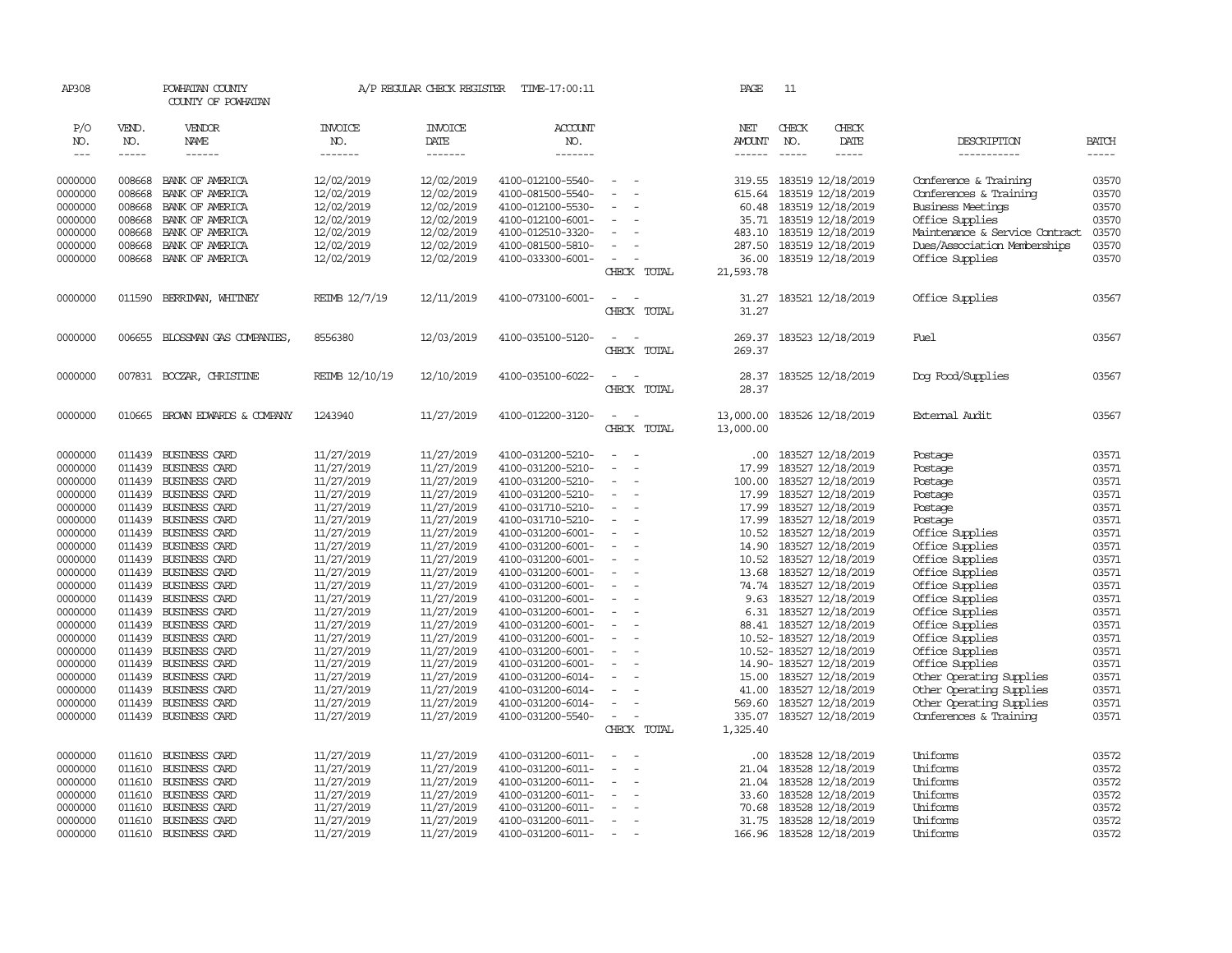| AP308         |               | POWHATAN COUNTY<br>COUNTY OF POWHATAN |                | A/P REGULAR CHECK REGISTER | TIME-17:00:11     |                                    | PAGE          | 11            |                          |                                |              |
|---------------|---------------|---------------------------------------|----------------|----------------------------|-------------------|------------------------------------|---------------|---------------|--------------------------|--------------------------------|--------------|
| P/O           | VEND.         | VENDOR                                | <b>INVOICE</b> | <b>INVOICE</b>             | <b>ACCOUNT</b>    |                                    | NET           | CHECK         | CHECK                    |                                |              |
| NO.           | NO.           | NAME                                  | NO.            | DATE                       | NO.               |                                    | <b>AMOUNT</b> | NO.           | DATE                     | DESCRIPTION                    | <b>BATCH</b> |
| $\frac{1}{2}$ | $\frac{1}{2}$ | $- - - - - -$                         | -------        | --------                   | -------           |                                    | $- - - - - -$ | $\frac{1}{2}$ | $\frac{1}{2}$            | -----------                    | $- - - - -$  |
|               |               |                                       |                |                            |                   |                                    |               |               |                          |                                |              |
| 0000000       | 008668        | BANK OF AMERICA                       | 12/02/2019     | 12/02/2019                 | 4100-012100-5540- |                                    | 319.55        |               | 183519 12/18/2019        | Conference & Training          | 03570        |
| 0000000       | 008668        | BANK OF AMERICA                       | 12/02/2019     | 12/02/2019                 | 4100-081500-5540- |                                    | 615.64        |               | 183519 12/18/2019        | Conferences & Training         | 03570        |
| 0000000       | 008668        | BANK OF AMERICA                       | 12/02/2019     | 12/02/2019                 | 4100-012100-5530- |                                    | 60.48         |               | 183519 12/18/2019        | <b>Business Meetings</b>       | 03570        |
| 0000000       | 008668        | BANK OF AMERICA                       | 12/02/2019     | 12/02/2019                 | 4100-012100-6001- | $\sim$                             |               |               | 35.71 183519 12/18/2019  | Office Supplies                | 03570        |
| 0000000       | 008668        | BANK OF AMERICA                       | 12/02/2019     | 12/02/2019                 | 4100-012510-3320- |                                    | 483.10        |               | 183519 12/18/2019        | Maintenance & Service Contract | 03570        |
| 0000000       | 008668        | BANK OF AMERICA                       | 12/02/2019     | 12/02/2019                 | 4100-081500-5810- |                                    | 287.50        |               | 183519 12/18/2019        | Dues/Association Memberships   | 03570        |
| 0000000       | 008668        | BANK OF AMERICA                       | 12/02/2019     | 12/02/2019                 | 4100-033300-6001- | $\overline{\phantom{a}}$           | 36.00         |               | 183519 12/18/2019        | Office Supplies                | 03570        |
|               |               |                                       |                |                            |                   | CHECK TOTAL                        | 21,593.78     |               |                          |                                |              |
| 0000000       | 011590        | BERRIMAN, WHITNEY                     | REIMB 12/7/19  | 12/11/2019                 | 4100-073100-6001- | $\sim$ $ \sim$                     | 31.27         |               | 183521 12/18/2019        | Office Supplies                | 03567        |
|               |               |                                       |                |                            |                   | CHECK TOTAL                        | 31.27         |               |                          |                                |              |
|               |               |                                       |                |                            |                   |                                    |               |               |                          |                                |              |
| 0000000       |               | 006655 BLOSSMAN GAS COMPANIES,        | 8556380        | 12/03/2019                 | 4100-035100-5120- | $\sim$<br>$\sim$                   | 269.37        |               | 183523 12/18/2019        | Fuel                           | 03567        |
|               |               |                                       |                |                            |                   | CHECK TOTAL                        | 269.37        |               |                          |                                |              |
|               |               |                                       |                |                            |                   |                                    |               |               |                          |                                |              |
| 0000000       |               | 007831 BOCZAR, CHRISTINE              | REIMB 12/10/19 | 12/10/2019                 | 4100-035100-6022- | $\sim$<br>$\sim$                   | 28.37         |               | 183525 12/18/2019        | Dog Food/Supplies              | 03567        |
|               |               |                                       |                |                            |                   | CHECK TOTAL                        | 28.37         |               |                          |                                |              |
| 0000000       | 010665        | BROWN EDWARDS & COMPANY               | 1243940        | 11/27/2019                 | 4100-012200-3120- | $\sim$<br>$\overline{\phantom{a}}$ | 13,000.00     |               | 183526 12/18/2019        | External Audit                 | 03567        |
|               |               |                                       |                |                            |                   | CHECK TOTAL                        | 13,000.00     |               |                          |                                |              |
|               |               |                                       |                |                            |                   |                                    |               |               |                          |                                |              |
| 0000000       |               | 011439 BUSINESS CARD                  | 11/27/2019     | 11/27/2019                 | 4100-031200-5210- | $\sim$                             | .00           |               | 183527 12/18/2019        | Postage                        | 03571        |
| 0000000       | 011439        | BUSINESS CARD                         | 11/27/2019     | 11/27/2019                 | 4100-031200-5210- |                                    | 17.99         |               | 183527 12/18/2019        | Postage                        | 03571        |
| 0000000       | 011439        | BUSINESS CARD                         | 11/27/2019     | 11/27/2019                 | 4100-031200-5210- | $\overline{\phantom{a}}$           | 100.00        |               | 183527 12/18/2019        | Postage                        | 03571        |
| 0000000       |               | 011439 BUSINESS CARD                  | 11/27/2019     | 11/27/2019                 | 4100-031200-5210- | $\equiv$                           | 17.99         |               | 183527 12/18/2019        | Postage                        | 03571        |
| 0000000       | 011439        | BUSINESS CARD                         | 11/27/2019     | 11/27/2019                 | 4100-031710-5210- | $\equiv$                           | 17.99         |               | 183527 12/18/2019        | Postage                        | 03571        |
| 0000000       |               | 011439 BUSINESS CARD                  | 11/27/2019     | 11/27/2019                 | 4100-031710-5210- |                                    | 17.99         |               | 183527 12/18/2019        | Postage                        | 03571        |
| 0000000       |               | 011439 BUSINESS CARD                  | 11/27/2019     | 11/27/2019                 | 4100-031200-6001- | $\sim$<br>$\overline{\phantom{a}}$ |               |               | 10.52 183527 12/18/2019  | Office Supplies                | 03571        |
| 0000000       |               | 011439 BUSINESS CARD                  | 11/27/2019     | 11/27/2019                 | 4100-031200-6001- | $\sim$                             | 14.90         |               | 183527 12/18/2019        | Office Supplies                | 03571        |
| 0000000       |               | 011439 BUSINESS CARD                  | 11/27/2019     | 11/27/2019                 | 4100-031200-6001- | $\overline{\phantom{a}}$           |               |               | 10.52 183527 12/18/2019  | Office Supplies                | 03571        |
| 0000000       |               | 011439 BUSINESS CARD                  | 11/27/2019     | 11/27/2019                 | 4100-031200-6001- | $\blacksquare$                     | 13.68         |               | 183527 12/18/2019        | Office Supplies                | 03571        |
| 0000000       |               | 011439 BUSINESS CARD                  | 11/27/2019     | 11/27/2019                 | 4100-031200-6001- | $\sim$                             |               |               | 74.74 183527 12/18/2019  | Office Supplies                | 03571        |
| 0000000       |               | 011439 BUSINESS CARD                  | 11/27/2019     | 11/27/2019                 | 4100-031200-6001- | $\overline{\phantom{a}}$           | 9.63          |               | 183527 12/18/2019        | Office Supplies                | 03571        |
| 0000000       |               | 011439 BUSINESS CARD                  | 11/27/2019     | 11/27/2019                 | 4100-031200-6001- | $\equiv$                           |               |               | 6.31 183527 12/18/2019   | Office Supplies                | 03571        |
| 0000000       |               | 011439 BUSINESS CARD                  | 11/27/2019     | 11/27/2019                 | 4100-031200-6001- | $\sim$<br>$\overline{\phantom{a}}$ |               |               | 88.41 183527 12/18/2019  | Office Supplies                | 03571        |
| 0000000       |               | 011439 BUSINESS CARD                  | 11/27/2019     | 11/27/2019                 | 4100-031200-6001- | $\sim$                             |               |               | 10.52-183527 12/18/2019  | Office Supplies                | 03571        |
| 0000000       |               | 011439 BUSINESS CARD                  | 11/27/2019     | 11/27/2019                 | 4100-031200-6001- | $\equiv$                           |               |               | 10.52- 183527 12/18/2019 | Office Supplies                | 03571        |
| 0000000       |               | 011439 BUSINESS CARD                  | 11/27/2019     | 11/27/2019                 | 4100-031200-6001- | $\overline{\phantom{a}}$           |               |               | 14.90-183527 12/18/2019  | Office Supplies                | 03571        |
| 0000000       |               | 011439 BUSINESS CARD                  | 11/27/2019     | 11/27/2019                 | 4100-031200-6014- | $\equiv$                           | 15.00         |               | 183527 12/18/2019        | Other Operating Supplies       | 03571        |
| 0000000       | 011439        | BUSINESS CARD                         | 11/27/2019     | 11/27/2019                 | 4100-031200-6014- |                                    | 41.00         |               | 183527 12/18/2019        | Other Operating Supplies       | 03571        |
| 0000000       | 011439        | BUSINESS CARD                         | 11/27/2019     | 11/27/2019                 | 4100-031200-6014- | $\equiv$                           | 569.60        |               | 183527 12/18/2019        | Other Operating Supplies       | 03571        |
| 0000000       |               | 011439 BUSINESS CARD                  | 11/27/2019     | 11/27/2019                 | 4100-031200-5540- | $\sim$                             | 335.07        |               | 183527 12/18/2019        | Conferences & Training         | 03571        |
|               |               |                                       |                |                            |                   | CHECK TOTAL                        | 1,325.40      |               |                          |                                |              |
| 0000000       |               | 011610 BUSINESS CARD                  | 11/27/2019     | 11/27/2019                 | 4100-031200-6011- |                                    | .00.          |               | 183528 12/18/2019        | Uniforms                       | 03572        |
| 0000000       | 011610        | BUSINESS CARD                         | 11/27/2019     | 11/27/2019                 | 4100-031200-6011- | $\sim$                             | 21.04         |               | 183528 12/18/2019        | Uniforms                       | 03572        |
| 0000000       | 011610        | BUSINESS CARD                         | 11/27/2019     | 11/27/2019                 | 4100-031200-6011- |                                    | 21.04         |               | 183528 12/18/2019        | Uniforms                       | 03572        |
| 0000000       | 011610        | BUSINESS CARD                         | 11/27/2019     | 11/27/2019                 | 4100-031200-6011- |                                    | 33.60         |               | 183528 12/18/2019        | Uniforms                       | 03572        |
| 0000000       | 011610        | BUSINESS CARD                         | 11/27/2019     | 11/27/2019                 | 4100-031200-6011- |                                    | 70.68         |               | 183528 12/18/2019        | Uniforms                       | 03572        |
| 0000000       | 011610        | BUSINESS CARD                         | 11/27/2019     | 11/27/2019                 | 4100-031200-6011- | $\overline{\phantom{a}}$           | 31.75         |               | 183528 12/18/2019        | Uniforms                       | 03572        |
| 0000000       | 011610        | <b>BUSINESS CARD</b>                  | 11/27/2019     | 11/27/2019                 | 4100-031200-6011- |                                    |               |               | 166.96 183528 12/18/2019 | Uniforms                       | 03572        |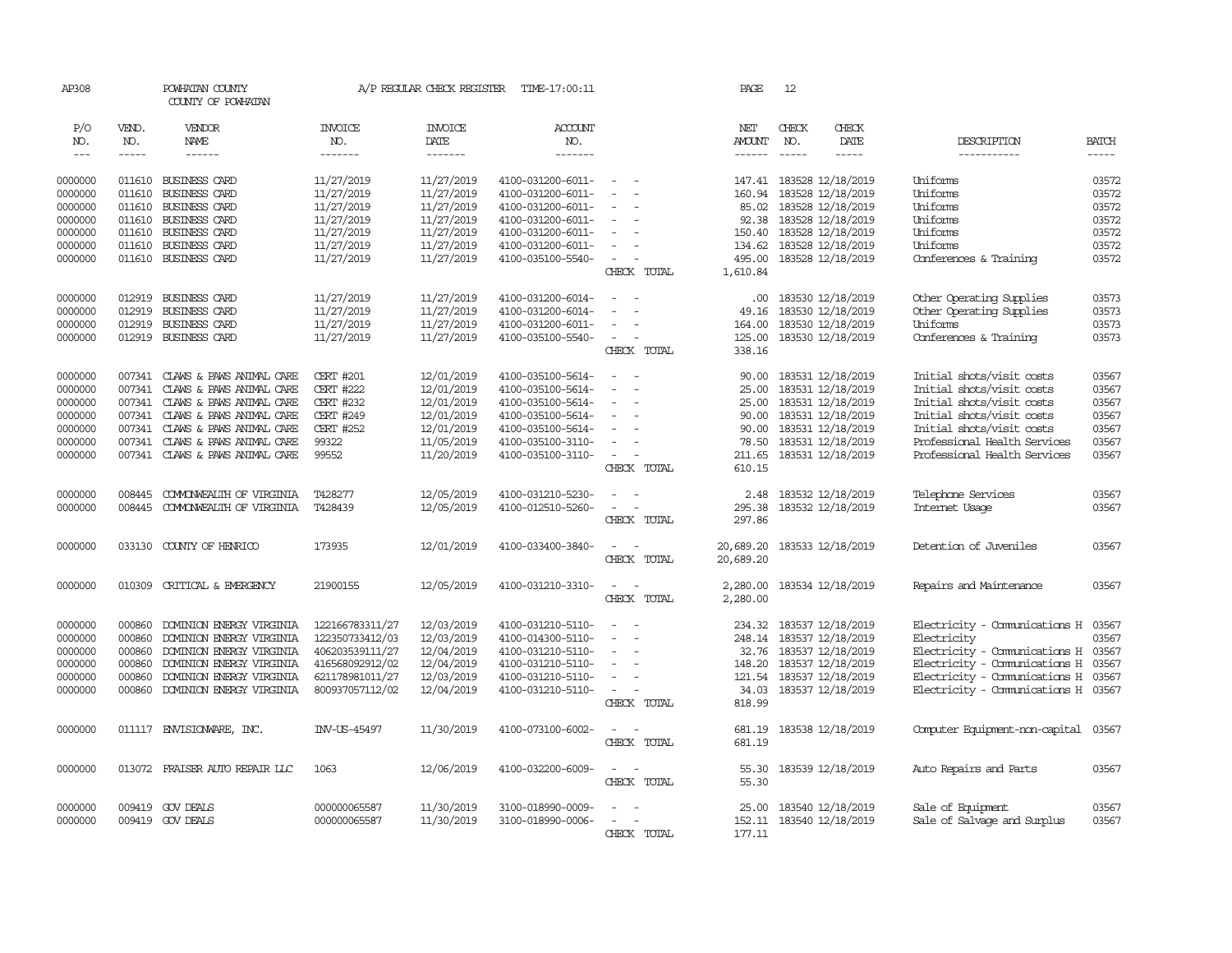| AP308         |        | POWHATAN COUNTY<br>COUNTY OF POWHATAN |                  | A/P REGULAR CHECK REGISTER | TIME-17:00:11     |                                                                                                                           | PAGE      | 12          |                          |                                     |              |
|---------------|--------|---------------------------------------|------------------|----------------------------|-------------------|---------------------------------------------------------------------------------------------------------------------------|-----------|-------------|--------------------------|-------------------------------------|--------------|
| P/O           | VEND.  | VENDOR                                | <b>INVOICE</b>   | <b>INVOICE</b>             | <b>ACCOUNT</b>    |                                                                                                                           | NET       | CHECK       | CHECK                    |                                     |              |
| NO.           | NO.    | NAME                                  | NO.              | DATE                       | NO.               |                                                                                                                           | AMOUNT    | NO.         | DATE                     | DESCRIPTION                         | <b>BATCH</b> |
| $\frac{1}{2}$ | -----  | ------                                | -------          | -------                    | -------           |                                                                                                                           | ------    | $- - - - -$ | $- - - - -$              | -----------                         | $- - - - -$  |
| 0000000       |        | 011610 BUSINESS CARD                  | 11/27/2019       | 11/27/2019                 | 4100-031200-6011- | $\frac{1}{2} \left( \frac{1}{2} \right) \left( \frac{1}{2} \right) \left( \frac{1}{2} \right) \left( \frac{1}{2} \right)$ |           |             | 147.41 183528 12/18/2019 | Uniforms                            | 03572        |
| 0000000       | 011610 | BUSINESS CARD                         | 11/27/2019       | 11/27/2019                 | 4100-031200-6011- |                                                                                                                           | 160.94    |             | 183528 12/18/2019        | Uniforms                            | 03572        |
| 0000000       | 011610 | BUSINESS CARD                         | 11/27/2019       | 11/27/2019                 | 4100-031200-6011- |                                                                                                                           | 85.02     |             | 183528 12/18/2019        | Uniforms                            | 03572        |
| 0000000       | 011610 | <b>BUSINESS CARD</b>                  | 11/27/2019       | 11/27/2019                 | 4100-031200-6011- | $\overline{\phantom{a}}$                                                                                                  |           |             | 92.38 183528 12/18/2019  | Uniforms                            | 03572        |
| 0000000       | 011610 | BUSINESS CARD                         | 11/27/2019       | 11/27/2019                 | 4100-031200-6011- | $\overline{\phantom{a}}$                                                                                                  | 150.40    |             | 183528 12/18/2019        | Uniforms                            | 03572        |
| 0000000       | 011610 | <b>BUSINESS CARD</b>                  | 11/27/2019       | 11/27/2019                 | 4100-031200-6011- | $\equiv$                                                                                                                  |           |             | 134.62 183528 12/18/2019 | Uniforms                            | 03572        |
| 0000000       |        | 011610 BUSINESS CARD                  | 11/27/2019       | 11/27/2019                 | 4100-035100-5540- | $\overline{\phantom{a}}$                                                                                                  |           |             | 495.00 183528 12/18/2019 | Conferences & Training              | 03572        |
|               |        |                                       |                  |                            |                   | CHECK TOTAL                                                                                                               | 1,610.84  |             |                          |                                     |              |
| 0000000       | 012919 | <b>BUSINESS CARD</b>                  | 11/27/2019       | 11/27/2019                 | 4100-031200-6014- |                                                                                                                           |           |             | .00 183530 12/18/2019    | Other Operating Supplies            | 03573        |
| 0000000       | 012919 | BUSINESS CARD                         | 11/27/2019       | 11/27/2019                 | 4100-031200-6014- | $\equiv$<br>$\sim$                                                                                                        | 49.16     |             | 183530 12/18/2019        | Other Operating Supplies            | 03573        |
| 0000000       | 012919 | BUSINESS CARD                         | 11/27/2019       | 11/27/2019                 | 4100-031200-6011- | $\equiv$                                                                                                                  | 164.00    |             | 183530 12/18/2019        | Uniforms                            | 03573        |
| 0000000       |        | 012919 BUSINESS CARD                  | 11/27/2019       | 11/27/2019                 | 4100-035100-5540- | $\sim$<br>$\sim$                                                                                                          | 125.00    |             | 183530 12/18/2019        | Conferences & Training              | 03573        |
|               |        |                                       |                  |                            |                   | CHECK TOTAL                                                                                                               | 338.16    |             |                          |                                     |              |
|               |        |                                       |                  |                            |                   |                                                                                                                           |           |             |                          |                                     |              |
| 0000000       |        | 007341 CLAWS & PAWS ANIMAL CARE       | <b>CERT #201</b> | 12/01/2019                 | 4100-035100-5614- | $\overline{\phantom{a}}$                                                                                                  | 90.00     |             | 183531 12/18/2019        | Initial shots/visit costs           | 03567        |
| 0000000       |        | 007341 CLAWS & PAWS ANIMAL CARE       | <b>CERT #222</b> | 12/01/2019                 | 4100-035100-5614- |                                                                                                                           | 25.00     |             | 183531 12/18/2019        | Initial shots/visit costs           | 03567        |
| 0000000       | 007341 | CLAWS & PAWS ANIMAL CARE              | <b>CERT #232</b> | 12/01/2019                 | 4100-035100-5614- | $\equiv$                                                                                                                  | 25.00     |             | 183531 12/18/2019        | Initial shots/visit costs           | 03567        |
| 0000000       | 007341 | CLAWS & PAWS ANIMAL CARE              | <b>CERT #249</b> | 12/01/2019                 | 4100-035100-5614- |                                                                                                                           | 90.00     |             | 183531 12/18/2019        | Initial shots/visit costs           | 03567        |
| 0000000       |        | 007341 CLAWS & PAWS ANIMAL CARE       | <b>CERT #252</b> | 12/01/2019                 | 4100-035100-5614- |                                                                                                                           | 90.00     |             | 183531 12/18/2019        | Initial shots/visit costs           | 03567        |
| 0000000       |        | 007341 CLAWS & PAWS ANIMAL CARE       | 99322            | 11/05/2019                 | 4100-035100-3110- | $\sim$                                                                                                                    | 78.50     |             | 183531 12/18/2019        | Professional Health Services        | 03567        |
| 0000000       |        | 007341 CLAWS & PAWS ANIMAL CARE       | 99552            | 11/20/2019                 | 4100-035100-3110- | $\overline{\phantom{a}}$                                                                                                  | 211.65    |             | 183531 12/18/2019        | Professional Health Services        | 03567        |
|               |        |                                       |                  |                            |                   | CHECK TOTAL                                                                                                               | 610.15    |             |                          |                                     |              |
| 0000000       | 008445 | COMONWEALTH OF VIRGINIA               | T428277          | 12/05/2019                 | 4100-031210-5230- | $\sim$                                                                                                                    | 2.48      |             | 183532 12/18/2019        | Telephone Services                  | 03567        |
| 0000000       | 008445 | COMONWEALTH OF VIRGINIA               | T428439          | 12/05/2019                 | 4100-012510-5260- | $\sim$<br>$\sim$                                                                                                          | 295.38    |             | 183532 12/18/2019        | Internet Usage                      | 03567        |
|               |        |                                       |                  |                            |                   | CHECK TOTAL                                                                                                               | 297.86    |             |                          |                                     |              |
| 0000000       | 033130 | COUNTY OF HENRICO                     | 173935           | 12/01/2019                 | 4100-033400-3840- | $\equiv$                                                                                                                  | 20,689.20 |             | 183533 12/18/2019        | Detention of Juveniles              | 03567        |
|               |        |                                       |                  |                            |                   | CHECK TOTAL                                                                                                               | 20,689.20 |             |                          |                                     |              |
| 0000000       | 010309 | CRITICAL & EMERGENCY                  | 21900155         | 12/05/2019                 | 4100-031210-3310- | $\sim$                                                                                                                    | 2,280.00  |             | 183534 12/18/2019        | Repairs and Maintenance             | 03567        |
|               |        |                                       |                  |                            |                   | CHECK TOTAL                                                                                                               | 2,280.00  |             |                          |                                     |              |
| 0000000       | 000860 | DOMINION ENERGY VIRGINIA              | 122166783311/27  | 12/03/2019                 | 4100-031210-5110- | $\overline{\phantom{a}}$<br>$\sim$                                                                                        |           |             | 234.32 183537 12/18/2019 | Electricity - Comunications H 03567 |              |
| 0000000       | 000860 | DOMINION ENERGY VIRGINIA              | 122350733412/03  | 12/03/2019                 | 4100-014300-5110- |                                                                                                                           |           |             | 248.14 183537 12/18/2019 | Electricity                         | 03567        |
| 0000000       | 000860 | DOMINION ENERGY VIRGINIA              | 406203539111/27  | 12/04/2019                 | 4100-031210-5110- | $\equiv$                                                                                                                  |           |             | 32.76 183537 12/18/2019  | Electricity - Comunications H 03567 |              |
| 0000000       | 000860 | DOMINION ENERGY VIRGINIA              | 416568092912/02  | 12/04/2019                 | 4100-031210-5110- | $\overline{\phantom{a}}$                                                                                                  | 148.20    |             | 183537 12/18/2019        | Electricity - Comunications H 03567 |              |
| 0000000       | 000860 | DOMINION ENERGY VIRGINIA              | 621178981011/27  | 12/03/2019                 | 4100-031210-5110- | $\sim$                                                                                                                    | 121.54    |             | 183537 12/18/2019        | Electricity - Comunications H 03567 |              |
| 0000000       | 000860 | DOMINION ENERGY VIRGINIA              | 800937057112/02  | 12/04/2019                 | 4100-031210-5110- | $\equiv$                                                                                                                  |           |             | 34.03 183537 12/18/2019  | Electricity - Comunications H 03567 |              |
|               |        |                                       |                  |                            |                   | CHECK TOTAL                                                                                                               | 818.99    |             |                          |                                     |              |
| 0000000       |        | 011117 ENVISIONARE, INC.              | INV-US-45497     | 11/30/2019                 | 4100-073100-6002- | $\sim$<br>$\sim$                                                                                                          | 681.19    |             | 183538 12/18/2019        | Computer Equipment-non-capital      | 03567        |
|               |        |                                       |                  |                            |                   | CHECK TOTAL                                                                                                               | 681.19    |             |                          |                                     |              |
| 0000000       | 013072 | FRAISER AUTO REPAIR LLC               | 1063             | 12/06/2019                 | 4100-032200-6009- | $\equiv$                                                                                                                  | 55.30     |             | 183539 12/18/2019        | Auto Repairs and Parts              | 03567        |
|               |        |                                       |                  |                            |                   | CHECK TOTAL                                                                                                               | 55.30     |             |                          |                                     |              |
| 0000000       |        | 009419 GOV DEALS                      | 000000065587     | 11/30/2019                 | 3100-018990-0009- |                                                                                                                           | 25.00     |             | 183540 12/18/2019        | Sale of Equipment                   | 03567        |
| 0000000       |        | 009419 GOV DEALS                      | 000000065587     | 11/30/2019                 | 3100-018990-0006- | $\sim$                                                                                                                    |           |             | 152.11 183540 12/18/2019 | Sale of Salvage and Surplus         | 03567        |
|               |        |                                       |                  |                            |                   | CHECK TOTAL                                                                                                               | 177.11    |             |                          |                                     |              |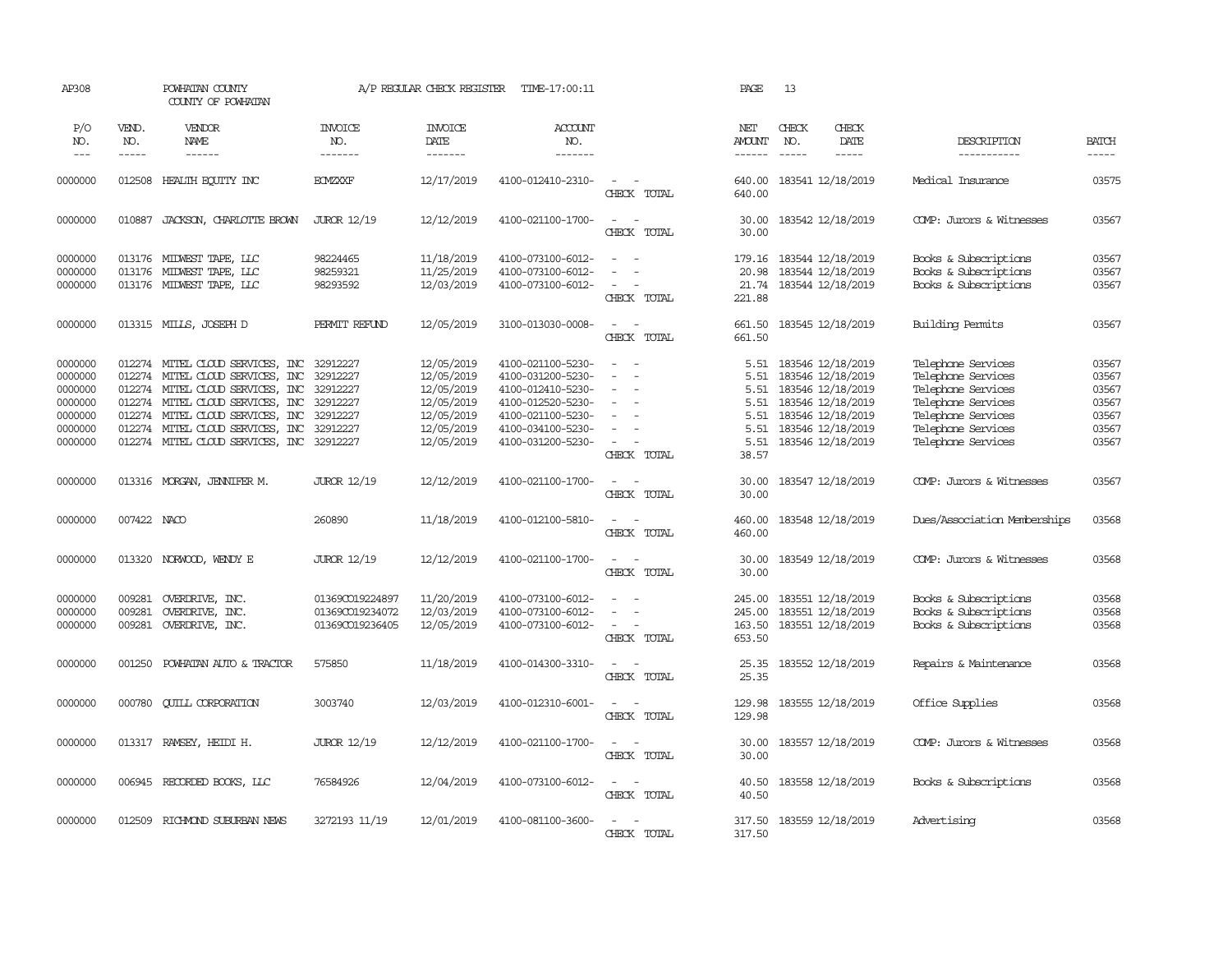| AP308                                                                     |                            | POWHATAN COUNTY<br>COUNTY OF POWHATAN                                                                                                                                                                                                                                                 |                                                       | A/P REGULAR CHECK REGISTER                                                                                                                                                                                                                                                                                                                                                                                                                                                                                       | TIME-17:00:11                                                                                                                                   |                                                                                                                                                           | PAGE                                                          | 13                                                                                                                                              |                              |                                                                                                                                                        |                                                             |
|---------------------------------------------------------------------------|----------------------------|---------------------------------------------------------------------------------------------------------------------------------------------------------------------------------------------------------------------------------------------------------------------------------------|-------------------------------------------------------|------------------------------------------------------------------------------------------------------------------------------------------------------------------------------------------------------------------------------------------------------------------------------------------------------------------------------------------------------------------------------------------------------------------------------------------------------------------------------------------------------------------|-------------------------------------------------------------------------------------------------------------------------------------------------|-----------------------------------------------------------------------------------------------------------------------------------------------------------|---------------------------------------------------------------|-------------------------------------------------------------------------------------------------------------------------------------------------|------------------------------|--------------------------------------------------------------------------------------------------------------------------------------------------------|-------------------------------------------------------------|
| P/O<br>NO.<br>$---$                                                       | VEND.<br>NO.<br>-----      | VENDOR<br><b>NAME</b>                                                                                                                                                                                                                                                                 | <b>INVOICE</b><br>NO.<br>-------                      | <b>INVOICE</b><br>DATE<br>$\begin{array}{cccccccccc} \multicolumn{2}{c}{} & \multicolumn{2}{c}{} & \multicolumn{2}{c}{} & \multicolumn{2}{c}{} & \multicolumn{2}{c}{} & \multicolumn{2}{c}{} & \multicolumn{2}{c}{} & \multicolumn{2}{c}{} & \multicolumn{2}{c}{} & \multicolumn{2}{c}{} & \multicolumn{2}{c}{} & \multicolumn{2}{c}{} & \multicolumn{2}{c}{} & \multicolumn{2}{c}{} & \multicolumn{2}{c}{} & \multicolumn{2}{c}{} & \multicolumn{2}{c}{} & \multicolumn{2}{c}{} & \multicolumn{2}{c}{} & \mult$ | <b>ACCOUNT</b><br>NO.<br>-------                                                                                                                |                                                                                                                                                           | NET<br>AMOUNT<br>------                                       | CHECK<br>NO.<br>$\frac{1}{2}$                                                                                                                   | CHECK<br>DATE<br>$- - - - -$ | DESCRIPTION<br>-----------                                                                                                                             | <b>BATCH</b><br>$- - - - -$                                 |
| 0000000                                                                   | 012508                     | HEALTH EQUITY INC                                                                                                                                                                                                                                                                     | <b>ECMZXXF</b>                                        | 12/17/2019                                                                                                                                                                                                                                                                                                                                                                                                                                                                                                       | 4100-012410-2310-                                                                                                                               | $\sim$<br>CHECK TOTAL                                                                                                                                     | 640.00<br>640.00                                              | 183541 12/18/2019                                                                                                                               |                              | Medical Insurance                                                                                                                                      | 03575                                                       |
| 0000000                                                                   | 010887                     | JACKSON, CHARLOTTE BROWN                                                                                                                                                                                                                                                              | <b>JUROR 12/19</b>                                    | 12/12/2019                                                                                                                                                                                                                                                                                                                                                                                                                                                                                                       | 4100-021100-1700-                                                                                                                               | $\sim$<br>$\sim$<br>CHECK TOTAL                                                                                                                           | 30.00<br>30.00                                                | 183542 12/18/2019                                                                                                                               |                              | COMP: Jurors & Witnesses                                                                                                                               | 03567                                                       |
| 0000000<br>0000000<br>0000000                                             |                            | 013176 MIDWEST TAPE, LLC<br>013176 MIDWEST TAPE, LLC<br>013176 MIDWEST TAPE, LLC                                                                                                                                                                                                      | 98224465<br>98259321<br>98293592                      | 11/18/2019<br>11/25/2019<br>12/03/2019                                                                                                                                                                                                                                                                                                                                                                                                                                                                           | 4100-073100-6012-<br>4100-073100-6012-<br>4100-073100-6012-                                                                                     | $\sim$<br>$\overline{\phantom{a}}$<br>$\sim$<br>$\sim$<br>CHECK TOTAL                                                                                     | 179.16<br>20.98<br>21.74<br>221.88                            | 183544 12/18/2019<br>183544 12/18/2019<br>183544 12/18/2019                                                                                     |                              | Books & Subscriptions<br>Books & Subscriptions<br>Books & Subscriptions                                                                                | 03567<br>03567<br>03567                                     |
| 0000000                                                                   |                            | 013315 MILLS, JOSEPH D                                                                                                                                                                                                                                                                | PERMIT REFUND                                         | 12/05/2019                                                                                                                                                                                                                                                                                                                                                                                                                                                                                                       | 3100-013030-0008-                                                                                                                               | $\overline{\phantom{a}}$<br>$\sim$<br>CHECK TOTAL                                                                                                         | 661.50<br>661.50                                              | 183545 12/18/2019                                                                                                                               |                              | Building Permits                                                                                                                                       | 03567                                                       |
| 0000000<br>0000000<br>0000000<br>0000000<br>0000000<br>0000000<br>0000000 | 012274                     | 012274 MITEL CLOUD SERVICES, INC 32912227<br>MITEL CLOUD SERVICES, INC<br>012274 MITEL CLOUD SERVICES, INC<br>012274 MITEL CLOUD SERVICES, INC 32912227<br>012274 MITEL CLOUD SERVICES, INC<br>012274 MITEL CLOUD SERVICES, INC 32912227<br>012274 MITEL CLOUD SERVICES, INC 32912227 | 32912227<br>32912227<br>32912227                      | 12/05/2019<br>12/05/2019<br>12/05/2019<br>12/05/2019<br>12/05/2019<br>12/05/2019<br>12/05/2019                                                                                                                                                                                                                                                                                                                                                                                                                   | 4100-021100-5230-<br>4100-031200-5230-<br>4100-012410-5230-<br>4100-012520-5230-<br>4100-021100-5230-<br>4100-034100-5230-<br>4100-031200-5230- | $\sim$<br>$\sim$<br>$\sim$<br>$\sim$<br>$\sim$<br>$\overline{\phantom{a}}$<br>$\overline{\phantom{a}}$<br>CHECK TOTAL                                     | 5.51<br>5.51<br>5.51<br>5.51<br>5.51<br>5.51<br>5.51<br>38.57 | 183546 12/18/2019<br>183546 12/18/2019<br>183546 12/18/2019<br>183546 12/18/2019<br>183546 12/18/2019<br>183546 12/18/2019<br>183546 12/18/2019 |                              | Telephone Services<br>Telephone Services<br>Telephone Services<br>Telephone Services<br>Telephone Services<br>Telephone Services<br>Telephone Services | 03567<br>03567<br>03567<br>03567<br>03567<br>03567<br>03567 |
| 0000000                                                                   |                            | 013316 MORGAN, JENNIFER M.                                                                                                                                                                                                                                                            | <b>JUROR 12/19</b>                                    | 12/12/2019                                                                                                                                                                                                                                                                                                                                                                                                                                                                                                       | 4100-021100-1700-                                                                                                                               | $\frac{1}{2} \left( \frac{1}{2} \right) \left( \frac{1}{2} \right) = \frac{1}{2} \left( \frac{1}{2} \right)$<br>CHECK TOTAL                               | 30.00<br>30.00                                                | 183547 12/18/2019                                                                                                                               |                              | COMP: Jurors & Witnesses                                                                                                                               | 03567                                                       |
| 0000000                                                                   | 007422 NACO                |                                                                                                                                                                                                                                                                                       | 260890                                                | 11/18/2019                                                                                                                                                                                                                                                                                                                                                                                                                                                                                                       | 4100-012100-5810-                                                                                                                               | $\sim$ $ \sim$<br>CHECK TOTAL                                                                                                                             | 460.00<br>460.00                                              | 183548 12/18/2019                                                                                                                               |                              | Dues/Association Memberships                                                                                                                           | 03568                                                       |
| 0000000                                                                   | 013320                     | NORWOOD, WENDY E                                                                                                                                                                                                                                                                      | <b>JUROR 12/19</b>                                    | 12/12/2019                                                                                                                                                                                                                                                                                                                                                                                                                                                                                                       | 4100-021100-1700-                                                                                                                               | $\overline{\phantom{a}}$<br>$\sim$<br>CHECK TOTAL                                                                                                         | 30.00<br>30.00                                                | 183549 12/18/2019                                                                                                                               |                              | COMP: Jurors & Witnesses                                                                                                                               | 03568                                                       |
| 0000000<br>0000000<br>0000000                                             | 009281<br>009281<br>009281 | OVERDRIVE, INC.<br>OVERDRIVE, INC.<br>OVERDRIVE, INC.                                                                                                                                                                                                                                 | 01369CO19224897<br>013690019234072<br>013690019236405 | 11/20/2019<br>12/03/2019<br>12/05/2019                                                                                                                                                                                                                                                                                                                                                                                                                                                                           | 4100-073100-6012-<br>4100-073100-6012-<br>4100-073100-6012-                                                                                     | $\sim$<br>$\sim$<br>$\sim$<br>$\frac{1}{2} \left( \frac{1}{2} \right) \left( \frac{1}{2} \right) = \frac{1}{2} \left( \frac{1}{2} \right)$<br>CHECK TOTAL | 245.00<br>245.00<br>653.50                                    | 183551 12/18/2019<br>183551 12/18/2019<br>163.50 183551 12/18/2019                                                                              |                              | Books & Subscriptions<br>Books & Subscriptions<br>Books & Subscriptions                                                                                | 03568<br>03568<br>03568                                     |
| 0000000                                                                   | 001250                     | POWHATAN AUTO & TRACTOR                                                                                                                                                                                                                                                               | 575850                                                | 11/18/2019                                                                                                                                                                                                                                                                                                                                                                                                                                                                                                       | 4100-014300-3310-                                                                                                                               | $\sim$ $ \sim$<br>CHECK TOTAL                                                                                                                             | 25.35<br>25.35                                                | 183552 12/18/2019                                                                                                                               |                              | Repairs & Maintenance                                                                                                                                  | 03568                                                       |
| 0000000                                                                   | 000780                     | <b>CUILL CORPORATION</b>                                                                                                                                                                                                                                                              | 3003740                                               | 12/03/2019                                                                                                                                                                                                                                                                                                                                                                                                                                                                                                       | 4100-012310-6001-                                                                                                                               | $\sim$<br>$\sim$<br>CHECK TOTAL                                                                                                                           | 129.98<br>129.98                                              | 183555 12/18/2019                                                                                                                               |                              | Office Supplies                                                                                                                                        | 03568                                                       |
| 0000000                                                                   | 013317                     | RAMSEY, HEIDI H.                                                                                                                                                                                                                                                                      | <b>JUROR 12/19</b>                                    | 12/12/2019                                                                                                                                                                                                                                                                                                                                                                                                                                                                                                       | 4100-021100-1700-                                                                                                                               | $\sim$<br>$\sim$<br>CHECK TOTAL                                                                                                                           | 30.00<br>30.00                                                | 183557 12/18/2019                                                                                                                               |                              | COMP: Jurors & Witnesses                                                                                                                               | 03568                                                       |
| 0000000                                                                   | 006945                     | RECORDED BOOKS, LLC                                                                                                                                                                                                                                                                   | 76584926                                              | 12/04/2019                                                                                                                                                                                                                                                                                                                                                                                                                                                                                                       | 4100-073100-6012-                                                                                                                               | $\sim$ $ -$<br>CHECK TOTAL                                                                                                                                | 40.50<br>40.50                                                |                                                                                                                                                 | 183558 12/18/2019            | Books & Subscriptions                                                                                                                                  | 03568                                                       |
| 0000000                                                                   | 012509                     | RICHMOND SUBURBAN NEWS                                                                                                                                                                                                                                                                | 3272193 11/19                                         | 12/01/2019                                                                                                                                                                                                                                                                                                                                                                                                                                                                                                       | 4100-081100-3600-                                                                                                                               | $\sim$<br>$\sim$<br>CHECK TOTAL                                                                                                                           | 317.50<br>317.50                                              | 183559 12/18/2019                                                                                                                               |                              | Advertising                                                                                                                                            | 03568                                                       |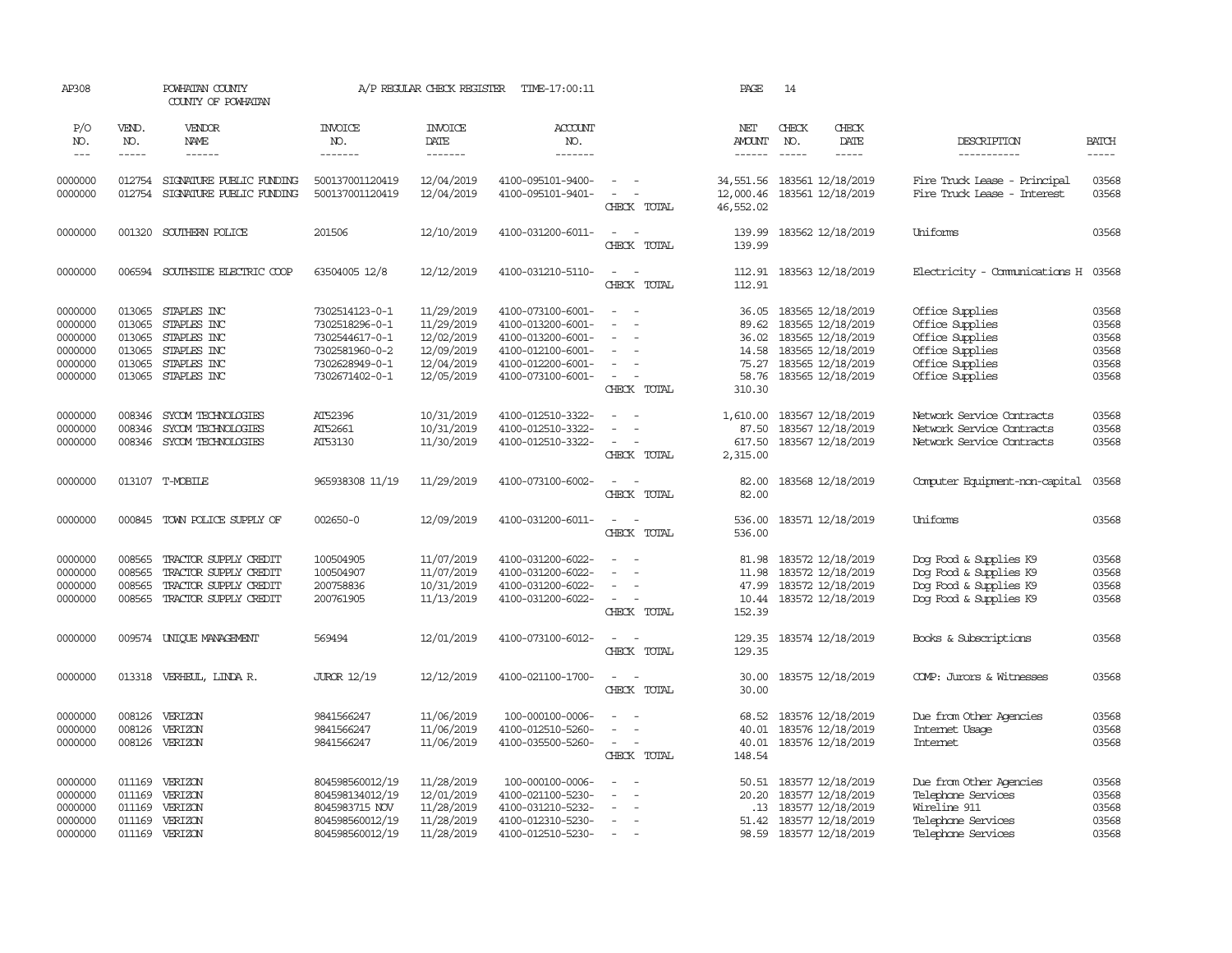| AP308                       |                             | POWHATAN COUNTY<br>COUNTY OF POWHATAN |                                   | A/P REGULAR CHECK REGISTER        | TIME-17:00:11                          |                                                      | PAGE                           | 14                                                                                                                                                                                                                                                                                                                                                                                                           |                              |                                    |                             |
|-----------------------------|-----------------------------|---------------------------------------|-----------------------------------|-----------------------------------|----------------------------------------|------------------------------------------------------|--------------------------------|--------------------------------------------------------------------------------------------------------------------------------------------------------------------------------------------------------------------------------------------------------------------------------------------------------------------------------------------------------------------------------------------------------------|------------------------------|------------------------------------|-----------------------------|
| P/O<br>NO.<br>$\frac{1}{2}$ | VEND.<br>NO.<br>$- - - - -$ | VENDOR<br><b>NAME</b>                 | <b>INVOICE</b><br>NO.<br>-------  | <b>INVOICE</b><br>DATE<br>------- | ACCOUNT<br>NO.<br>--------             |                                                      | NET<br><b>AMOUNT</b><br>------ | CHECK<br>NO.<br>$\frac{1}{2} \frac{1}{2} \frac{1}{2} \frac{1}{2} \frac{1}{2} \frac{1}{2} \frac{1}{2} \frac{1}{2} \frac{1}{2} \frac{1}{2} \frac{1}{2} \frac{1}{2} \frac{1}{2} \frac{1}{2} \frac{1}{2} \frac{1}{2} \frac{1}{2} \frac{1}{2} \frac{1}{2} \frac{1}{2} \frac{1}{2} \frac{1}{2} \frac{1}{2} \frac{1}{2} \frac{1}{2} \frac{1}{2} \frac{1}{2} \frac{1}{2} \frac{1}{2} \frac{1}{2} \frac{1}{2} \frac{$ | CHECK<br>DATE<br>$- - - - -$ | DESCRIPTION<br>-----------         | <b>BATCH</b><br>$- - - - -$ |
| 0000000                     |                             | 012754 SIGNATURE PUBLIC FUNDING       | 500137001120419                   | 12/04/2019                        | 4100-095101-9400-                      | $\sim$                                               | 34,551.56                      | 183561 12/18/2019                                                                                                                                                                                                                                                                                                                                                                                            |                              | Fire Truck Lease - Principal       | 03568                       |
| 0000000                     | 012754                      | SIGNATURE PUBLIC FUNDING              | 500137001120419                   | 12/04/2019                        | 4100-095101-9401-                      | $\sim$<br>$\sim$<br>CHECK TOTAL                      | 12,000.46<br>46,552.02         | 183561 12/18/2019                                                                                                                                                                                                                                                                                                                                                                                            |                              | Fire Truck Lease - Interest        | 03568                       |
| 0000000                     | 001320                      | SOUTHERN POLICE                       | 201506                            | 12/10/2019                        | 4100-031200-6011-                      | $\sim$<br>$\sim$<br>CHECK TOTAL                      | 139.99<br>139.99               | 183562 12/18/2019                                                                                                                                                                                                                                                                                                                                                                                            |                              | Uniforms                           | 03568                       |
| 0000000                     | 006594                      | SOUTHSIDE ELECTRIC COOP               | 63504005 12/8                     | 12/12/2019                        | 4100-031210-5110-                      | $\sim$<br>$\sim$<br>CHECK TOTAL                      | 112.91<br>112.91               | 183563 12/18/2019                                                                                                                                                                                                                                                                                                                                                                                            |                              | Electricity - Comunications H      | 03568                       |
| 0000000                     | 013065                      | STAPLES INC                           | 7302514123-0-1                    | 11/29/2019                        | 4100-073100-6001-                      | $\sim$<br>$\sim$                                     | 36.05                          | 183565 12/18/2019                                                                                                                                                                                                                                                                                                                                                                                            |                              | Office Supplies                    | 03568                       |
| 0000000                     | 013065                      | STAPLES INC                           | 7302518296-0-1                    | 11/29/2019                        | 4100-013200-6001-                      | $\sim$<br>$\sim$                                     | 89.62                          | 183565 12/18/2019                                                                                                                                                                                                                                                                                                                                                                                            |                              | Office Supplies                    | 03568                       |
| 0000000                     | 013065                      | STAPLES INC                           | 7302544617-0-1                    | 12/02/2019                        | 4100-013200-6001-                      |                                                      | 36.02                          | 183565 12/18/2019                                                                                                                                                                                                                                                                                                                                                                                            |                              | Office Supplies                    | 03568                       |
| 0000000                     | 013065<br>013065            | STAPLES INC                           | 7302581960-0-2<br>7302628949-0-1  | 12/09/2019<br>12/04/2019          | 4100-012100-6001-                      | $\overline{\phantom{a}}$<br>$\overline{\phantom{a}}$ | 14.58                          | 183565 12/18/2019<br>183565 12/18/2019                                                                                                                                                                                                                                                                                                                                                                       |                              | Office Supplies<br>Office Supplies | 03568<br>03568              |
| 0000000<br>0000000          |                             | STAPLES INC<br>013065 STAPLES INC     | 7302671402-0-1                    | 12/05/2019                        | 4100-012200-6001-<br>4100-073100-6001- | $\sim$<br>$\overline{\phantom{a}}$                   | 75.27<br>58.76                 | 183565 12/18/2019                                                                                                                                                                                                                                                                                                                                                                                            |                              | Office Supplies                    | 03568                       |
|                             |                             |                                       |                                   |                                   |                                        | CHECK TOTAL                                          | 310.30                         |                                                                                                                                                                                                                                                                                                                                                                                                              |                              |                                    |                             |
| 0000000                     | 008346                      | SYCOM TECHNOLOGIES                    | AT52396                           | 10/31/2019                        | 4100-012510-3322-                      |                                                      | 1,610.00                       | 183567 12/18/2019                                                                                                                                                                                                                                                                                                                                                                                            |                              | Network Service Contracts          | 03568                       |
| 0000000                     | 008346                      | SYCOM TECHNOLOGIES                    | AT52661                           | 10/31/2019                        | 4100-012510-3322-                      |                                                      | 87.50                          | 183567 12/18/2019                                                                                                                                                                                                                                                                                                                                                                                            |                              | Network Service Contracts          | 03568                       |
| 0000000                     | 008346                      | SYCOM TECHNOLOGIES                    | AT53130                           | 11/30/2019                        | 4100-012510-3322-                      | $\sim$<br>$\overline{\phantom{a}}$<br>CHECK TOTAL    | 617.50<br>2,315.00             | 183567 12/18/2019                                                                                                                                                                                                                                                                                                                                                                                            |                              | Network Service Contracts          | 03568                       |
| 0000000                     |                             | 013107 T-MOBILE                       | 965938308 11/19                   | 11/29/2019                        | 4100-073100-6002-                      | $\sim$<br>$\sim$                                     | 82.00                          | 183568 12/18/2019                                                                                                                                                                                                                                                                                                                                                                                            |                              | Computer Equipment-non-capital     | 03568                       |
|                             |                             |                                       |                                   |                                   |                                        | CHECK TOTAL                                          | 82.00                          |                                                                                                                                                                                                                                                                                                                                                                                                              |                              |                                    |                             |
| 0000000                     |                             | 000845 TOWN POLICE SUPPLY OF          | 002650-0                          | 12/09/2019                        | 4100-031200-6011-                      | $\sim$ $\sim$                                        | 536.00                         | 183571 12/18/2019                                                                                                                                                                                                                                                                                                                                                                                            |                              | Uniforms                           | 03568                       |
|                             |                             |                                       |                                   |                                   |                                        | CHECK TOTAL                                          | 536.00                         |                                                                                                                                                                                                                                                                                                                                                                                                              |                              |                                    |                             |
| 0000000                     | 008565                      | TRACTOR SUPPLY CREDIT                 | 100504905                         | 11/07/2019                        | 4100-031200-6022-                      |                                                      | 81.98                          | 183572 12/18/2019                                                                                                                                                                                                                                                                                                                                                                                            |                              | Dog Food & Supplies K9             | 03568                       |
| 0000000                     | 008565                      | TRACTOR SUPPLY CREDIT                 | 100504907                         | 11/07/2019                        | 4100-031200-6022-                      |                                                      | 11.98                          | 183572 12/18/2019                                                                                                                                                                                                                                                                                                                                                                                            |                              | Dog Food & Supplies K9             | 03568                       |
| 0000000                     | 008565                      | TRACTOR SUPPLY CREDIT                 | 200758836                         | 10/31/2019                        | 4100-031200-6022-                      |                                                      | 47.99                          | 183572 12/18/2019                                                                                                                                                                                                                                                                                                                                                                                            |                              | Dog Food & Supplies K9             | 03568                       |
| 0000000                     | 008565                      | TRACTOR SUPPLY CREDIT                 | 200761905                         | 11/13/2019                        | 4100-031200-6022-                      | $\sim$<br>$\sim$<br>CHECK TOTAL                      | 10.44<br>152.39                | 183572 12/18/2019                                                                                                                                                                                                                                                                                                                                                                                            |                              | Dog Food & Supplies K9             | 03568                       |
| 0000000                     |                             | 009574 UNIQUE MANAGEMENT              | 569494                            | 12/01/2019                        | 4100-073100-6012-                      | $\overline{\phantom{a}}$<br>$\sim$                   | 129.35                         | 183574 12/18/2019                                                                                                                                                                                                                                                                                                                                                                                            |                              | Books & Subscriptions              | 03568                       |
|                             |                             |                                       |                                   |                                   |                                        | CHECK TOTAL                                          | 129.35                         |                                                                                                                                                                                                                                                                                                                                                                                                              |                              |                                    |                             |
| 0000000                     |                             | 013318 VERHEUL, LINDA R.              | <b>JUROR 12/19</b>                | 12/12/2019                        | 4100-021100-1700-                      | $\sim$<br>$\sim$                                     | 30.00                          | 183575 12/18/2019                                                                                                                                                                                                                                                                                                                                                                                            |                              | COMP: Jurors & Witnesses           | 03568                       |
|                             |                             |                                       |                                   |                                   |                                        | CHECK TOTAL                                          | 30.00                          |                                                                                                                                                                                                                                                                                                                                                                                                              |                              |                                    |                             |
| 0000000                     | 008126                      | VERIZON                               | 9841566247                        | 11/06/2019                        | 100-000100-0006-                       | $\equiv$<br>$\sim$                                   | 68.52                          | 183576 12/18/2019                                                                                                                                                                                                                                                                                                                                                                                            |                              | Due from Other Agencies            | 03568                       |
| 0000000                     | 008126                      | VERIZON                               | 9841566247                        | 11/06/2019                        | 4100-012510-5260-                      | $\equiv$                                             | 40.01                          | 183576 12/18/2019                                                                                                                                                                                                                                                                                                                                                                                            |                              | Internet Usage                     | 03568                       |
| 0000000                     | 008126                      | VERIZON                               | 9841566247                        | 11/06/2019                        | 4100-035500-5260-                      | $\sim$<br>$\sim$<br>CHECK TOTAL                      | 40.01<br>148.54                | 183576 12/18/2019                                                                                                                                                                                                                                                                                                                                                                                            |                              | <b>Internet</b>                    | 03568                       |
|                             |                             |                                       |                                   |                                   |                                        |                                                      |                                |                                                                                                                                                                                                                                                                                                                                                                                                              |                              |                                    |                             |
| 0000000                     | 011169                      | VERIZON                               | 804598560012/19                   | 11/28/2019<br>12/01/2019          | 100-000100-0006-                       |                                                      | 50.51                          | 183577 12/18/2019<br>183577 12/18/2019                                                                                                                                                                                                                                                                                                                                                                       |                              | Due from Other Agencies            | 03568                       |
| 0000000<br>0000000          | 011169<br>011169            | VERIZON<br>VERIZON                    | 804598134012/19<br>8045983715 NOV | 11/28/2019                        | 4100-021100-5230-<br>4100-031210-5232- |                                                      | 20.20<br>.13                   | 183577 12/18/2019                                                                                                                                                                                                                                                                                                                                                                                            |                              | Telephone Services<br>Wireline 911 | 03568<br>03568              |
| 0000000                     | 011169                      | VERIZON                               | 804598560012/19                   | 11/28/2019                        | 4100-012310-5230-                      | $\overline{a}$                                       | 51.42                          | 183577 12/18/2019                                                                                                                                                                                                                                                                                                                                                                                            |                              | Telephone Services                 | 03568                       |
| 0000000                     | 011169                      | VERIZON                               | 804598560012/19                   | 11/28/2019                        | 4100-012510-5230-                      | $\overline{\phantom{a}}$                             | 98.59                          | 183577 12/18/2019                                                                                                                                                                                                                                                                                                                                                                                            |                              | Telephone Services                 | 03568                       |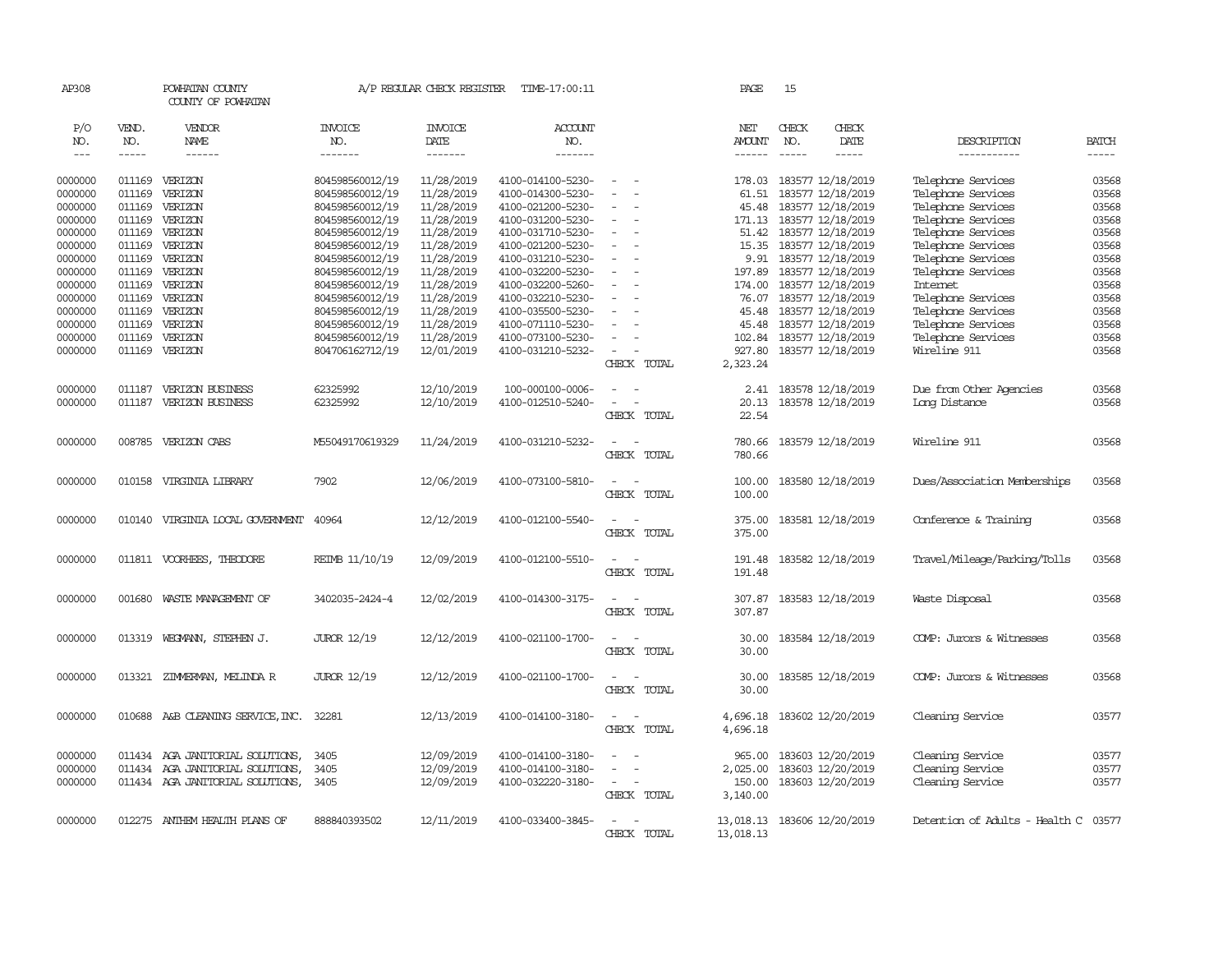| AP308              |                  | POWHATAN COUNTY<br>COUNTY OF POWHATAN  |                                    | A/P REGULAR CHECK REGISTER | TIME-17:00:11                          |                                    | PAGE                        | 15            |                                              |                                      |                |
|--------------------|------------------|----------------------------------------|------------------------------------|----------------------------|----------------------------------------|------------------------------------|-----------------------------|---------------|----------------------------------------------|--------------------------------------|----------------|
| P/O<br>NO.         | VEND.<br>NO.     | VENDOR<br>NAME                         | <b>INVOICE</b><br>NO.              | <b>INVOICE</b><br>DATE     | ACCOUNT<br>NO.                         |                                    | NET<br>AMOUNT               | CHECK<br>NO.  | CHECK<br>DATE                                | DESCRIPTION                          | <b>BATCH</b>   |
| $\frac{1}{2}$      | $- - - - -$      | ------                                 | -------                            | $- - - - - - -$            | -------                                |                                    | $- - - - - -$               | $\frac{1}{2}$ | -----                                        | -----------                          |                |
|                    |                  |                                        |                                    |                            |                                        |                                    |                             |               |                                              |                                      |                |
| 0000000            | 011169           | VERIZON                                | 804598560012/19                    | 11/28/2019                 | 4100-014100-5230-                      | $\overline{\phantom{a}}$           | 178.03                      |               | 183577 12/18/2019                            | Telephone Services                   | 03568          |
| 0000000            | 011169           | VERIZON                                | 804598560012/19                    | 11/28/2019                 | 4100-014300-5230-                      | $\equiv$                           | 61.51                       |               | 183577 12/18/2019                            | Telephone Services                   | 03568          |
| 0000000            | 011169           | VERIZON                                | 804598560012/19                    | 11/28/2019                 | 4100-021200-5230-                      |                                    | 45.48                       |               | 183577 12/18/2019                            | Telephone Services                   | 03568          |
| 0000000            | 011169           | VERIZON                                | 804598560012/19                    | 11/28/2019                 | 4100-031200-5230-                      | $\sim$<br>$\sim$                   | 171.13                      |               | 183577 12/18/2019                            | Telephone Services                   | 03568          |
| 0000000            | 011169           | VERIZON                                | 804598560012/19                    | 11/28/2019                 | 4100-031710-5230-                      | $\sim$                             |                             |               | 51.42 183577 12/18/2019                      | Telephone Services                   | 03568          |
| 0000000            | 011169           | VERIZON                                | 804598560012/19                    | 11/28/2019                 | 4100-021200-5230-                      | $\sim$                             | 15.35                       |               | 183577 12/18/2019                            | Telephone Services                   | 03568          |
| 0000000            | 011169           | VERIZON                                | 804598560012/19                    | 11/28/2019                 | 4100-031210-5230-                      | $\sim$                             |                             |               | 9.91 183577 12/18/2019                       | Telephone Services                   | 03568          |
| 0000000            | 011169           | VERIZON                                | 804598560012/19                    | 11/28/2019                 | 4100-032200-5230-                      | $\equiv$<br>$\equiv$               | 197.89                      |               | 183577 12/18/2019                            | Telephone Services                   | 03568          |
| 0000000            | 011169           | VERIZON                                | 804598560012/19                    | 11/28/2019<br>11/28/2019   | 4100-032200-5260-                      |                                    | 174.00                      |               | 183577 12/18/2019<br>76.07 183577 12/18/2019 | Internet                             | 03568<br>03568 |
| 0000000            | 011169<br>011169 | VERIZON                                | 804598560012/19                    | 11/28/2019                 | 4100-032210-5230-                      | $\sim$                             | 45.48                       |               | 183577 12/18/2019                            | Telephone Services                   | 03568          |
| 0000000            | 011169           | VERIZON<br>VERIZON                     | 804598560012/19                    | 11/28/2019                 | 4100-035500-5230-                      | $\blacksquare$                     |                             |               |                                              | Telephone Services                   | 03568          |
| 0000000            |                  |                                        | 804598560012/19                    |                            | 4100-071110-5230-                      |                                    | 45.48                       |               | 183577 12/18/2019                            | Telephone Services                   | 03568          |
| 0000000<br>0000000 | 011169           | VERIZON<br>011169 VERIZON              | 804598560012/19<br>804706162712/19 | 11/28/2019<br>12/01/2019   | 4100-073100-5230-<br>4100-031210-5232- | $\equiv$                           | 102.84<br>927.80            |               | 183577 12/18/2019<br>183577 12/18/2019       | Telephone Services<br>Wireline 911   | 03568          |
|                    |                  |                                        |                                    |                            |                                        | CHECK TOTAL                        | 2,323.24                    |               |                                              |                                      |                |
|                    |                  |                                        |                                    |                            |                                        |                                    |                             |               |                                              |                                      |                |
| 0000000            | 011187           | VERIZON BUSINESS                       | 62325992                           | 12/10/2019                 | 100-000100-0006-                       | $\equiv$                           | 2.41                        |               | 183578 12/18/2019                            | Due from Other Agencies              | 03568          |
| 0000000            | 011187           | VERIZON BUSINESS                       | 62325992                           | 12/10/2019                 | 4100-012510-5240-                      | $\sim$<br>$\sim$                   | 20.13                       |               | 183578 12/18/2019                            | Long Distance                        | 03568          |
|                    |                  |                                        |                                    |                            |                                        | CHECK TOTAL                        | 22.54                       |               |                                              |                                      |                |
|                    |                  |                                        |                                    |                            |                                        |                                    |                             |               |                                              |                                      |                |
| 0000000            |                  | 008785 VERIZON CABS                    | M55049170619329                    | 11/24/2019                 | 4100-031210-5232-                      | $\sim$<br>$\sim$                   | 780.66                      |               | 183579 12/18/2019                            | Wireline 911                         | 03568          |
|                    |                  |                                        |                                    |                            |                                        | CHECK TOTAL                        | 780.66                      |               |                                              |                                      |                |
|                    |                  |                                        |                                    |                            |                                        |                                    |                             |               |                                              |                                      |                |
| 0000000            |                  | 010158 VIRGINIA LIBRARY                | 7902                               | 12/06/2019                 | 4100-073100-5810-                      | $\overline{\phantom{a}}$<br>$\sim$ | 100.00                      |               | 183580 12/18/2019                            | Dues/Association Memberships         | 03568          |
|                    |                  |                                        |                                    |                            |                                        | CHECK TOTAL                        | 100.00                      |               |                                              |                                      |                |
|                    |                  |                                        |                                    |                            |                                        |                                    |                             |               |                                              |                                      |                |
| 0000000            |                  | 010140 VIRGINIA LOCAL GOVERNMENT 40964 |                                    | 12/12/2019                 | 4100-012100-5540-                      | $\sim$ $\sim$                      | 375.00                      |               | 183581 12/18/2019                            | Conference & Training                | 03568          |
|                    |                  |                                        |                                    |                            |                                        | CHECK TOTAL                        | 375.00                      |               |                                              |                                      |                |
|                    |                  |                                        |                                    |                            |                                        |                                    |                             |               |                                              |                                      |                |
| 0000000            |                  | 011811 VOORHEES, THEODORE              | REIMB 11/10/19                     | 12/09/2019                 | 4100-012100-5510-                      | $\sim$<br>$\sim$                   | 191.48                      |               | 183582 12/18/2019                            | Travel/Mileage/Parking/Tolls         | 03568          |
|                    |                  |                                        |                                    |                            |                                        | CHECK TOTAL                        | 191.48                      |               |                                              |                                      |                |
|                    |                  |                                        |                                    |                            |                                        |                                    |                             |               |                                              |                                      |                |
| 0000000            | 001680           | WASTE MANAGEMENT OF                    | 3402035-2424-4                     | 12/02/2019                 | 4100-014300-3175-                      | $\sim$<br>$\sim$                   | 307.87                      |               | 183583 12/18/2019                            | Waste Disposal                       | 03568          |
|                    |                  |                                        |                                    |                            |                                        | CHECK TOTAL                        | 307.87                      |               |                                              |                                      |                |
|                    |                  |                                        |                                    |                            |                                        |                                    |                             |               |                                              |                                      |                |
| 0000000            |                  | 013319 WEGMANN, STEPHEN J.             | <b>JUROR 12/19</b>                 | 12/12/2019                 | 4100-021100-1700-                      | $\sim$<br>$\sim$                   | 30.00                       |               | 183584 12/18/2019                            | COMP: Jurors & Witnesses             | 03568          |
|                    |                  |                                        |                                    |                            |                                        | CHECK TOTAL                        | 30.00                       |               |                                              |                                      |                |
| 0000000            | 013321           | ZIMMERMAN, MELINDA R                   | <b>JUROR 12/19</b>                 | 12/12/2019                 | 4100-021100-1700-                      | $\overline{\phantom{a}}$<br>$\sim$ | 30.00                       |               | 183585 12/18/2019                            | COMP: Jurors & Witnesses             | 03568          |
|                    |                  |                                        |                                    |                            |                                        | CHECK TOTAL                        | 30.00                       |               |                                              |                                      |                |
|                    |                  |                                        |                                    |                            |                                        |                                    |                             |               |                                              |                                      |                |
| 0000000            |                  | 010688 A&B CLEANING SERVICE, INC.      | 32281                              | 12/13/2019                 | 4100-014100-3180-                      | $\sim$<br>$\sim$                   | 4,696.18                    |               | 183602 12/20/2019                            | Cleaning Service                     | 03577          |
|                    |                  |                                        |                                    |                            |                                        | CHECK TOTAL                        | 4,696.18                    |               |                                              |                                      |                |
|                    |                  |                                        |                                    |                            |                                        |                                    |                             |               |                                              |                                      |                |
| 0000000            |                  | 011434 AGA JANITORIAL SOLUTIONS,       | 3405                               | 12/09/2019                 | 4100-014100-3180-                      | $\sim$<br>$\sim$                   | 965,00                      |               | 183603 12/20/2019                            | Cleaning Service                     | 03577          |
| 0000000            | 011434           | AGA JANITORIAL SOLUTIONS,              | 3405                               | 12/09/2019                 | 4100-014100-3180-                      | $\equiv$                           | 2,025.00                    |               | 183603 12/20/2019                            | Cleaning Service                     | 03577          |
| 0000000            |                  | 011434 AGA JANITORIAL SOLUTIONS, 3405  |                                    | 12/09/2019                 | 4100-032220-3180-                      | $\sim$<br>$\sim$                   | 150.00                      |               | 183603 12/20/2019                            | Cleaning Service                     | 03577          |
|                    |                  |                                        |                                    |                            |                                        | CHECK TOTAL                        | 3,140.00                    |               |                                              |                                      |                |
|                    |                  |                                        |                                    |                            |                                        |                                    |                             |               |                                              |                                      |                |
| 0000000            |                  | 012275 ANTHEM HEALTH PLANS OF          | 888840393502                       | 12/11/2019                 | 4100-033400-3845-                      | $\overline{a}$<br>$\sim$           | 13,018.13 183606 12/20/2019 |               |                                              | Detention of Adults - Health C 03577 |                |
|                    |                  |                                        |                                    |                            |                                        | CHECK TOTAL                        | 13,018.13                   |               |                                              |                                      |                |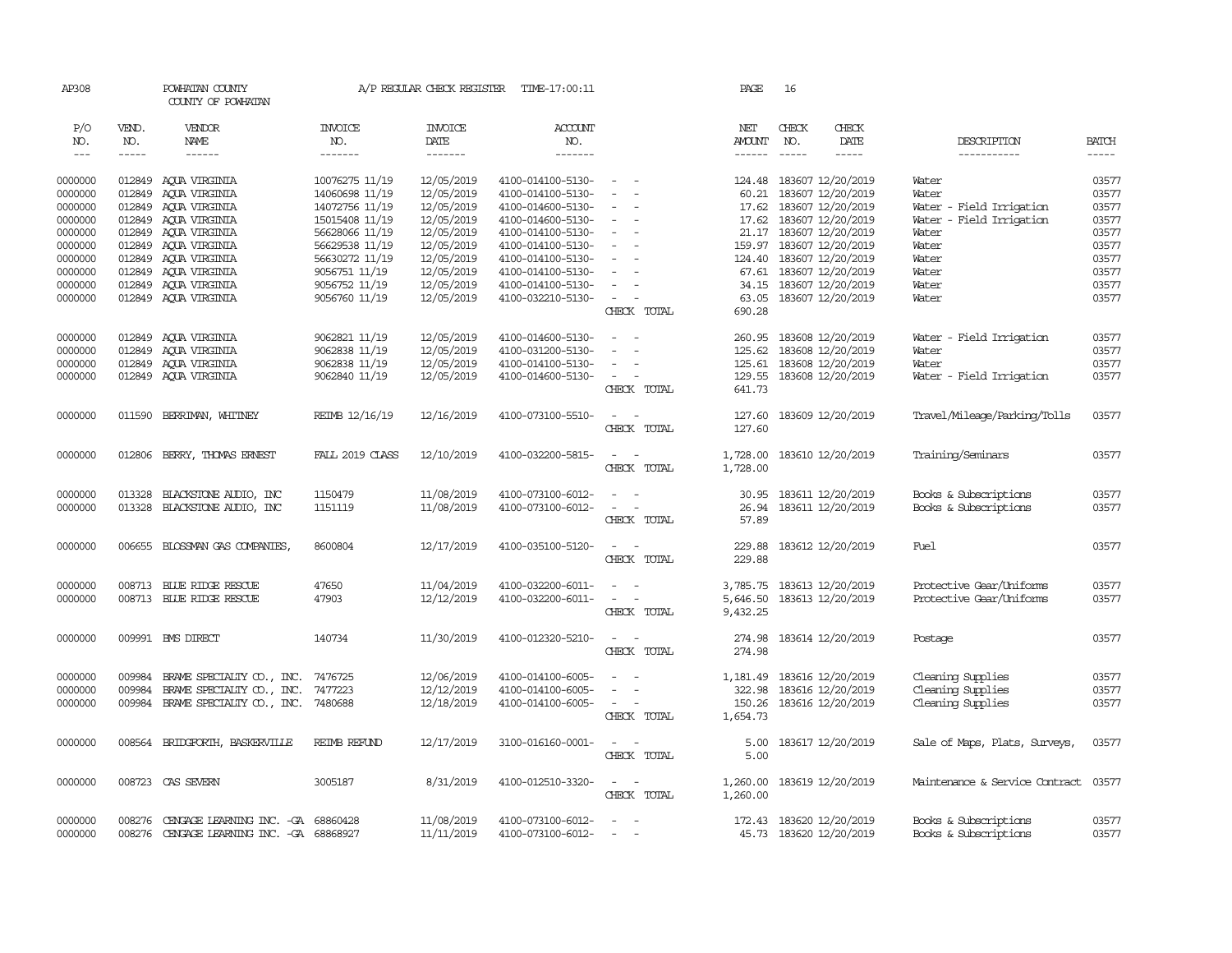| AP308                |              | POWHATAN COUNTY<br>COUNTY OF POWHATAN     |                                | A/P REGULAR CHECK REGISTER | TIME-17:00:11                          |                          | PAGE          | 16                       |               |                                |              |
|----------------------|--------------|-------------------------------------------|--------------------------------|----------------------------|----------------------------------------|--------------------------|---------------|--------------------------|---------------|--------------------------------|--------------|
| P/O<br>NO.           | VEND.<br>NO. | VENDOR<br>NAME                            | <b>INVOICE</b><br>NO.          | <b>INVOICE</b><br>DATE     | ACCOUNT<br>NO.                         |                          | NET<br>AMOUNT | CHECK<br>NO.             | CHECK<br>DATE | DESCRIPTION                    | <b>BATCH</b> |
| $\sim$ $\sim$ $\sim$ | -----        | $- - - - - -$                             | -------                        | -------                    | $- - - - - - -$                        |                          | $- - - - - -$ | $\frac{1}{2}$            |               | ------------                   | -----        |
| 0000000              |              | 012849 AQUA VIRGINIA                      | 10076275 11/19                 | 12/05/2019                 | 4100-014100-5130-                      | $\sim$ $ \sim$           |               | 124.48 183607 12/20/2019 |               | Water                          | 03577        |
| 0000000              | 012849       | AQUA VIRGINIA                             | 14060698 11/19                 | 12/05/2019                 | 4100-014100-5130-                      | $\sim$                   | 60.21         | 183607 12/20/2019        |               | Water                          | 03577        |
| 0000000              | 012849       | AOUA VIRGINIA                             | 14072756 11/19                 | 12/05/2019                 | 4100-014600-5130-                      | $\blacksquare$           | 17.62         | 183607 12/20/2019        |               | Water - Field Irrigation       | 03577        |
| 0000000              | 012849       | AQUA VIRGINIA                             | 15015408 11/19                 | 12/05/2019                 | 4100-014600-5130-                      | $\sim$                   |               | 17.62 183607 12/20/2019  |               | Water - Field Irrigation       | 03577        |
| 0000000              |              | 012849 AQUA VIRGINIA                      | 56628066 11/19                 | 12/05/2019                 | 4100-014100-5130-                      | $\sim$                   |               | 21.17 183607 12/20/2019  |               | Water                          | 03577        |
| 0000000              | 012849       | AOUA VIRGINIA                             | 56629538 11/19                 | 12/05/2019                 | 4100-014100-5130-                      | $\sim$                   |               | 159.97 183607 12/20/2019 |               | Water                          | 03577        |
| 0000000              | 012849       | AQUA VIRGINIA                             | 56630272 11/19                 | 12/05/2019                 | 4100-014100-5130-                      | $\sim$                   |               | 124.40 183607 12/20/2019 |               | Water                          | 03577        |
|                      | 012849       |                                           |                                | 12/05/2019                 |                                        | $\sim$                   |               | 67.61 183607 12/20/2019  |               |                                | 03577        |
| 0000000<br>0000000   | 012849       | AQUA VIRGINIA<br>AOUA VIRGINIA            | 9056751 11/19<br>9056752 11/19 | 12/05/2019                 | 4100-014100-5130-<br>4100-014100-5130- | $\sim$                   | 34.15         | 183607 12/20/2019        |               | Water<br>Water                 | 03577        |
| 0000000              |              | 012849 AQUA VIRGINIA                      | 9056760 11/19                  | 12/05/2019                 | 4100-032210-5130-                      | $\sim$<br>$\sim$         |               | 63.05 183607 12/20/2019  |               | Water                          | 03577        |
|                      |              |                                           |                                |                            |                                        | CHECK TOTAL              | 690.28        |                          |               |                                |              |
|                      |              |                                           |                                |                            |                                        |                          |               |                          |               |                                |              |
| 0000000              |              | 012849 AQUA VIRGINIA                      | 9062821 11/19                  | 12/05/2019                 | 4100-014600-5130-                      | $\sim$                   | 260.95        | 183608 12/20/2019        |               | Water - Field Irrigation       | 03577        |
| 0000000              | 012849       | ACUA VIRGINIA                             | 9062838 11/19                  | 12/05/2019                 | 4100-031200-5130-                      | $\sim$                   | 125.62        | 183608 12/20/2019        |               | Water                          | 03577        |
| 0000000              |              | 012849 AQUA VIRGINIA                      | 9062838 11/19                  | 12/05/2019                 | 4100-014100-5130-                      | $\overline{\phantom{a}}$ |               | 125.61 183608 12/20/2019 |               | Water                          | 03577        |
| 0000000              |              | 012849 AQUA VIRGINIA                      | 9062840 11/19                  | 12/05/2019                 | 4100-014600-5130-                      | $\sim$ $ \sim$           | 129.55        | 183608 12/20/2019        |               | Water - Field Irrigation       | 03577        |
|                      |              |                                           |                                |                            |                                        | CHECK TOTAL              | 641.73        |                          |               |                                |              |
|                      |              |                                           |                                |                            |                                        |                          |               |                          |               |                                |              |
| 0000000              | 011590       | BERRIMAN, WHITNEY                         | REIMB 12/16/19                 | 12/16/2019                 | 4100-073100-5510-                      | $\sim$ $\sim$            | 127.60        | 183609 12/20/2019        |               | Travel/Mileage/Parking/Tolls   | 03577        |
|                      |              |                                           |                                |                            |                                        | CHECK TOTAL              | 127.60        |                          |               |                                |              |
| 0000000              | 012806       | BERRY, THOMAS ERNEST                      | FALL 2019 CLASS                | 12/10/2019                 | 4100-032200-5815-                      | $\sim$ $  -$             | 1,728.00      | 183610 12/20/2019        |               | Training/Seminars              | 03577        |
|                      |              |                                           |                                |                            |                                        | CHECK TOTAL              | 1,728.00      |                          |               |                                |              |
|                      |              |                                           |                                |                            |                                        |                          |               |                          |               |                                |              |
| 0000000              | 013328       | BLACKSTONE AUDIO, INC                     | 1150479                        | 11/08/2019                 | 4100-073100-6012-                      | $\sim$ $\sim$            | 30.95         | 183611 12/20/2019        |               | Books & Subscriptions          | 03577        |
| 0000000              | 013328       | BLACKSTONE AUDIO, INC                     | 1151119                        | 11/08/2019                 | 4100-073100-6012-                      | $\sim$<br>$\sim$         | 26.94         | 183611 12/20/2019        |               | Books & Subscriptions          | 03577        |
|                      |              |                                           |                                |                            |                                        | CHECK TOTAL              | 57.89         |                          |               |                                |              |
| 0000000              |              | 006655 BLOSSMAN GAS COMPANIES,            | 8600804                        | 12/17/2019                 | 4100-035100-5120-                      | $\sim$ $ \sim$           | 229.88        | 183612 12/20/2019        |               | Fuel                           | 03577        |
|                      |              |                                           |                                |                            |                                        | CHECK TOTAL              | 229.88        |                          |               |                                |              |
|                      |              |                                           |                                |                            |                                        |                          |               |                          |               |                                |              |
| 0000000              |              | 008713 BLUE RIDGE RESCUE                  | 47650                          | 11/04/2019                 | 4100-032200-6011-                      | $\sim$ $ -$              | 3,785.75      | 183613 12/20/2019        |               | Protective Gear/Uniforms       | 03577        |
| 0000000              |              | 008713 BLUE RIDGE RESCUE                  | 47903                          | 12/12/2019                 | 4100-032200-6011-                      | $\sim$ $ \sim$           | 5,646.50      | 183613 12/20/2019        |               | Protective Gear/Uniforms       | 03577        |
|                      |              |                                           |                                |                            |                                        | CHECK TOTAL              | 9,432.25      |                          |               |                                |              |
|                      |              |                                           |                                |                            |                                        |                          |               |                          |               |                                |              |
| 0000000              |              | 009991 BMS DIRECT                         | 140734                         | 11/30/2019                 | 4100-012320-5210-                      | $\sim$<br>$\sim$         | 274.98        | 183614 12/20/2019        |               | Postage                        | 03577        |
|                      |              |                                           |                                |                            |                                        | CHECK TOTAL              | 274.98        |                          |               |                                |              |
| 0000000              | 009984       | BRAME SPECIALIY CO., INC.                 | 7476725                        | 12/06/2019                 | 4100-014100-6005-                      | $\sim$                   | 1,181.49      | 183616 12/20/2019        |               | Cleaning Supplies              | 03577        |
| 0000000              | 009984       | BRAME SPECIALITY CO., INC.                | 7477223                        | 12/12/2019                 | 4100-014100-6005-                      | $\sim$ $-$<br>$\sim$     |               | 322.98 183616 12/20/2019 |               | Cleaning Supplies              | 03577        |
| 0000000              |              | 009984 BRAME SPECIALITY CO., INC. 7480688 |                                | 12/18/2019                 | 4100-014100-6005-                      | $\sim$ $ -$              |               | 150.26 183616 12/20/2019 |               | Cleaning Supplies              | 03577        |
|                      |              |                                           |                                |                            |                                        | CHECK TOTAL              | 1,654.73      |                          |               |                                |              |
|                      |              |                                           |                                |                            |                                        |                          |               |                          |               |                                |              |
| 0000000              |              | 008564 BRIDGFORIH, BASKERVILLE            | <b>REIMB REFUND</b>            | 12/17/2019                 | 3100-016160-0001-                      | $\sim$ $ -$              | 5.00          | 183617 12/20/2019        |               | Sale of Maps, Plats, Surveys,  | 03577        |
|                      |              |                                           |                                |                            |                                        | CHECK TOTAL              | 5.00          |                          |               |                                |              |
| 0000000              |              | 008723 CAS SEVERN                         | 3005187                        | 8/31/2019                  | 4100-012510-3320-                      | $\sim$ $ -$              | 1,260.00      | 183619 12/20/2019        |               | Maintenance & Service Contract | 03577        |
|                      |              |                                           |                                |                            |                                        | CHECK TOTAL              | 1,260.00      |                          |               |                                |              |
|                      |              |                                           |                                |                            |                                        |                          |               |                          |               |                                |              |
| 0000000              | 008276       | CENGAGE LEARNING INC. - GA 68860428       |                                | 11/08/2019                 | 4100-073100-6012-                      | $\overline{\phantom{a}}$ |               | 172.43 183620 12/20/2019 |               | Books & Subscriptions          | 03577        |
| 0000000              | 008276       | CENGAGE LEARNING INC. -GA 68868927        |                                | 11/11/2019                 | 4100-073100-6012-                      | $\equiv$                 |               | 45.73 183620 12/20/2019  |               | Books & Subscriptions          | 03577        |
|                      |              |                                           |                                |                            |                                        |                          |               |                          |               |                                |              |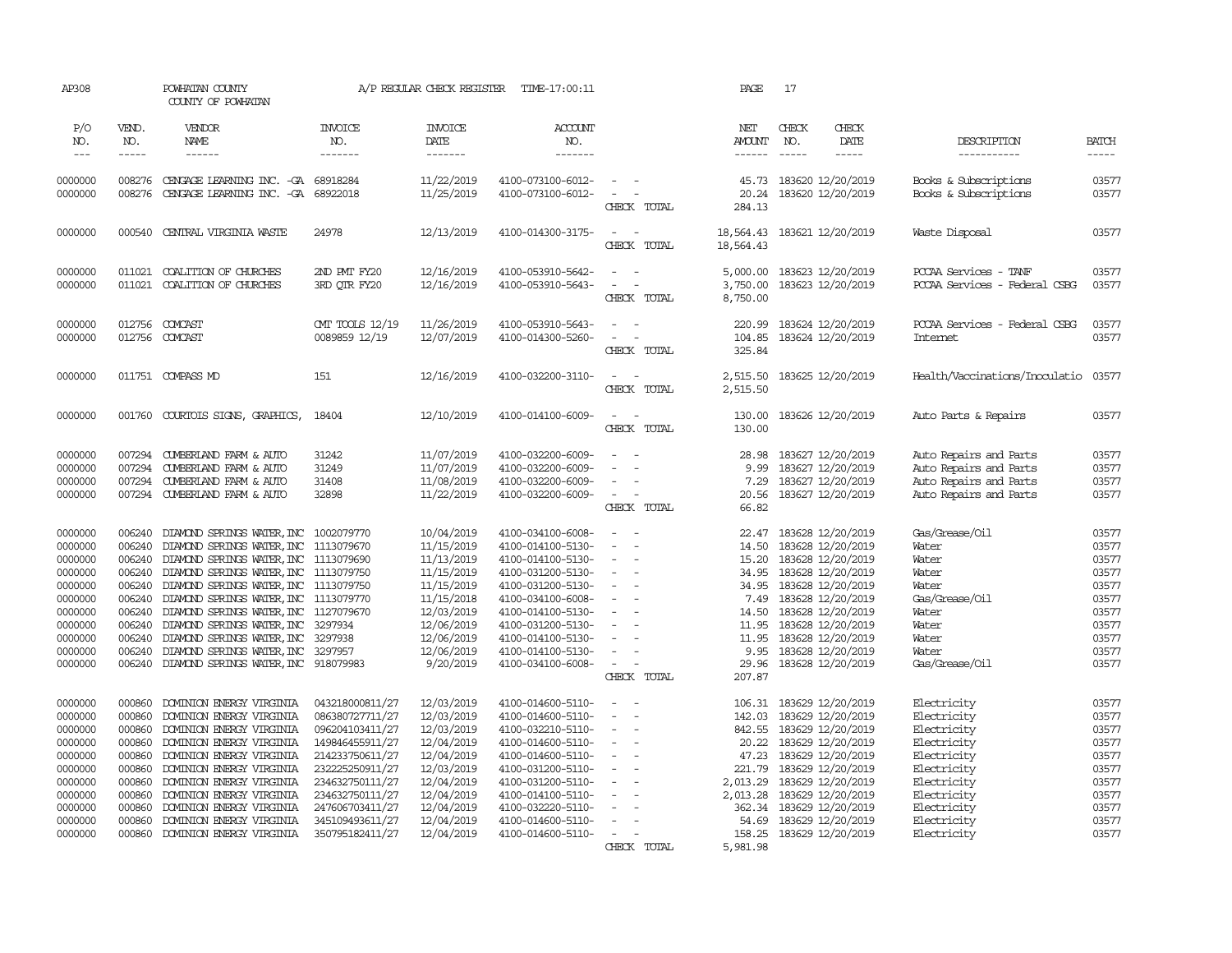| AP308               |                       | POWHATAN COUNTY<br>COUNTY OF POWHATAN                            |                                  | A/P REGULAR CHECK REGISTER         | TIME-17:00:11                          |                                                                                                   | PAGE                                  | 17                                                            |                                                        |                             |
|---------------------|-----------------------|------------------------------------------------------------------|----------------------------------|------------------------------------|----------------------------------------|---------------------------------------------------------------------------------------------------|---------------------------------------|---------------------------------------------------------------|--------------------------------------------------------|-----------------------------|
| P/O<br>NO.<br>$---$ | VEND.<br>NO.<br>----- | VENDOR<br>NAME<br>$- - - - - -$                                  | <b>INVOICE</b><br>NO.<br>------- | <b>INVOICE</b><br>DATE<br>-------- | <b>ACCOUNT</b><br>NO.<br>-------       |                                                                                                   | NET<br><b>AMOUNT</b><br>$- - - - - -$ | CHECK<br>CHECK<br>NO.<br>DATE<br>$\frac{1}{2}$<br>$- - - - -$ | DESCRIPTION<br>-----------                             | <b>BATCH</b><br>$- - - - -$ |
|                     |                       |                                                                  |                                  |                                    |                                        |                                                                                                   |                                       |                                                               |                                                        |                             |
| 0000000<br>0000000  | 008276<br>008276      | CENGAGE LEARNING INC. - GA 68918284<br>CENGAGE LEARNING INC. -GA | 68922018                         | 11/22/2019<br>11/25/2019           | 4100-073100-6012-<br>4100-073100-6012- | $\sim$<br>$\sim$<br>CHECK TOTAL                                                                   | 45.73<br>20.24<br>284.13              | 183620 12/20/2019<br>183620 12/20/2019                        | Books & Subscriptions<br>Books & Subscriptions         | 03577<br>03577              |
| 0000000             | 000540                | CENTRAL VIRGINIA WASTE                                           | 24978                            | 12/13/2019                         | 4100-014300-3175-                      | $\overline{\phantom{a}}$<br>$\sim$<br>CHECK TOTAL                                                 | 18,564.43<br>18,564.43                | 183621 12/20/2019                                             | Waste Disposal                                         | 03577                       |
| 0000000<br>0000000  | 011021<br>011021      | COALITION OF CHURCHES<br>COALITION OF CHURCHES                   | 2ND PMT FY20<br>3RD QTR FY20     | 12/16/2019<br>12/16/2019           | 4100-053910-5642-<br>4100-053910-5643- | $\equiv$<br>$\sim$<br>$\sim$<br>$\sim$<br>CHECK TOTAL                                             | 5,000.00<br>3,750.00<br>8,750.00      | 183623 12/20/2019<br>183623 12/20/2019                        | PCCAA Services - TANF<br>PCCAA Services - Federal CSBG | 03577<br>03577              |
| 0000000<br>0000000  | 012756                | 012756 COMCAST<br>COMCAST                                        | CMT TOOLS 12/19<br>0089859 12/19 | 11/26/2019<br>12/07/2019           | 4100-053910-5643-<br>4100-014300-5260- | $\sim$ 10 $\sim$ 10 $\sim$<br>$\overline{\phantom{a}}$<br>$\overline{\phantom{a}}$<br>CHECK TOTAL | 220.99<br>104.85<br>325.84            | 183624 12/20/2019<br>183624 12/20/2019                        | PCCAA Services - Federal CSBG<br>Internet              | 03577<br>03577              |
| 0000000             |                       | 011751 COMPASS MD                                                | 151                              | 12/16/2019                         | 4100-032200-3110-                      | $\overline{\phantom{a}}$<br>$\sim$<br>CHECK TOTAL                                                 | 2,515.50<br>2,515.50                  | 183625 12/20/2019                                             | Health/Vaccinations/Inoculatio                         | 03577                       |
| 0000000             |                       | 001760 COURTOIS SIGNS, GRAPHICS,                                 | 18404                            | 12/10/2019                         | 4100-014100-6009-                      | $\sim$<br>$\sim$<br>CHECK TOTAL                                                                   | 130.00<br>130.00                      | 183626 12/20/2019                                             | Auto Parts & Repairs                                   | 03577                       |
| 0000000             | 007294                | CUMBERLAND FARM & AUTO                                           | 31242                            | 11/07/2019                         | 4100-032200-6009-                      |                                                                                                   | 28.98                                 | 183627 12/20/2019                                             | Auto Repairs and Parts                                 | 03577                       |
| 0000000             | 007294                | CUMBERLAND FARM & AUTO                                           | 31249                            | 11/07/2019                         | 4100-032200-6009-                      | $\sim$<br>$\overline{\phantom{a}}$                                                                | 9.99                                  | 183627 12/20/2019                                             | Auto Repairs and Parts                                 | 03577                       |
| 0000000             | 007294                | CUMBERLAND FARM & AUTO                                           | 31408                            | 11/08/2019                         | 4100-032200-6009-                      | $\overline{\phantom{a}}$                                                                          | 7.29                                  | 183627 12/20/2019                                             | Auto Repairs and Parts                                 | 03577                       |
| 0000000             | 007294                | CUMBERLAND FARM & AUTO                                           | 32898                            | 11/22/2019                         | 4100-032200-6009-                      | $\sim$ $ \sim$<br>CHECK TOTAL                                                                     | 20.56<br>66.82                        | 183627 12/20/2019                                             | Auto Repairs and Parts                                 | 03577                       |
|                     |                       |                                                                  |                                  |                                    |                                        |                                                                                                   |                                       |                                                               |                                                        |                             |
| 0000000             | 006240                | DIAMOND SPRINGS WATER, INC 1002079770                            |                                  | 10/04/2019                         | 4100-034100-6008-                      | $\overline{\phantom{a}}$                                                                          | 22.47                                 | 183628 12/20/2019                                             | Gas/Grease/Oil                                         | 03577                       |
| 0000000             | 006240                | DIAMOND SPRINGS WATER, INC 1113079670                            |                                  | 11/15/2019                         | 4100-014100-5130-                      | $\equiv$                                                                                          | 14.50                                 | 183628 12/20/2019                                             | Water                                                  | 03577                       |
| 0000000             | 006240                | DIAMOND SPRINGS WATER, INC 1113079690                            |                                  | 11/13/2019                         | 4100-014100-5130-                      | $\blacksquare$                                                                                    | 15.20                                 | 183628 12/20/2019                                             | Water                                                  | 03577                       |
| 0000000             | 006240                | DIAMOND SPRINGS WATER, INC 1113079750                            |                                  | 11/15/2019                         | 4100-031200-5130-                      | $\equiv$                                                                                          | 34.95                                 | 183628 12/20/2019                                             | Water                                                  | 03577                       |
| 0000000             | 006240                | DIAMOND SPRINGS WATER, INC 1113079750                            |                                  | 11/15/2019                         | 4100-031200-5130-                      | $\overline{\phantom{a}}$                                                                          | 34.95                                 | 183628 12/20/2019                                             | Water                                                  | 03577                       |
| 0000000             | 006240                | DIAMOND SPRINGS WATER, INC 1113079770                            |                                  | 11/15/2018                         | 4100-034100-6008-                      | $\sim$                                                                                            | 7.49                                  | 183628 12/20/2019                                             | Gas/Grease/Oil                                         | 03577                       |
| 0000000             | 006240                | DIAMOND SPRINGS WATER, INC 1127079670                            |                                  | 12/03/2019                         | 4100-014100-5130-                      | $\sim$<br>$\sim$                                                                                  | 14.50                                 | 183628 12/20/2019                                             | Water                                                  | 03577                       |
| 0000000             | 006240                | DIAMOND SPRINGS WATER, INC 3297934                               |                                  | 12/06/2019                         | 4100-031200-5130-                      | $\overline{\phantom{a}}$                                                                          | 11.95                                 | 183628 12/20/2019                                             | Water                                                  | 03577                       |
| 0000000             | 006240                | DIAMOND SPRINGS WATER, INC 3297938                               |                                  | 12/06/2019                         | 4100-014100-5130-                      | $\equiv$                                                                                          | 11.95                                 | 183628 12/20/2019                                             | Water                                                  | 03577                       |
| 0000000             | 006240                | DIAMOND SPRINGS WATER, INC 3297957                               |                                  | 12/06/2019                         | 4100-014100-5130-                      | $\equiv$                                                                                          | 9.95                                  | 183628 12/20/2019                                             | Water                                                  | 03577                       |
| 0000000             | 006240                | DIAMOND SPRINGS WATER, INC 918079983                             |                                  | 9/20/2019                          | 4100-034100-6008-                      | $\overline{\phantom{a}}$                                                                          | 29.96                                 | 183628 12/20/2019                                             | Gas/Grease/0il                                         | 03577                       |
|                     |                       |                                                                  |                                  |                                    |                                        | CHECK TOTAL                                                                                       | 207.87                                |                                                               |                                                        |                             |
| 0000000             | 000860                | DOMINION ENERGY VIRGINIA                                         | 043218000811/27                  | 12/03/2019                         | 4100-014600-5110-                      | $\overline{\phantom{a}}$                                                                          | 106.31                                | 183629 12/20/2019                                             | Electricity                                            | 03577                       |
| 0000000             | 000860                | DOMINION ENERGY VIRGINIA                                         | 086380727711/27                  | 12/03/2019                         | 4100-014600-5110-                      | $\overline{\phantom{a}}$<br>$\sim$                                                                | 142.03                                | 183629 12/20/2019                                             | Electricity                                            | 03577                       |
| 0000000             | 000860                | DOMINION ENERGY VIRGINIA                                         | 096204103411/27                  | 12/03/2019                         | 4100-032210-5110-                      | $\equiv$                                                                                          | 842.55                                | 183629 12/20/2019                                             | Electricity                                            | 03577                       |
| 0000000             | 000860                | DOMINION ENERGY VIRGINIA                                         | 149846455911/27                  | 12/04/2019                         | 4100-014600-5110-                      | $\equiv$                                                                                          |                                       | 20.22 183629 12/20/2019                                       | Electricity                                            | 03577                       |
| 0000000             | 000860                | DOMINION ENERGY VIRGINIA                                         | 214233750611/27                  | 12/04/2019                         | 4100-014600-5110-                      | $\overline{\phantom{a}}$                                                                          | 47.23                                 | 183629 12/20/2019                                             | Electricity                                            | 03577                       |
| 0000000             | 000860                | DOMINION ENERGY VIRGINIA                                         | 232225250911/27                  | 12/03/2019                         | 4100-031200-5110-                      | $\sim$                                                                                            | 221.79                                | 183629 12/20/2019                                             | Electricity                                            | 03577                       |
| 0000000             | 000860                | DOMINION ENERGY VIRGINIA                                         | 234632750111/27                  | 12/04/2019                         | 4100-031200-5110-                      | $\overline{\phantom{a}}$                                                                          | 2,013.29                              | 183629 12/20/2019                                             | Electricity                                            | 03577                       |
| 0000000             | 000860                | DOMINION ENERGY VIRGINIA                                         | 234632750111/27                  | 12/04/2019                         | 4100-014100-5110-                      |                                                                                                   | 2,013.28                              | 183629 12/20/2019                                             | Electricity                                            | 03577                       |
| 0000000             | 000860                | DOMINION ENERGY VIRGINIA                                         | 247606703411/27                  | 12/04/2019                         | 4100-032220-5110-                      | $\sim$                                                                                            | 362.34                                | 183629 12/20/2019                                             | Electricity                                            | 03577                       |
| 0000000             | 000860                | DOMINION ENERGY VIRGINIA                                         | 345109493611/27                  | 12/04/2019                         | 4100-014600-5110-                      | $\overline{\phantom{a}}$                                                                          |                                       | 54.69 183629 12/20/2019                                       | Electricity                                            | 03577                       |
| 0000000             | 000860                | DOMINION ENERGY VIRGINIA                                         | 350795182411/27                  | 12/04/2019                         | 4100-014600-5110-                      | $\overline{\phantom{a}}$<br>$\sim$                                                                | 158.25                                | 183629 12/20/2019                                             | Electricity                                            | 03577                       |
|                     |                       |                                                                  |                                  |                                    |                                        | CHECK TOTAL                                                                                       | 5,981.98                              |                                                               |                                                        |                             |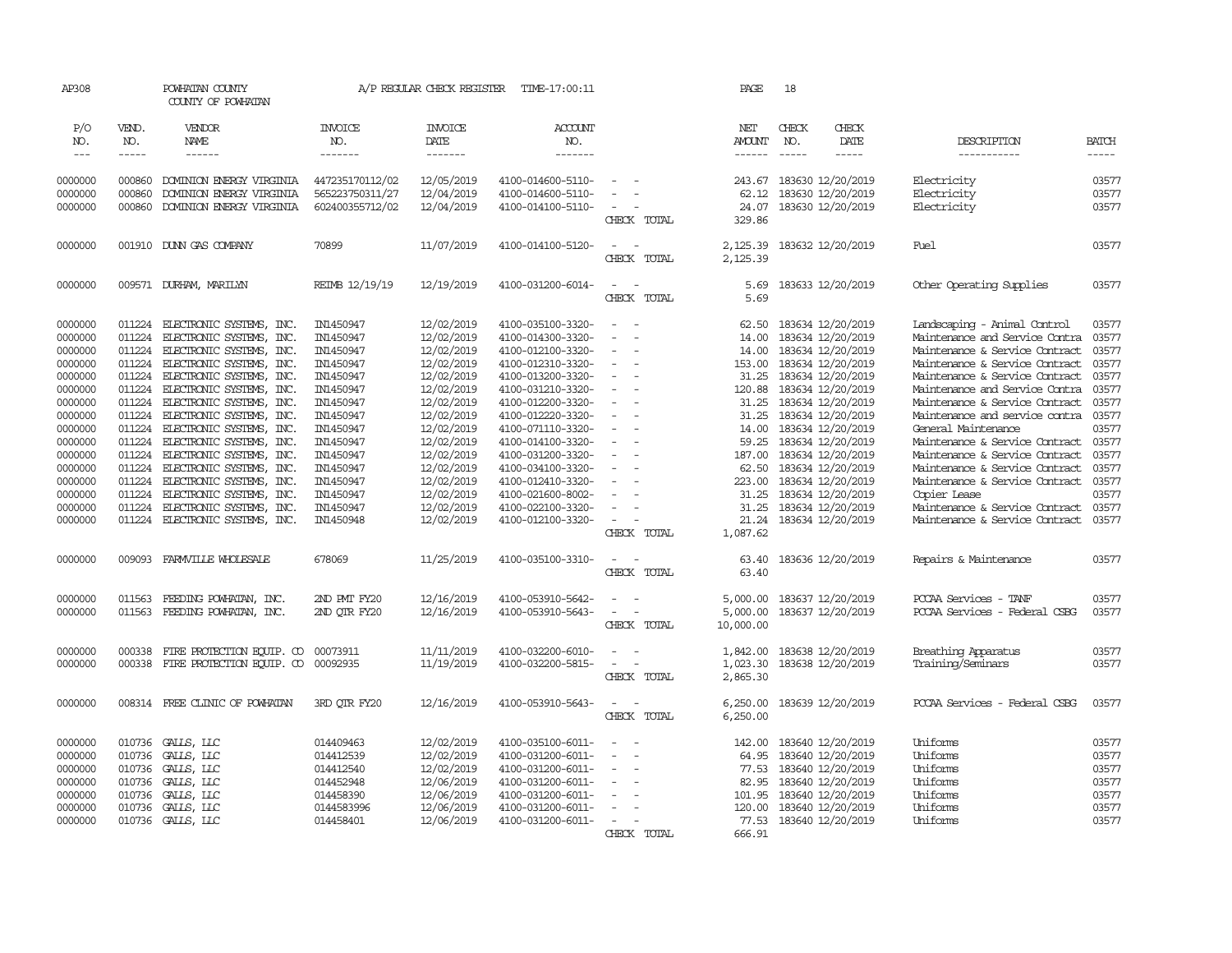| AP308               |                       | POWHATAN COUNTY<br>COUNTY OF POWHATAN                |                                    | A/P REGULAR CHECK REGISTER        | TIME-17:00:11                          |                                                      | PAGE                           | 18                                                                                                                                                                                                                                                                                                                                                                                                           |                        |                                      |                             |
|---------------------|-----------------------|------------------------------------------------------|------------------------------------|-----------------------------------|----------------------------------------|------------------------------------------------------|--------------------------------|--------------------------------------------------------------------------------------------------------------------------------------------------------------------------------------------------------------------------------------------------------------------------------------------------------------------------------------------------------------------------------------------------------------|------------------------|--------------------------------------|-----------------------------|
| P/O<br>NO.<br>$---$ | VEND.<br>NO.<br>----- | VENDOR<br>NAME<br>$- - - - - -$                      | <b>INVOICE</b><br>NO.<br>-------   | <b>INVOICE</b><br>DATE<br>------- | ACCOUNT<br>NO.<br>-------              |                                                      | NET<br>AMOUNT<br>$- - - - - -$ | CHECK<br>NO.<br>$\frac{1}{2} \frac{1}{2} \frac{1}{2} \frac{1}{2} \frac{1}{2} \frac{1}{2} \frac{1}{2} \frac{1}{2} \frac{1}{2} \frac{1}{2} \frac{1}{2} \frac{1}{2} \frac{1}{2} \frac{1}{2} \frac{1}{2} \frac{1}{2} \frac{1}{2} \frac{1}{2} \frac{1}{2} \frac{1}{2} \frac{1}{2} \frac{1}{2} \frac{1}{2} \frac{1}{2} \frac{1}{2} \frac{1}{2} \frac{1}{2} \frac{1}{2} \frac{1}{2} \frac{1}{2} \frac{1}{2} \frac{$ | CHECK<br>DATE<br>----- | DESCRIPTION<br>-----------           | <b>BATCH</b><br>$- - - - -$ |
| 0000000             | 000860                | DOMINION ENERGY VIRGINIA                             | 447235170112/02                    | 12/05/2019                        | 4100-014600-5110-                      | $\sim$                                               | 243.67                         | 183630 12/20/2019                                                                                                                                                                                                                                                                                                                                                                                            |                        | Electricity                          | 03577                       |
| 0000000<br>0000000  | 000860<br>000860      | DOMINION ENERGY VIRGINIA<br>DOMINION ENERGY VIRGINIA | 565223750311/27<br>602400355712/02 | 12/04/2019<br>12/04/2019          | 4100-014600-5110-<br>4100-014100-5110- | $\overline{\phantom{a}}$<br>CHECK TOTAL              | 62.12<br>24.07<br>329.86       | 183630 12/20/2019<br>183630 12/20/2019                                                                                                                                                                                                                                                                                                                                                                       |                        | Electricity<br>Electricity           | 03577<br>03577              |
| 0000000             |                       | 001910 DUNN GAS COMPANY                              | 70899                              | 11/07/2019                        | 4100-014100-5120-                      | $\sim$ $ -$<br>CHECK TOTAL                           | 2,125.39<br>2,125.39           | 183632 12/20/2019                                                                                                                                                                                                                                                                                                                                                                                            |                        | Fuel                                 | 03577                       |
| 0000000             |                       | 009571 DURHAM, MARILYN                               | REIMB 12/19/19                     | 12/19/2019                        | 4100-031200-6014-                      | $\sim$<br>$\sim$<br>CHECK TOTAL                      | 5.69<br>5.69                   | 183633 12/20/2019                                                                                                                                                                                                                                                                                                                                                                                            |                        | Other Operating Supplies             | 03577                       |
| 0000000             | 011224                | ELECTRONIC SYSTEMS, INC.                             | IN1450947                          | 12/02/2019                        | 4100-035100-3320-                      | $\sim$<br>$\overline{\phantom{a}}$                   | 62.50                          | 183634 12/20/2019                                                                                                                                                                                                                                                                                                                                                                                            |                        | Landscaping - Animal Control         | 03577                       |
| 0000000             | 011224                | ELECTRONIC SYSTEMS, INC.                             | IN1450947                          | 12/02/2019                        | 4100-014300-3320-                      | $\equiv$                                             | 14.00                          | 183634 12/20/2019                                                                                                                                                                                                                                                                                                                                                                                            |                        | Maintenance and Service Contra       | 03577                       |
| 0000000             |                       | 011224 ELECTRONIC SYSTEMS, INC.                      | IN1450947                          | 12/02/2019                        | 4100-012100-3320-                      | $\sim$<br>$\sim$                                     | 14.00                          | 183634 12/20/2019                                                                                                                                                                                                                                                                                                                                                                                            |                        | Maintenance & Service Contract       | 03577                       |
| 0000000             | 011224                | ELECTRONIC SYSTEMS, INC.                             | IN1450947                          | 12/02/2019                        | 4100-012310-3320-                      | $\overline{\phantom{a}}$                             | 153.00                         | 183634 12/20/2019                                                                                                                                                                                                                                                                                                                                                                                            |                        | Maintenance & Service Contract       | 03577                       |
| 0000000             | 011224                | ELECTRONIC SYSTEMS, INC.                             | IN1450947                          | 12/02/2019                        | 4100-013200-3320-                      |                                                      | 31.25                          | 183634 12/20/2019                                                                                                                                                                                                                                                                                                                                                                                            |                        | Maintenance & Service Contract       | 03577                       |
| 0000000             |                       | 011224 ELECTRONIC SYSTEMS, INC.                      | IN1450947                          | 12/02/2019                        | 4100-031210-3320-                      | $\sim$<br>$\overline{a}$                             | 120.88                         | 183634 12/20/2019                                                                                                                                                                                                                                                                                                                                                                                            |                        | Maintenance and Service Contra       | 03577                       |
| 0000000             |                       | 011224 ELECTRONIC SYSTEMS, INC.                      | IN1450947                          | 12/02/2019                        | 4100-012200-3320-                      | $\sim$                                               | 31.25                          | 183634 12/20/2019                                                                                                                                                                                                                                                                                                                                                                                            |                        | Maintenance & Service Contract       | 03577                       |
| 0000000             | 011224                | ELECTRONIC SYSTEMS, INC.                             | IN1450947                          | 12/02/2019                        | 4100-012220-3320-                      | $\sim$                                               | 31.25                          | 183634 12/20/2019                                                                                                                                                                                                                                                                                                                                                                                            |                        | Maintenance and service contra 03577 |                             |
| 0000000             | 011224                | ELECTRONIC SYSTEMS, INC.                             | IN1450947                          | 12/02/2019                        | 4100-071110-3320-                      | $\overline{\phantom{a}}$                             | 14.00                          | 183634 12/20/2019                                                                                                                                                                                                                                                                                                                                                                                            |                        | General Maintenance                  | 03577                       |
| 0000000             |                       | 011224 ELECTRONIC SYSTEMS, INC.                      | IN1450947                          | 12/02/2019                        | 4100-014100-3320-                      | $\overline{\phantom{a}}$                             | 59.25                          | 183634 12/20/2019                                                                                                                                                                                                                                                                                                                                                                                            |                        | Maintenance & Service Contract       | 03577                       |
| 0000000             |                       | 011224 ELECTRONIC SYSTEMS, INC.                      | IN1450947                          | 12/02/2019                        | 4100-031200-3320-                      |                                                      | 187.00                         | 183634 12/20/2019                                                                                                                                                                                                                                                                                                                                                                                            |                        | Maintenance & Service Contract       | 03577                       |
| 0000000             |                       | 011224 ELECTRONIC SYSTEMS, INC.                      | IN1450947                          | 12/02/2019                        | 4100-034100-3320-                      |                                                      | 62.50                          | 183634 12/20/2019                                                                                                                                                                                                                                                                                                                                                                                            |                        | Maintenance & Service Contract       | 03577                       |
| 0000000             |                       | 011224 ELECTRONIC SYSTEMS, INC.                      | IN1450947                          | 12/02/2019                        | 4100-012410-3320-                      | $\sim$<br>$\overline{\phantom{a}}$                   | 223.00                         | 183634 12/20/2019                                                                                                                                                                                                                                                                                                                                                                                            |                        | Maintenance & Service Contract       | 03577                       |
| 0000000             |                       | 011224 ELECTRONIC SYSTEMS, INC.                      | IN1450947                          | 12/02/2019                        | 4100-021600-8002-                      | $\sim$                                               | 31.25                          | 183634 12/20/2019                                                                                                                                                                                                                                                                                                                                                                                            |                        | Copier Lease                         | 03577                       |
| 0000000             | 011224                | ELECTRONIC SYSTEMS, INC.                             | IN1450947                          | 12/02/2019                        | 4100-022100-3320-                      | $\equiv$                                             | 31.25                          | 183634 12/20/2019                                                                                                                                                                                                                                                                                                                                                                                            |                        | Maintenance & Service Contract       | 03577                       |
| 0000000             |                       | 011224 ELECTRONIC SYSTEMS, INC.                      | IN1450948                          | 12/02/2019                        | 4100-012100-3320-                      | $\sim$                                               | 21.24                          | 183634 12/20/2019                                                                                                                                                                                                                                                                                                                                                                                            |                        | Maintenance & Service Contract       | 03577                       |
|                     |                       |                                                      |                                    |                                   |                                        | CHECK TOTAL                                          | 1,087.62                       |                                                                                                                                                                                                                                                                                                                                                                                                              |                        |                                      |                             |
| 0000000             |                       | 009093 FARMVILLE WHOLESALE                           | 678069                             | 11/25/2019                        | 4100-035100-3310-                      | $\sim$ $ \sim$                                       | 63.40                          | 183636 12/20/2019                                                                                                                                                                                                                                                                                                                                                                                            |                        | Repairs & Maintenance                | 03577                       |
|                     |                       |                                                      |                                    |                                   |                                        | CHECK TOTAL                                          | 63.40                          |                                                                                                                                                                                                                                                                                                                                                                                                              |                        |                                      |                             |
| 0000000             | 011563                | FEEDING POWHATAN, INC.                               | 2ND PMT FY20                       | 12/16/2019                        | 4100-053910-5642-                      |                                                      | 5,000.00                       | 183637 12/20/2019                                                                                                                                                                                                                                                                                                                                                                                            |                        | POCAA Services - TANF                | 03577                       |
| 0000000             |                       | 011563 FEEDING POWHATAN, INC.                        | 2ND OTR FY20                       | 12/16/2019                        | 4100-053910-5643-                      | $\sim$<br>$\overline{\phantom{a}}$                   | 5,000.00                       | 183637 12/20/2019                                                                                                                                                                                                                                                                                                                                                                                            |                        | PCCAA Services - Federal CSBG        | 03577                       |
|                     |                       |                                                      |                                    |                                   |                                        | CHECK TOTAL                                          | 10,000.00                      |                                                                                                                                                                                                                                                                                                                                                                                                              |                        |                                      |                             |
| 0000000             | 000338                | FIRE PROTECTION EQUIP. CO                            | 00073911                           | 11/11/2019                        | 4100-032200-6010-                      | $\equiv$                                             | 1,842.00                       | 183638 12/20/2019                                                                                                                                                                                                                                                                                                                                                                                            |                        | Breathing Apparatus                  | 03577                       |
| 0000000             |                       | 000338 FIRE PROTECTION EQUIP. CO                     | 00092935                           | 11/19/2019                        | 4100-032200-5815-                      | $\sim$<br>$\sim$                                     | 1,023.30                       | 183638 12/20/2019                                                                                                                                                                                                                                                                                                                                                                                            |                        | Training/Seminars                    | 03577                       |
|                     |                       |                                                      |                                    |                                   |                                        | CHECK TOTAL                                          | 2,865.30                       |                                                                                                                                                                                                                                                                                                                                                                                                              |                        |                                      |                             |
| 0000000             |                       | 008314 FREE CLINIC OF POWHATAN                       | 3RD OTR FY20                       | 12/16/2019                        | 4100-053910-5643-                      | $\omega_{\rm{max}}$ and $\omega_{\rm{max}}$          | 6,250.00                       | 183639 12/20/2019                                                                                                                                                                                                                                                                                                                                                                                            |                        | PCCAA Services - Federal CSBG        | 03577                       |
|                     |                       |                                                      |                                    |                                   |                                        | CHECK TOTAL                                          | 6,250.00                       |                                                                                                                                                                                                                                                                                                                                                                                                              |                        |                                      |                             |
| 0000000             |                       | 010736 GALLS, LLC                                    | 014409463                          | 12/02/2019                        | 4100-035100-6011-                      | $\sim$<br>$\sim$                                     | 142.00                         | 183640 12/20/2019                                                                                                                                                                                                                                                                                                                                                                                            |                        | Uniforms                             | 03577                       |
| 0000000             | 010736                | GALLS, LLC                                           | 014412539                          | 12/02/2019                        | 4100-031200-6011-                      | $\blacksquare$<br>$\overline{\phantom{a}}$           | 64.95                          | 183640 12/20/2019                                                                                                                                                                                                                                                                                                                                                                                            |                        | Uniforms                             | 03577                       |
| 0000000             | 010736                | GALLS, LLC                                           | 014412540                          | 12/02/2019                        | 4100-031200-6011-                      | $\overline{\phantom{a}}$<br>$\overline{\phantom{a}}$ | 77.53                          | 183640 12/20/2019                                                                                                                                                                                                                                                                                                                                                                                            |                        | Uniforms                             | 03577                       |
| 0000000             | 010736                | GALLS, LLC                                           | 014452948                          | 12/06/2019                        | 4100-031200-6011-                      |                                                      | 82.95                          | 183640 12/20/2019                                                                                                                                                                                                                                                                                                                                                                                            |                        | Uniforms                             | 03577                       |
| 0000000             | 010736                | GALLS, LLC                                           | 014458390                          | 12/06/2019                        | 4100-031200-6011-                      | $\sim$                                               | 101.95                         | 183640 12/20/2019                                                                                                                                                                                                                                                                                                                                                                                            |                        | Uniforms                             | 03577                       |
| 0000000             | 010736                | GALLS, LLC                                           | 0144583996                         | 12/06/2019                        | 4100-031200-6011-                      | $\equiv$                                             | 120.00                         | 183640 12/20/2019                                                                                                                                                                                                                                                                                                                                                                                            |                        | Uniforms                             | 03577                       |
| 0000000             |                       | 010736 GALLS, LLC                                    | 014458401                          | 12/06/2019                        | 4100-031200-6011-                      | $\sim$                                               |                                | 77.53 183640 12/20/2019                                                                                                                                                                                                                                                                                                                                                                                      |                        | Uniforms                             | 03577                       |
|                     |                       |                                                      |                                    |                                   |                                        | CHECK TOTAL                                          | 666.91                         |                                                                                                                                                                                                                                                                                                                                                                                                              |                        |                                      |                             |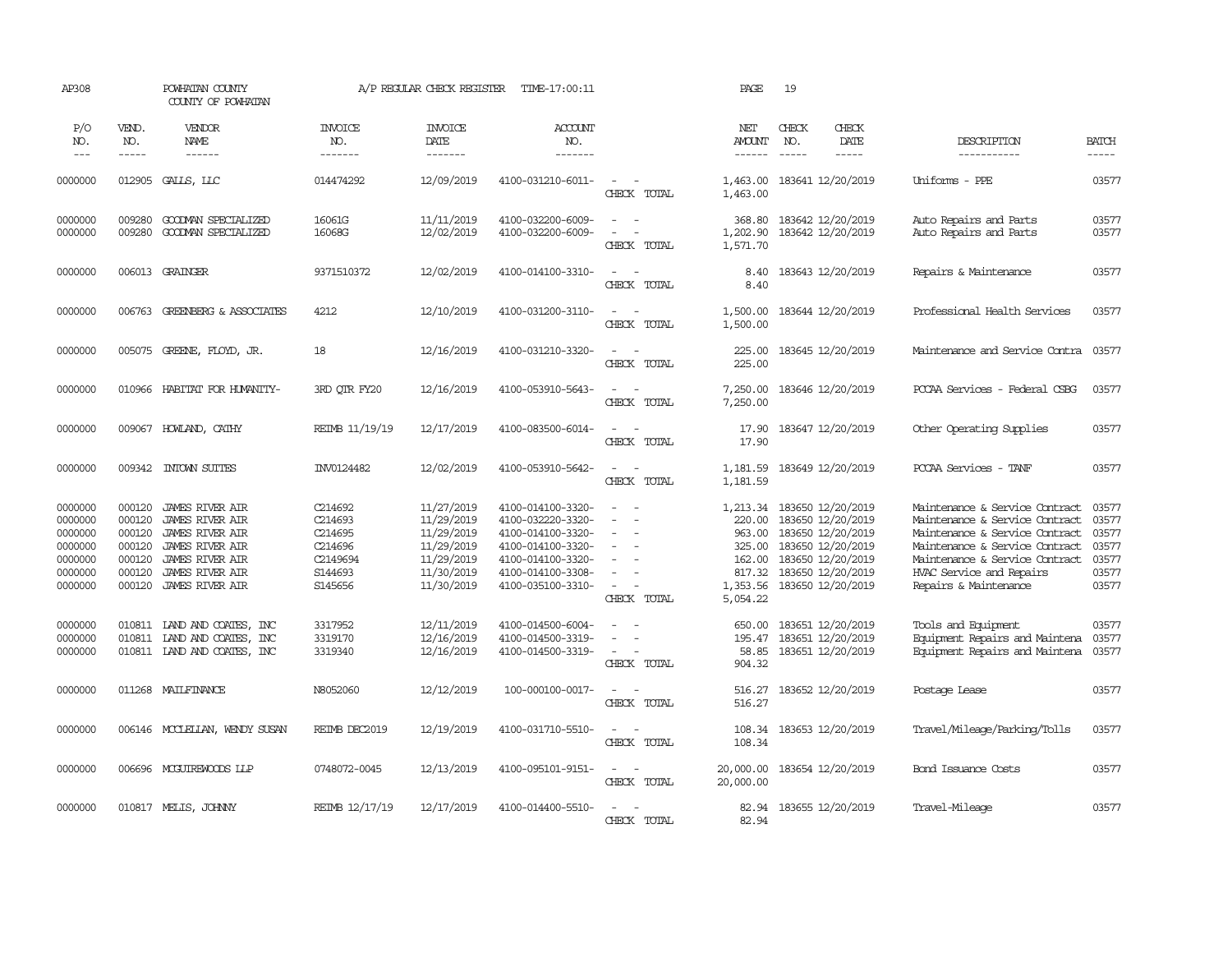| AP308                                                                     |                                                                    | POWHATAN COUNTY<br>COUNTY OF POWHATAN                                                                                                                                              |                                                                            | A/P REGULAR CHECK REGISTER                                                                     | TIME-17:00:11                                                                                                                                   |                                                                                                               | PAGE                                                                               | 19                          |                                                                                                                                                 |                                                                                                                                                                                                                             |                                                             |
|---------------------------------------------------------------------------|--------------------------------------------------------------------|------------------------------------------------------------------------------------------------------------------------------------------------------------------------------------|----------------------------------------------------------------------------|------------------------------------------------------------------------------------------------|-------------------------------------------------------------------------------------------------------------------------------------------------|---------------------------------------------------------------------------------------------------------------|------------------------------------------------------------------------------------|-----------------------------|-------------------------------------------------------------------------------------------------------------------------------------------------|-----------------------------------------------------------------------------------------------------------------------------------------------------------------------------------------------------------------------------|-------------------------------------------------------------|
| P/O<br>NO.<br>$---$                                                       | VEND.<br>NO.<br>$- - - - -$                                        | VENDOR<br>NAME<br>$- - - - - -$                                                                                                                                                    | <b>INVOICE</b><br>NO.<br>-------                                           | <b>INVOICE</b><br>DATE<br>-------                                                              | ACCOUNT<br>NO.<br>-------                                                                                                                       |                                                                                                               | NET<br><b>AMOUNT</b><br>-------                                                    | CHECK<br>NO.<br>$- - - - -$ | CHECK<br>DATE<br>$- - - - -$                                                                                                                    | DESCRIPTION<br>-----------                                                                                                                                                                                                  | <b>BATCH</b><br>$- - - - -$                                 |
| 0000000                                                                   | 012905                                                             | GALLS, LLC                                                                                                                                                                         | 014474292                                                                  | 12/09/2019                                                                                     | 4100-031210-6011-                                                                                                                               | $\sim$<br>$\sim$<br>CHECK TOTAL                                                                               | 1,463.00<br>1,463.00                                                               | 183641 12/20/2019           |                                                                                                                                                 | Uniforms - PPE                                                                                                                                                                                                              | 03577                                                       |
| 0000000<br>0000000                                                        | 009280<br>009280                                                   | GOODMAN SPECIALIZED<br>GOODMAN SPECIALIZED                                                                                                                                         | 16061G<br>16068G                                                           | 11/11/2019<br>12/02/2019                                                                       | 4100-032200-6009-<br>4100-032200-6009-                                                                                                          | $\sim$<br>$\sim$<br>$\sim$<br>$\overline{\phantom{a}}$<br>CHECK TOTAL                                         | 368.80<br>1,202.90<br>1,571.70                                                     |                             | 183642 12/20/2019<br>183642 12/20/2019                                                                                                          | Auto Repairs and Parts<br>Auto Repairs and Parts                                                                                                                                                                            | 03577<br>03577                                              |
| 0000000                                                                   |                                                                    | 006013 GRAINGER                                                                                                                                                                    | 9371510372                                                                 | 12/02/2019                                                                                     | 4100-014100-3310-                                                                                                                               | $\sim$<br>CHECK TOTAL                                                                                         | 8.40<br>8.40                                                                       |                             | 183643 12/20/2019                                                                                                                               | Repairs & Maintenance                                                                                                                                                                                                       | 03577                                                       |
| 0000000                                                                   | 006763                                                             | GREENBERG & ASSOCIATES                                                                                                                                                             | 4212                                                                       | 12/10/2019                                                                                     | 4100-031200-3110-                                                                                                                               | $\overline{\phantom{a}}$<br>$\sim$<br>CHECK TOTAL                                                             | 1,500.00<br>1,500.00                                                               |                             | 183644 12/20/2019                                                                                                                               | Professional Health Services                                                                                                                                                                                                | 03577                                                       |
| 0000000                                                                   |                                                                    | 005075 GREENE, FLOYD, JR.                                                                                                                                                          | 18                                                                         | 12/16/2019                                                                                     | 4100-031210-3320-                                                                                                                               | $\sim$<br>CHECK TOTAL                                                                                         | 225.00<br>225.00                                                                   |                             | 183645 12/20/2019                                                                                                                               | Maintenance and Service Contra                                                                                                                                                                                              | 03577                                                       |
| 0000000                                                                   | 010966                                                             | HABITAT FOR HUMANITY-                                                                                                                                                              | 3RD OTR FY20                                                               | 12/16/2019                                                                                     | 4100-053910-5643-                                                                                                                               | $\overline{\phantom{a}}$<br>$\sim$<br>CHECK TOTAL                                                             | 7,250.00<br>7,250.00                                                               |                             | 183646 12/20/2019                                                                                                                               | PCCAA Services - Federal CSBG                                                                                                                                                                                               | 03577                                                       |
| 0000000                                                                   |                                                                    | 009067 HOWLAND, CATHY                                                                                                                                                              | REIMB 11/19/19                                                             | 12/17/2019                                                                                     | 4100-083500-6014-                                                                                                                               | $\sim$<br>$\sim$<br>CHECK TOTAL                                                                               | 17.90<br>17.90                                                                     |                             | 183647 12/20/2019                                                                                                                               | Other Operating Supplies                                                                                                                                                                                                    | 03577                                                       |
| 0000000                                                                   | 009342                                                             | INTOWN SUITES                                                                                                                                                                      | INV0124482                                                                 | 12/02/2019                                                                                     | 4100-053910-5642-                                                                                                                               | $\frac{1}{2} \left( \frac{1}{2} \right) \left( \frac{1}{2} \right) \left( \frac{1}{2} \right)$<br>CHECK TOTAL | 1,181.59<br>1,181.59                                                               |                             | 183649 12/20/2019                                                                                                                               | PCCAA Services - TANF                                                                                                                                                                                                       | 03577                                                       |
| 0000000<br>0000000<br>0000000<br>0000000<br>0000000<br>0000000<br>0000000 | 000120<br>000120<br>000120<br>000120<br>000120<br>000120<br>000120 | <b>JAMES RIVER AIR</b><br><b>JAMES RIVER AIR</b><br><b>JAMES RIVER AIR</b><br><b>JAMES RIVER AIR</b><br><b>JAMES RIVER AIR</b><br><b>JAMES RIVER AIR</b><br><b>JAMES RIVER AIR</b> | C214692<br>C214693<br>C214695<br>C214696<br>C2149694<br>S144693<br>S145656 | 11/27/2019<br>11/29/2019<br>11/29/2019<br>11/29/2019<br>11/29/2019<br>11/30/2019<br>11/30/2019 | 4100-014100-3320-<br>4100-032220-3320-<br>4100-014100-3320-<br>4100-014100-3320-<br>4100-014100-3320-<br>4100-014100-3308-<br>4100-035100-3310- | $\equiv$<br>$\equiv$<br>$\sim$<br>CHECK TOTAL                                                                 | 1,213.34<br>220.00<br>963.00<br>325.00<br>162.00<br>817.32<br>1,353.56<br>5,054.22 |                             | 183650 12/20/2019<br>183650 12/20/2019<br>183650 12/20/2019<br>183650 12/20/2019<br>183650 12/20/2019<br>183650 12/20/2019<br>183650 12/20/2019 | Maintenance & Service Contract<br>Maintenance & Service Contract<br>Maintenance & Service Contract<br>Maintenance & Service Contract<br>Maintenance & Service Contract<br>HVAC Service and Repairs<br>Repairs & Maintenance | 03577<br>03577<br>03577<br>03577<br>03577<br>03577<br>03577 |
| 0000000<br>0000000<br>0000000                                             | 010811<br>010811<br>010811                                         | LAND AND COATES, INC<br>LAND AND COATES, INC<br>LAND AND COATES, INC                                                                                                               | 3317952<br>3319170<br>3319340                                              | 12/11/2019<br>12/16/2019<br>12/16/2019                                                         | 4100-014500-6004-<br>4100-014500-3319-<br>4100-014500-3319-                                                                                     | $\sim$<br>$\sim$<br>CHECK TOTAL                                                                               | 650.00<br>195.47<br>58.85<br>904.32                                                |                             | 183651 12/20/2019<br>183651 12/20/2019<br>183651 12/20/2019                                                                                     | Tools and Equipment<br>Equipment Repairs and Maintena<br>Equipment Repairs and Maintena                                                                                                                                     | 03577<br>03577<br>03577                                     |
| 0000000                                                                   |                                                                    | 011268 MAILFINANCE                                                                                                                                                                 | N8052060                                                                   | 12/12/2019                                                                                     | 100-000100-0017-                                                                                                                                | $\sim$<br>$\sim$<br>CHECK TOTAL                                                                               | 516.27<br>516.27                                                                   |                             | 183652 12/20/2019                                                                                                                               | Postage Lease                                                                                                                                                                                                               | 03577                                                       |
| 0000000                                                                   |                                                                    | 006146 MCCLELLAN, WENDY SUSAN                                                                                                                                                      | REIMB DEC2019                                                              | 12/19/2019                                                                                     | 4100-031710-5510-                                                                                                                               | $\sim$<br>$\sim$<br>CHECK TOTAL                                                                               | 108.34<br>108.34                                                                   |                             | 183653 12/20/2019                                                                                                                               | Travel/Mileage/Parking/Tolls                                                                                                                                                                                                | 03577                                                       |
| 0000000                                                                   |                                                                    | 006696 MCGUIREWOODS LLP                                                                                                                                                            | 0748072-0045                                                               | 12/13/2019                                                                                     | 4100-095101-9151-                                                                                                                               | $\sim$ $ -$<br>CHECK TOTAL                                                                                    | 20,000.00<br>20,000.00                                                             |                             | 183654 12/20/2019                                                                                                                               | Bond Issuance Costs                                                                                                                                                                                                         | 03577                                                       |
| 0000000                                                                   |                                                                    | 010817 MELIS, JOHNNY                                                                                                                                                               | REIMB 12/17/19                                                             | 12/17/2019                                                                                     | 4100-014400-5510-                                                                                                                               | $\overline{\phantom{a}}$<br>$\sim$<br>CHECK TOTAL                                                             | 82.94<br>82.94                                                                     |                             | 183655 12/20/2019                                                                                                                               | Travel-Mileage                                                                                                                                                                                                              | 03577                                                       |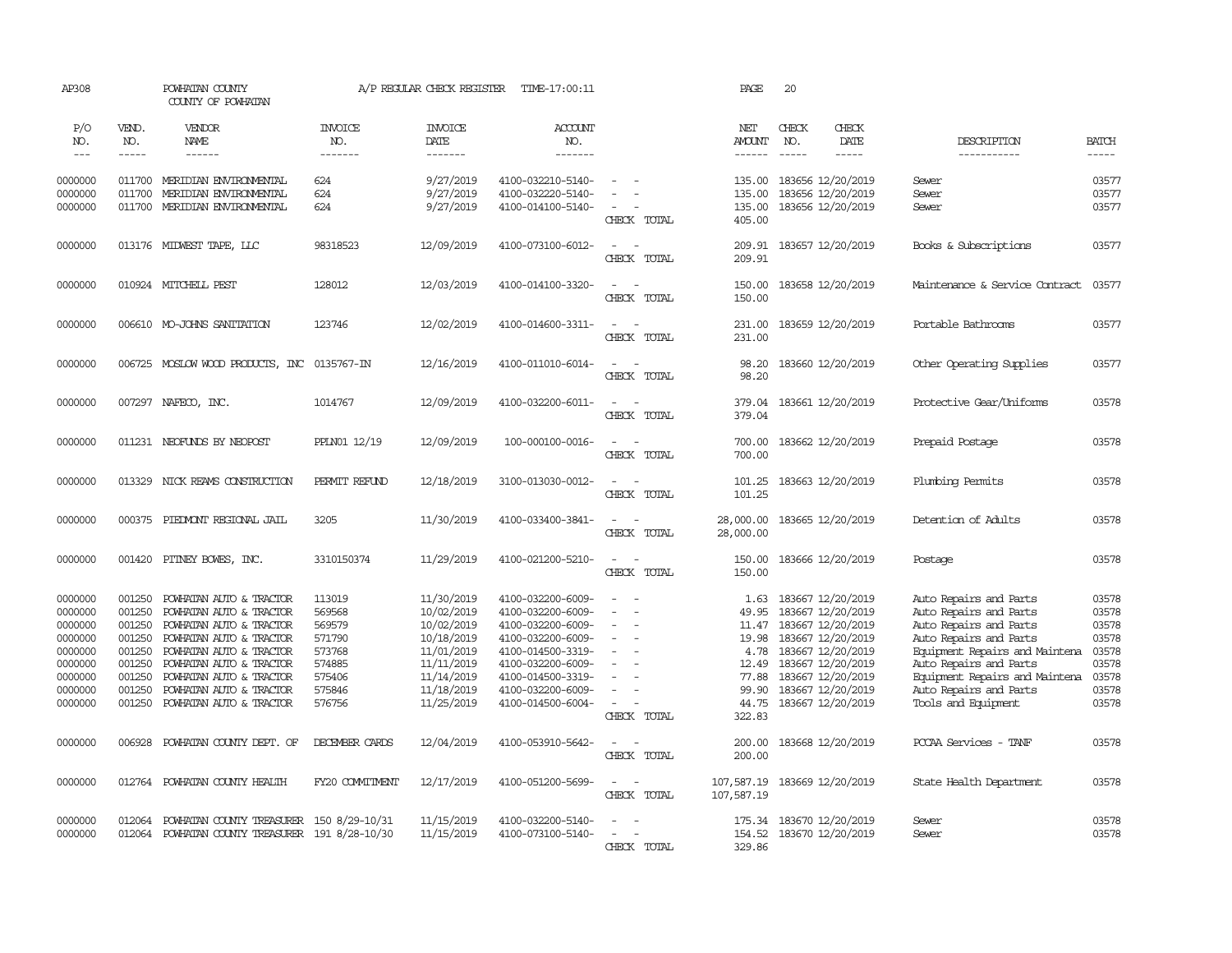| AP308              |                  | POWHATAN COUNTY<br>COUNTY OF POWHATAN              |                       | A/P REGULAR CHECK REGISTER | TIME-17:00:11                          |                                                                                                                             | PAGE                     | 20                                     |                                                          |                |
|--------------------|------------------|----------------------------------------------------|-----------------------|----------------------------|----------------------------------------|-----------------------------------------------------------------------------------------------------------------------------|--------------------------|----------------------------------------|----------------------------------------------------------|----------------|
| P/O<br>NO.         | VEND.<br>NO.     | VENDOR<br><b>NAME</b>                              | <b>INVOICE</b><br>NO. | <b>INVOICE</b><br>DATE     | <b>ACCOUNT</b><br>NO.                  |                                                                                                                             | NET<br>AMOUNT            | CHECK<br>CHECK<br>NO.<br>DATE          | DESCRIPTION                                              | <b>BATCH</b>   |
| $\frac{1}{2}$      | $- - - - -$      | ------                                             | -------               | -------                    | -------                                |                                                                                                                             |                          | $- - - - -$<br>$- - - - -$             | __________                                               | $- - - - -$    |
| 0000000            | 011700           | MERIDIAN ENVIRONMENTAL                             | 624                   | 9/27/2019                  | 4100-032210-5140-                      | $\equiv$                                                                                                                    | 135.00                   | 183656 12/20/2019                      | Sewer                                                    | 03577          |
| 0000000            | 011700           | MERIDIAN ENVIRONMENTAL                             | 624                   | 9/27/2019                  | 4100-032220-5140-                      | $\equiv$                                                                                                                    | 135.00                   | 183656 12/20/2019                      | Sewer                                                    | 03577          |
| 0000000            | 011700           | MERIDIAN ENVIRONENTAL                              | 624                   | 9/27/2019                  | 4100-014100-5140-                      | $\overline{\phantom{a}}$<br>$\overline{\phantom{a}}$<br>CHECK TOTAL                                                         | 135.00<br>405.00         | 183656 12/20/2019                      | Sewer                                                    | 03577          |
| 0000000            |                  | 013176 MIDWEST TAPE, LLC                           | 98318523              | 12/09/2019                 | 4100-073100-6012-                      | $\sim$<br>- 11<br>CHECK TOTAL                                                                                               | 209.91<br>209.91         | 183657 12/20/2019                      | Books & Subscriptions                                    | 03577          |
| 0000000            |                  | 010924 MITCHELL PEST                               | 128012                | 12/03/2019                 | 4100-014100-3320-                      | $\sim$<br>$\sim$<br>CHECK TOTAL                                                                                             | 150.00<br>150.00         | 183658 12/20/2019                      | Maintenance & Service Contract                           | 03577          |
| 0000000            |                  | 006610 MO-JOHNS SANITATION                         | 123746                | 12/02/2019                 | 4100-014600-3311-                      | $\sim$ $\sim$<br>CHECK TOTAL                                                                                                | 231.00<br>231.00         | 183659 12/20/2019                      | Portable Bathrooms                                       | 03577          |
| 0000000            |                  | 006725 MOSLOW WOOD PRODUCTS, INC                   | 0135767-IN            | 12/16/2019                 | 4100-011010-6014-                      | $\sim$<br>$\sim$<br>CHECK TOTAL                                                                                             | 98.20<br>98.20           | 183660 12/20/2019                      | Other Operating Supplies                                 | 03577          |
| 0000000            |                  | 007297 NAFECO, INC.                                | 1014767               | 12/09/2019                 | 4100-032200-6011-                      | $\sim$<br>$\sim$<br>CHECK TOTAL                                                                                             | 379.04<br>379.04         | 183661 12/20/2019                      | Protective Gear/Uniforms                                 | 03578          |
| 0000000            |                  | 011231 NEOFUNDS BY NEOPOST                         | PPLN01 12/19          | 12/09/2019                 | 100-000100-0016-                       | $\sim$<br>$\sim$<br>CHECK TOTAL                                                                                             | 700.00<br>700.00         | 183662 12/20/2019                      | Prepaid Postage                                          | 03578          |
| 0000000            |                  | 013329 NICK REAMS CONSTRUCTION                     | PERMIT REFUND         | 12/18/2019                 | 3100-013030-0012-                      | $\sim$<br>$\sim$<br>CHECK TOTAL                                                                                             | 101.25<br>101.25         | 183663 12/20/2019                      | Plumbing Permits                                         | 03578          |
| 0000000            | 000375           | PIEDMONT REGIONAL JAIL                             | 3205                  | 11/30/2019                 | 4100-033400-3841-                      | $\frac{1}{2} \left( \frac{1}{2} \right) \left( \frac{1}{2} \right) = \frac{1}{2} \left( \frac{1}{2} \right)$<br>CHECK TOTAL | 28,000.00<br>28,000.00   | 183665 12/20/2019                      | Detention of Adults                                      | 03578          |
| 0000000            | 001420           | PITNEY BOWES, INC.                                 | 3310150374            | 11/29/2019                 | 4100-021200-5210-                      | $\frac{1}{2} \left( \frac{1}{2} \right) \left( \frac{1}{2} \right) = \frac{1}{2} \left( \frac{1}{2} \right)$<br>CHECK TOTAL | 150.00<br>150.00         | 183666 12/20/2019                      | Postage                                                  | 03578          |
| 0000000            | 001250           | POWHATAN AUTO & TRACTOR                            | 113019                | 11/30/2019                 | 4100-032200-6009-                      | $\sim$                                                                                                                      | 1.63                     | 183667 12/20/2019                      | Auto Repairs and Parts                                   | 03578          |
| 0000000            | 001250           | POWHATAN AUTO & TRACTOR                            | 569568                | 10/02/2019                 | 4100-032200-6009-                      | $\equiv$                                                                                                                    | 49.95                    | 183667 12/20/2019                      | Auto Repairs and Parts                                   | 03578          |
| 0000000            | 001250           | POWHATAN AUTO & TRACTOR                            | 569579                | 10/02/2019                 | 4100-032200-6009-                      | $\equiv$                                                                                                                    | 11.47                    | 183667 12/20/2019                      | Auto Repairs and Parts                                   | 03578          |
| 0000000            | 001250           | POWHATAN AUTO & TRACTOR                            | 571790                | 10/18/2019                 | 4100-032200-6009-                      | $\equiv$                                                                                                                    | 19.98                    | 183667 12/20/2019                      | Auto Repairs and Parts                                   | 03578          |
| 0000000<br>0000000 | 001250<br>001250 | POWHATAN AUTO & TRACTOR<br>POWHATAN AUTO & TRACTOR | 573768<br>574885      | 11/01/2019<br>11/11/2019   | 4100-014500-3319-<br>4100-032200-6009- |                                                                                                                             | 4.78<br>12.49            | 183667 12/20/2019<br>183667 12/20/2019 | Equipment Repairs and Maintena<br>Auto Repairs and Parts | 03578<br>03578 |
| 0000000            | 001250           | POWHATAN AUTO & TRACTOR                            | 575406                | 11/14/2019                 | 4100-014500-3319-                      | $\blacksquare$                                                                                                              | 77.88                    | 183667 12/20/2019                      | Equipment Repairs and Maintena                           | 03578          |
| 0000000            | 001250           | POWHATAN AUTO & TRACTOR                            | 575846                | 11/18/2019                 | 4100-032200-6009-                      | $\sim$                                                                                                                      | 99.90                    | 183667 12/20/2019                      | Auto Repairs and Parts                                   | 03578          |
| 0000000            | 001250           | POWHATAN AUTO & TRACTOR                            | 576756                | 11/25/2019                 | 4100-014500-6004-                      | $\sim$<br>CHECK TOTAL                                                                                                       | 44.75<br>322.83          | 183667 12/20/2019                      | Tools and Equipment                                      | 03578          |
| 0000000            | 006928           | POWHATAN COUNTY DEPT. OF                           | DECEMBER CARDS        | 12/04/2019                 | 4100-053910-5642-                      | $\sim$<br>CHECK TOTAL                                                                                                       | 200.00<br>200.00         | 183668 12/20/2019                      | PCCAA Services - TANF                                    | 03578          |
| 0000000            |                  | 012764 POWHATAN COUNTY HEALTH                      | FY20 COMMITMENT       | 12/17/2019                 | 4100-051200-5699-                      | $\sim$<br>$\sim$<br>CHECK TOTAL                                                                                             | 107,587.19<br>107,587.19 | 183669 12/20/2019                      | State Health Department                                  | 03578          |
| 0000000            | 012064           | POWHATAN COUNTY TREASURER 150 8/29-10/31           |                       | 11/15/2019                 | 4100-032200-5140-                      | $\sim$<br>$\sim$                                                                                                            | 175.34                   | 183670 12/20/2019                      | Sewer                                                    | 03578          |
| 0000000            |                  | 012064 POWHATAN COUNTY TREASURER 191 8/28-10/30    |                       | 11/15/2019                 | 4100-073100-5140-                      | $\overline{\phantom{a}}$<br>$\sim$                                                                                          | 154.52                   | 183670 12/20/2019                      | Sewer                                                    | 03578          |
|                    |                  |                                                    |                       |                            |                                        | CHECK TOTAL                                                                                                                 | 329.86                   |                                        |                                                          |                |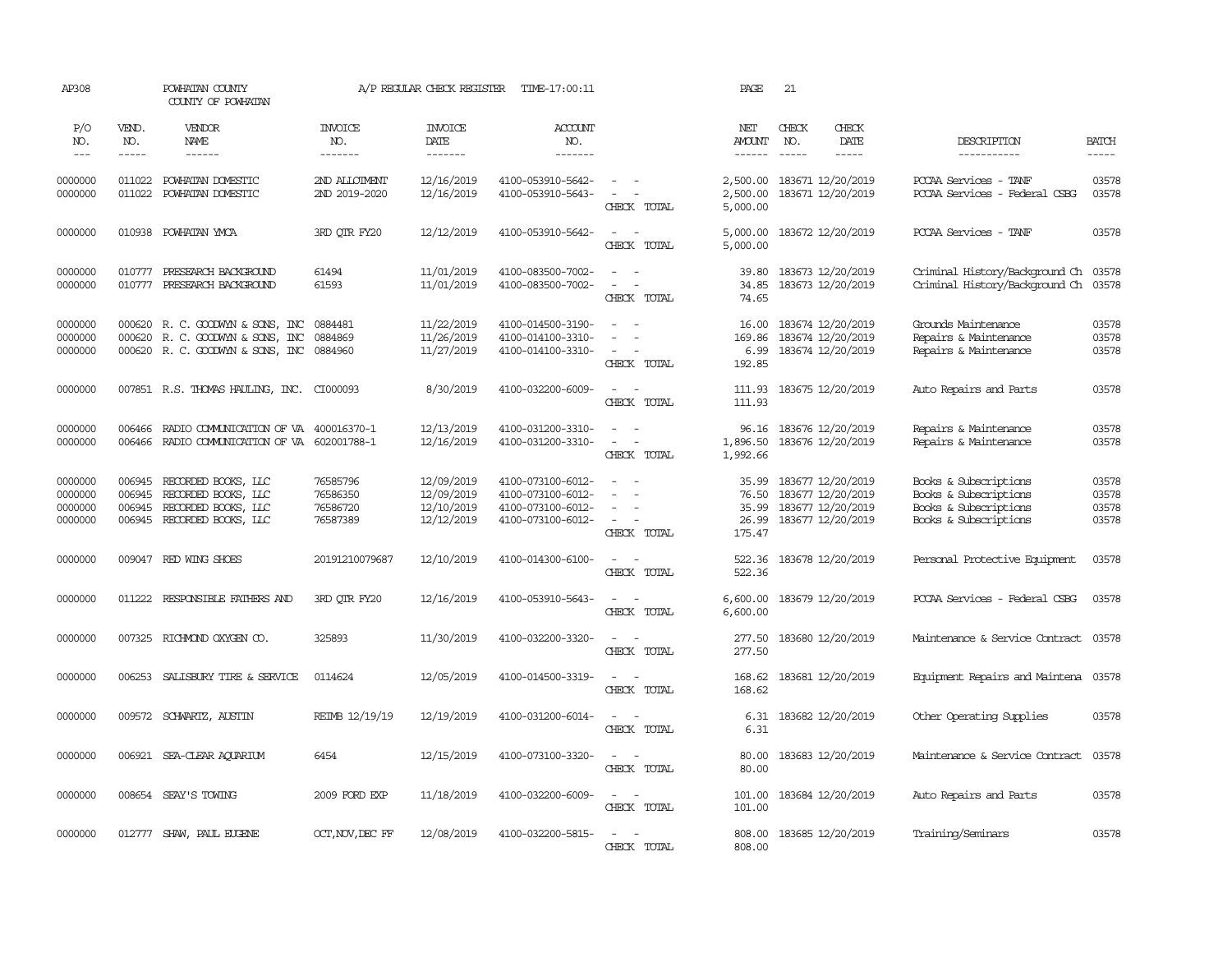| AP308                                    |                            | POWHATAN COUNTY<br>COUNTY OF POWHATAN                                                             |                                              | A/P REGULAR CHECK REGISTER                           | TIME-17:00:11                                                                    |                                                                             | PAGE                              | 21                                                                                     |               |                                                                                                  |                                  |
|------------------------------------------|----------------------------|---------------------------------------------------------------------------------------------------|----------------------------------------------|------------------------------------------------------|----------------------------------------------------------------------------------|-----------------------------------------------------------------------------|-----------------------------------|----------------------------------------------------------------------------------------|---------------|--------------------------------------------------------------------------------------------------|----------------------------------|
| P/O<br>NO.                               | VEND.<br>NO.               | VENDOR<br>NAME                                                                                    | <b>INVOICE</b><br>NO.                        | <b>INVOICE</b><br>DATE                               | <b>ACCOUNT</b><br>NO.                                                            |                                                                             | NET<br>AMOUNT                     | CHECK<br>NO.                                                                           | CHECK<br>DATE | DESCRIPTION                                                                                      | <b>BATCH</b>                     |
| $---$                                    | -----                      | ------                                                                                            | -------                                      | --------                                             | --------                                                                         |                                                                             | $- - - - - -$                     | $\frac{1}{2}$                                                                          | $\frac{1}{2}$ | ------------                                                                                     | $- - - - -$                      |
| 0000000<br>0000000                       | 011022<br>011022           | POWHATAN DOMESTIC<br>POWHATAN DOMESTIC                                                            | 2ND ALLOTMENT<br>2ND 2019-2020               | 12/16/2019<br>12/16/2019                             | 4100-053910-5642-<br>4100-053910-5643-                                           | $ -$<br>$\overline{\phantom{a}}$<br>$\overline{\phantom{a}}$<br>CHECK TOTAL | 2,500.00<br>2,500.00<br>5,000.00  | 183671 12/20/2019<br>183671 12/20/2019                                                 |               | PCCAA Services - TANF<br>PCCAA Services - Federal CSBG                                           | 03578<br>03578                   |
| 0000000                                  |                            | 010938 POWHATAN YMCA                                                                              | 3RD QTR FY20                                 | 12/12/2019                                           | 4100-053910-5642-                                                                | $\sim$<br>$\sim$<br>CHECK TOTAL                                             | 5,000.00<br>5,000.00              | 183672 12/20/2019                                                                      |               | PCCAA Services - TANF                                                                            | 03578                            |
| 0000000<br>0000000                       |                            | 010777 PRESEARCH BACKGROUND<br>010777 PRESEARCH BACKGROUND                                        | 61494<br>61593                               | 11/01/2019<br>11/01/2019                             | 4100-083500-7002-<br>4100-083500-7002-                                           | $\sim$<br>$\sim$<br>$\sim$<br>$\sim$<br>CHECK TOTAL                         | 39.80<br>34.85<br>74.65           | 183673 12/20/2019<br>183673 12/20/2019                                                 |               | Criminal History/Background Ch<br>Criminal History/Background Ch                                 | 03578<br>03578                   |
| 0000000<br>0000000<br>0000000            | 000620                     | 000620 R. C. GOODWYN & SONS, INC<br>R. C. GOODWIN & SONS, INC<br>000620 R. C. GOODWYN & SONS, INC | 0884481<br>0884869<br>0884960                | 11/22/2019<br>11/26/2019<br>11/27/2019               | 4100-014500-3190-<br>4100-014100-3310-<br>4100-014100-3310-                      | $\sim$ $ \sim$<br>$\sim$<br>$\equiv$<br>. —<br>CHECK TOTAL                  | 169.86<br>192.85                  | 16.00 183674 12/20/2019<br>183674 12/20/2019<br>6.99 183674 12/20/2019                 |               | Grounds Maintenance<br>Repairs & Maintenance<br>Repairs & Maintenance                            | 03578<br>03578<br>03578          |
| 0000000                                  |                            | 007851 R.S. THOMAS HAULING, INC. CI000093                                                         |                                              | 8/30/2019                                            | 4100-032200-6009-                                                                | $\sim$<br>$\sim$<br>CHECK TOTAL                                             | 111.93<br>111.93                  | 183675 12/20/2019                                                                      |               | Auto Repairs and Parts                                                                           | 03578                            |
| 0000000<br>0000000                       | 006466<br>006466           | RADIO COMUNICATION OF VA 400016370-1<br>RADIO COMMUNICATION OF VA 602001788-1                     |                                              | 12/13/2019<br>12/16/2019                             | 4100-031200-3310-<br>4100-031200-3310-                                           | $\sim$ $ \sim$<br>$\sim$ $ \sim$<br>CHECK TOTAL                             | 96.16<br>1,896.50<br>1,992.66     | 183676 12/20/2019<br>183676 12/20/2019                                                 |               | Repairs & Maintenance<br>Repairs & Maintenance                                                   | 03578<br>03578                   |
| 0000000<br>0000000<br>0000000<br>0000000 | 006945<br>006945<br>006945 | RECORDED BOOKS, LLC<br>RECORDED BOOKS, LLC<br>RECORDED BOOKS, LLC<br>006945 RECORDED BOOKS, LLC   | 76585796<br>76586350<br>76586720<br>76587389 | 12/09/2019<br>12/09/2019<br>12/10/2019<br>12/12/2019 | 4100-073100-6012-<br>4100-073100-6012-<br>4100-073100-6012-<br>4100-073100-6012- | $\sim$<br>$\sim$<br>$\equiv$<br>$\sim$<br>CHECK TOTAL                       | 35.99<br>35.99<br>26.99<br>175.47 | 183677 12/20/2019<br>76.50 183677 12/20/2019<br>183677 12/20/2019<br>183677 12/20/2019 |               | Books & Subscriptions<br>Books & Subscriptions<br>Books & Subscriptions<br>Books & Subscriptions | 03578<br>03578<br>03578<br>03578 |
| 0000000                                  |                            | 009047 RED WING SHOES                                                                             | 20191210079687                               | 12/10/2019                                           | 4100-014300-6100-                                                                | $\omega_{\rm{max}}$ and $\omega_{\rm{max}}$<br>CHECK TOTAL                  | 522.36<br>522.36                  | 183678 12/20/2019                                                                      |               | Personal Protective Equipment                                                                    | 03578                            |
| 0000000                                  | 011222                     | RESPONSIBLE FAIHERS AND                                                                           | 3RD QTR FY20                                 | 12/16/2019                                           | 4100-053910-5643-                                                                | $\sim$ $ \sim$<br>CHECK TOTAL                                               | 6,600.00<br>6,600.00              | 183679 12/20/2019                                                                      |               | PCCAA Services - Federal CSBG                                                                    | 03578                            |
| 0000000                                  | 007325                     | RICHMOND OXYGEN CO.                                                                               | 325893                                       | 11/30/2019                                           | 4100-032200-3320-                                                                | $\sim$<br>$\sim$<br>CHECK TOTAL                                             | 277.50<br>277.50                  | 183680 12/20/2019                                                                      |               | Maintenance & Service Contract                                                                   | 03578                            |
| 0000000                                  | 006253                     | SALISBURY TIRE & SERVICE                                                                          | 0114624                                      | 12/05/2019                                           | 4100-014500-3319-                                                                | $\overline{\phantom{a}}$<br>CHECK TOTAL                                     | 168.62<br>168.62                  | 183681 12/20/2019                                                                      |               | Equipment Repairs and Maintena 03578                                                             |                                  |
| 0000000                                  |                            | 009572 SCHWARTZ, AUSTIN                                                                           | REIMB 12/19/19                               | 12/19/2019                                           | 4100-031200-6014-                                                                | $\sim$<br>$\sim$<br>CHECK TOTAL                                             | 6.31<br>6.31                      | 183682 12/20/2019                                                                      |               | Other Operating Supplies                                                                         | 03578                            |
| 0000000                                  |                            | 006921 SEA-CLEAR ACUARIUM                                                                         | 6454                                         | 12/15/2019                                           | 4100-073100-3320-                                                                | $\sim$ $ \sim$<br>CHECK TOTAL                                               | 80.00<br>80.00                    | 183683 12/20/2019                                                                      |               | Maintenance & Service Contract                                                                   | 03578                            |
| 0000000                                  |                            | 008654 SEAY'S TOWING                                                                              | 2009 FORD EXP                                | 11/18/2019                                           | 4100-032200-6009-                                                                | $\sim$<br>$\sim$<br>CHECK TOTAL                                             | 101.00<br>101.00                  | 183684 12/20/2019                                                                      |               | Auto Repairs and Parts                                                                           | 03578                            |
| 0000000                                  |                            | 012777 SHAW, PAUL EUGENE                                                                          | OCT, NOV, DEC FF                             | 12/08/2019                                           | 4100-032200-5815-                                                                | $\sim$<br>$\sim$<br>CHECK TOTAL                                             | 808.00<br>808,00                  | 183685 12/20/2019                                                                      |               | Training/Seminars                                                                                | 03578                            |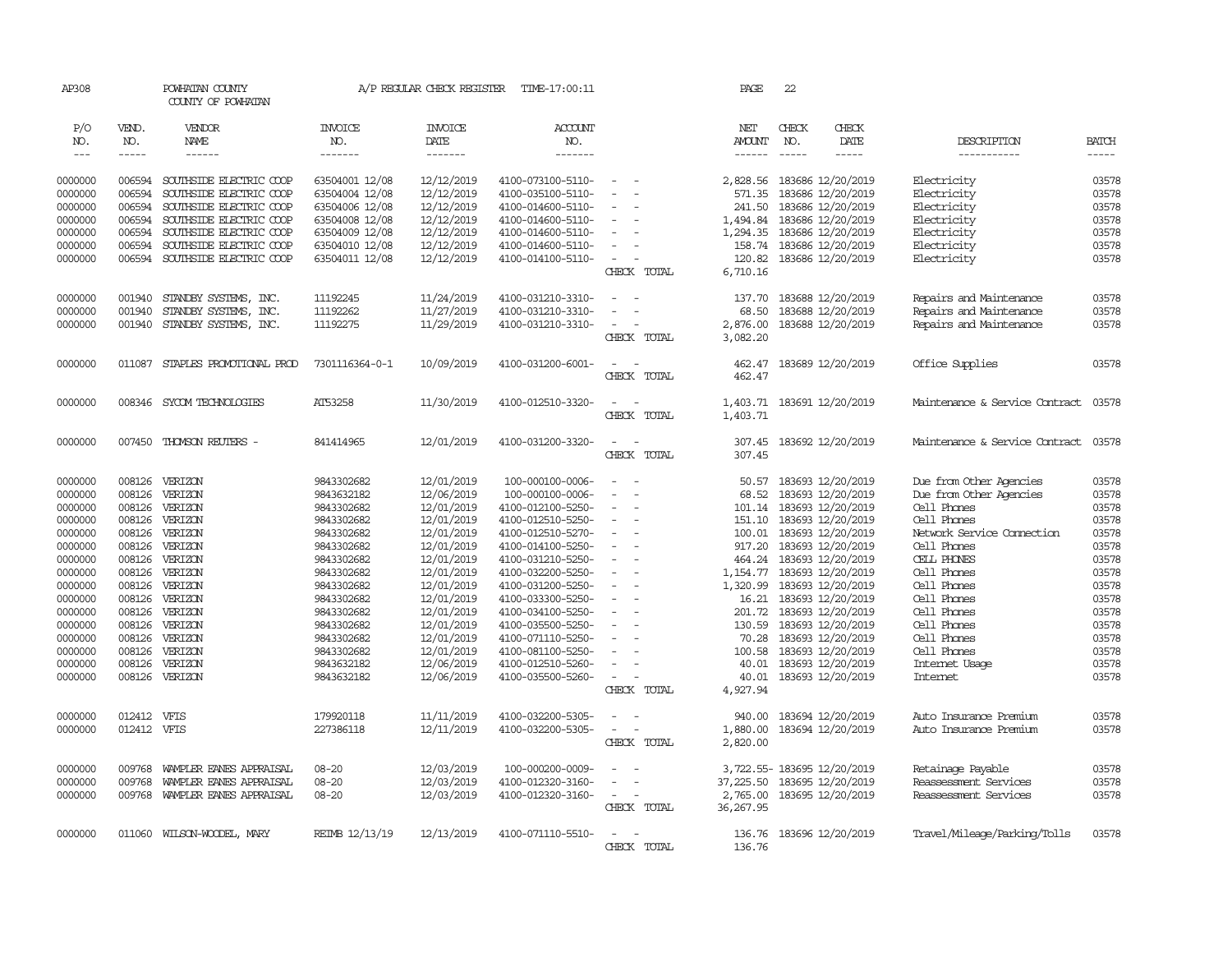| AP308              |              | POWHATAN COUNTY<br>COUNTY OF POWHATAN |                                  | A/P REGULAR CHECK REGISTER | TIME-17:00:11         |                                         | PAGE                 | 22           |                                        |                                |              |
|--------------------|--------------|---------------------------------------|----------------------------------|----------------------------|-----------------------|-----------------------------------------|----------------------|--------------|----------------------------------------|--------------------------------|--------------|
| P/O<br>NO.         | VEND.<br>NO. | VENDOR<br>NAME                        | <b>INVOICE</b><br>NO.            | <b>INVOICE</b><br>DATE     | <b>ACCOUNT</b><br>NO. |                                         | NET<br><b>AMOUNT</b> | CHECK<br>NO. | CHECK<br>DATE                          | DESCRIPTION                    | <b>BATCH</b> |
| $  -$              | -----        | ------                                | -------                          | -------                    | -------               |                                         |                      | $- - - - -$  | -----                                  | -----------                    | -----        |
|                    | 006594       | SOUTHSIDE ELECTRIC COOP               |                                  |                            | 4100-073100-5110-     | $\sim$                                  |                      |              |                                        | Electricity                    | 03578        |
| 0000000<br>0000000 | 006594       | SOUTHSIDE ELECTRIC COOP               | 63504001 12/08<br>63504004 12/08 | 12/12/2019<br>12/12/2019   | 4100-035100-5110-     | $\blacksquare$                          | 2,828.56<br>571.35   |              | 183686 12/20/2019<br>183686 12/20/2019 | Electricity                    | 03578        |
| 0000000            | 006594       | SOUTHSIDE ELECTRIC COOP               | 63504006 12/08                   | 12/12/2019                 | 4100-014600-5110-     | $\equiv$                                | 241.50               |              | 183686 12/20/2019                      | Electricity                    | 03578        |
| 0000000            | 006594       | SOUTHSIDE ELECTRIC COOP               | 63504008 12/08                   | 12/12/2019                 | 4100-014600-5110-     |                                         | 1,494.84             |              | 183686 12/20/2019                      | Electricity                    | 03578        |
| 0000000            | 006594       | SOUTHSIDE ELECTRIC COOP               | 63504009 12/08                   | 12/12/2019                 | 4100-014600-5110-     | $\sim$                                  | 1,294.35             |              | 183686 12/20/2019                      | Electricity                    | 03578        |
| 0000000            | 006594       | SOUTHSIDE ELECTRIC COOP               | 63504010 12/08                   | 12/12/2019                 | 4100-014600-5110-     | $\sim$                                  | 158.74               |              | 183686 12/20/2019                      | Electricity                    | 03578        |
| 0000000            | 006594       | SOUTHSIDE ELECTRIC COOP               | 63504011 12/08                   | 12/12/2019                 | 4100-014100-5110-     | $\sim$<br>$\overline{\phantom{a}}$      | 120.82               |              | 183686 12/20/2019                      | Electricity                    | 03578        |
|                    |              |                                       |                                  |                            |                       | CHECK TOTAL                             | 6,710.16             |              |                                        |                                |              |
| 0000000            | 001940       | STANDBY SYSTEMS, INC.                 | 11192245                         | 11/24/2019                 | 4100-031210-3310-     | $\equiv$                                | 137.70               |              | 183688 12/20/2019                      | Repairs and Maintenance        | 03578        |
| 0000000            | 001940       | STANDBY SYSTEMS, INC.                 | 11192262                         | 11/27/2019                 | 4100-031210-3310-     |                                         | 68.50                |              | 183688 12/20/2019                      | Repairs and Maintenance        | 03578        |
| 0000000            |              | 001940 STANDBY SYSTEMS, INC.          | 11192275                         | 11/29/2019                 | 4100-031210-3310-     | $\overline{\phantom{a}}$                | 2,876.00             |              | 183688 12/20/2019                      | Repairs and Maintenance        | 03578        |
|                    |              |                                       |                                  |                            |                       | CHECK TOTAL                             | 3,082.20             |              |                                        |                                |              |
|                    |              |                                       |                                  |                            |                       |                                         |                      |              |                                        |                                |              |
| 0000000            | 011087       | STAPLES PROMOTIONAL PROD              | 7301116364-0-1                   | 10/09/2019                 | 4100-031200-6001-     | $\sim$ $\sim$                           | 462.47               |              | 183689 12/20/2019                      | Office Supplies                | 03578        |
|                    |              |                                       |                                  |                            |                       | CHECK TOTAL                             | 462.47               |              |                                        |                                |              |
| 0000000            |              | 008346 SYCOM TECHNOLOGIES             | AT53258                          | 11/30/2019                 | 4100-012510-3320-     | $\overline{\phantom{a}}$<br>$\sim$      |                      |              | 1,403.71 183691 12/20/2019             | Maintenance & Service Contract | 03578        |
|                    |              |                                       |                                  |                            |                       | CHECK TOTAL                             | 1,403.71             |              |                                        |                                |              |
| 0000000            | 007450       | THOMSON REUTERS -                     | 841414965                        | 12/01/2019                 | 4100-031200-3320-     | $\sim$                                  | 307.45               |              | 183692 12/20/2019                      | Maintenance & Service Contract | 03578        |
|                    |              |                                       |                                  |                            |                       | CHECK TOTAL                             | 307.45               |              |                                        |                                |              |
| 0000000            | 008126       | VERIZON                               | 9843302682                       | 12/01/2019                 | 100-000100-0006-      | $\sim$                                  | 50.57                |              | 183693 12/20/2019                      | Due from Other Agencies        | 03578        |
| 0000000            | 008126       | VERIZON                               | 9843632182                       | 12/06/2019                 | 100-000100-0006-      | $\equiv$                                | 68.52                |              | 183693 12/20/2019                      | Due from Other Agencies        | 03578        |
| 0000000            | 008126       | VERIZON                               | 9843302682                       | 12/01/2019                 | 4100-012100-5250-     |                                         |                      |              | 101.14 183693 12/20/2019               | Cell Phones                    | 03578        |
| 0000000            | 008126       | VERIZON                               | 9843302682                       | 12/01/2019                 | 4100-012510-5250-     | $\equiv$                                | 151.10               |              | 183693 12/20/2019                      | Cell Phones                    | 03578        |
| 0000000            | 008126       | VERIZON                               | 9843302682                       | 12/01/2019                 | 4100-012510-5270-     | $\equiv$                                | 100.01               |              | 183693 12/20/2019                      | Network Service Connection     | 03578        |
| 0000000            | 008126       | VERIZON                               | 9843302682                       | 12/01/2019                 | 4100-014100-5250-     | $\equiv$                                | 917.20               |              | 183693 12/20/2019                      | Cell Phones                    | 03578        |
| 0000000            | 008126       | VERIZON                               | 9843302682                       | 12/01/2019                 | 4100-031210-5250-     | $\blacksquare$                          | 464.24               |              | 183693 12/20/2019                      | CELL PHONES                    | 03578        |
| 0000000            | 008126       | VERIZON                               | 9843302682                       | 12/01/2019                 | 4100-032200-5250-     | $\equiv$                                | 1,154.77             |              | 183693 12/20/2019                      | Cell Phones                    | 03578        |
| 0000000            | 008126       | VERIZON                               | 9843302682                       | 12/01/2019                 | 4100-031200-5250-     | $\equiv$                                | 1,320.99             |              | 183693 12/20/2019                      | Cell Phones                    | 03578        |
| 0000000            | 008126       | VERIZON                               | 9843302682                       | 12/01/2019                 | 4100-033300-5250-     |                                         |                      |              | 16.21 183693 12/20/2019                | Cell Phones                    | 03578        |
| 0000000            | 008126       | VERIZON                               | 9843302682                       | 12/01/2019                 | 4100-034100-5250-     | $\sim$                                  |                      |              | 201.72 183693 12/20/2019               | Cell Phones                    | 03578        |
| 0000000            | 008126       | VERIZON                               | 9843302682                       | 12/01/2019                 | 4100-035500-5250-     | $\equiv$                                | 130.59               |              | 183693 12/20/2019                      | Cell Phones                    | 03578        |
| 0000000            | 008126       | VERIZON                               | 9843302682                       | 12/01/2019                 | 4100-071110-5250-     | $\sim$                                  | 70.28                |              | 183693 12/20/2019                      | Cell Phones                    | 03578        |
| 0000000            | 008126       | VERIZON                               | 9843302682                       | 12/01/2019                 | 4100-081100-5250-     | $\sim$                                  | 100.58               |              | 183693 12/20/2019                      | Cell Phones                    | 03578        |
| 0000000            | 008126       | VERIZON                               | 9843632182                       | 12/06/2019                 | 4100-012510-5260-     | $\equiv$                                | 40.01                |              | 183693 12/20/2019                      | Internet Usage                 | 03578        |
| 0000000            | 008126       | VERIZON                               | 9843632182                       | 12/06/2019                 | 4100-035500-5260-     | $\overline{\phantom{a}}$<br>CHECK TOTAL | 40.01<br>4,927.94    |              | 183693 12/20/2019                      | <b>Internet</b>                | 03578        |
|                    |              |                                       |                                  |                            |                       |                                         |                      |              |                                        |                                |              |
| 0000000            | 012412 VFIS  |                                       | 179920118                        | 11/11/2019                 | 4100-032200-5305-     | $\blacksquare$                          | 940.00               |              | 183694 12/20/2019                      | Auto Insurance Premium         | 03578        |
| 0000000            | 012412 VFIS  |                                       | 227386118                        | 12/11/2019                 | 4100-032200-5305-     | $\sim$<br>$\sim$                        | 1,880.00             |              | 183694 12/20/2019                      | Auto Insurance Premium         | 03578        |
|                    |              |                                       |                                  |                            |                       | CHECK TOTAL                             | 2,820.00             |              |                                        |                                |              |
| 0000000            | 009768       | WAMPLER EANES APPRAISAL               | $08 - 20$                        | 12/03/2019                 | 100-000200-0009-      | $\sim$                                  |                      |              | 3,722.55-183695 12/20/2019             | Retainage Payable              | 03578        |
| 0000000            | 009768       | WAMPLER EANES APPRAISAL               | $08 - 20$                        | 12/03/2019                 | 4100-012320-3160-     |                                         |                      |              | 37, 225.50 183695 12/20/2019           | Reassessment Services          | 03578        |
| 0000000            | 009768       | WAMPLER EANES APPRAISAL               | $08 - 20$                        | 12/03/2019                 | 4100-012320-3160-     | $\sim$                                  |                      |              | 2,765.00 183695 12/20/2019             | Reassessment Services          | 03578        |
|                    |              |                                       |                                  |                            |                       | CHECK TOTAL                             | 36,267.95            |              |                                        |                                |              |
| 0000000            |              | 011060 WILSON-WOODEL, MARY            | REIMB 12/13/19                   | 12/13/2019                 | 4100-071110-5510-     | $\sim$                                  |                      |              | 136.76 183696 12/20/2019               | Travel/Mileage/Parking/Tolls   | 03578        |
|                    |              |                                       |                                  |                            |                       | CHECK TOTAL                             | 136.76               |              |                                        |                                |              |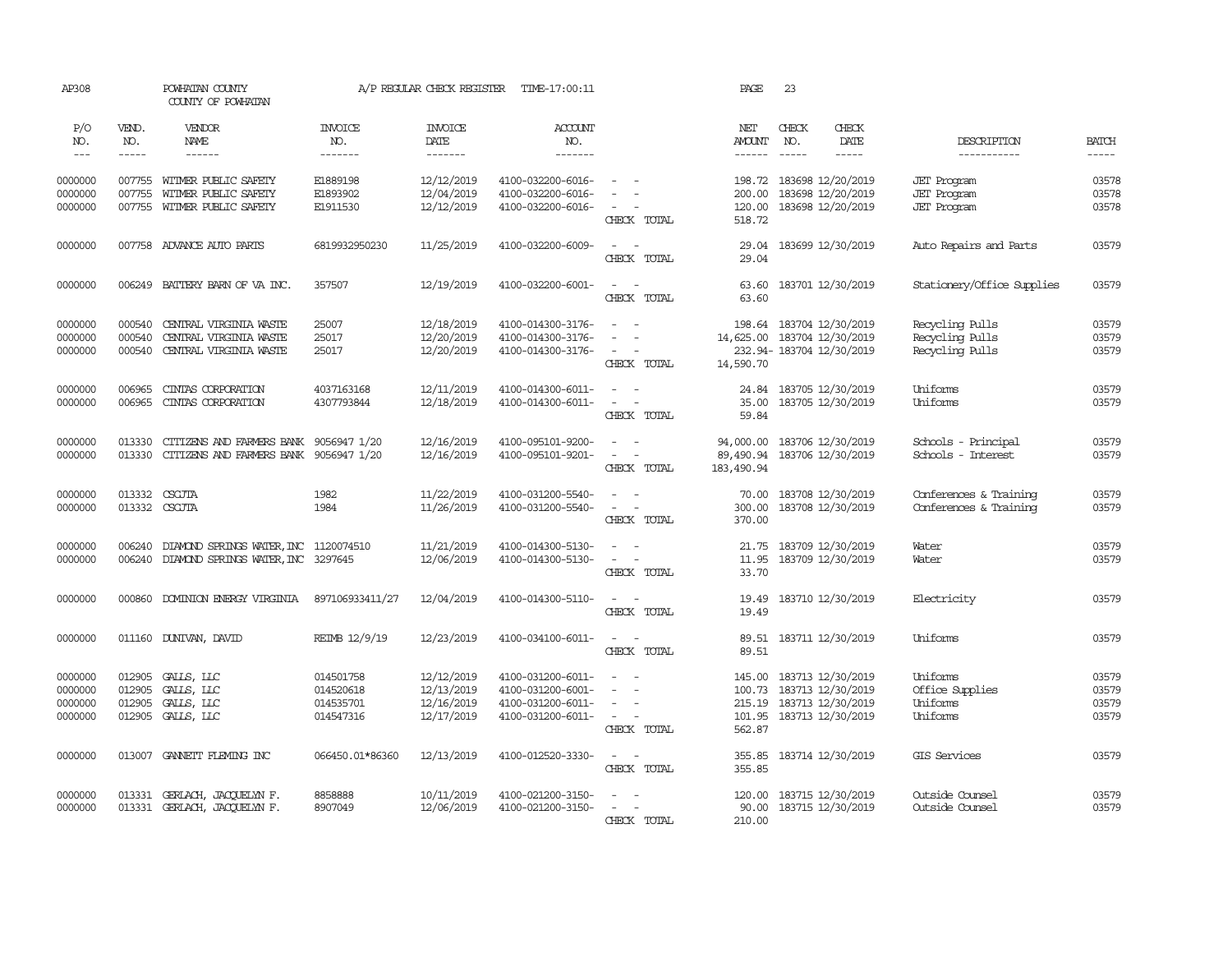| AP308                                    |                                      | POWHATAN COUNTY<br>COUNTY OF POWHATAN                                            |                                                  | A/P REGULAR CHECK REGISTER                           | TIME-17:00:11                                                                    |                                                                                                          | PAGE                                  | 23                                                                                                                                                                                                                                                                                                                                                                                                                                     |                                                                |                                  |
|------------------------------------------|--------------------------------------|----------------------------------------------------------------------------------|--------------------------------------------------|------------------------------------------------------|----------------------------------------------------------------------------------|----------------------------------------------------------------------------------------------------------|---------------------------------------|----------------------------------------------------------------------------------------------------------------------------------------------------------------------------------------------------------------------------------------------------------------------------------------------------------------------------------------------------------------------------------------------------------------------------------------|----------------------------------------------------------------|----------------------------------|
| P/O<br>NO.<br>$---$                      | VEND.<br>NO.<br>$- - - - -$          | VENDOR<br>NAME<br>$- - - - - -$                                                  | <b>INVOICE</b><br>NO.<br>-------                 | <b>INVOICE</b><br>DATE<br>-------                    | <b>ACCOUNT</b><br>NO.<br>-------                                                 |                                                                                                          | NET<br><b>AMOUNT</b><br>$- - - - - -$ | CHECK<br>CHECK<br>DATE<br>NO.<br>-----<br>$\frac{1}{2} \frac{1}{2} \frac{1}{2} \frac{1}{2} \frac{1}{2} \frac{1}{2} \frac{1}{2} \frac{1}{2} \frac{1}{2} \frac{1}{2} \frac{1}{2} \frac{1}{2} \frac{1}{2} \frac{1}{2} \frac{1}{2} \frac{1}{2} \frac{1}{2} \frac{1}{2} \frac{1}{2} \frac{1}{2} \frac{1}{2} \frac{1}{2} \frac{1}{2} \frac{1}{2} \frac{1}{2} \frac{1}{2} \frac{1}{2} \frac{1}{2} \frac{1}{2} \frac{1}{2} \frac{1}{2} \frac{$ | DESCRIPTION<br>-----------                                     | <b>BATCH</b><br>$- - - - -$      |
| 0000000<br>0000000<br>0000000            | 007755<br>007755<br>007755           | WITMER PUBLIC SAFETY<br>WITMER PUBLIC SAFETY<br>WITMER PUBLIC SAFETY             | E1889198<br>E1893902<br>E1911530                 | 12/12/2019<br>12/04/2019<br>12/12/2019               | 4100-032200-6016-<br>4100-032200-6016-<br>4100-032200-6016-                      | $\sim$<br>$\sim$<br>CHECK TOTAL                                                                          | 198.72<br>200.00<br>120.00<br>518.72  | 183698 12/20/2019<br>183698 12/20/2019<br>183698 12/20/2019                                                                                                                                                                                                                                                                                                                                                                            | <b>JET</b> Program<br><b>JET</b> Program<br><b>JET</b> Program | 03578<br>03578<br>03578          |
| 0000000                                  |                                      | 007758 ADVANCE AUTO PARTS                                                        | 6819932950230                                    | 11/25/2019                                           | 4100-032200-6009-                                                                | $\sim$ $\sim$<br>CHECK TOTAL                                                                             | 29.04<br>29.04                        | 183699 12/30/2019                                                                                                                                                                                                                                                                                                                                                                                                                      | Auto Repairs and Parts                                         | 03579                            |
| 0000000                                  | 006249                               | BATTERY BARN OF VA INC.                                                          | 357507                                           | 12/19/2019                                           | 4100-032200-6001-                                                                | $\omega_{\rm{max}}$ and $\omega_{\rm{max}}$<br>CHECK TOTAL                                               | 63.60<br>63.60                        | 183701 12/30/2019                                                                                                                                                                                                                                                                                                                                                                                                                      | Stationery/Office Supplies                                     | 03579                            |
| 0000000<br>0000000<br>0000000            | 000540<br>000540<br>000540           | CENTRAL VIRGINIA WASTE<br>CENTRAL VIRGINIA WASTE<br>CENTRAL VIRGINIA WASTE       | 25007<br>25017<br>25017                          | 12/18/2019<br>12/20/2019<br>12/20/2019               | 4100-014300-3176-<br>4100-014300-3176-<br>4100-014300-3176-                      | $\overline{\phantom{a}}$<br>$\equiv$<br>$\sim$<br>CHECK TOTAL                                            | 198.64<br>14,590.70                   | 183704 12/30/2019<br>14,625.00 183704 12/30/2019<br>232.94-183704 12/30/2019                                                                                                                                                                                                                                                                                                                                                           | Recycling Pulls<br>Recycling Pulls<br>Recycling Pulls          | 03579<br>03579<br>03579          |
| 0000000<br>0000000                       | 006965<br>006965                     | CINIAS CORPORATION<br>CINIAS CORPORATION                                         | 4037163168<br>4307793844                         | 12/11/2019<br>12/18/2019                             | 4100-014300-6011-<br>4100-014300-6011-                                           | $\overline{\phantom{a}}$<br>$\sim$<br>$\sim$<br>CHECK TOTAL                                              | 24.84<br>35.00<br>59.84               | 183705 12/30/2019<br>183705 12/30/2019                                                                                                                                                                                                                                                                                                                                                                                                 | Uniforms<br>Uniforms                                           | 03579<br>03579                   |
| 0000000<br>0000000                       | 013330<br>013330                     | CITIZENS AND FARMERS BANK 9056947 1/20<br>CITIZENS AND FARMERS BANK 9056947 1/20 |                                                  | 12/16/2019<br>12/16/2019                             | 4100-095101-9200-<br>4100-095101-9201-                                           | $\sim$<br>$\sim$ $ -$<br>CHECK TOTAL                                                                     | 94,000.00<br>89,490.94<br>183,490.94  | 183706 12/30/2019<br>183706 12/30/2019                                                                                                                                                                                                                                                                                                                                                                                                 | Schools - Principal<br>Schools - Interest                      | 03579<br>03579                   |
| 0000000<br>0000000                       | 013332                               | CSCUTA<br>013332 CSCJTA                                                          | 1982<br>1984                                     | 11/22/2019<br>11/26/2019                             | 4100-031200-5540-<br>4100-031200-5540-                                           | $\sim$<br>$\sim$<br>$\blacksquare$<br>$\overline{\phantom{a}}$<br>CHECK TOTAL                            | 300.00<br>370.00                      | 70.00 183708 12/30/2019<br>183708 12/30/2019                                                                                                                                                                                                                                                                                                                                                                                           | Conferences & Training<br>Conferences & Training               | 03579<br>03579                   |
| 0000000<br>0000000                       | 006240<br>006240                     | DIAMOND SPRINGS WATER, INC 1120074510<br>DIAMOND SPRINGS WATER, INC 3297645      |                                                  | 11/21/2019<br>12/06/2019                             | 4100-014300-5130-<br>4100-014300-5130-                                           | $\sim$<br>$\sim$<br>$\sim$<br>$\sim$ $-$<br>CHECK TOTAL                                                  | 21.75<br>11.95<br>33.70               | 183709 12/30/2019<br>183709 12/30/2019                                                                                                                                                                                                                                                                                                                                                                                                 | Water<br>Water                                                 | 03579<br>03579                   |
| 0000000                                  | 000860                               | DOMINION ENERGY VIRGINIA                                                         | 897106933411/27                                  | 12/04/2019                                           | 4100-014300-5110-                                                                | $\sim$ 100 $\sim$<br>CHECK TOTAL                                                                         | 19.49<br>19.49                        | 183710 12/30/2019                                                                                                                                                                                                                                                                                                                                                                                                                      | Electricity                                                    | 03579                            |
| 0000000                                  |                                      | 011160 DUNIVAN, DAVID                                                            | REIMB 12/9/19                                    | 12/23/2019                                           | 4100-034100-6011-                                                                | $\sim$ $-$<br>$\sim$<br>CHECK TOTAL                                                                      | 89.51                                 | 89.51 183711 12/30/2019                                                                                                                                                                                                                                                                                                                                                                                                                | <b>Uniforms</b>                                                | 03579                            |
| 0000000<br>0000000<br>0000000<br>0000000 | 012905<br>012905<br>012905<br>012905 | GALLS, LLC<br>GALLS, LLC<br>GALLS, LLC<br>GALLS, LLC                             | 014501758<br>014520618<br>014535701<br>014547316 | 12/12/2019<br>12/13/2019<br>12/16/2019<br>12/17/2019 | 4100-031200-6011-<br>4100-031200-6001-<br>4100-031200-6011-<br>4100-031200-6011- | $\sim$<br>$\sim$<br>$\blacksquare$<br>$\sim$<br>$\overline{\phantom{a}}$<br>$\sim$ $\sim$<br>CHECK TOTAL | 100.73<br>215.19<br>562.87            | 145.00 183713 12/30/2019<br>183713 12/30/2019<br>183713 12/30/2019<br>101.95 183713 12/30/2019                                                                                                                                                                                                                                                                                                                                         | Uniforms<br>Office Supplies<br>Uniforms<br>Uniforms            | 03579<br>03579<br>03579<br>03579 |
| 0000000                                  | 013007                               | GANNETT FLEMING INC                                                              | 066450.01*86360                                  | 12/13/2019                                           | 4100-012520-3330-                                                                | $\sim$ $ \sim$<br>CHECK TOTAL                                                                            | 355.85<br>355.85                      | 183714 12/30/2019                                                                                                                                                                                                                                                                                                                                                                                                                      | GIS Services                                                   | 03579                            |
| 0000000<br>0000000                       | 013331                               | GERLACH, JACOUELYN F.<br>013331 GERLACH, JACOUELYN F.                            | 8858888<br>8907049                               | 10/11/2019<br>12/06/2019                             | 4100-021200-3150-<br>4100-021200-3150-                                           | $\equiv$<br>$\sim$<br>CHECK TOTAL                                                                        | 120.00<br>90.00<br>210.00             | 183715 12/30/2019<br>183715 12/30/2019                                                                                                                                                                                                                                                                                                                                                                                                 | Outside Counsel<br>Outside Counsel                             | 03579<br>03579                   |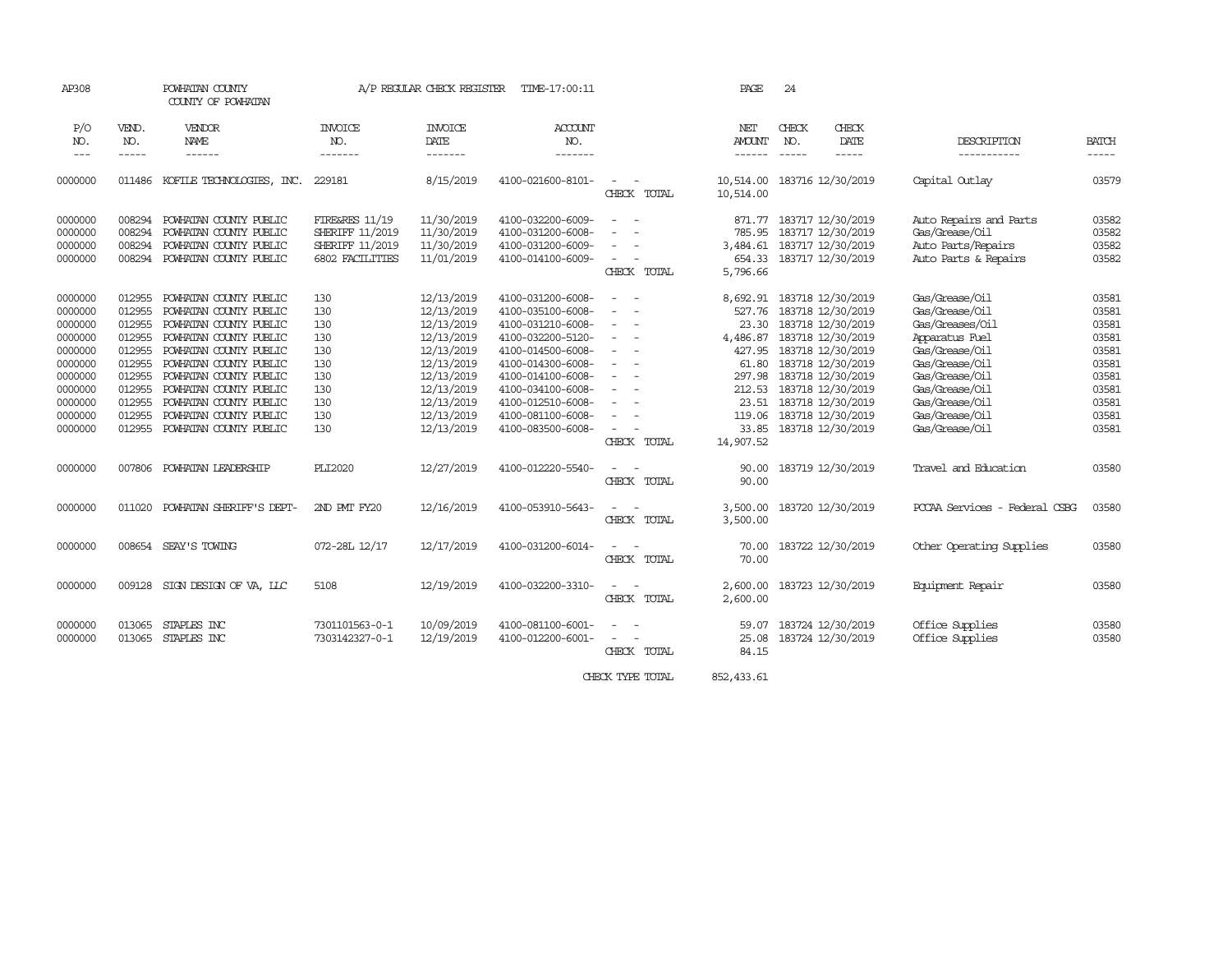| AP308               |              | POWHATAN COUNTY<br>COUNTY OF POWHATAN |                        | A/P REGULAR CHECK REGISTER | TIME-17:00:11     |                                                                                                | PAGE                 | 24           |                            |                               |              |
|---------------------|--------------|---------------------------------------|------------------------|----------------------------|-------------------|------------------------------------------------------------------------------------------------|----------------------|--------------|----------------------------|-------------------------------|--------------|
| P/O<br>NO.          | VEND.<br>NO. | VENDOR<br>NAME                        | INVOICE<br>NO.         | <b>INVOICE</b><br>DATE     | ACCOUNT<br>NO.    |                                                                                                | NET<br><b>AMOUNT</b> | CHECK<br>NO. | CHECK<br>DATE              | DESCRIPTION                   | <b>BATCH</b> |
| $\qquad \qquad - -$ | -----        | ------                                | -------                | -------                    | -------           |                                                                                                | ------               | ------       | -----                      | -----------                   | $- - - - -$  |
| 0000000             | 011486       | KOFILE TECHNOLOGIES, INC.             | 229181                 | 8/15/2019                  | 4100-021600-8101- | $\sim$                                                                                         | 10,514.00            |              | 183716 12/30/2019          | Capital Outlay                | 03579        |
|                     |              |                                       |                        |                            |                   | CHECK TOTAL                                                                                    | 10,514.00            |              |                            |                               |              |
| 0000000             | 008294       | POWHATAN COUNTY PUBLIC                | FIRE&RES 11/19         | 11/30/2019                 | 4100-032200-6009- | $\overline{\phantom{a}}$<br>$\sim$                                                             | 871.77               |              | 183717 12/30/2019          | Auto Repairs and Parts        | 03582        |
| 0000000             | 008294       | POWHATAN COUNTY PUBLIC                | SHERIFF 11/2019        | 11/30/2019                 | 4100-031200-6008- | $\overline{\phantom{a}}$<br>. —                                                                | 785.95               |              | 183717 12/30/2019          | Gas/Grease/Oil                | 03582        |
| 0000000             | 008294       | POWHATAN COUNTY PUBLIC                | SHERIFF 11/2019        | 11/30/2019                 | 4100-031200-6009- | $\overline{\phantom{a}}$                                                                       | 3,484.61             |              | 183717 12/30/2019          | Auto Parts/Repairs            | 03582        |
| 0000000             | 008294       | POWHATAN COUNTY PUBLIC                | <b>6802 FACILITIES</b> | 11/01/2019                 | 4100-014100-6009- | $\sim$<br>$\overline{\phantom{a}}$                                                             | 654.33               |              | 183717 12/30/2019          | Auto Parts & Repairs          | 03582        |
|                     |              |                                       |                        |                            |                   | CHECK TOTAL                                                                                    | 5,796.66             |              |                            |                               |              |
| 0000000             | 012955       | POWHATAN COUNTY PUBLIC                | 130                    | 12/13/2019                 | 4100-031200-6008- | $\overline{\phantom{a}}$<br>$\sim$                                                             |                      |              | 8,692.91 183718 12/30/2019 | Gas/Grease/Oil                | 03581        |
| 0000000             | 012955       | POWHATAN COUNTY PUBLIC                | 130                    | 12/13/2019                 | 4100-035100-6008- | $\overline{\phantom{a}}$<br>$\sim$                                                             | 527.76               |              | 183718 12/30/2019          | Gas/Grease/Oil                | 03581        |
| 0000000             | 012955       | POWHATAN COUNTY PUBLIC                | 130                    | 12/13/2019                 | 4100-031210-6008- | $\sim$                                                                                         | 23.30                |              | 183718 12/30/2019          | Gas/Greases/Oil               | 03581        |
| 0000000             | 012955       | POWHATAN COUNTY PUBLIC                | 130                    | 12/13/2019                 | 4100-032200-5120- | $\frac{1}{2} \left( \frac{1}{2} \right) \left( \frac{1}{2} \right) \left( \frac{1}{2} \right)$ | 4,486.87             |              | 183718 12/30/2019          | Apparatus Fuel                | 03581        |
| 0000000             | 012955       | POWHATAN COUNTY PUBLIC                | 130                    | 12/13/2019                 | 4100-014500-6008- | $\overline{\phantom{a}}$<br>$\sim$                                                             | 427.95               |              | 183718 12/30/2019          | Gas/Grease/Oil                | 03581        |
| 0000000             | 012955       | POWHATAN COUNTY PUBLIC                | 130                    | 12/13/2019                 | 4100-014300-6008- | $\sim$                                                                                         | 61.80                |              | 183718 12/30/2019          | Gas/Grease/Oil                | 03581        |
| 0000000             | 012955       | POWHATAN COUNTY PUBLIC                | 130                    | 12/13/2019                 | 4100-014100-6008- | $\sim$<br>$\sim$                                                                               | 297.98               |              | 183718 12/30/2019          | Gas/Grease/Oil                | 03581        |
| 0000000             | 012955       | POWHATAN COUNTY PUBLIC                | 130                    | 12/13/2019                 | 4100-034100-6008- | $\sim$<br>$\sim$                                                                               | 212.53               |              | 183718 12/30/2019          | Gas/Grease/Oil                | 03581        |
| 0000000             | 012955       | POWHATAN COUNTY PUBLIC                | 130                    | 12/13/2019                 | 4100-012510-6008- | $\overline{\phantom{a}}$<br>$\overline{\phantom{a}}$                                           | 23.51                |              | 183718 12/30/2019          | Gas/Grease/Oil                | 03581        |
| 0000000             | 012955       | POWHATAN COUNTY PUBLIC                | 130                    | 12/13/2019                 | 4100-081100-6008- | $\equiv$                                                                                       | 119.06               |              | 183718 12/30/2019          | Gas/Grease/Oil                | 03581        |
| 0000000             | 012955       | POWHATAN COUNTY PUBLIC                | 130                    | 12/13/2019                 | 4100-083500-6008- | $\sim$<br>$\sim$                                                                               | 33.85                |              | 183718 12/30/2019          | Gas/Grease/Oil                | 03581        |
|                     |              |                                       |                        |                            |                   | CHECK TOTAL                                                                                    | 14,907.52            |              |                            |                               |              |
| 0000000             | 007806       | POWHATAN LEADERSHIP                   | PLI2020                | 12/27/2019                 | 4100-012220-5540- | $\sim$<br>$\sim$                                                                               | 90.00                |              | 183719 12/30/2019          | Travel and Education          | 03580        |
|                     |              |                                       |                        |                            |                   | CHECK TOTAL                                                                                    | 90.00                |              |                            |                               |              |
| 0000000             | 011020       | POWHATAN SHERIFF'S DEPT-              | 2ND PMT FY20           | 12/16/2019                 | 4100-053910-5643- | $\sim$<br>$\sim$                                                                               | 3,500.00             |              | 183720 12/30/2019          | PCCAA Services - Federal CSBG | 03580        |
|                     |              |                                       |                        |                            |                   | CHECK TOTAL                                                                                    | 3,500.00             |              |                            |                               |              |
| 0000000             |              | 008654 SEAY'S TOWING                  | 072-28L 12/17          | 12/17/2019                 | 4100-031200-6014- |                                                                                                | 70.00                |              | 183722 12/30/2019          | Other Operating Supplies      | 03580        |
|                     |              |                                       |                        |                            |                   | CHECK TOTAL                                                                                    | 70.00                |              |                            |                               |              |
| 0000000             |              | 009128 SIGN DESIGN OF VA, LLC         | 5108                   | 12/19/2019                 | 4100-032200-3310- | $\overline{a}$<br>$\sim$                                                                       | 2,600.00             |              | 183723 12/30/2019          | Equipment Repair              | 03580        |
|                     |              |                                       |                        |                            |                   | CHECK TOTAL                                                                                    | 2,600.00             |              |                            |                               |              |
| 0000000             | 013065       | STAPLES INC                           | 7301101563-0-1         | 10/09/2019                 | 4100-081100-6001- | $\equiv$                                                                                       | 59.07                |              | 183724 12/30/2019          | Office Supplies               | 03580        |
| 0000000             | 013065       | STAPLES INC                           | 7303142327-0-1         | 12/19/2019                 | 4100-012200-6001- | $\equiv$                                                                                       | 25.08                |              | 183724 12/30/2019          | Office Supplies               | 03580        |
|                     |              |                                       |                        |                            |                   | CHECK TOTAL                                                                                    | 84.15                |              |                            |                               |              |
|                     |              |                                       |                        |                            |                   |                                                                                                |                      |              |                            |                               |              |

CHECK TYPE TOTAL 852,433.61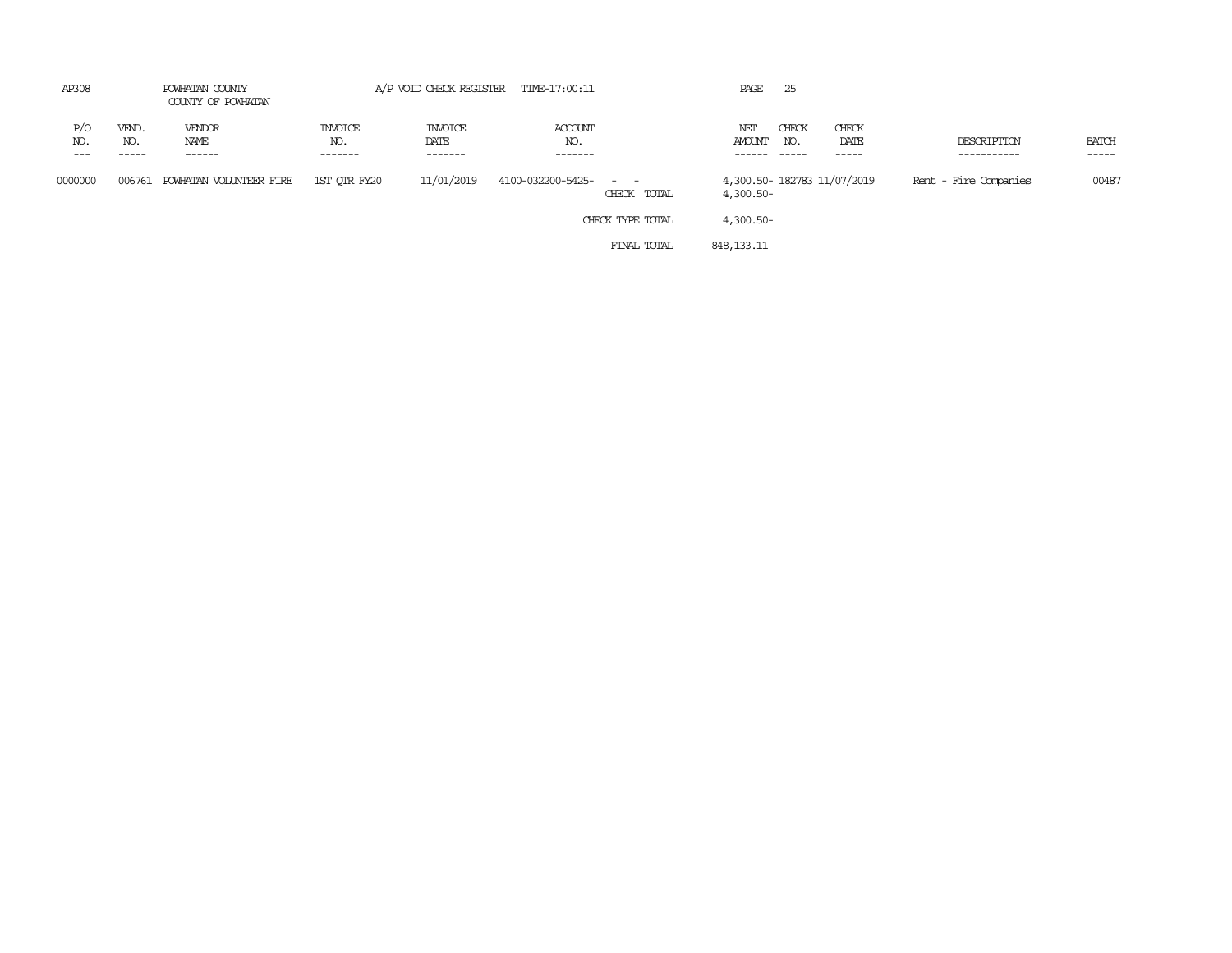| AP308<br>POWHATAN COUNTY<br>COUNTY OF POWHATAN |              | A/P VOID CHECK REGISTER TIME-17:00:11 |                                  |                                   |                           | PAGE                | 25                   |              |                             |                            |                       |
|------------------------------------------------|--------------|---------------------------------------|----------------------------------|-----------------------------------|---------------------------|---------------------|----------------------|--------------|-----------------------------|----------------------------|-----------------------|
| P/O<br>NO.                                     | VEND.<br>NO. | VENDOR<br>NAME<br>------              | <b>INVOICE</b><br>NO.<br>------- | <b>INVOICE</b><br>DATE<br>------- | ACCOUNT<br>NO.<br>------- |                     | NET<br><b>AMOUNT</b> | CHECK<br>NO. | CHECK<br>DATE<br>-----      | DESCRIPTION<br>----------- | <b>BATCH</b><br>----- |
| 0000000                                        | 006761       | POWHATAN VOLUNTEER FIRE               | 1ST OTR FY20                     | 11/01/2019                        | 4100-032200-5425-         | $ -$<br>CHECK TOTAL | 4,300.50-            |              | 4,300.50- 182783 11/07/2019 | Rent - Fire Companies      | 00487                 |
|                                                |              |                                       |                                  |                                   |                           | CHECK TYPE TOTAL    | 4,300.50-            |              |                             |                            |                       |
|                                                |              |                                       |                                  |                                   |                           | FINAL TOTAL         | 848, 133. 11         |              |                             |                            |                       |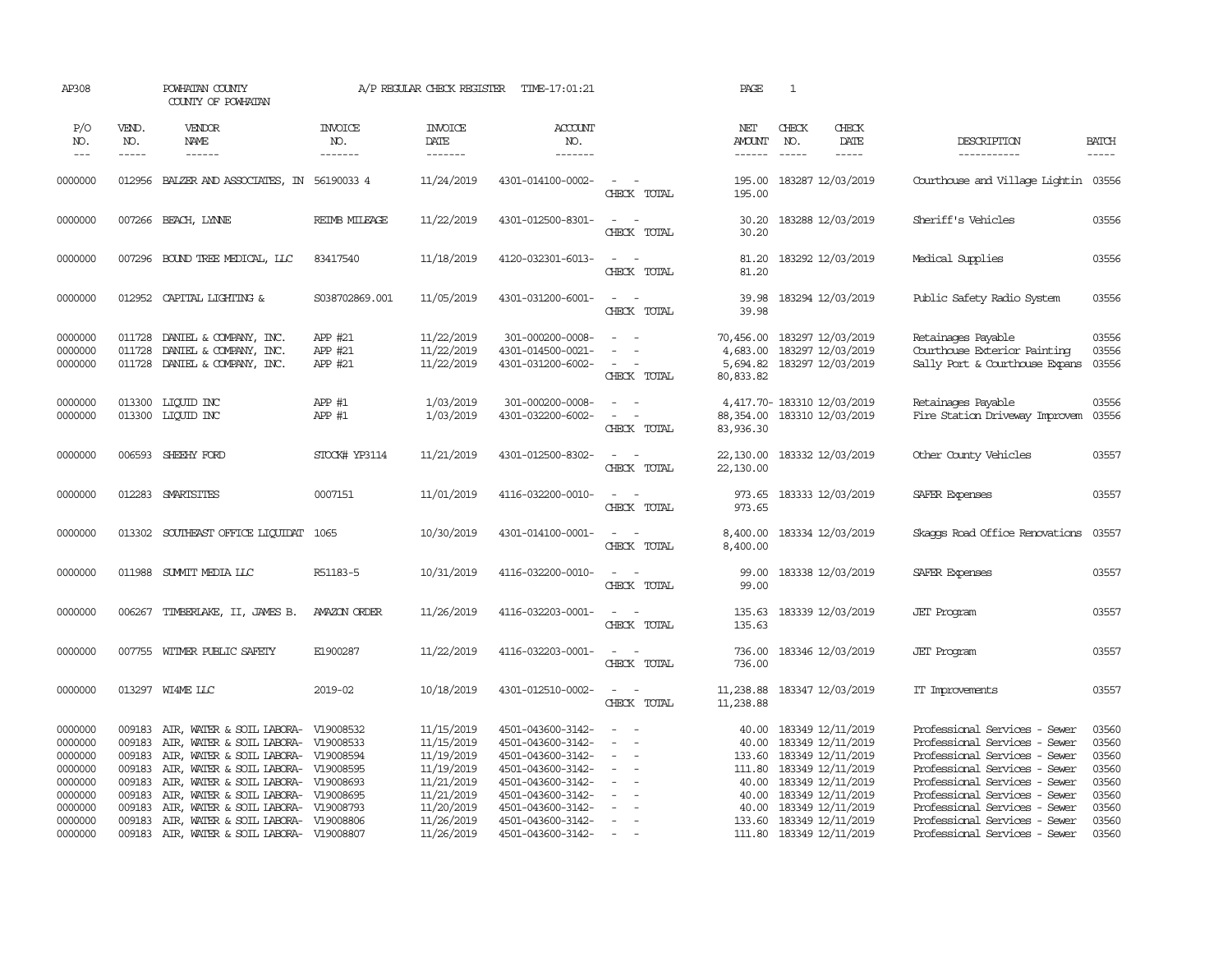| AP308                                                                     |                                                          | POWHATAN COUNTY<br>COUNTY OF POWHATAN                                                                                                                                                                                                                                                |                                  | A/P REGULAR CHECK REGISTER                                                                     | TIME-17:01:21                                                                                                                                   |                                                                                                | PAGE                             | $\mathbf{1}$                                                                                                                                                        |                                                                                                                                                                                                                                     |                                                             |
|---------------------------------------------------------------------------|----------------------------------------------------------|--------------------------------------------------------------------------------------------------------------------------------------------------------------------------------------------------------------------------------------------------------------------------------------|----------------------------------|------------------------------------------------------------------------------------------------|-------------------------------------------------------------------------------------------------------------------------------------------------|------------------------------------------------------------------------------------------------|----------------------------------|---------------------------------------------------------------------------------------------------------------------------------------------------------------------|-------------------------------------------------------------------------------------------------------------------------------------------------------------------------------------------------------------------------------------|-------------------------------------------------------------|
| P/O<br>NO.<br>$\frac{1}{2}$                                               | VEND.<br>NO.<br>-----                                    | VENDOR<br>NAME                                                                                                                                                                                                                                                                       | <b>INVOICE</b><br>NO.<br>------- | <b>INVOICE</b><br>DATE<br>--------                                                             | ACCOUNT<br>NO.<br>--------                                                                                                                      |                                                                                                | NET<br><b>AMOUNT</b>             | CHECK<br>CHECK<br>NO.<br>DATE<br>$\cdots\cdots\cdots$                                                                                                               | DESCRIPTION<br>-----------                                                                                                                                                                                                          | <b>BATCH</b>                                                |
| 0000000                                                                   |                                                          | 012956 BALZER AND ASSOCIATES, IN 56190033 4                                                                                                                                                                                                                                          |                                  | 11/24/2019                                                                                     | 4301-014100-0002-                                                                                                                               | $\sim$ $\sim$<br>CHECK TOTAL                                                                   | 195.00<br>195.00                 | 183287 12/03/2019                                                                                                                                                   | Courthouse and Village Lightin 03556                                                                                                                                                                                                |                                                             |
| 0000000                                                                   |                                                          | 007266 BEACH, LYNNE                                                                                                                                                                                                                                                                  | REIMB MILEAGE                    | 11/22/2019                                                                                     | 4301-012500-8301-                                                                                                                               | $\omega_{\rm{max}}$ and $\omega_{\rm{max}}$<br>CHECK TOTAL                                     | 30.20<br>30.20                   | 183288 12/03/2019                                                                                                                                                   | Sheriff's Vehicles                                                                                                                                                                                                                  | 03556                                                       |
| 0000000                                                                   |                                                          | 007296 BOUND TREE MEDICAL, LLC                                                                                                                                                                                                                                                       | 83417540                         | 11/18/2019                                                                                     | 4120-032301-6013-                                                                                                                               | $\sim$<br>$\sim$<br>CHECK TOTAL                                                                | 81.20                            | 81.20 183292 12/03/2019                                                                                                                                             | Medical Supplies                                                                                                                                                                                                                    | 03556                                                       |
| 0000000                                                                   |                                                          | 012952 CAPITAL LIGHTING &                                                                                                                                                                                                                                                            | S038702869.001                   | 11/05/2019                                                                                     | 4301-031200-6001-                                                                                                                               | $\sim$ $\sim$<br>CHECK TOTAL                                                                   | 39.98<br>39.98                   | 183294 12/03/2019                                                                                                                                                   | Public Safety Radio System                                                                                                                                                                                                          | 03556                                                       |
| 0000000<br>0000000<br>0000000                                             | 011728<br>011728<br>011728                               | DANIEL & COMPANY, INC.<br>DANIEL & COMPANY, INC.<br>DANIEL & COMPANY, INC.                                                                                                                                                                                                           | APP #21<br>APP #21<br>APP #21    | 11/22/2019<br>11/22/2019<br>11/22/2019                                                         | 301-000200-0008-<br>4301-014500-0021-<br>4301-031200-6002-                                                                                      | $\sim$<br>$\sim$<br>$\sim$<br>$\sim$<br>$\omega_{\rm{max}}$<br>CHECK TOTAL                     | 80,833.82                        | 70,456.00 183297 12/03/2019<br>4,683.00 183297 12/03/2019<br>5,694.82 183297 12/03/2019                                                                             | Retainages Payable<br>Courthouse Exterior Painting<br>Sally Port & Courthouse Expans                                                                                                                                                | 03556<br>03556<br>03556                                     |
| 0000000<br>0000000                                                        |                                                          | 013300 LIQUID INC<br>013300 LIQUID INC                                                                                                                                                                                                                                               | APP #1<br>APP #1                 | 1/03/2019<br>1/03/2019                                                                         | 301-000200-0008-<br>4301-032200-6002-                                                                                                           | $\sim$<br>$\sim$<br>$\mathcal{L}_{\text{max}}$ , and $\mathcal{L}_{\text{max}}$<br>CHECK TOTAL | 88,354.00<br>83,936.30           | 4,417.70- 183310 12/03/2019<br>183310 12/03/2019                                                                                                                    | Retainages Payable<br>Fire Station Driveway Improvem                                                                                                                                                                                | 03556<br>03556                                              |
| 0000000                                                                   |                                                          | 006593 SHEEHY FORD                                                                                                                                                                                                                                                                   | STOCK# YP3114                    | 11/21/2019                                                                                     | 4301-012500-8302-                                                                                                                               | $\sim$ $ -$<br>CHECK TOTAL                                                                     | 22,130.00<br>22,130.00           | 183332 12/03/2019                                                                                                                                                   | Other County Vehicles                                                                                                                                                                                                               | 03557                                                       |
| 0000000                                                                   |                                                          | 012283 SMARTSITES                                                                                                                                                                                                                                                                    | 0007151                          | 11/01/2019                                                                                     | 4116-032200-0010-                                                                                                                               | $\sim$<br>$\sim$<br>CHECK TOTAL                                                                | 973.65                           | 973.65 183333 12/03/2019                                                                                                                                            | SAFER Expenses                                                                                                                                                                                                                      | 03557                                                       |
| 0000000                                                                   |                                                          | 013302 SOUTHEAST OFFICE LIQUIDAT 1065                                                                                                                                                                                                                                                |                                  | 10/30/2019                                                                                     | 4301-014100-0001-                                                                                                                               | $\sim$ $ \sim$<br>CHECK TOTAL                                                                  | 8,400.00<br>8,400.00             | 183334 12/03/2019                                                                                                                                                   | Skaops Road Office Renovations                                                                                                                                                                                                      | 03557                                                       |
| 0000000                                                                   |                                                          | 011988 SUMMIT MEDIA LLC                                                                                                                                                                                                                                                              | R51183-5                         | 10/31/2019                                                                                     | 4116-032200-0010-                                                                                                                               | $\sim$ $ -$<br>CHECK TOTAL                                                                     | 99.00<br>99.00                   | 183338 12/03/2019                                                                                                                                                   | SAFER Expenses                                                                                                                                                                                                                      | 03557                                                       |
| 0000000                                                                   |                                                          | 006267 TIMBERLAKE, II, JAMES B.                                                                                                                                                                                                                                                      | AMAZON ORDER                     | 11/26/2019                                                                                     | 4116-032203-0001-                                                                                                                               | $\sim$ $ -$<br>CHECK TOTAL                                                                     | 135.63<br>135.63                 | 183339 12/03/2019                                                                                                                                                   | <b>JET</b> Program                                                                                                                                                                                                                  | 03557                                                       |
| 0000000                                                                   |                                                          | 007755 WITMER PUBLIC SAFETY                                                                                                                                                                                                                                                          | E1900287                         | 11/22/2019                                                                                     | 4116-032203-0001-                                                                                                                               | $\sim$ $ \sim$<br>CHECK TOTAL                                                                  | 736.00                           | 736.00 183346 12/03/2019                                                                                                                                            | <b>JET</b> Program                                                                                                                                                                                                                  | 03557                                                       |
| 0000000                                                                   |                                                          | 013297 WI4ME LLC                                                                                                                                                                                                                                                                     | 2019-02                          | 10/18/2019                                                                                     | 4301-012510-0002-                                                                                                                               | $\sim$ 100 $\sim$<br>CHECK TOTAL                                                               | 11,238.88                        | 11,238.88 183347 12/03/2019                                                                                                                                         | IT Improvements                                                                                                                                                                                                                     | 03557                                                       |
| 0000000<br>0000000<br>0000000<br>0000000<br>0000000<br>0000000<br>0000000 | 009183<br>009183<br>009183<br>009183<br>009183<br>009183 | 009183 AIR, WATER & SOIL LABORA- V19008532<br>AIR, WATER & SOIL LABORA- V19008533<br>AIR, WATER & SOIL LABORA- V19008594<br>AIR, WATER & SOIL LABORA- V19008595<br>AIR, WATER & SOIL LABORA- V19008693<br>AIR, WATER & SOIL LABORA- V19008695<br>AIR, WATER & SOIL LABORA- V19008793 |                                  | 11/15/2019<br>11/15/2019<br>11/19/2019<br>11/19/2019<br>11/21/2019<br>11/21/2019<br>11/20/2019 | 4501-043600-3142-<br>4501-043600-3142-<br>4501-043600-3142-<br>4501-043600-3142-<br>4501-043600-3142-<br>4501-043600-3142-<br>4501-043600-3142- | $\equiv$<br>$\sim$<br>$\sim$<br>$\sim$<br>$\sim$<br>$\equiv$                                   | 40.00<br>40.00<br>40.00<br>40.00 | 183349 12/11/2019<br>183349 12/11/2019<br>133.60 183349 12/11/2019<br>111.80 183349 12/11/2019<br>183349 12/11/2019<br>40.00 183349 12/11/2019<br>183349 12/11/2019 | Professional Services - Sewer<br>Professional Services - Sewer<br>Professional Services - Sewer<br>Professional Services - Sewer<br>Professional Services - Sewer<br>Professional Services - Sewer<br>Professional Services - Sewer | 03560<br>03560<br>03560<br>03560<br>03560<br>03560<br>03560 |
| 0000000<br>0000000                                                        | 009183                                                   | AIR, WATER & SOIL LABORA- V19008806<br>009183 AIR, WATER & SOIL LABORA- V19008807                                                                                                                                                                                                    |                                  | 11/26/2019<br>11/26/2019                                                                       | 4501-043600-3142-<br>4501-043600-3142-                                                                                                          | $\sim$<br>$\sim$                                                                               |                                  | 133.60 183349 12/11/2019<br>111.80 183349 12/11/2019                                                                                                                | Professional Services - Sewer<br>Professional Services - Sewer                                                                                                                                                                      | 03560<br>03560                                              |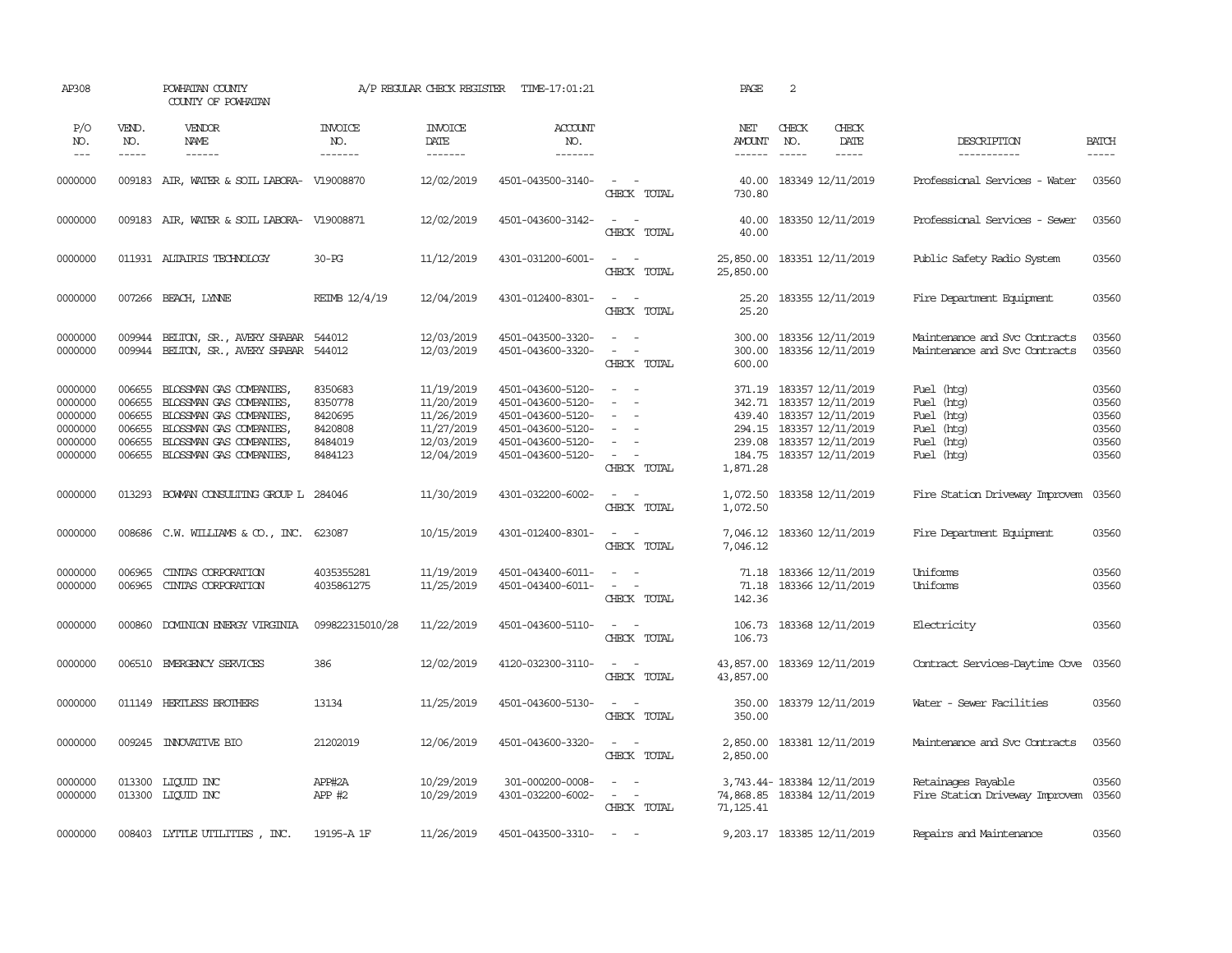| AP308                                                          |                                                          | POWHATAN COUNTY<br>COUNTY OF POWHATAN                                                                                                                       |                                                                | A/P REGULAR CHECK REGISTER                                                       | TIME-17:01:21                                                                                                              |                                                                                                                                           | PAGE                                                                    | 2                                                                                                                                               |                        |                                                                                  |                                                    |
|----------------------------------------------------------------|----------------------------------------------------------|-------------------------------------------------------------------------------------------------------------------------------------------------------------|----------------------------------------------------------------|----------------------------------------------------------------------------------|----------------------------------------------------------------------------------------------------------------------------|-------------------------------------------------------------------------------------------------------------------------------------------|-------------------------------------------------------------------------|-------------------------------------------------------------------------------------------------------------------------------------------------|------------------------|----------------------------------------------------------------------------------|----------------------------------------------------|
| P/O<br>NO.<br>$\frac{1}{2}$                                    | VEND.<br>NO.<br>-----                                    | VENDOR<br>NAME<br>------                                                                                                                                    | <b>INVOICE</b><br>NO.<br>-------                               | <b>INVOICE</b><br>DATE<br>-------                                                | ACCOUNT<br>NO.<br>-------                                                                                                  |                                                                                                                                           | NET<br><b>AMOUNT</b><br>------                                          | CHECK<br>NO.                                                                                                                                    | CHECK<br>DATE<br>----- | DESCRIPTION<br>-----------                                                       | <b>BATCH</b><br>-----                              |
| 0000000                                                        |                                                          | 009183 AIR, WATER & SOIL LABORA- V19008870                                                                                                                  |                                                                | 12/02/2019                                                                       | 4501-043500-3140-                                                                                                          | $\sim$<br>$\sim$<br>CHECK TOTAL                                                                                                           | 40.00<br>730.80                                                         | 183349 12/11/2019                                                                                                                               |                        | Professional Services - Water                                                    | 03560                                              |
| 0000000                                                        |                                                          | 009183 AIR, WATER & SOIL LABORA- V19008871                                                                                                                  |                                                                | 12/02/2019                                                                       | 4501-043600-3142-                                                                                                          | $\sim$<br>$\sim$<br>CHECK TOTAL                                                                                                           | 40.00<br>40.00                                                          | 183350 12/11/2019                                                                                                                               |                        | Professional Services - Sewer                                                    | 03560                                              |
| 0000000                                                        |                                                          | 011931 ALTAIRIS TECHNOLOGY                                                                                                                                  | $30 - PG$                                                      | 11/12/2019                                                                       | 4301-031200-6001-                                                                                                          | $\overline{\phantom{a}}$<br>$\sim$<br>CHECK TOTAL                                                                                         | 25,850.00<br>25,850.00                                                  | 183351 12/11/2019                                                                                                                               |                        | Public Safety Radio System                                                       | 03560                                              |
| 0000000                                                        |                                                          | 007266 BEACH, LYNNE                                                                                                                                         | REIMB 12/4/19                                                  | 12/04/2019                                                                       | 4301-012400-8301-                                                                                                          | $\sim$ $\sim$<br>CHECK TOTAL                                                                                                              | 25.20<br>25.20                                                          | 183355 12/11/2019                                                                                                                               |                        | Fire Department Equipment                                                        | 03560                                              |
| 0000000<br>0000000                                             | 009944                                                   | BELTON, SR., AVERY SHABAR<br>009944 BELTON, SR., AVERY SHABAR 544012                                                                                        | 544012                                                         | 12/03/2019<br>12/03/2019                                                         | 4501-043500-3320-<br>4501-043600-3320-                                                                                     | $\sim$<br>$\sim$<br>$\sim$<br>CHECK TOTAL                                                                                                 | 300.00<br>300.00<br>600.00                                              | 183356 12/11/2019                                                                                                                               | 183356 12/11/2019      | Maintenance and Svc Contracts<br>Maintenance and Svc Contracts                   | 03560<br>03560                                     |
| 0000000<br>0000000<br>0000000<br>0000000<br>0000000<br>0000000 | 006655<br>006655<br>006655<br>006655<br>006655<br>006655 | BLOSSMAN GAS COMPANIES<br>BLOSSMAN GAS COMPANIES<br>BLOSSMAN GAS COMPANIES,<br>BLOSSMAN GAS COMPANIES,<br>BLOSSMAN GAS COMPANIES<br>BLOSSMAN GAS COMPANIES, | 8350683<br>8350778<br>8420695<br>8420808<br>8484019<br>8484123 | 11/19/2019<br>11/20/2019<br>11/26/2019<br>11/27/2019<br>12/03/2019<br>12/04/2019 | 4501-043600-5120-<br>4501-043600-5120-<br>4501-043600-5120-<br>4501-043600-5120-<br>4501-043600-5120-<br>4501-043600-5120- | $\equiv$<br>$\sim$<br>$\overline{\phantom{a}}$<br>$\sim$<br>$\overline{\phantom{a}}$<br>$\sim$<br>$\overline{a}$<br>$\sim$<br>CHECK TOTAL | 439.40<br>239.08<br>184.75<br>1,871.28                                  | 371.19 183357 12/11/2019<br>342.71 183357 12/11/2019<br>183357 12/11/2019<br>294.15 183357 12/11/2019<br>183357 12/11/2019<br>183357 12/11/2019 |                        | Fuel (htg)<br>Fuel (htg)<br>Fuel (htg)<br>Fuel (htg)<br>Fuel (htg)<br>Fuel (htg) | 03560<br>03560<br>03560<br>03560<br>03560<br>03560 |
| 0000000                                                        | 013293                                                   | BOWAN CONSULTING GROUP L                                                                                                                                    | 284046                                                         | 11/30/2019                                                                       | 4301-032200-6002-                                                                                                          | $\sim$<br>$\sim$<br>CHECK TOTAL                                                                                                           | 1,072.50<br>1,072.50                                                    |                                                                                                                                                 | 183358 12/11/2019      | Fire Station Driveway Improvem                                                   | 03560                                              |
| 0000000                                                        | 008686                                                   | C.W. WILLIAMS & CO., INC.                                                                                                                                   | 623087                                                         | 10/15/2019                                                                       | 4301-012400-8301-                                                                                                          | $\frac{1}{2} \left( \frac{1}{2} \right) \left( \frac{1}{2} \right) \left( \frac{1}{2} \right) \left( \frac{1}{2} \right)$<br>CHECK TOTAL  | 7,046.12<br>7,046.12                                                    | 183360 12/11/2019                                                                                                                               |                        | Fire Department Equipment                                                        | 03560                                              |
| 0000000<br>0000000                                             | 006965<br>006965                                         | CINIAS CORPORATION<br>CINIAS CORPORATION                                                                                                                    | 4035355281<br>4035861275                                       | 11/19/2019<br>11/25/2019                                                         | 4501-043400-6011-<br>4501-043400-6011-                                                                                     | $\equiv$<br>$\sim$<br>$\sim$<br>CHECK TOTAL                                                                                               | 71.18<br>71.18<br>142.36                                                | 183366 12/11/2019                                                                                                                               | 183366 12/11/2019      | Uniforms<br>Uniforms                                                             | 03560<br>03560                                     |
| 0000000                                                        | 000860                                                   | DOMINION ENERGY VIRGINIA                                                                                                                                    | 099822315010/28                                                | 11/22/2019                                                                       | 4501-043600-5110-                                                                                                          | $\sim$ $ -$<br>CHECK TOTAL                                                                                                                | 106.73<br>106.73                                                        | 183368 12/11/2019                                                                                                                               |                        | Electricity                                                                      | 03560                                              |
| 0000000                                                        |                                                          | 006510 EMERGENCY SERVICES                                                                                                                                   | 386                                                            | 12/02/2019                                                                       | 4120-032300-3110-                                                                                                          | $\omega_{\rm{max}}$ and $\omega_{\rm{max}}$<br>CHECK TOTAL                                                                                | 43,857.00<br>43,857.00                                                  | 183369 12/11/2019                                                                                                                               |                        | Contract Services-Daytime Cove                                                   | 03560                                              |
| 0000000                                                        |                                                          | 011149 HERTLESS BROTHERS                                                                                                                                    | 13134                                                          | 11/25/2019                                                                       | 4501-043600-5130-                                                                                                          | $\sim$ $  -$<br>CHECK TOTAL                                                                                                               | 350.00<br>350.00                                                        | 183379 12/11/2019                                                                                                                               |                        | Water - Sewer Facilities                                                         | 03560                                              |
| 0000000                                                        |                                                          | 009245 INNOVATIVE BIO                                                                                                                                       | 21202019                                                       | 12/06/2019                                                                       | 4501-043600-3320-                                                                                                          | $\sim$<br>$\sim$<br>CHECK TOTAL                                                                                                           | 2,850.00<br>2,850.00                                                    | 183381 12/11/2019                                                                                                                               |                        | Maintenance and Svc Contracts                                                    | 03560                                              |
| 0000000<br>0000000                                             | 013300                                                   | LIQUID INC<br>013300 LIQUID INC                                                                                                                             | APP#2A<br>APP #2                                               | 10/29/2019<br>10/29/2019                                                         | 301-000200-0008-<br>4301-032200-6002-                                                                                      | $\sim$<br>$\sim$<br>$\overline{\phantom{a}}$<br>$\overline{\phantom{a}}$<br>CHECK TOTAL                                                   | 3, 743.44-183384 12/11/2019<br>74,868.85 183384 12/11/2019<br>71,125.41 |                                                                                                                                                 |                        | Retainages Payable<br>Fire Station Driveway Improvem                             | 03560<br>03560                                     |
| 0000000                                                        |                                                          | 008403 LYTTLE UTILITIES, INC.                                                                                                                               | 19195-A 1F                                                     | 11/26/2019                                                                       | 4501-043500-3310-                                                                                                          | $\sim$                                                                                                                                    |                                                                         | 9,203.17 183385 12/11/2019                                                                                                                      |                        | Repairs and Maintenance                                                          | 03560                                              |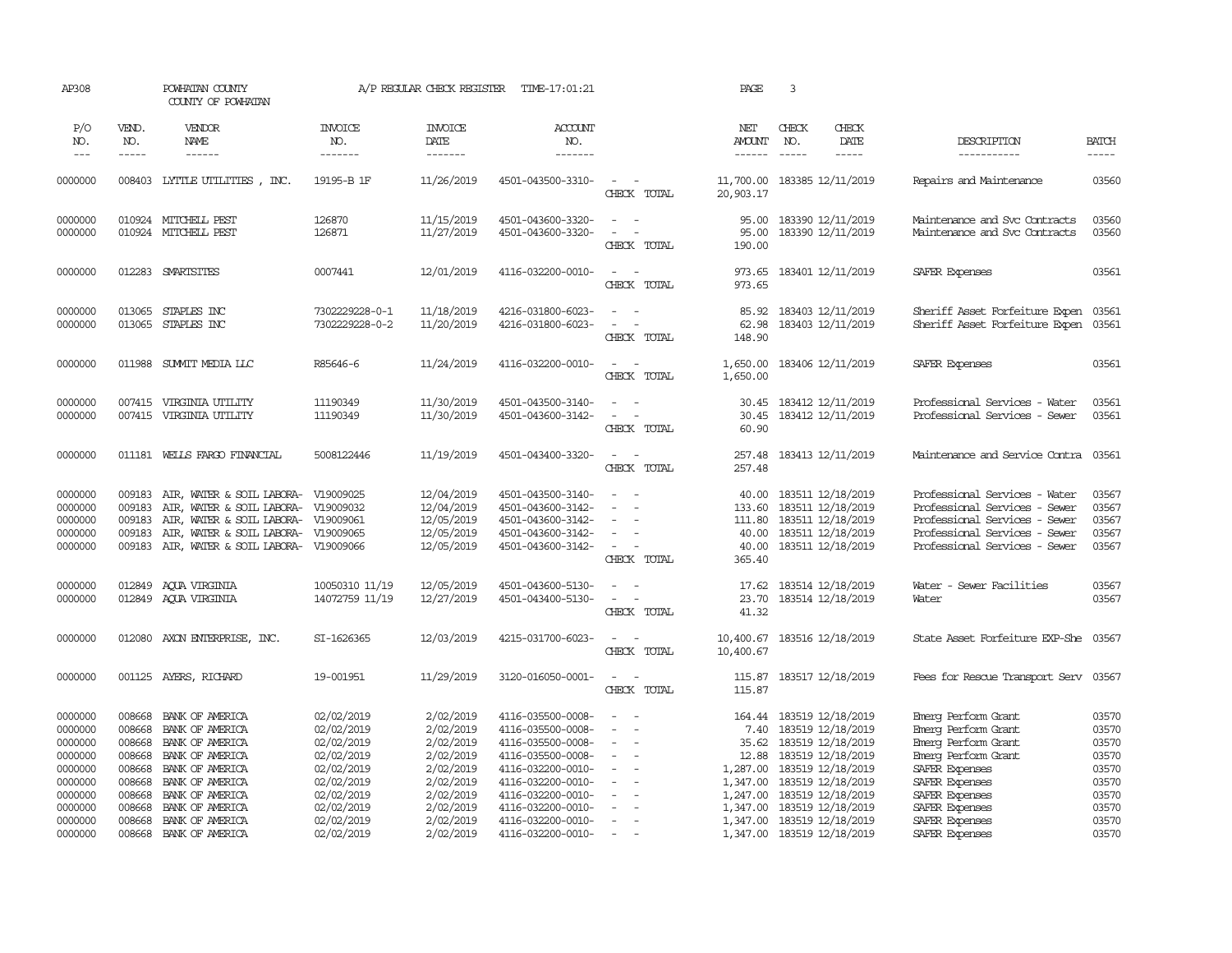| AP308                                               |                                                | POWHATAN COUNTY<br>COUNTY OF POWHATAN                                                                                                                                                           |                                  | A/P REGULAR CHECK REGISTER                                         | TIME-17:01:21                                                                                         |                                                                                                                      | PAGE                                         | 3                             |                                                                                                             |                                                                                                                                                                   |                                           |
|-----------------------------------------------------|------------------------------------------------|-------------------------------------------------------------------------------------------------------------------------------------------------------------------------------------------------|----------------------------------|--------------------------------------------------------------------|-------------------------------------------------------------------------------------------------------|----------------------------------------------------------------------------------------------------------------------|----------------------------------------------|-------------------------------|-------------------------------------------------------------------------------------------------------------|-------------------------------------------------------------------------------------------------------------------------------------------------------------------|-------------------------------------------|
| P/O<br>NO.<br>$---$                                 | VEND.<br>NO.<br>$\frac{1}{2}$                  | VENDOR<br>NAME<br>$- - - - - -$                                                                                                                                                                 | <b>INVOICE</b><br>NO.<br>2222222 | <b>INVOICE</b><br>DATE<br>$- - - - - - -$                          | ACCOUNT<br>NO.<br>$- - - - - - -$                                                                     |                                                                                                                      | NET<br><b>AMOUNT</b><br>$- - - - - -$        | CHECK<br>NO.<br>$\frac{1}{2}$ | CHECK<br>DATE                                                                                               | DESCRIPTION<br>-----------                                                                                                                                        | <b>BATCH</b><br>$- - - - -$               |
| 0000000                                             |                                                | 008403 LYTTLE UTILITIES, INC.                                                                                                                                                                   | 19195-B 1F                       | 11/26/2019                                                         | 4501-043500-3310-                                                                                     | $\sim$ $ -$                                                                                                          | 11,700.00 183385 12/11/2019                  |                               |                                                                                                             | Repairs and Maintenance                                                                                                                                           | 03560                                     |
|                                                     |                                                |                                                                                                                                                                                                 |                                  |                                                                    |                                                                                                       | CHECK TOTAL                                                                                                          | 20,903.17                                    |                               |                                                                                                             |                                                                                                                                                                   |                                           |
| 0000000<br>0000000                                  |                                                | 010924 MITCHELL PEST<br>010924 MITCHELL PEST                                                                                                                                                    | 126870<br>126871                 | 11/15/2019<br>11/27/2019                                           | 4501-043600-3320-<br>4501-043600-3320-                                                                | $\omega_{\rm{max}}$ and $\omega_{\rm{max}}$<br>$\omega_{\rm{max}}$ and $\omega_{\rm{max}}$<br>CHECK TOTAL            | 95.00<br>95.00<br>190.00                     |                               | 183390 12/11/2019<br>183390 12/11/2019                                                                      | Maintenance and Svc Contracts<br>Maintenance and Svc Contracts                                                                                                    | 03560<br>03560                            |
| 0000000                                             |                                                | 012283 SMARTSITES                                                                                                                                                                               | 0007441                          | 12/01/2019                                                         | 4116-032200-0010-                                                                                     | $\sim$<br>$\sim$ $-$<br>CHECK TOTAL                                                                                  | 973.65<br>973.65                             |                               | 183401 12/11/2019                                                                                           | SAFER Expenses                                                                                                                                                    | 03561                                     |
| 0000000<br>0000000                                  | 013065<br>013065                               | STAPLES INC<br>STAPLES INC                                                                                                                                                                      | 7302229228-0-1<br>7302229228-0-2 | 11/18/2019<br>11/20/2019                                           | 4216-031800-6023-<br>4216-031800-6023-                                                                | $\sim$ 100 $\sim$<br>$\sim$ $ \sim$<br>CHECK TOTAL                                                                   | 85.92<br>62.98<br>148.90                     |                               | 183403 12/11/2019<br>183403 12/11/2019                                                                      | Sheriff Asset Forfeiture Expen<br>Sheriff Asset Forfeiture Expen                                                                                                  | 03561<br>03561                            |
| 0000000                                             |                                                | 011988 SUMMIT MEDIA LLC                                                                                                                                                                         | R85646-6                         | 11/24/2019                                                         | 4116-032200-0010-                                                                                     | $\sim$ $ \sim$<br>CHECK TOTAL                                                                                        | 1,650.00<br>1,650.00                         |                               | 183406 12/11/2019                                                                                           | SAFER Expenses                                                                                                                                                    | 03561                                     |
| 0000000<br>0000000                                  | 007415                                         | 007415 VIRGINIA UTILITY<br>VIRGINIA UTILITY                                                                                                                                                     | 11190349<br>11190349             | 11/30/2019<br>11/30/2019                                           | 4501-043500-3140-<br>4501-043600-3142-                                                                | $\omega_{\rm{max}}$ and $\omega_{\rm{max}}$<br>$\sim$ $ -$<br>CHECK TOTAL                                            | 30.45<br>60.90                               |                               | 30.45 183412 12/11/2019<br>183412 12/11/2019                                                                | Professional Services - Water<br>Professional Services - Sewer                                                                                                    | 03561<br>03561                            |
| 0000000                                             |                                                | 011181 WELLS FARGO FINANCIAL                                                                                                                                                                    | 5008122446                       | 11/19/2019                                                         | 4501-043400-3320-                                                                                     | $\sim$ $ -$<br>CHECK TOTAL                                                                                           | 257.48<br>257.48                             |                               | 183413 12/11/2019                                                                                           | Maintenance and Service Contra 03561                                                                                                                              |                                           |
| 0000000<br>0000000<br>0000000<br>0000000<br>0000000 | 009183<br>009183<br>009183<br>009183<br>009183 | AIR, WATER & SOIL LABORA- V19009025<br>AIR, WATER & SOIL LABORA- V19009032<br>AIR, WATER & SOIL LABORA- V19009061<br>AIR, WATER & SOIL LABORA- V19009065<br>AIR, WATER & SOIL LABORA- V19009066 |                                  | 12/04/2019<br>12/04/2019<br>12/05/2019<br>12/05/2019<br>12/05/2019 | 4501-043500-3140-<br>4501-043600-3142-<br>4501-043600-3142-<br>4501-043600-3142-<br>4501-043600-3142- | $\omega_{\rm{max}}$ and $\omega_{\rm{max}}$<br>$\sim$<br>$\sim$<br>$\sim$<br>$\sim$<br>$\sim$ $ \sim$<br>CHECK TOTAL | 40.00<br>133.60<br>111.80<br>40.00<br>365.40 |                               | 183511 12/18/2019<br>183511 12/18/2019<br>183511 12/18/2019<br>40.00 183511 12/18/2019<br>183511 12/18/2019 | Professional Services - Water<br>Professional Services - Sewer<br>Professional Services - Sewer<br>Professional Services - Sewer<br>Professional Services - Sewer | 03567<br>03567<br>03567<br>03567<br>03567 |
| 0000000<br>0000000                                  |                                                | 012849 ACUA VIRGINIA<br>012849 AQUA VIRGINIA                                                                                                                                                    | 10050310 11/19<br>14072759 11/19 | 12/05/2019<br>12/27/2019                                           | 4501-043600-5130-<br>4501-043400-5130-                                                                | $\sim$ $ -$<br>$\alpha = 1$ , $\alpha = 1$<br>CHECK TOTAL                                                            | 41.32                                        |                               | 17.62 183514 12/18/2019<br>23.70 183514 12/18/2019                                                          | Water - Sewer Facilities<br>Water                                                                                                                                 | 03567<br>03567                            |
| 0000000                                             | 012080                                         | AXON ENTERPRISE, INC.                                                                                                                                                                           | SI-1626365                       | 12/03/2019                                                         | 4215-031700-6023-                                                                                     | $\sim$<br>$\sim$ $-$<br>CHECK TOTAL                                                                                  | 10,400.67<br>10,400.67                       |                               | 183516 12/18/2019                                                                                           | State Asset Forfeiture EXP-She 03567                                                                                                                              |                                           |
| 0000000                                             |                                                | 001125 AYERS, RICHARD                                                                                                                                                                           | 19-001951                        | 11/29/2019                                                         | 3120-016050-0001-                                                                                     | $\sim$ $ \sim$<br>CHECK TOTAL                                                                                        | 115.87<br>115.87                             |                               | 183517 12/18/2019                                                                                           | Fees for Rescue Transport Serv 03567                                                                                                                              |                                           |
| 0000000                                             | 008668                                         | BANK OF AMERICA                                                                                                                                                                                 | 02/02/2019                       | 2/02/2019                                                          | 4116-035500-0008-                                                                                     | $\frac{1}{2} \left( \frac{1}{2} \right) \left( \frac{1}{2} \right) = \frac{1}{2} \left( \frac{1}{2} \right)$         |                                              |                               | 164.44 183519 12/18/2019                                                                                    | Einerg Perform Grant                                                                                                                                              | 03570                                     |
| 0000000                                             | 008668                                         | BANK OF AMERICA                                                                                                                                                                                 | 02/02/2019                       | 2/02/2019                                                          | 4116-035500-0008-                                                                                     | $\sim$                                                                                                               | 7.40                                         |                               | 183519 12/18/2019                                                                                           | Emerg Perform Grant                                                                                                                                               | 03570                                     |
| 0000000                                             | 008668                                         | BANK OF AMERICA                                                                                                                                                                                 | 02/02/2019                       | 2/02/2019                                                          | 4116-035500-0008-                                                                                     | $\overline{\phantom{a}}$                                                                                             |                                              |                               | 35.62 183519 12/18/2019                                                                                     | Emerg Perform Grant                                                                                                                                               | 03570                                     |
| 0000000                                             | 008668                                         | BANK OF AMERICA                                                                                                                                                                                 | 02/02/2019                       | 2/02/2019                                                          | 4116-035500-0008-                                                                                     | $\sim$ $ \sim$                                                                                                       | 12.88                                        |                               | 183519 12/18/2019                                                                                           | Emerg Perform Grant                                                                                                                                               | 03570                                     |
| 0000000                                             | 008668                                         | BANK OF AMERICA                                                                                                                                                                                 | 02/02/2019                       | 2/02/2019                                                          | 4116-032200-0010-                                                                                     | $\sim$                                                                                                               | 1,287.00                                     |                               | 183519 12/18/2019                                                                                           | SAFER Expenses                                                                                                                                                    | 03570                                     |
| 0000000                                             | 008668                                         | BANK OF AMERICA                                                                                                                                                                                 | 02/02/2019                       | 2/02/2019                                                          | 4116-032200-0010-                                                                                     | $\sim$                                                                                                               | 1,347.00                                     |                               | 183519 12/18/2019                                                                                           | SAFER Expenses                                                                                                                                                    | 03570                                     |
| 0000000                                             | 008668                                         | BANK OF AMERICA                                                                                                                                                                                 | 02/02/2019                       | 2/02/2019                                                          | 4116-032200-0010-                                                                                     | $\sim$                                                                                                               | 1,247.00                                     |                               | 183519 12/18/2019                                                                                           | SAFER Expenses                                                                                                                                                    | 03570                                     |
| 0000000                                             | 008668                                         | BANK OF AMERICA                                                                                                                                                                                 | 02/02/2019                       | 2/02/2019                                                          | 4116-032200-0010-                                                                                     | $\overline{\phantom{a}}$                                                                                             | 1,347.00                                     |                               | 183519 12/18/2019                                                                                           | SAFER Expenses                                                                                                                                                    | 03570                                     |
| 0000000                                             | 008668                                         | BANK OF AMERICA                                                                                                                                                                                 | 02/02/2019                       | 2/02/2019                                                          | 4116-032200-0010-                                                                                     | $\sim$<br>$\sim$                                                                                                     |                                              |                               | 1,347.00 183519 12/18/2019                                                                                  | SAFER Expenses                                                                                                                                                    | 03570                                     |
| 0000000                                             | 008668                                         | BANK OF AMERICA                                                                                                                                                                                 | 02/02/2019                       | 2/02/2019                                                          | 4116-032200-0010-                                                                                     | $\sim$                                                                                                               |                                              |                               | 1,347.00 183519 12/18/2019                                                                                  | SAFER Expenses                                                                                                                                                    | 03570                                     |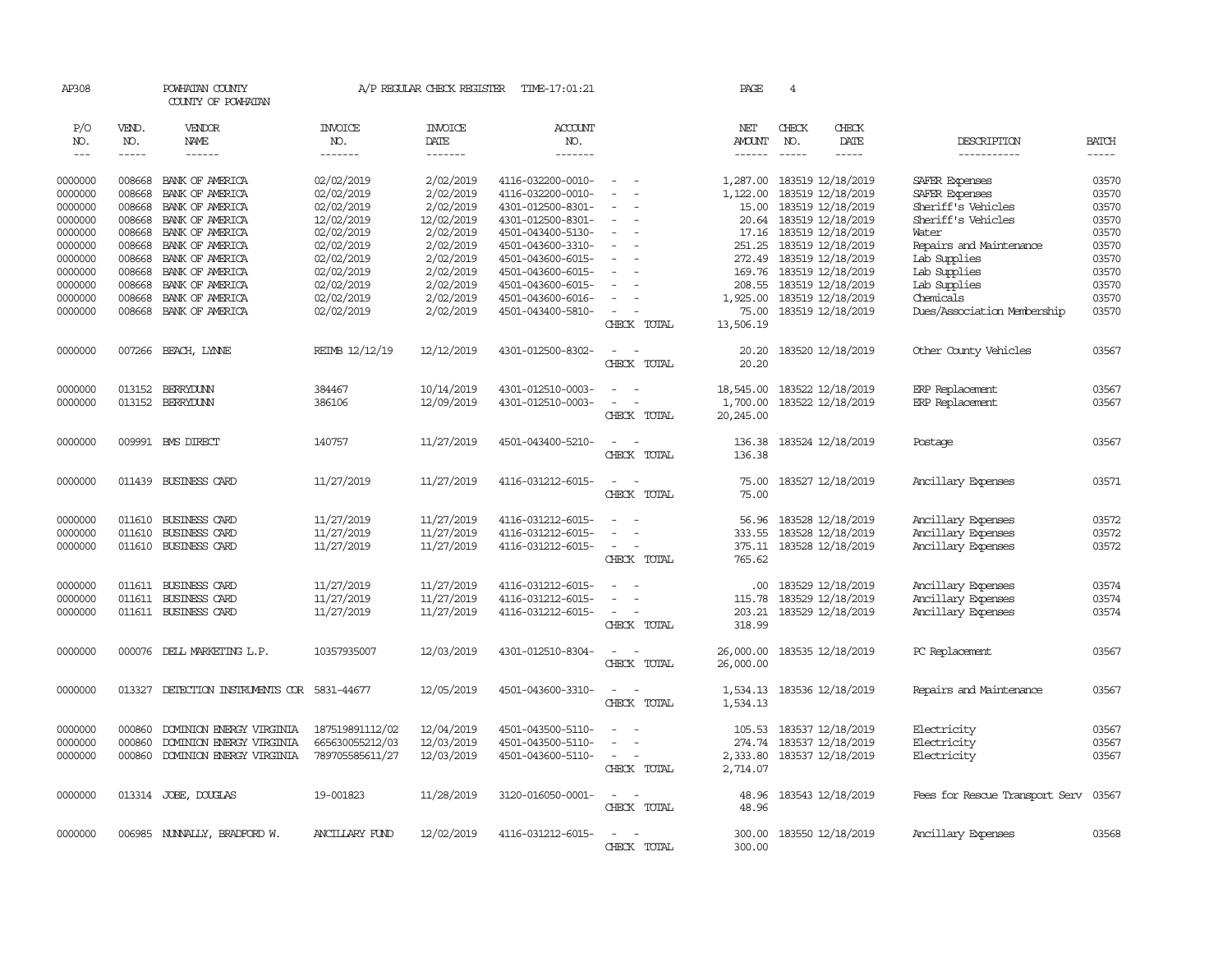| AP308              |                  | POWHATAN COUNTY<br>COUNTY OF POWHATAN       |                          | A/P REGULAR CHECK REGISTER    | TIME-17:01:21                          |                                 | PAGE                        | $\overline{4}$ |                                        |                                      |                |
|--------------------|------------------|---------------------------------------------|--------------------------|-------------------------------|----------------------------------------|---------------------------------|-----------------------------|----------------|----------------------------------------|--------------------------------------|----------------|
| P/O<br>NO.         | VEND.<br>NO.     | VENDOR<br><b>NAME</b>                       | <b>INVOICE</b><br>NO.    | <b>INVOICE</b><br><b>DATE</b> | <b>ACCOUNT</b><br>NO.                  |                                 | NET<br>AMOUNT               | CHECK<br>NO.   | CHECK<br><b>DATE</b>                   | DESCRIPTION                          | <b>BATCH</b>   |
| $\frac{1}{2}$      | -----            | $- - - - - -$                               | -------                  | -------                       | -------                                |                                 | $- - - - - -$               | $- - - - -$    | -----                                  | -----------                          | -----          |
| 0000000            | 008668           | BANK OF AMERICA                             | 02/02/2019               | 2/02/2019                     | 4116-032200-0010-                      | $\sim$                          |                             |                | 1,287.00 183519 12/18/2019             | SAFER Expenses                       | 03570          |
| 0000000<br>0000000 | 008668<br>008668 | BANK OF AMERICA<br>BANK OF AMERICA          | 02/02/2019<br>02/02/2019 | 2/02/2019<br>2/02/2019        | 4116-032200-0010-<br>4301-012500-8301- | $\equiv$<br>$\equiv$            | 1,122.00<br>15.00           |                | 183519 12/18/2019<br>183519 12/18/2019 | SAFER Expenses<br>Sheriff's Vehicles | 03570<br>03570 |
| 0000000            | 008668           | BANK OF AMERICA                             | 12/02/2019               | 12/02/2019                    | 4301-012500-8301-                      |                                 |                             |                | 20.64 183519 12/18/2019                | Sheriff's Vehicles                   | 03570          |
| 0000000            | 008668           | BANK OF AMERICA                             | 02/02/2019               | 2/02/2019                     | 4501-043400-5130-                      | $\overline{\phantom{a}}$        |                             |                | 17.16 183519 12/18/2019                | Water                                | 03570          |
| 0000000            | 008668           | BANK OF AMERICA                             | 02/02/2019               | 2/02/2019                     | 4501-043600-3310-                      | $\sim$                          | 251.25                      |                | 183519 12/18/2019                      | Repairs and Maintenance              | 03570          |
| 0000000            | 008668           | BANK OF AMERICA                             | 02/02/2019               | 2/02/2019                     | 4501-043600-6015-                      |                                 |                             |                | 272.49 183519 12/18/2019               | Lab Supplies                         | 03570          |
| 0000000            | 008668           | BANK OF AMERICA                             | 02/02/2019               | 2/02/2019                     | 4501-043600-6015-                      | $\equiv$                        |                             |                | 169.76 183519 12/18/2019               | Lab Supplies                         | 03570          |
| 0000000            | 008668           | BANK OF AMERICA                             | 02/02/2019               | 2/02/2019                     | 4501-043600-6015-                      | $\equiv$                        | 208.55                      |                | 183519 12/18/2019                      | Lab Supplies                         | 03570          |
| 0000000            | 008668           | BANK OF AMERICA                             | 02/02/2019               | 2/02/2019                     | 4501-043600-6016-                      |                                 | 1,925.00                    |                | 183519 12/18/2019                      | Chemicals                            | 03570          |
| 0000000            | 008668           | BANK OF AMERICA                             | 02/02/2019               | 2/02/2019                     | 4501-043400-5810-                      |                                 | 75.00                       |                | 183519 12/18/2019                      | Dues/Association Membership          | 03570          |
|                    |                  |                                             |                          |                               |                                        | CHECK TOTAL                     | 13,506.19                   |                |                                        |                                      |                |
| 0000000            |                  | 007266 BEACH, LYNNE                         | REIMB 12/12/19           | 12/12/2019                    | 4301-012500-8302-                      | $\sim$ $\sim$                   | 20.20                       |                | 183520 12/18/2019                      | Other County Vehicles                | 03567          |
|                    |                  |                                             |                          |                               |                                        | CHECK TOTAL                     | 20.20                       |                |                                        |                                      |                |
| 0000000            |                  | 013152 BERRYDUNN                            | 384467                   | 10/14/2019                    | 4301-012510-0003-                      | $\sim$<br>$\sim$                | 18,545.00 183522 12/18/2019 |                |                                        | ERP Replacement                      | 03567          |
| 0000000            |                  | 013152 BERRYDUNN                            | 386106                   | 12/09/2019                    | 4301-012510-0003-                      | $\sim$<br>$\sim$                | 1,700.00                    |                | 183522 12/18/2019                      | ERP Replacement                      | 03567          |
|                    |                  |                                             |                          |                               |                                        | CHECK TOTAL                     | 20,245.00                   |                |                                        |                                      |                |
| 0000000            |                  | 009991 BMS DIRECT                           | 140757                   | 11/27/2019                    | 4501-043400-5210-                      | $\sim$                          | 136.38                      |                | 183524 12/18/2019                      | Postage                              | 03567          |
|                    |                  |                                             |                          |                               |                                        | CHECK TOTAL                     | 136.38                      |                |                                        |                                      |                |
| 0000000            |                  | 011439 BUSINESS CARD                        | 11/27/2019               | 11/27/2019                    | 4116-031212-6015-                      | $\sim$<br>$\sim$                | 75.00                       |                | 183527 12/18/2019                      | Ancillary Expenses                   | 03571          |
|                    |                  |                                             |                          |                               |                                        | CHECK TOTAL                     | 75.00                       |                |                                        |                                      |                |
|                    |                  |                                             |                          |                               |                                        |                                 |                             |                |                                        |                                      |                |
| 0000000            | 011610           | BUSINESS CARD                               | 11/27/2019               | 11/27/2019                    | 4116-031212-6015-                      | $\sim$                          | 56.96                       |                | 183528 12/18/2019                      | Ancillary Expenses                   | 03572          |
| 0000000            | 011610           | BUSINESS CARD                               | 11/27/2019               | 11/27/2019                    | 4116-031212-6015-                      | $\sim$                          | 333.55                      |                | 183528 12/18/2019                      | Ancillary Expenses                   | 03572          |
| 0000000            | 011610           | BUSINESS CARD                               | 11/27/2019               | 11/27/2019                    | 4116-031212-6015-                      | $\sim$ $\sim$                   |                             |                | 375.11 183528 12/18/2019               | Ancillary Expenses                   | 03572          |
|                    |                  |                                             |                          |                               |                                        | CHECK TOTAL                     | 765.62                      |                |                                        |                                      |                |
| 0000000            | 011611           | BUSINESS CARD                               | 11/27/2019               | 11/27/2019                    | 4116-031212-6015-                      | $\overline{\phantom{a}}$        | .00                         |                | 183529 12/18/2019                      | Ancillary Expenses                   | 03574          |
| 0000000            |                  | 011611 BUSINESS CARD                        | 11/27/2019               | 11/27/2019                    | 4116-031212-6015-                      |                                 | 115.78                      |                | 183529 12/18/2019                      | Ancillary Expenses                   | 03574          |
| 0000000            |                  | 011611 BUSINESS CARD                        | 11/27/2019               | 11/27/2019                    | 4116-031212-6015-                      | $\sim$                          | 203.21                      |                | 183529 12/18/2019                      | Ancillary Expenses                   | 03574          |
|                    |                  |                                             |                          |                               |                                        | CHECK TOTAL                     | 318.99                      |                |                                        |                                      |                |
| 0000000            |                  | 000076 DELL MARKETING L.P.                  | 10357935007              | 12/03/2019                    | 4301-012510-8304-                      | $\sim$ $ \sim$                  | 26,000.00                   |                | 183535 12/18/2019                      | PC Replacement                       | 03567          |
|                    |                  |                                             |                          |                               |                                        | CHECK TOTAL                     | 26,000.00                   |                |                                        |                                      |                |
| 0000000            |                  | 013327 DETECTION INSTRUMENTS COR 5831-44677 |                          | 12/05/2019                    | 4501-043600-3310-                      | $\sim$ $\sim$                   | 1,534.13                    |                | 183536 12/18/2019                      | Repairs and Maintenance              | 03567          |
|                    |                  |                                             |                          |                               |                                        | CHECK TOTAL                     | 1,534.13                    |                |                                        |                                      |                |
| 0000000            | 000860           | DOMINION ENERGY VIRGINIA                    | 187519891112/02          | 12/04/2019                    | 4501-043500-5110-                      | $\sim$                          | 105.53                      |                | 183537 12/18/2019                      | Electricity                          | 03567          |
| 0000000            | 000860           | DOMINION ENERGY VIRGINIA                    | 665630055212/03          | 12/03/2019                    | 4501-043500-5110-                      |                                 |                             |                | 274.74 183537 12/18/2019               | Electricity                          | 03567          |
| 0000000            | 000860           | DOMINION ENERGY VIRGINIA                    | 789705585611/27          | 12/03/2019                    | 4501-043600-5110-                      | $\sim$<br>$\sim$                |                             |                | 2,333.80 183537 12/18/2019             | Electricity                          | 03567          |
|                    |                  |                                             |                          |                               |                                        | CHECK TOTAL                     | 2,714.07                    |                |                                        |                                      |                |
| 0000000            |                  | 013314 JOBE, DOUGLAS                        | 19-001823                | 11/28/2019                    | 3120-016050-0001-                      | $\sim$ $ -$                     | 48.96                       |                | 183543 12/18/2019                      | Fees for Rescue Transport Serv       | 03567          |
|                    |                  |                                             |                          |                               |                                        | CHECK TOTAL                     | 48.96                       |                |                                        |                                      |                |
|                    |                  |                                             |                          |                               |                                        |                                 |                             |                |                                        |                                      |                |
| 0000000            |                  | 006985 NUNNALLY, BRADFORD W.                | ANCILLARY FUND           | 12/02/2019                    | 4116-031212-6015-                      | $\sim$<br>$\sim$<br>CHECK TOTAL | 300.00<br>300.00            |                | 183550 12/18/2019                      | Ancillary Expenses                   | 03568          |
|                    |                  |                                             |                          |                               |                                        |                                 |                             |                |                                        |                                      |                |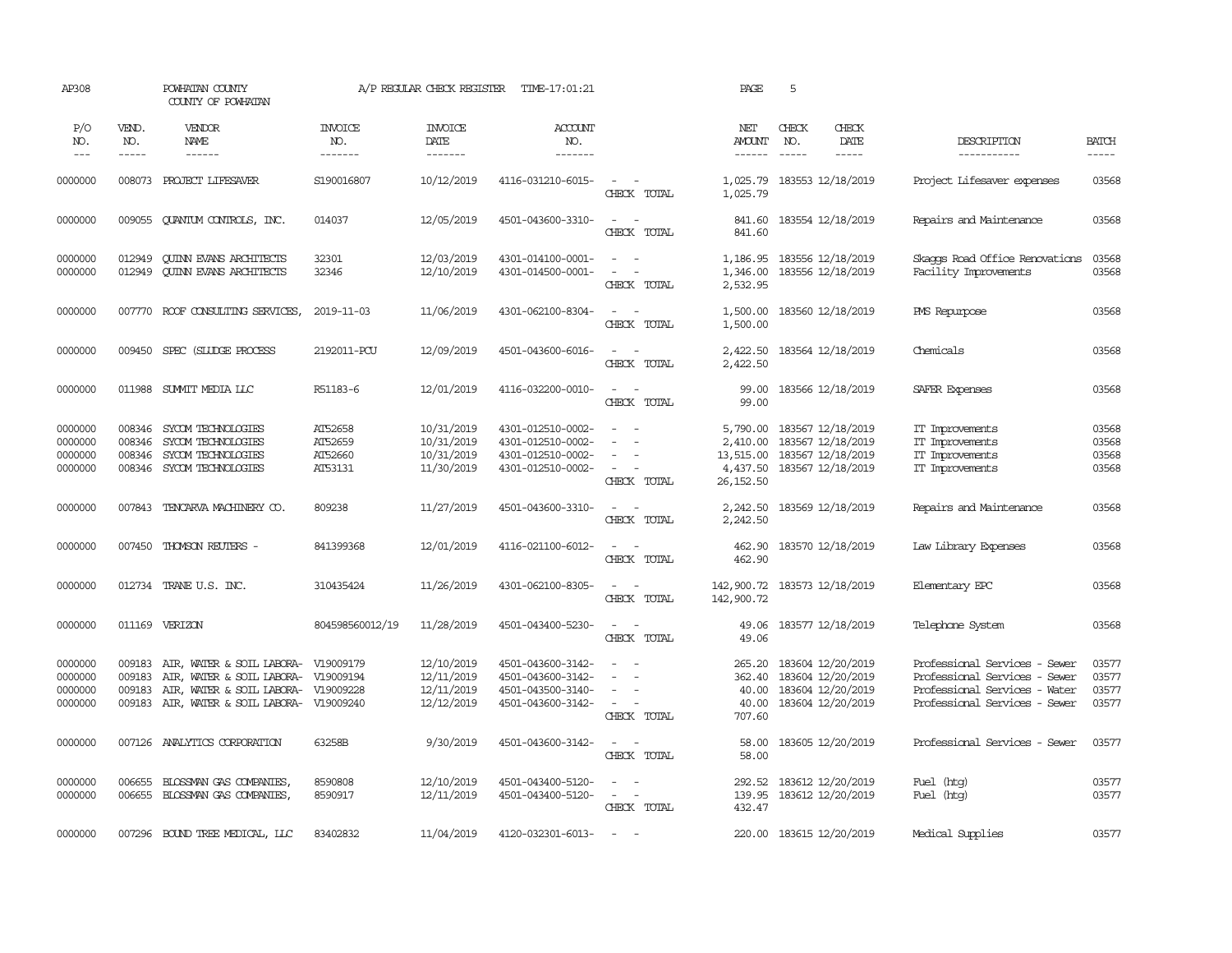| AP308                                    |                                      | POWHATAN COUNTY<br>COUNTY OF POWHATAN                                                                                                                    |                                          | A/P REGULAR CHECK REGISTER                           | TIME-17:01:21                                                                    |                                                                                                                                                                                               | PAGE                                                        | 5                             |                                                                                  |                                                                                                                                  |                                  |
|------------------------------------------|--------------------------------------|----------------------------------------------------------------------------------------------------------------------------------------------------------|------------------------------------------|------------------------------------------------------|----------------------------------------------------------------------------------|-----------------------------------------------------------------------------------------------------------------------------------------------------------------------------------------------|-------------------------------------------------------------|-------------------------------|----------------------------------------------------------------------------------|----------------------------------------------------------------------------------------------------------------------------------|----------------------------------|
| P/O<br>NO.<br>$---$                      | VEND.<br>NO.<br>$- - - - -$          | VENDOR<br>NAME<br>$- - - - - -$                                                                                                                          | <b>INVOICE</b><br>NO.<br>-------         | <b>INVOICE</b><br>DATE<br>-------                    | <b>ACCOUNT</b><br>NO.<br>-------                                                 |                                                                                                                                                                                               | NET<br>AMOUNT<br>$- - - - - -$                              | CHECK<br>NO.<br>$\frac{1}{2}$ | CHECK<br>DATE<br>$- - - - -$                                                     | DESCRIPTION<br>-----------                                                                                                       | <b>BATCH</b><br>$- - - - -$      |
| 0000000                                  | 008073                               | PROJECT LIFESAVER                                                                                                                                        | S190016807                               | 10/12/2019                                           | 4116-031210-6015-                                                                | $\sim$<br>$\sim$<br>CHECK TOTAL                                                                                                                                                               | 1,025.79<br>1,025.79                                        |                               | 183553 12/18/2019                                                                | Project Lifesaver expenses                                                                                                       | 03568                            |
| 0000000                                  | 009055                               | QUANTUM CONTROLS, INC.                                                                                                                                   | 014037                                   | 12/05/2019                                           | 4501-043600-3310-                                                                | $\sim$<br>$\sim$<br>CHECK TOTAL                                                                                                                                                               | 841.60<br>841.60                                            |                               | 183554 12/18/2019                                                                | Repairs and Maintenance                                                                                                          | 03568                            |
| 0000000<br>0000000                       | 012949<br>012949                     | <b>CUINN EVANS ARCHITECTS</b><br><b>CUINN EVANS ARCHITECTS</b>                                                                                           | 32301<br>32346                           | 12/03/2019<br>12/10/2019                             | 4301-014100-0001-<br>4301-014500-0001-                                           | $\sim$ $ \sim$<br>$\overline{\phantom{a}}$<br>$\equiv$<br>CHECK TOTAL                                                                                                                         | 1,186.95<br>1,346.00<br>2,532.95                            |                               | 183556 12/18/2019<br>183556 12/18/2019                                           | Skaops Road Office Renovations<br>Facility Improvements                                                                          | 03568<br>03568                   |
| 0000000                                  |                                      | 007770 ROOF CONSULTING SERVICES,                                                                                                                         | 2019-11-03                               | 11/06/2019                                           | 4301-062100-8304-                                                                | $\sim$<br>$\sim$<br>CHECK TOTAL                                                                                                                                                               | 1,500.00<br>1,500.00                                        |                               | 183560 12/18/2019                                                                | <b>PMS</b> Repurpose                                                                                                             | 03568                            |
| 0000000                                  | 009450                               | SPEC (SLUDGE PROCESS                                                                                                                                     | 2192011-PCU                              | 12/09/2019                                           | 4501-043600-6016-                                                                | $\sim$<br>$\sim$<br>CHECK TOTAL                                                                                                                                                               | 2,422.50<br>2,422.50                                        |                               | 183564 12/18/2019                                                                | Chemicals                                                                                                                        | 03568                            |
| 0000000                                  | 011988                               | SUMMIT MEDIA LLC                                                                                                                                         | R51183-6                                 | 12/01/2019                                           | 4116-032200-0010-                                                                | $\overline{\phantom{a}}$<br>$\sim$<br>CHECK TOTAL                                                                                                                                             | 99.00<br>99.00                                              |                               | 183566 12/18/2019                                                                | SAFER Expenses                                                                                                                   | 03568                            |
| 0000000<br>0000000<br>0000000<br>0000000 | 008346<br>008346<br>008346<br>008346 | SYCOM TECHNOLOGIES<br>SYCOM TECHNOLOGIES<br>SYCOM TECHNOLOGIES<br>SYCOM TECHNOLOGIES                                                                     | AT52658<br>AT52659<br>AT52660<br>AT53131 | 10/31/2019<br>10/31/2019<br>10/31/2019<br>11/30/2019 | 4301-012510-0002-<br>4301-012510-0002-<br>4301-012510-0002-<br>4301-012510-0002- | $\sim$<br>$\sim$<br>$\sim$<br>$\equiv$<br>CHECK TOTAL                                                                                                                                         | 5,790.00<br>2,410.00<br>13,515.00<br>4,437.50<br>26, 152.50 |                               | 183567 12/18/2019<br>183567 12/18/2019<br>183567 12/18/2019<br>183567 12/18/2019 | IT Improvements<br>IT Improvements<br>IT Improvements<br>IT Improvements                                                         | 03568<br>03568<br>03568<br>03568 |
| 0000000                                  | 007843                               | TENCARVA MACHINERY CO.                                                                                                                                   | 809238                                   | 11/27/2019                                           | 4501-043600-3310-                                                                | $\sim$<br>$\sim$<br>CHECK TOTAL                                                                                                                                                               | 2,242.50<br>2,242.50                                        |                               | 183569 12/18/2019                                                                | Repairs and Maintenance                                                                                                          | 03568                            |
| 0000000                                  | 007450                               | THOMSON REUTERS -                                                                                                                                        | 841399368                                | 12/01/2019                                           | 4116-021100-6012-                                                                | $\sim$<br>CHECK TOTAL                                                                                                                                                                         | 462.90<br>462.90                                            |                               | 183570 12/18/2019                                                                | Law Library Expenses                                                                                                             | 03568                            |
| 0000000                                  |                                      | 012734 TRANE U.S. INC.                                                                                                                                   | 310435424                                | 11/26/2019                                           | 4301-062100-8305-                                                                | $\sim$<br>$\sim$ $-$<br>CHECK TOTAL                                                                                                                                                           | 142,900.72<br>142,900.72                                    |                               | 183573 12/18/2019                                                                | Elementary EPC                                                                                                                   | 03568                            |
| 0000000                                  |                                      | 011169 VERIZON                                                                                                                                           | 804598560012/19                          | 11/28/2019                                           | 4501-043400-5230-                                                                | $\sim$<br>$\sim$<br>CHECK TOTAL                                                                                                                                                               | 49.06<br>49.06                                              |                               | 183577 12/18/2019                                                                | Telephone System                                                                                                                 | 03568                            |
| 0000000<br>0000000<br>0000000<br>0000000 | 009183<br>009183<br>009183<br>009183 | AIR, WATER & SOIL LABORA- V19009179<br>AIR, WATER & SOIL LABORA- V19009194<br>AIR, WATER & SOIL LABORA- V19009228<br>AIR, WATER & SOIL LABORA- V19009240 |                                          | 12/10/2019<br>12/11/2019<br>12/11/2019<br>12/12/2019 | 4501-043600-3142-<br>4501-043600-3142-<br>4501-043500-3140-<br>4501-043600-3142- | $\frac{1}{2} \left( \frac{1}{2} \right) \left( \frac{1}{2} \right) = \frac{1}{2} \left( \frac{1}{2} \right)$<br>$\sim$<br>$\overline{a}$<br>$\sim$<br>$\overline{\phantom{a}}$<br>CHECK TOTAL | 265.20<br>362.40<br>40.00<br>40.00<br>707.60                |                               | 183604 12/20/2019<br>183604 12/20/2019<br>183604 12/20/2019<br>183604 12/20/2019 | Professional Services - Sewer<br>Professional Services - Sewer<br>Professional Services - Water<br>Professional Services - Sewer | 03577<br>03577<br>03577<br>03577 |
| 0000000                                  |                                      | 007126 ANALYTICS CORPORATION                                                                                                                             | 63258B                                   | 9/30/2019                                            | 4501-043600-3142-                                                                | $\sim$ $ -$<br>CHECK TOTAL                                                                                                                                                                    | 58.00<br>58.00                                              |                               | 183605 12/20/2019                                                                | Professional Services - Sewer                                                                                                    | 03577                            |
| 0000000<br>0000000                       | 006655<br>006655                     | BLOSSMAN GAS COMPANIES,<br>BLOSSMAN GAS COMPANIES,                                                                                                       | 8590808<br>8590917                       | 12/10/2019<br>12/11/2019                             | 4501-043400-5120-<br>4501-043400-5120-                                           | $\sim$<br>$\sim$<br>$\sim$<br>$\sim$<br>CHECK TOTAL                                                                                                                                           | 292.52<br>139.95<br>432.47                                  |                               | 183612 12/20/2019<br>183612 12/20/2019                                           | Fuel (htg)<br>Fuel (htg)                                                                                                         | 03577<br>03577                   |
| 0000000                                  |                                      | 007296 BOUND TREE MEDICAL, LLC                                                                                                                           | 83402832                                 | 11/04/2019                                           | 4120-032301-6013-                                                                | $\sim$                                                                                                                                                                                        |                                                             |                               | 220.00 183615 12/20/2019                                                         | Medical Supplies                                                                                                                 | 03577                            |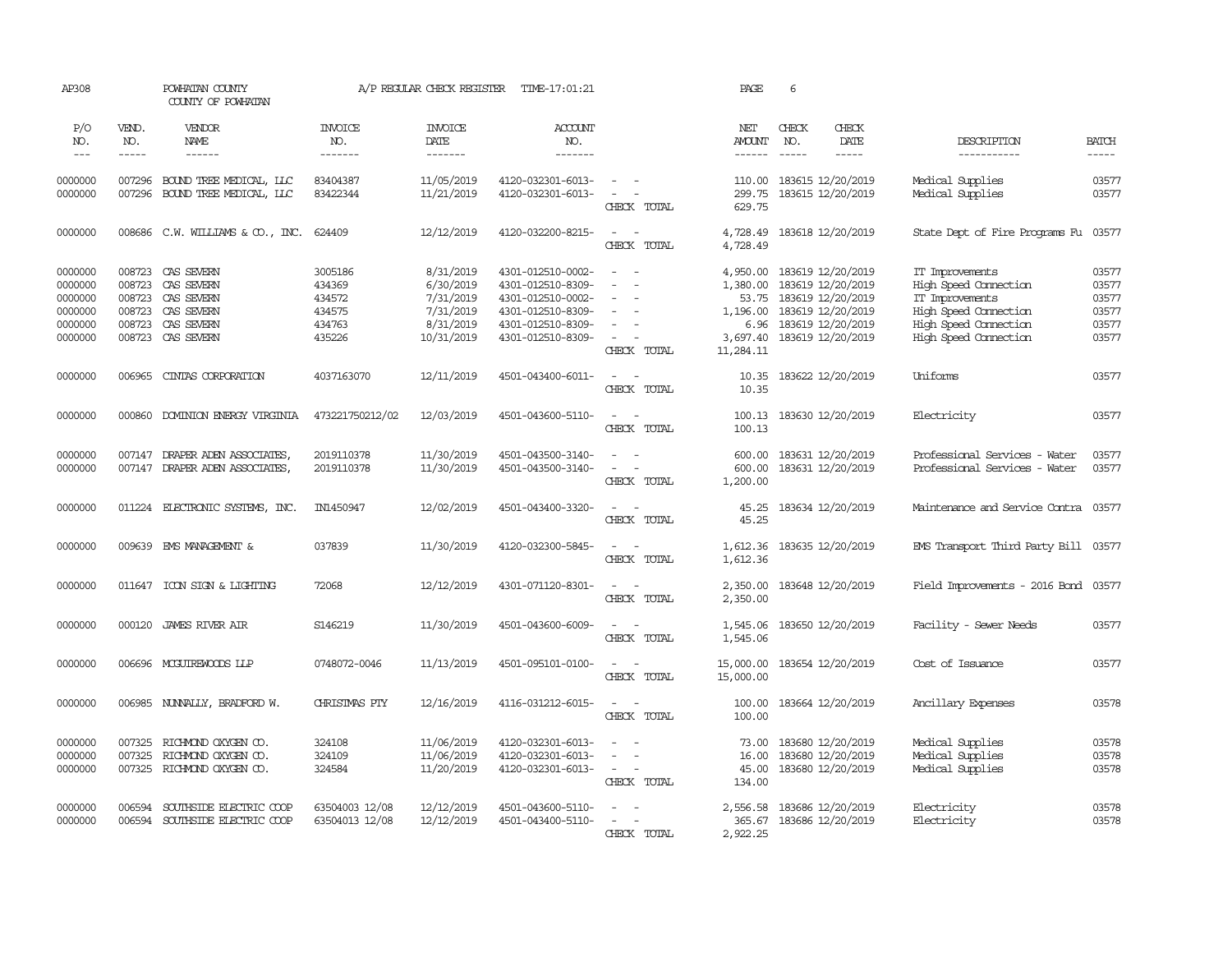| AP308                                                          |                                      | POWHATAN COUNTY<br>COUNTY OF POWHATAN                                                          |                                                           | A/P REGULAR CHECK REGISTER                                                  | TIME-17:01:21                                                                                                              |                                                                                                       | PAGE                                                                       | 6             |                                                                                                                            |                                                                                                                                        |                                                    |
|----------------------------------------------------------------|--------------------------------------|------------------------------------------------------------------------------------------------|-----------------------------------------------------------|-----------------------------------------------------------------------------|----------------------------------------------------------------------------------------------------------------------------|-------------------------------------------------------------------------------------------------------|----------------------------------------------------------------------------|---------------|----------------------------------------------------------------------------------------------------------------------------|----------------------------------------------------------------------------------------------------------------------------------------|----------------------------------------------------|
| P/O<br>NO.                                                     | VEND.<br>NO.                         | <b>VENDOR</b><br>NAME                                                                          | <b>INVOICE</b><br>NO.                                     | <b>INVOICE</b><br>DATE                                                      | ACCOUNT<br>NO.                                                                                                             |                                                                                                       | NET<br>AMOUNT                                                              | CHECK<br>NO.  | CHECK<br>DATE                                                                                                              | DESCRIPTION                                                                                                                            | <b>BATCH</b>                                       |
| $---$                                                          | -----                                | ------                                                                                         | -------                                                   | --------                                                                    | -------                                                                                                                    |                                                                                                       | $- - - - - -$                                                              | $\frac{1}{2}$ | $\frac{1}{2}$                                                                                                              | -----------                                                                                                                            | $- - - - -$                                        |
| 0000000<br>0000000                                             | 007296                               | 007296 BOUND TREE MEDICAL, LLC<br>BOUND TREE MEDICAL, LLC                                      | 83404387<br>83422344                                      | 11/05/2019<br>11/21/2019                                                    | 4120-032301-6013-<br>4120-032301-6013-                                                                                     | $ -$<br>$\sim$<br>CHECK TOTAL                                                                         | 110.00<br>299.75<br>629.75                                                 |               | 183615 12/20/2019<br>183615 12/20/2019                                                                                     | Medical Supplies<br>Medical Supplies                                                                                                   | 03577<br>03577                                     |
| 0000000                                                        |                                      | 008686 C.W. WILLIAMS & CO., INC.                                                               | 624409                                                    | 12/12/2019                                                                  | 4120-032200-8215-                                                                                                          | $\sim$<br>$\sim$<br>CHECK TOTAL                                                                       | 4,728.49<br>4,728.49                                                       |               | 183618 12/20/2019                                                                                                          | State Dept of Fire Programs Fu                                                                                                         | 03577                                              |
| 0000000<br>0000000<br>0000000<br>0000000<br>0000000<br>0000000 | 008723<br>008723<br>008723<br>008723 | 008723 CAS SEVERN<br>CAS SEVERN<br>CAS SEVERN<br>CAS SEVERN<br>CAS SEVERN<br>008723 CAS SEVERN | 3005186<br>434369<br>434572<br>434575<br>434763<br>435226 | 8/31/2019<br>6/30/2019<br>7/31/2019<br>7/31/2019<br>8/31/2019<br>10/31/2019 | 4301-012510-0002-<br>4301-012510-8309-<br>4301-012510-0002-<br>4301-012510-8309-<br>4301-012510-8309-<br>4301-012510-8309- | $\sim$<br>$\sim$<br>$\sim$<br>$\equiv$<br>$\sim$<br>$\overline{\phantom{a}}$<br>$\sim$<br>CHECK TOTAL | 4,950.00<br>1,380.00<br>53.75<br>1,196.00<br>6.96<br>3,697.40<br>11,284.11 |               | 183619 12/20/2019<br>183619 12/20/2019<br>183619 12/20/2019<br>183619 12/20/2019<br>183619 12/20/2019<br>183619 12/20/2019 | IT Improvements<br>High Speed Connection<br>IT Improvements<br>High Speed Connection<br>High Speed Connection<br>High Speed Connection | 03577<br>03577<br>03577<br>03577<br>03577<br>03577 |
| 0000000                                                        | 006965                               | CINIAS CORPORATION                                                                             | 4037163070                                                | 12/11/2019                                                                  | 4501-043400-6011-                                                                                                          | $\sim$ $ \sim$<br>CHECK TOTAL                                                                         | 10.35<br>10.35                                                             |               | 183622 12/20/2019                                                                                                          | Uniforms                                                                                                                               | 03577                                              |
| 0000000                                                        | 000860                               | DOMINION ENERGY VIRGINIA                                                                       | 473221750212/02                                           | 12/03/2019                                                                  | 4501-043600-5110-                                                                                                          | $\sim$ $ \sim$<br>CHECK TOTAL                                                                         | 100.13<br>100.13                                                           |               | 183630 12/20/2019                                                                                                          | Electricity                                                                                                                            | 03577                                              |
| 0000000<br>0000000                                             | 007147                               | DRAPER ADEN ASSOCIATES<br>007147 DRAPER ADEN ASSOCIATES,                                       | 2019110378<br>2019110378                                  | 11/30/2019<br>11/30/2019                                                    | 4501-043500-3140-<br>4501-043500-3140-                                                                                     | $\sim$<br>$\sim$<br>$\sim$<br>$\sim$<br>CHECK TOTAL                                                   | 600.00<br>600.00<br>1,200.00                                               |               | 183631 12/20/2019<br>183631 12/20/2019                                                                                     | Professional Services - Water<br>Professional Services - Water                                                                         | 03577<br>03577                                     |
| 0000000                                                        |                                      | 011224 ELECTRONIC SYSTEMS, INC.                                                                | IN1450947                                                 | 12/02/2019                                                                  | 4501-043400-3320-                                                                                                          | $\sim$ $ \sim$<br>CHECK TOTAL                                                                         | 45.25<br>45.25                                                             |               | 183634 12/20/2019                                                                                                          | Maintenance and Service Contra 03577                                                                                                   |                                                    |
| 0000000                                                        |                                      | 009639 EMS MANAGEMENT &                                                                        | 037839                                                    | 11/30/2019                                                                  | 4120-032300-5845-                                                                                                          | $\sim$ $ -$<br>CHECK TOTAL                                                                            | 1,612.36<br>1,612.36                                                       |               | 183635 12/20/2019                                                                                                          | EMS Transport Third Party Bill 03577                                                                                                   |                                                    |
| 0000000                                                        |                                      | 011647 ICON SIGN & LIGHTING                                                                    | 72068                                                     | 12/12/2019                                                                  | 4301-071120-8301-                                                                                                          | $\sim$ $ \sim$<br>CHECK TOTAL                                                                         | 2,350.00<br>2,350.00                                                       |               | 183648 12/20/2019                                                                                                          | Field Improvements - 2016 Bond 03577                                                                                                   |                                                    |
| 0000000                                                        |                                      | 000120 JAMES RIVER AIR                                                                         | S146219                                                   | 11/30/2019                                                                  | 4501-043600-6009-                                                                                                          | $\sim$ $  -$<br>CHECK TOTAL                                                                           | 1,545.06<br>1,545.06                                                       |               | 183650 12/20/2019                                                                                                          | Facility - Sewer Needs                                                                                                                 | 03577                                              |
| 0000000                                                        |                                      | 006696 MCGUIREWOODS LLP                                                                        | 0748072-0046                                              | 11/13/2019                                                                  | 4501-095101-0100-                                                                                                          | $\sim$<br>$\sim$<br>CHECK TOTAL                                                                       | 15,000.00<br>15,000.00                                                     |               | 183654 12/20/2019                                                                                                          | Cost of Issuance                                                                                                                       | 03577                                              |
| 0000000                                                        |                                      | 006985 NUNNALLY, BRADFORD W.                                                                   | CHRISTMAS PTY                                             | 12/16/2019                                                                  | 4116-031212-6015-                                                                                                          | $\sim$ $  -$<br>CHECK TOTAL                                                                           | 100.00<br>100.00                                                           |               | 183664 12/20/2019                                                                                                          | Ancillary Expenses                                                                                                                     | 03578                                              |
| 0000000<br>0000000<br>0000000                                  | 007325<br>007325<br>007325           | RICHMOND OXYGEN CO.<br>RICHMOND OXYGEN CO.<br>RICHMOND OXYGEN CO.                              | 324108<br>324109<br>324584                                | 11/06/2019<br>11/06/2019<br>11/20/2019                                      | 4120-032301-6013-<br>4120-032301-6013-<br>4120-032301-6013-                                                                | $\sim$<br>$\sim$<br>$\sim$<br>$\sim$<br>$\sim$<br>$\sim$ $-$<br>CHECK TOTAL                           | 73.00<br>16.00<br>45.00<br>134.00                                          |               | 183680 12/20/2019<br>183680 12/20/2019<br>183680 12/20/2019                                                                | Medical Supplies<br>Medical Supplies<br>Medical Supplies                                                                               | 03578<br>03578<br>03578                            |
| 0000000<br>0000000                                             | 006594<br>006594                     | SOUTHSIDE ELECTRIC COOP<br>SOUTHSIDE ELECTRIC COOP                                             | 63504003 12/08<br>63504013 12/08                          | 12/12/2019<br>12/12/2019                                                    | 4501-043600-5110-<br>4501-043400-5110-                                                                                     | $\sim$<br>CHECK TOTAL                                                                                 | 2,556.58<br>365.67<br>2,922.25                                             |               | 183686 12/20/2019<br>183686 12/20/2019                                                                                     | Electricity<br>Electricity                                                                                                             | 03578<br>03578                                     |